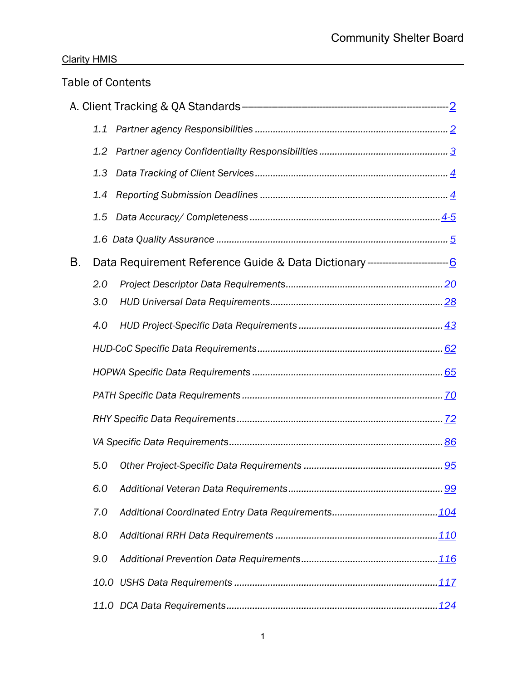|    |     | <b>Table of Contents</b> |
|----|-----|--------------------------|
|    |     |                          |
|    | 1.1 |                          |
|    | 1.2 |                          |
|    | 1,3 |                          |
|    | 1.4 |                          |
|    | 1.5 |                          |
|    |     |                          |
| B. |     |                          |
|    | 2.0 |                          |
|    | 3.0 |                          |
|    | 4.0 |                          |
|    |     |                          |
|    |     |                          |
|    |     |                          |
|    |     |                          |
|    |     |                          |
|    | 5.0 |                          |
|    | 6.0 |                          |
|    | 7.0 |                          |
|    | 8.0 |                          |
|    | 9.0 |                          |
|    |     |                          |
|    |     |                          |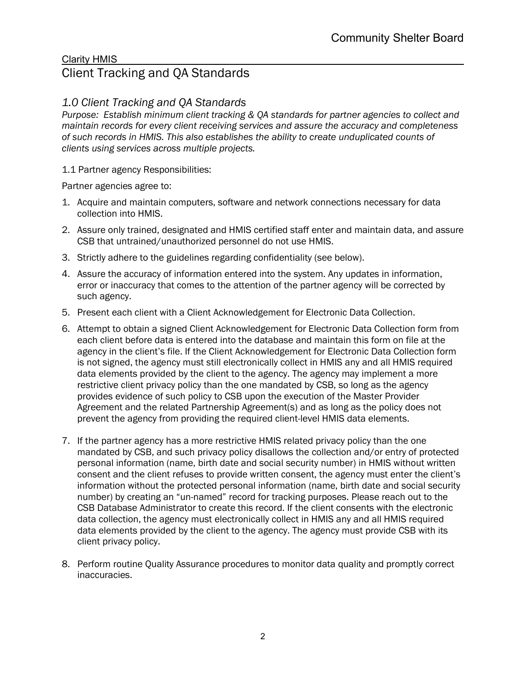# <span id="page-1-0"></span>Clarity HMIS Client Tracking and QA Standards

# *1.0 Client Tracking and QA Standards*

*Purpose: Establish minimum client tracking & QA standards for partner agencies to collect and maintain records for every client receiving services and assure the accuracy and completeness of such records in HMIS. This also establishes the ability to create unduplicated counts of clients using services across multiple projects.*

<span id="page-1-1"></span>1.1 Partner agency Responsibilities:

Partner agencies agree to:

- 1. Acquire and maintain computers, software and network connections necessary for data collection into HMIS.
- 2. Assure only trained, designated and HMIS certified staff enter and maintain data, and assure CSB that untrained/unauthorized personnel do not use HMIS.
- 3. Strictly adhere to the guidelines regarding confidentiality (see below).
- 4. Assure the accuracy of information entered into the system. Any updates in information, error or inaccuracy that comes to the attention of the partner agency will be corrected by such agency.
- 5. Present each client with a Client Acknowledgement for Electronic Data Collection.
- 6. Attempt to obtain a signed Client Acknowledgement for Electronic Data Collection form from each client before data is entered into the database and maintain this form on file at the agency in the client's file. If the Client Acknowledgement for Electronic Data Collection form is not signed, the agency must still electronically collect in HMIS any and all HMIS required data elements provided by the client to the agency. The agency may implement a more restrictive client privacy policy than the one mandated by CSB, so long as the agency provides evidence of such policy to CSB upon the execution of the Master Provider Agreement and the related Partnership Agreement(s) and as long as the policy does not prevent the agency from providing the required client-level HMIS data elements.
- 7. If the partner agency has a more restrictive HMIS related privacy policy than the one mandated by CSB, and such privacy policy disallows the collection and/or entry of protected personal information (name, birth date and social security number) in HMIS without written consent and the client refuses to provide written consent, the agency must enter the client's information without the protected personal information (name, birth date and social security number) by creating an "un-named" record for tracking purposes. Please reach out to the CSB Database Administrator to create this record. If the client consents with the electronic data collection, the agency must electronically collect in HMIS any and all HMIS required data elements provided by the client to the agency. The agency must provide CSB with its client privacy policy.
- 8. Perform routine Quality Assurance procedures to monitor data quality and promptly correct inaccuracies.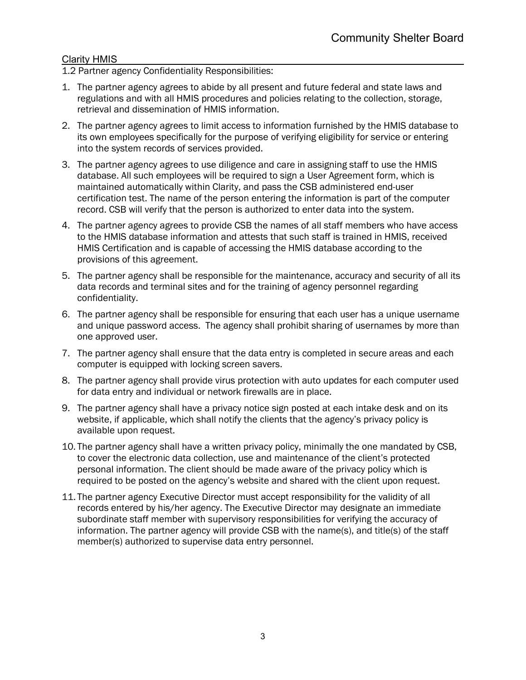<span id="page-2-0"></span>1.2 Partner agency Confidentiality Responsibilities:

- 1. The partner agency agrees to abide by all present and future federal and state laws and regulations and with all HMIS procedures and policies relating to the collection, storage, retrieval and dissemination of HMIS information.
- 2. The partner agency agrees to limit access to information furnished by the HMIS database to its own employees specifically for the purpose of verifying eligibility for service or entering into the system records of services provided.
- 3. The partner agency agrees to use diligence and care in assigning staff to use the HMIS database. All such employees will be required to sign a User Agreement form, which is maintained automatically within Clarity, and pass the CSB administered end-user certification test. The name of the person entering the information is part of the computer record. CSB will verify that the person is authorized to enter data into the system.
- 4. The partner agency agrees to provide CSB the names of all staff members who have access to the HMIS database information and attests that such staff is trained in HMIS, received HMIS Certification and is capable of accessing the HMIS database according to the provisions of this agreement.
- 5. The partner agency shall be responsible for the maintenance, accuracy and security of all its data records and terminal sites and for the training of agency personnel regarding confidentiality.
- 6. The partner agency shall be responsible for ensuring that each user has a unique username and unique password access. The agency shall prohibit sharing of usernames by more than one approved user.
- 7. The partner agency shall ensure that the data entry is completed in secure areas and each computer is equipped with locking screen savers.
- 8. The partner agency shall provide virus protection with auto updates for each computer used for data entry and individual or network firewalls are in place.
- 9. The partner agency shall have a privacy notice sign posted at each intake desk and on its website, if applicable, which shall notify the clients that the agency's privacy policy is available upon request.
- 10. The partner agency shall have a written privacy policy, minimally the one mandated by CSB, to cover the electronic data collection, use and maintenance of the client's protected personal information. The client should be made aware of the privacy policy which is required to be posted on the agency's website and shared with the client upon request.
- 11. The partner agency Executive Director must accept responsibility for the validity of all records entered by his/her agency. The Executive Director may designate an immediate subordinate staff member with supervisory responsibilities for verifying the accuracy of information. The partner agency will provide CSB with the name(s), and title(s) of the staff member(s) authorized to supervise data entry personnel.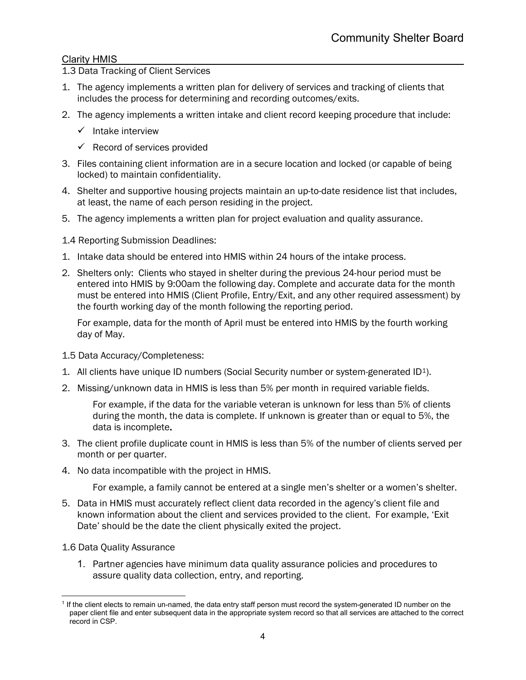<span id="page-3-0"></span>1.3 Data Tracking of Client Services

- 1. The agency implements a written plan for delivery of services and tracking of clients that includes the process for determining and recording outcomes/exits.
- 2. The agency implements a written intake and client record keeping procedure that include:
	- $\checkmark$  Intake interview
	- $\checkmark$  Record of services provided
- 3. Files containing client information are in a secure location and locked (or capable of being locked) to maintain confidentiality.
- 4. Shelter and supportive housing projects maintain an up-to-date residence list that includes, at least, the name of each person residing in the project.
- 5. The agency implements a written plan for project evaluation and quality assurance.
- <span id="page-3-1"></span>1.4 Reporting Submission Deadlines:
- 1. Intake data should be entered into HMIS within 24 hours of the intake process.
- 2. Shelters only: Clients who stayed in shelter during the previous 24-hour period must be entered into HMIS by 9:00am the following day. Complete and accurate data for the month must be entered into HMIS (Client Profile, Entry/Exit, and any other required assessment) by the fourth working day of the month following the reporting period.

For example, data for the month of April must be entered into HMIS by the fourth working day of May.

- <span id="page-3-2"></span>1.5 Data Accuracy/Completeness:
- [1](#page-3-4). All clients have unique ID numbers (Social Security number or system-generated  $ID<sup>1</sup>$ ).
- 2. Missing/unknown data in HMIS is less than 5% per month in required variable fields.

For example, if the data for the variable veteran is unknown for less than 5% of clients during the month, the data is complete. If unknown is greater than or equal to 5%, the data is incomplete.

- 3. The client profile duplicate count in HMIS is less than 5% of the number of clients served per month or per quarter.
- 4. No data incompatible with the project in HMIS.

For example, a family cannot be entered at a single men's shelter or a women's shelter.

- 5. Data in HMIS must accurately reflect client data recorded in the agency's client file and known information about the client and services provided to the client. For example, 'Exit Date' should be the date the client physically exited the project.
- <span id="page-3-3"></span>1.6 Data Quality Assurance
	- 1. Partner agencies have minimum data quality assurance policies and procedures to assure quality data collection, entry, and reporting.

<span id="page-3-4"></span><sup>1</sup> If the client elects to remain un-named, the data entry staff person must record the system-generated ID number on the paper client file and enter subsequent data in the appropriate system record so that all services are attached to the correct record in CSP.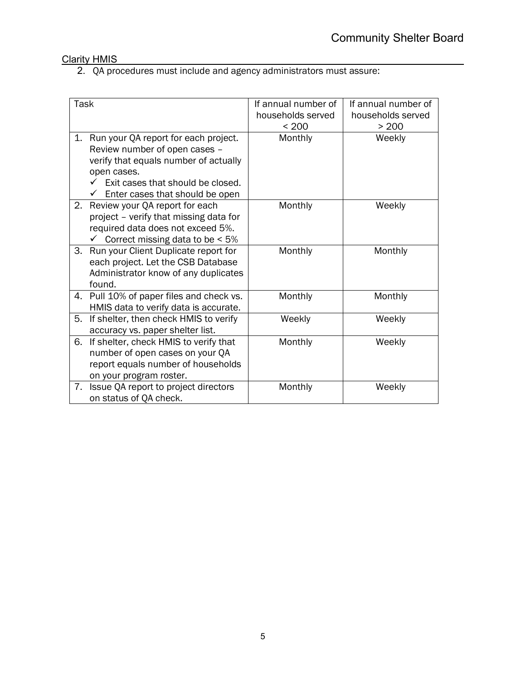2. QA procedures must include and agency administrators must assure:

| Task |                                                                                                                                                                                                       | If annual number of<br>households served<br>< 200 | If annual number of<br>households served<br>> 200 |
|------|-------------------------------------------------------------------------------------------------------------------------------------------------------------------------------------------------------|---------------------------------------------------|---------------------------------------------------|
| 1.   | Run your QA report for each project.<br>Review number of open cases -<br>verify that equals number of actually<br>open cases.<br>Exit cases that should be closed.<br>Enter cases that should be open | Monthly                                           | Weekly                                            |
| 2.   | Review your QA report for each<br>project - verify that missing data for<br>required data does not exceed 5%.<br>$\checkmark$ Correct missing data to be < 5%                                         | Monthly                                           | Weekly                                            |
| 3.   | Run your Client Duplicate report for<br>each project. Let the CSB Database<br>Administrator know of any duplicates<br>found.                                                                          | Monthly                                           | Monthly                                           |
| 4.   | Pull 10% of paper files and check vs.<br>HMIS data to verify data is accurate.                                                                                                                        | Monthly                                           | Monthly                                           |
| 5.   | If shelter, then check HMIS to verify<br>accuracy vs. paper shelter list.                                                                                                                             | Weekly                                            | Weekly                                            |
| 6.   | If shelter, check HMIS to verify that<br>number of open cases on your QA<br>report equals number of households<br>on your program roster.                                                             | Monthly                                           | Weekly                                            |
| 7.   | Issue QA report to project directors<br>on status of QA check.                                                                                                                                        | Monthly                                           | Weekly                                            |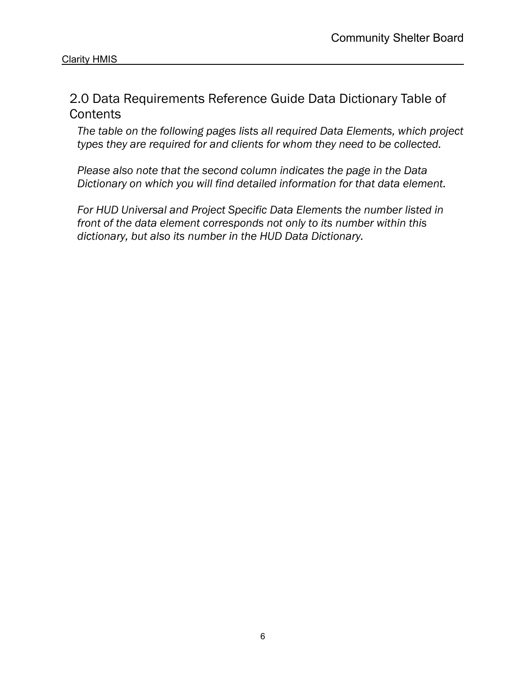# <span id="page-5-0"></span>2.0 Data Requirements Reference Guide Data Dictionary Table of **Contents**

*The table on the following pages lists all required Data Elements, which project types they are required for and clients for whom they need to be collected.* 

*Please also note that the second column indicates the page in the Data Dictionary on which you will find detailed information for that data element.*

*For HUD Universal and Project Specific Data Elements the number listed in front of the data element corresponds not only to its number within this dictionary, but also its number in the HUD Data Dictionary.*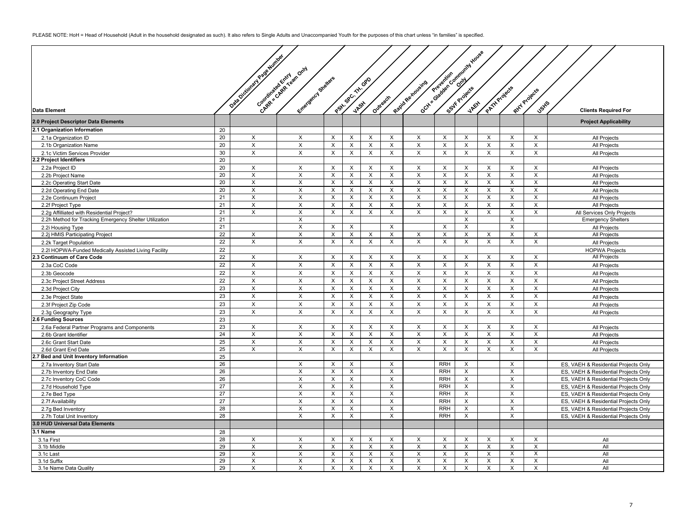PLEASE NOTE: HoH = Head of Household (Adult in the household designated as such). It also refers to Single Adults and Unaccompanied Youth for the purposes of this chart unless "in families" is specified.

|                                                        |                 |                           |                                                 |                         |                           |                         |                           |                           |                           | Goth Salesman Community Haves |                         |                           |                           |                                                                              |
|--------------------------------------------------------|-----------------|---------------------------|-------------------------------------------------|-------------------------|---------------------------|-------------------------|---------------------------|---------------------------|---------------------------|-------------------------------|-------------------------|---------------------------|---------------------------|------------------------------------------------------------------------------|
|                                                        |                 | Data October 1948 Million |                                                 |                         |                           |                         |                           |                           |                           |                               |                         |                           |                           |                                                                              |
|                                                        |                 |                           |                                                 |                         |                           |                         |                           |                           |                           |                               |                         |                           |                           |                                                                              |
|                                                        |                 |                           |                                                 |                         |                           |                         |                           |                           |                           |                               |                         |                           |                           |                                                                              |
|                                                        |                 |                           |                                                 |                         |                           |                         |                           |                           |                           |                               |                         |                           |                           |                                                                              |
|                                                        |                 |                           |                                                 |                         |                           |                         |                           |                           |                           |                               |                         |                           |                           |                                                                              |
|                                                        |                 |                           |                                                 |                         |                           |                         |                           |                           |                           |                               |                         |                           |                           |                                                                              |
|                                                        |                 |                           |                                                 |                         |                           |                         |                           |                           |                           |                               |                         |                           |                           |                                                                              |
|                                                        |                 |                           |                                                 |                         |                           |                         |                           |                           |                           |                               |                         |                           | Jst <sup>S</sup>          |                                                                              |
| <b>Data Element</b>                                    |                 |                           | Chapter & Retained Mary<br>Einergerich Steilars |                         | Participation of Discover |                         | Outreach                  | Rapid Re-viousing         |                           |                               | PATH Projects           |                           | Ritt Projects             | <b>Clients Required For</b>                                                  |
| 2.0 Project Descriptor Data Elements                   |                 |                           |                                                 |                         |                           |                         |                           |                           |                           |                               |                         |                           |                           | <b>Project Applicability</b>                                                 |
| 2.1 Organization Information                           | 20              |                           |                                                 |                         |                           |                         |                           |                           |                           |                               |                         |                           |                           |                                                                              |
|                                                        | 20              |                           |                                                 |                         |                           |                         |                           |                           |                           |                               | X                       |                           |                           |                                                                              |
| 2.1a Organization ID                                   |                 | X                         | X                                               | X                       | X                         | X                       | X                         | X                         | X                         | X                             |                         | X                         | $\times$                  | All Projects                                                                 |
| 2.1b Organization Name                                 | 20              | X                         | $\times$                                        | X                       | $\times$                  | X                       | X                         | X                         | X                         | X                             | $\times$                | X                         | $\times$                  | All Projects                                                                 |
| 2.1c Victim Services Provider                          | 30              | $\mathsf X$               | X                                               | X                       | X                         | $\mathsf{x}$            | X                         | $\pmb{\times}$            | $\pmb{\times}$            | X                             | $\mathsf{x}$            | X                         | $\mathsf X$               | All Projects                                                                 |
| 2.2 Project Identifiers                                | 20              |                           |                                                 |                         |                           |                         |                           |                           |                           |                               |                         |                           |                           |                                                                              |
| 2.2a Project ID                                        | 20              | X                         | $\times$                                        | $\times$                | X                         | X                       | X                         | X                         | X                         | X                             | $\times$                | X                         | X                         | All Projects                                                                 |
| 2.2b Project Name                                      | 20              | X                         | $\pmb{\times}$                                  | $\mathsf X$             | X                         | X                       | X                         | $\boldsymbol{\mathsf{X}}$ | X                         | X                             | X                       | X                         | X                         | All Projects                                                                 |
| 2.2c Operating Start Date                              | 20              | $\overline{X}$            | $\overline{\mathsf{x}}$                         | $\times$                | X                         | $\overline{\mathsf{x}}$ | $\overline{X}$            | $\overline{\mathsf{x}}$   | X                         | X                             | $\overline{\mathsf{x}}$ | $\overline{X}$            | $\overline{X}$            | <b>All Projects</b>                                                          |
| 2.2d Operating End Date                                | 20              | $\mathsf{X}$              | $\times$                                        | $\times$                | $\times$                  | $\times$                | $\times$                  | $\times$                  | $\sf X$                   | $\times$                      | X                       | $\sf X$                   | $\times$                  | All Projects                                                                 |
| 2.2e Continuum Project                                 | 21              | X                         | $\pmb{\times}$                                  | X                       | X                         | $\times$                | X                         | $\times$                  | X                         | X                             | $\mathsf{X}$            | X                         | $\times$                  | All Projects                                                                 |
| 2.2f Project Type                                      | 21              | X                         | X                                               | X                       | X                         | X                       | X                         | X                         | X                         | X                             | $\times$                | X                         | X                         | All Projects                                                                 |
| 2.2g Affilliated with Residential Project?             | 21              | X                         | $\pmb{\times}$                                  | $\times$                | X                         | X                       | X                         | $\boldsymbol{\mathsf{X}}$ | X                         | X                             | $\mathsf{X}$            | X                         | X                         | All Services Only Projects                                                   |
| 2.2h Method for Tracking Emergency Shelter Utilization | 21              |                           | X                                               |                         |                           |                         |                           |                           |                           | X                             |                         | $\boldsymbol{\mathsf{X}}$ |                           | <b>Emergency Shelters</b>                                                    |
| 2.2i Housing Type                                      | 21              |                           | X                                               | X                       | X                         |                         | $\pmb{\times}$            |                           | X                         | $\times$                      |                         | $\boldsymbol{\mathsf{X}}$ |                           | All Projects                                                                 |
| 2.2j HMIS Participating Project                        | $\overline{22}$ | X                         | X                                               | X                       | X                         | $\times$                | X                         | X                         | X                         | X                             | $\times$                | X                         | $\times$                  | All Projects                                                                 |
| 2.2k Target Population                                 | 22              | $\mathsf X$               | $\times$                                        | $\times$                | $\pmb{\times}$            | $\pmb{\times}$          | X                         | $\times$                  | X                         | $\times$                      | $\mathsf X$             | $\times$                  | $\times$                  | All Projects                                                                 |
| 2.2I HOPWA-Funded Medically Assisted Living Facility   | 22              |                           |                                                 |                         |                           |                         |                           |                           |                           |                               |                         |                           |                           | <b>HOPWA Projects</b>                                                        |
| .3 Continuum of Care Code                              | $\overline{22}$ | X                         | $\boldsymbol{\mathsf{X}}$                       | X                       | X                         | X                       | X                         | X                         | X                         | $\times$                      | X                       | X                         | $\times$                  | All Projects                                                                 |
|                                                        | 22              | $\boldsymbol{\mathsf{X}}$ | $\pmb{\times}$                                  | X                       | $\times$                  | $\times$                | X                         | X                         | X                         | $\times$                      | X                       | X                         | $\times$                  |                                                                              |
| 2.3a CoC Code                                          | 22              | $\mathsf X$               | $\pmb{\times}$                                  |                         |                           | $\mathsf{x}$            | $\mathsf X$               |                           |                           |                               | $\mathsf{x}$            |                           | $\mathsf X$               | All Projects                                                                 |
| 2.3b Geocode                                           |                 |                           |                                                 | X                       | $\times$                  |                         |                           | X                         | $\times$                  | X                             |                         | X                         |                           | <b>All Projects</b>                                                          |
| 2.3c Project Street Address                            | 22              | X                         | $\mathsf X$                                     | X                       | X                         | $\mathsf{x}$            | $\times$                  | X                         | $\times$                  | $\boldsymbol{\mathsf{X}}$     | $\mathsf X$             | X                         | $\times$                  | All Projects                                                                 |
| 2.3d Project City                                      | 23              | $\times$                  | X                                               | X                       | $\times$                  | X                       | X                         | X                         | X                         | X                             | X                       | X                         | X                         | All Projects                                                                 |
| 2.3e Project State                                     | 23              | $\mathsf X$               | $\pmb{\times}$                                  | X                       | $\pmb{\times}$            | $\mathsf{X}$            | $\pmb{\times}$            | $\pmb{\times}$            | $\pmb{\times}$            | $\mathsf X$                   | $\mathsf X$             | $\pmb{\times}$            | $\mathsf X$               | All Projects                                                                 |
| 2.3f Project Zip Code                                  | 23              | $\boldsymbol{\mathsf{X}}$ | X                                               | $\times$                | X                         | $\times$                | X                         | $\pmb{\times}$            | X                         | $\mathsf{X}$                  | X                       | X                         | $\boldsymbol{\mathsf{X}}$ | All Projects                                                                 |
| 2.3g Geography Type                                    | 23              | X                         | $\times$                                        | $\times$                | X                         | X                       | X                         | X                         | X                         | X                             | $\mathsf{X}$            | X                         | $\boldsymbol{\mathsf{x}}$ | All Projects                                                                 |
| .6 Funding Sources                                     | 23              |                           |                                                 |                         |                           |                         |                           |                           |                           |                               |                         |                           |                           |                                                                              |
| 2.6a Federal Partner Programs and Components           | 23              | X                         | $\mathsf X$                                     | X                       | X                         | $\times$                | $\boldsymbol{\mathsf{X}}$ | X                         | $\boldsymbol{\mathsf{X}}$ | $\boldsymbol{\mathsf{X}}$     | $\mathsf{X}$            | $\boldsymbol{\mathsf{X}}$ | $\boldsymbol{\mathsf{X}}$ | All Projects                                                                 |
| 2.6b Grant Identifier                                  | 24              | X                         | $\times$                                        | X                       | X                         | X                       | X                         | $\times$                  | X                         | X                             | X                       | $\boldsymbol{\mathsf{X}}$ | X                         | All Projects                                                                 |
| 2.6c Grant Start Date                                  | 25              | X                         | X                                               | X                       | X                         | X                       | X                         | $\times$                  | X                         | X                             | X                       | $\boldsymbol{\mathsf{X}}$ | X                         | <b>All Projects</b>                                                          |
| 2.6d Grant End Date                                    | 25              | X                         | X                                               | X                       | X                         | $\mathsf{x}$            | X                         | $\pmb{\times}$            | X                         | X                             | $\mathsf{x}$            | $\pmb{\times}$            | $\times$                  | All Projects                                                                 |
| .7 Bed and Unit Inventory Information                  | 25              |                           |                                                 |                         |                           |                         |                           |                           |                           |                               |                         |                           |                           |                                                                              |
| 2.7a Inventory Start Date                              | 26              |                           | $\boldsymbol{\mathsf{X}}$                       | X                       | X                         |                         | $\boldsymbol{\mathsf{x}}$ |                           | <b>RRH</b>                | X                             |                         | $\boldsymbol{\mathsf{x}}$ |                           | ES, VAEH & Residential Projects Only                                         |
| 2.7b Inventory End Date                                | 26              |                           | $\boldsymbol{\mathsf{X}}$                       | X                       | X                         |                         | X                         |                           | <b>RRH</b>                | $\mathsf{X}$                  |                         | X                         |                           | ES, VAEH & Residential Projects Only                                         |
| 2.7c Inventory CoC Code                                | 26              |                           | $\boldsymbol{\mathsf{X}}$                       | $\times$                | $\times$                  |                         | $\times$                  |                           | <b>RRH</b>                | $\times$                      |                         | X                         |                           | ES, VAEH & Residential Projects Only                                         |
| 2.7d Household Type                                    | 27              |                           | $\mathsf X$                                     | X                       | X                         |                         | X                         |                           | <b>RRH</b>                | X                             |                         | $\boldsymbol{\mathsf{X}}$ |                           | ES, VAEH & Residential Projects Only                                         |
| 2.7e Bed Type                                          | $\overline{27}$ |                           | $\overline{\mathsf{x}}$                         | $\overline{\mathsf{x}}$ | $\overline{\mathsf{x}}$   |                         | $\overline{\mathsf{x}}$   |                           | <b>RRH</b>                | $\overline{X}$                |                         | $\overline{\mathsf{x}}$   |                           | ES, VAEH & Residential Projects Only                                         |
| 2.7f Availability                                      | 27              |                           | $\pmb{\times}$                                  | X                       | X                         |                         | X                         |                           | <b>RRH</b>                | $\times$                      |                         | $\mathsf{X}$              |                           |                                                                              |
|                                                        | 28              |                           | $\times$                                        | $\times$                | $\boldsymbol{\mathsf{X}}$ |                         | X                         |                           | <b>RRH</b>                | $\times$                      |                         | X                         |                           | ES, VAEH & Residential Projects Only                                         |
| 2.7g Bed Inventory<br>2.7h Total Unit Inventory        | 28              |                           | $\times$                                        | $\times$                | $\times$                  |                         | $\times$                  |                           | <b>RRH</b>                | $\times$                      |                         | $\times$                  |                           | ES, VAEH & Residential Projects Only<br>ES, VAEH & Residential Projects Only |
|                                                        |                 |                           |                                                 |                         |                           |                         |                           |                           |                           |                               |                         |                           |                           |                                                                              |
| 3.0 HUD Universal Data Elements                        |                 |                           |                                                 |                         |                           |                         |                           |                           |                           |                               |                         |                           |                           |                                                                              |
| 3.1 Name                                               | 28              |                           |                                                 |                         |                           |                         |                           |                           |                           |                               |                         |                           |                           |                                                                              |
| 3.1a First                                             | 28              | $\boldsymbol{\mathsf{X}}$ | X                                               | X                       | X                         | X                       | X                         | $\times$                  | X                         | X                             | X                       | X                         | $\boldsymbol{\mathsf{X}}$ | All                                                                          |
| 3.1b Middle                                            | 29              | X                         | $\times$                                        | X                       | X                         | X                       | X                         | X                         | X                         | X                             | $\times$                | X                         | X                         | All                                                                          |
| 3.1c Last                                              | 29              | X                         | X                                               | X                       | X                         | X                       | X                         | X                         | X                         | $\times$                      | X                       | X                         | X                         | All                                                                          |
| 3.1d Suffix                                            | 29              | X                         | X                                               | X                       | X                         | X                       | X                         | $\times$                  | X                         | X                             | X                       | X                         | X                         | All                                                                          |
| 3.1e Name Data Quality                                 | 29              | X                         | $\times$                                        | $\times$                | $\times$                  | $\times$                | X                         | $\times$                  | $\times$                  | $\mathsf{X}$                  | $\times$                | $\sf X$                   | $\times$                  | All                                                                          |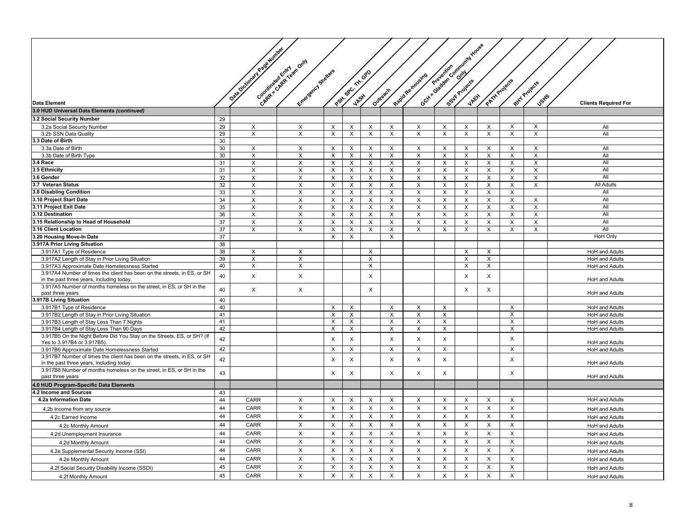|                                                                                                                   |          |                           |                           |                           |                           |             |                           |                   |             | Cost a Garden Community House |                |                           |                           |                             |
|-------------------------------------------------------------------------------------------------------------------|----------|---------------------------|---------------------------|---------------------------|---------------------------|-------------|---------------------------|-------------------|-------------|-------------------------------|----------------|---------------------------|---------------------------|-----------------------------|
|                                                                                                                   |          | Data October 1948 Million |                           |                           |                           |             |                           |                   |             |                               |                |                           |                           |                             |
|                                                                                                                   |          |                           | Chapter and Revision Only |                           |                           |             |                           |                   |             |                               |                |                           |                           |                             |
|                                                                                                                   |          |                           |                           |                           |                           |             |                           |                   |             |                               |                |                           |                           |                             |
|                                                                                                                   |          |                           |                           |                           |                           |             |                           |                   |             |                               |                |                           |                           |                             |
|                                                                                                                   |          |                           | Emergency Stetleres       |                           | Patty SPC, THI OPD        |             |                           | Rapid Re-tioleire |             |                               | PATH Projects  |                           | Rixy Projects             |                             |
|                                                                                                                   |          |                           |                           |                           |                           |             | Outreach                  |                   |             |                               |                |                           |                           |                             |
| Data Element                                                                                                      |          |                           |                           |                           |                           |             |                           |                   |             |                               |                |                           | Uskis                     |                             |
| 3.0 HUD Universal Data Elements (continued)                                                                       |          |                           |                           |                           |                           |             |                           |                   |             |                               |                |                           |                           | <b>Clients Required For</b> |
|                                                                                                                   |          |                           |                           |                           |                           |             |                           |                   |             |                               |                |                           |                           |                             |
| 3.2 Social Security Number                                                                                        | 29<br>29 |                           |                           | $\times$                  |                           |             |                           |                   | X           |                               | X              | X                         |                           | All                         |
| 3.2a Social Security Number<br>3.2b SSN Data Quality                                                              | 29       | X<br>$\times$             | X<br>X                    | $\times$                  | $\times$<br>$\times$      | X<br>X      | Χ<br>X                    | X<br>$\times$     | X           | X<br>$\times$                 | X              | $\times$                  | $\times$<br>$\times$      | All                         |
| 3.3 Date of Birth                                                                                                 | 30       |                           |                           |                           |                           |             |                           |                   |             |                               |                |                           |                           |                             |
| 3.3a Date of Birth                                                                                                | 30       | X                         | X                         | $\times$                  | X                         | X           | X                         | X                 | X           | X                             | X              | X                         | X                         | All                         |
| 3.3b Date of Birth Type                                                                                           | 30       | X                         | X                         | X                         | X                         | X           | X                         | X                 | X           | X                             | X              | X                         | X                         | All                         |
| 3.4 Race                                                                                                          | 31       | X                         | X                         | X                         | X                         | X           | X                         | X                 | X           | X                             | X              | X                         | X                         | All                         |
| 3.5 Ethnicity                                                                                                     | 31       | $\mathsf X$               | $\times$                  | $\times$                  | $\pmb{\times}$            | $\mathsf X$ | $\pmb{\times}$            | $\times$          | $\sf X$     | $\times$                      | $\pmb{\times}$ | $\boldsymbol{\mathsf{X}}$ | $\times$                  | All                         |
| 3.6 Gender                                                                                                        | 32       | X                         | X                         | X                         | Χ                         | X           | X                         | X                 | X           | X                             | X              | X                         | X                         | All                         |
| 3.7 Veteran Status                                                                                                | 32       | $\mathsf X$               | X                         | $\times$                  | X                         | X           | X                         | X                 | X           | X                             | X              | $\mathsf X$               | X                         | All Adults                  |
| 3.8 Disabling Condition                                                                                           | 33       | $\boldsymbol{\mathsf{X}}$ | X                         | X                         | X                         | X           | X                         | X                 | X           | X                             | X              | X                         |                           | All                         |
| 3.10 Project Start Date                                                                                           | 34       | $\mathsf X$               | $\pmb{\times}$            | $\times$                  | $\pmb{\times}$            | X           | $\pmb{\times}$            | X                 | $\mathsf X$ | $\boldsymbol{\mathsf{X}}$     | X              | $\mathsf X$               | $\boldsymbol{\mathsf{X}}$ | All                         |
| 3.11 Project Exit Date                                                                                            | 35       | X                         | X                         | X                         | X                         | X           | X                         | X                 | X           | X                             | X              | X                         | X                         | All                         |
| 3.12 Destination                                                                                                  | 36       | $\mathsf X$               | X                         | $\times$                  | X                         | X           | X                         | X                 | X           | X                             | X              | $\mathsf X$               | $\boldsymbol{\mathsf{X}}$ | All                         |
| 3.15 Relationship to Head of Household                                                                            | 37       | X                         | X                         | $\pmb{\times}$            | X                         | X           | X                         | X                 | X           | X                             | X              | X                         | X                         | All                         |
| 3.16 Client Location                                                                                              | 37       | X                         | X                         | X                         | X                         | X           | X                         | X                 | X           | X                             | X              | X                         | X                         | All                         |
| 3.20 Housing Move-In Date                                                                                         | 37       |                           |                           | X                         | $\boldsymbol{\mathsf{x}}$ |             | X                         |                   |             |                               |                |                           |                           | <b>HoH Only</b>             |
| 3.917A Prior Living Situation                                                                                     | 38       |                           |                           |                           |                           |             |                           |                   |             |                               |                |                           |                           |                             |
| 3.917A1 Type of Residence                                                                                         | 38       | X                         | X                         |                           |                           | X           |                           |                   |             | X                             | X              |                           |                           | <b>HoH</b> and Adults       |
| 3.917A2 Length of Stay in Prior Living Situation                                                                  | 39       | $\overline{X}$            | $\overline{\mathsf{x}}$   |                           |                           | X           |                           |                   |             | X                             | $\overline{X}$ |                           |                           | HoH and Adults              |
| 3.917A3 Approximate Date Homelessness Started                                                                     | 40       | X                         | X                         |                           |                           | X           |                           |                   |             | X                             | X              |                           |                           | <b>HoH</b> and Adults       |
| 3.917A4 Number of times the client has been on the streets, in ES, or SH                                          | 40       | X                         | X                         |                           |                           | X           |                           |                   |             | X                             | X              |                           |                           |                             |
| in the past three years, including today.                                                                         |          |                           |                           |                           |                           |             |                           |                   |             |                               |                |                           |                           | HoH and Adults              |
| 3.917A5 Number of months homeless on the street, in ES, or SH in the<br>past three years                          | 40       | $\mathsf X$               | X                         |                           |                           | X           |                           |                   |             | X                             | X              |                           |                           | HoH and Adults              |
| 3.917B Living Situation                                                                                           | 40       |                           |                           |                           |                           |             |                           |                   |             |                               |                |                           |                           |                             |
| 3.917B1 Type of Residence                                                                                         | 40       |                           |                           | $\boldsymbol{\mathsf{x}}$ | Х                         |             | Х                         | Х                 | X           |                               |                | X                         |                           | <b>HoH</b> and Adults       |
| 3.917B2 Length of Stay in Prior Living Situation                                                                  | 41       |                           |                           | $\times$                  | X                         |             | X                         | X                 | X           |                               |                | X                         |                           | <b>HoH</b> and Adults       |
| 3.917B3 Length of Stay Less Than 7 Nights                                                                         | 41       |                           |                           | $\times$                  | X                         |             | X                         | X                 | X           |                               |                | X                         |                           | HoH and Adults              |
| 3.917B4 Length of Stay Less Than 90 Days                                                                          | 42       |                           |                           | $\times$                  | X                         |             | X                         | X                 | X           |                               |                | X                         |                           | HoH and Adults              |
| 3.917B5 On the Night Before Did You Stay on the Streets, ES, or SH? (If                                           | 42       |                           |                           | $\times$                  | X                         |             | X                         | X                 | X           |                               |                | X                         |                           |                             |
| Yes to 3.917B4 or 3.917B5).                                                                                       |          |                           |                           |                           |                           |             |                           |                   |             |                               |                |                           |                           | HoH and Adults              |
| 3.917B6 Approximate Date Homelessness Started                                                                     | 42       |                           |                           | $\times$                  | X                         |             | X                         | X                 | X           |                               |                | $\times$                  |                           | HoH and Adults              |
| 3.917B7 Number of times the client has been on the streets, in ES, or SH                                          | 42       |                           |                           | $\times$                  | X                         |             | $\pmb{\times}$            | X                 | X           |                               |                | X                         |                           |                             |
| in the past three years, including today.<br>3.917B8 Number of months homeless on the street, in ES, or SH in the |          |                           |                           |                           |                           |             |                           |                   |             |                               |                |                           |                           | HoH and Adults              |
| past three years                                                                                                  | 43       |                           |                           | X                         | X                         |             | X                         | X                 | X           |                               |                | X                         |                           | HoH and Adults              |
| 4.0 HUD Program-Specific Data Elements                                                                            |          |                           |                           |                           |                           |             |                           |                   |             |                               |                |                           |                           |                             |
| 4.2 Income and Sources                                                                                            | 43       |                           |                           |                           |                           |             |                           |                   |             |                               |                |                           |                           |                             |
| 4.2a Information Date                                                                                             | 44       | CARR                      | X                         | X                         | X                         | X           | X                         | X                 | X           | X                             | X              | X                         |                           | <b>HoH</b> and Adults       |
|                                                                                                                   | 44       | <b>CARR</b>               | $\times$                  | $\times$                  | X                         | X           | X                         | $\times$          | X           | $\times$                      | X              | $\times$                  |                           |                             |
| 4.2b Income from any source                                                                                       |          |                           |                           |                           |                           |             |                           |                   |             |                               |                |                           |                           | <b>HoH</b> and Adults       |
| 4.2c Earned Income                                                                                                | 44       | CARR                      | X                         | $\boldsymbol{\mathsf{x}}$ | X                         | X           | X                         | X                 | X           | $\times$                      | X              | $\boldsymbol{\mathsf{X}}$ |                           | <b>HoH</b> and Adults       |
| 4.2c Monthly Amount                                                                                               | 44       | CARR                      | X                         | X                         | X                         | X           | X                         | X                 | X           | X                             | X              | X                         |                           | <b>HoH</b> and Adults       |
| 4.2d Unemployment Insurance                                                                                       | 44       | CARR                      | X                         | X                         | X                         | X           | X                         | X                 | X           | $\times$                      | X              | X                         |                           | <b>HoH</b> and Adults       |
| 4.2d Monthly Amount                                                                                               | 44       | CARR                      | X                         | $\mathsf X$               | X                         | X           | $\pmb{\times}$            | X                 | X           | X                             | $\pmb{\times}$ | $\mathsf X$               |                           | HoH and Adults              |
| 4.2e Supplemental Security Income (SSI)                                                                           | 44       | CARR                      | $\mathsf X$               | X                         | X                         | X           | X                         | X                 | X           | X                             | $\mathsf X$    | X                         |                           | HoH and Adults              |
| 4.2e Monthly Amount                                                                                               | 44       | CARR                      | X                         | X                         | X                         | X           | X                         | X                 | X           | X                             | X              | X                         |                           | <b>HoH</b> and Adults       |
| 4.2f Social Security Disability Income (SSDI)                                                                     | 45       | CARR                      | X                         | $\times$                  | X                         | X           | X                         | X                 | X           | $\mathsf{X}$                  | X              | X                         |                           | HoH and Adults              |
| 4.2f Monthly Amount                                                                                               | 45       | CARR                      | X                         | $\mathsf X$               | $\boldsymbol{\mathsf{X}}$ | $\mathsf X$ | $\boldsymbol{\mathsf{X}}$ | $\times$          | $\mathsf X$ | X                             | $\mathsf{x}$   | $\mathsf{X}$              |                           | HoH and Adults              |
|                                                                                                                   |          |                           |                           |                           |                           |             |                           |                   |             |                               |                |                           |                           |                             |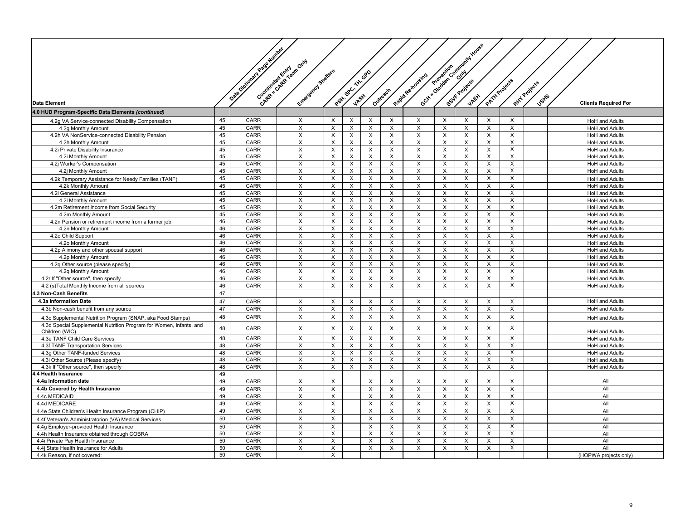|                                                                     |    | Data October 1948 Million | Congressive Creek cancer |                                |                         |                           |                           |                         |                           | Gott a garden control of the process |                         |                |                                    |                             |
|---------------------------------------------------------------------|----|---------------------------|--------------------------|--------------------------------|-------------------------|---------------------------|---------------------------|-------------------------|---------------------------|--------------------------------------|-------------------------|----------------|------------------------------------|-----------------------------|
|                                                                     |    |                           |                          |                                |                         |                           |                           |                         |                           |                                      |                         |                |                                    |                             |
|                                                                     |    |                           | Entrepreneurs Breaters   |                                | Part age of this off    |                           |                           | Rapid Re-troveires      |                           |                                      |                         |                |                                    |                             |
|                                                                     |    |                           |                          |                                |                         |                           |                           |                         |                           |                                      |                         |                |                                    |                             |
|                                                                     |    |                           |                          |                                |                         |                           |                           |                         |                           |                                      |                         |                |                                    |                             |
|                                                                     |    |                           |                          |                                |                         |                           |                           |                         |                           |                                      |                         |                |                                    |                             |
| <b>Data Element</b>                                                 |    |                           |                          |                                |                         |                           | Outrestry                 |                         |                           |                                      |                         | PATTAProjects  | Ritt Projects<br>Jsti <sup>5</sup> | <b>Clients Required For</b> |
| 4.0 HUD Program-Specific Data Elements (continued)                  |    |                           |                          |                                |                         |                           |                           |                         |                           |                                      |                         |                |                                    |                             |
| 4.2g VA Service-connected Disability Compensation                   | 45 | CARR                      | X                        | $\pmb{\times}$                 | $\times$                | $\times$                  | X                         | X                       | X                         | X                                    | X                       | $\mathsf{X}$   |                                    | HoH and Adults              |
| 4.2q Monthly Amount                                                 | 45 | CARR                      | X                        | X                              | X                       | $\times$                  | X                         | X                       | X                         | X                                    | X                       | $\times$       |                                    | <b>HoH</b> and Adults       |
| 4.2h VA NonService-connected Disability Pension                     | 45 | CARR                      | X                        | $\times$                       | $\times$                | $\times$                  | X                         | X                       | $\boldsymbol{\mathsf{X}}$ | $\times$                             | X                       | $\times$       |                                    | <b>HoH</b> and Adults       |
| 4.2h Monthly Amount                                                 | 45 | <b>CARR</b>               | X                        | X                              | X                       | $\times$                  | $\times$                  | X                       | X                         | X                                    | X                       | $\times$       |                                    | <b>HoH</b> and Adults       |
| 4.2i Private Disability Insurance                                   | 45 | CARR                      | X                        | $\times$                       | $\times$                | $\times$                  | X                         | X                       | $\times$                  | $\times$                             | X                       | $\times$       |                                    | HoH and Adults              |
| 4.2i Monthly Amount                                                 | 45 | CARR                      | X                        | $\times$                       | X                       | $\times$                  | $\times$                  | X                       | $\times$                  | X                                    | $\times$                | $\times$       |                                    | HoH and Adults              |
| 4.2j Worker's Compensation                                          | 45 | CARR                      | X                        | X                              | $\times$                | $\times$                  | X                         | X                       | X                         | $\times$                             | X                       | $\mathsf{X}$   |                                    | <b>HoH</b> and Adults       |
| 4.2j Monthly Amount                                                 | 45 | CARR                      | X                        | X                              | X                       | X                         | $\pmb{\times}$            | X                       | X                         | X                                    | X                       | X              |                                    | HoH and Adults              |
| 4.2k Temporary Assistance for Needy Families (TANF)                 | 45 | CARR                      | $\pmb{\times}$           | $\times$                       | $\mathsf{x}$            | $\times$                  | X                         | X                       | $\mathsf{X}$              | X                                    | X                       | $\pmb{\times}$ |                                    | <b>HoH</b> and Adults       |
| 4.2k Monthly Amount                                                 | 45 | <b>CARR</b>               | X                        | X                              | X                       | $\mathsf{x}$              | $\pmb{\times}$            | X                       | X                         | X                                    | X                       | X              |                                    | <b>HoH</b> and Adults       |
| 4.2I General Assistance                                             | 45 | <b>CARR</b>               | X                        | X                              | $\times$                | $\mathsf{x}$              | $\sf X$                   | X                       | $\times$                  | $\times$                             | $\mathsf{X}$            | $\overline{X}$ |                                    | <b>HoH</b> and Adults       |
|                                                                     | 45 | CARR                      |                          |                                | $\mathsf{X}$            | $\times$                  |                           |                         | X                         |                                      | X                       | X              |                                    | <b>HoH</b> and Adults       |
| 4.2I Monthly Amount<br>4.2m Retirement Income from Social Security  | 45 | CARR                      | X<br>X                   | X<br>$\boldsymbol{\mathsf{X}}$ | X                       | X                         | X<br>$\pmb{\times}$       | X<br>X                  | X                         | X<br>X                               | X                       | $\overline{X}$ |                                    | HoH and Adults              |
| 4.2m Monthly Amount                                                 | 45 | CARR                      | X                        | $\pmb{\times}$                 | $\mathsf{X}$            | X                         | $\pmb{\times}$            | X                       | X                         | X                                    | X                       | X              |                                    | <b>HoH</b> and Adults       |
| 4.2n Pension or retirement income from a former job                 | 46 | CARR                      | $\overline{\mathsf{x}}$  | X                              | $\overline{\mathsf{x}}$ | $\overline{X}$            | $\overline{\mathsf{x}}$   | $\overline{X}$          | $\overline{X}$            | $\overline{\mathsf{x}}$              | $\overline{X}$          | $\overline{X}$ |                                    | HoH and Adults              |
| 4.2n Monthly Amount                                                 | 46 | CARR                      | X                        | X                              | X                       | X                         | $\pmb{\times}$            | X                       | X                         | X                                    | X                       | $\mathsf{X}$   |                                    | <b>HoH</b> and Adults       |
| 4.2o Child Support                                                  | 46 | <b>CARR</b>               | X                        | X                              | X                       | $\times$                  | $\times$                  | X                       | $\times$                  | X                                    | X                       | X              |                                    | <b>HoH</b> and Adults       |
| 4.20 Monthly Amount                                                 | 46 | CARR                      | X                        | X                              | $\times$                | $\times$                  | X                         | X                       | $\times$                  | X                                    | X                       | X              |                                    | <b>HoH</b> and Adults       |
| 4.2p Alimony and other spousal support                              | 46 | CARR                      | X                        | X                              | X                       | X                         | $\times$                  | X                       | X                         | X                                    | X                       | X              |                                    | <b>HoH</b> and Adults       |
| 4.2p Monthly Amount                                                 | 46 | CARR                      | X                        | X                              | X                       | $\times$                  | $\times$                  | X                       | X                         | X                                    | X                       | X              |                                    | <b>HoH</b> and Adults       |
|                                                                     | 46 | <b>CARR</b>               | $\mathsf{x}$             | $\times$                       | X                       | $\times$                  | $\times$                  | $\times$                | $\times$                  | $\times$                             | $\mathsf{X}$            | $\mathsf{X}$   |                                    | <b>HoH</b> and Adults       |
| 4.2q Other source (please specify)<br>4.2q Monthly Amount           | 46 | CARR                      | X                        | $\times$                       | $\times$                | $\times$                  | X                         | X                       | $\boldsymbol{\mathsf{X}}$ | X                                    | X                       | X              |                                    | <b>HoH</b> and Adults       |
| 4.2r If "Other source", then specify                                | 46 | CARR                      | X                        | $\pmb{\times}$                 | $\mathsf{X}$            | $\boldsymbol{\mathsf{X}}$ | $\times$                  | X                       | $\mathsf X$               | $\mathsf X$                          | X                       | X              |                                    | <b>HoH</b> and Adults       |
|                                                                     | 46 | CARR                      | X                        | $\pmb{\times}$                 | $\overline{\mathsf{x}}$ | $\overline{X}$            | X                         | X                       | $\overline{X}$            | X                                    | $\overline{X}$          | $\overline{X}$ |                                    | HoH and Adults              |
| 4.2 (s)Total Monthly Income from all sources                        |    |                           |                          |                                |                         |                           |                           |                         |                           |                                      |                         |                |                                    |                             |
| .3 Non-Cash Benefits                                                | 47 |                           |                          |                                |                         |                           |                           |                         |                           |                                      |                         |                |                                    |                             |
| 4.3a Information Date                                               | 47 | CARR                      | X                        | $\pmb{\times}$                 | X                       | X                         | $\pmb{\times}$            | X                       | X                         | X                                    | X                       | X              |                                    | <b>HoH</b> and Adults       |
| 4.3b Non-cash benefit from any source                               | 47 | CARR                      | X                        | X                              | X                       | $\times$                  | X                         | X                       | $\boldsymbol{\mathsf{X}}$ | $\times$                             | X                       | X              |                                    | <b>HoH</b> and Adults       |
| 4.3c Supplemental Nutrition Program (SNAP, aka Food Stamps)         | 48 | CARR                      | $\times$                 | $\pmb{\times}$                 | $\times$                | $\times$                  | X                         | $\times$                | $\boldsymbol{\mathsf{X}}$ | X                                    | X                       | $\times$       |                                    | HoH and Adults              |
| 4.3d Special Supplemental Nutrition Program for Women, Infants, and | 48 | CARR                      | X                        | X                              | X                       | X                         | $\pmb{\times}$            | X                       | X                         | X                                    | X                       | X              |                                    |                             |
| Children (WIC)                                                      |    |                           |                          |                                |                         |                           |                           |                         |                           |                                      |                         |                |                                    | HoH and Adults              |
| 4.3e TANF Child Care Services                                       | 48 | CARR                      | X                        | $\boldsymbol{\mathsf{X}}$      | X                       | X                         | $\overline{\mathsf{x}}$   | X                       | $\overline{X}$            | $\overline{\mathsf{x}}$              | $\overline{X}$          | $\overline{X}$ |                                    | <b>HoH</b> and Adults       |
| 4.3f TANF Transportation Services                                   | 48 | CARR                      | X                        | $\times$                       | $\mathsf{X}$            | $\times$                  | $\boldsymbol{\mathsf{X}}$ | X                       | X                         | X                                    | X                       | X              |                                    | <b>HoH</b> and Adults       |
| 4.3q Other TANF-funded Services                                     | 48 | CARR                      | $\overline{\mathsf{x}}$  | X                              | $\overline{\mathsf{x}}$ | X                         | $\overline{\mathsf{x}}$   | X                       | $\overline{X}$            | $\overline{\mathsf{x}}$              | $\overline{X}$          | $\overline{X}$ |                                    | <b>HoH</b> and Adults       |
| 4.3i Other Source (Please specify)                                  | 48 | CARR                      | X                        | X                              | $\times$                | X                         | $\pmb{\times}$            | X                       | X                         | X                                    | X                       | $\mathsf{X}$   |                                    | <b>HoH</b> and Adults       |
| 4.3k If "Other source", then specify                                | 48 | CARR                      | X                        | $\times$                       | $\overline{X}$          | X                         | $\times$                  | X                       | $\times$                  | X                                    | X                       | $\overline{X}$ |                                    | <b>HoH</b> and Adults       |
| 4.4 Health Insurance                                                | 49 |                           |                          |                                |                         |                           |                           |                         |                           |                                      |                         |                |                                    |                             |
| 4.4a Information date                                               | 49 | <b>CARR</b>               | X                        | X                              |                         | X                         | $\times$                  | X                       | X                         | $\times$                             | X                       | $\times$       |                                    | All                         |
| 4.4b Covered by Health Insurance                                    | 49 | CARR                      | X                        | X                              |                         | X                         | $\boldsymbol{\mathsf{X}}$ | X                       | $\boldsymbol{\mathsf{X}}$ | X                                    | X                       | X              |                                    | All                         |
| 4.4c MEDICAID                                                       | 49 | CARR                      | X                        | X                              |                         | X                         | $\pmb{\times}$            | X                       | X                         | X                                    | X                       | X              |                                    | All                         |
| 4.4d MEDICARE                                                       | 49 | CARR                      | X                        | X                              |                         | $\boldsymbol{\mathsf{X}}$ | $\times$                  | X                       | X                         | X                                    | X                       | X              |                                    | All                         |
| 4.4e State Children's Health Insurance Program (CHIP)               | 49 | CARR                      | X                        | X                              |                         | $\times$                  | X                         | X                       | X                         | X                                    | X                       | X              |                                    | All                         |
| 4.4f Veteran's Administratorion (VA) Medical Services               | 50 | <b>CARR</b>               | X                        | $\pmb{\times}$                 |                         | $\times$                  | X                         | X                       | $\boldsymbol{\mathsf{X}}$ | $\times$                             | X                       | $\mathsf{X}$   |                                    | All                         |
| 4.4g Employer-provided Health Insurance                             | 50 | CARR                      | $\overline{X}$           | $\overline{\mathsf{x}}$        |                         | $\overline{\mathsf{x}}$   | $\overline{\mathsf{x}}$   | $\overline{\mathsf{x}}$ | $\overline{X}$            | $\overline{\mathsf{x}}$              | $\overline{X}$          | $\overline{X}$ |                                    | All                         |
| 4.4h Health Insurance obtained through COBRA                        | 50 | CARR                      | X                        | $\pmb{\times}$                 |                         | X                         | $\pmb{\times}$            | X                       | X                         | X                                    | X                       | $\mathsf{X}$   |                                    | All                         |
| 4.4i Private Pay Health Insurance                                   | 50 | CARR                      | X                        | $\overline{\mathsf{x}}$        |                         | $\times$                  | $\times$                  | X                       | $\overline{X}$            | $\overline{X}$                       | $\overline{\mathsf{x}}$ | $\overline{X}$ |                                    | All                         |
| 4.4j State Health Insurance for Adults                              | 50 | CARR                      | X                        | X                              |                         | $\times$                  | $\times$                  | X                       | X                         | X                                    | $\times$                | X              |                                    | All                         |
| 4.4k Reason, if not covered:                                        | 50 | CARR                      |                          | X                              |                         |                           |                           |                         |                           |                                      |                         |                |                                    | (HOPWA projects only)       |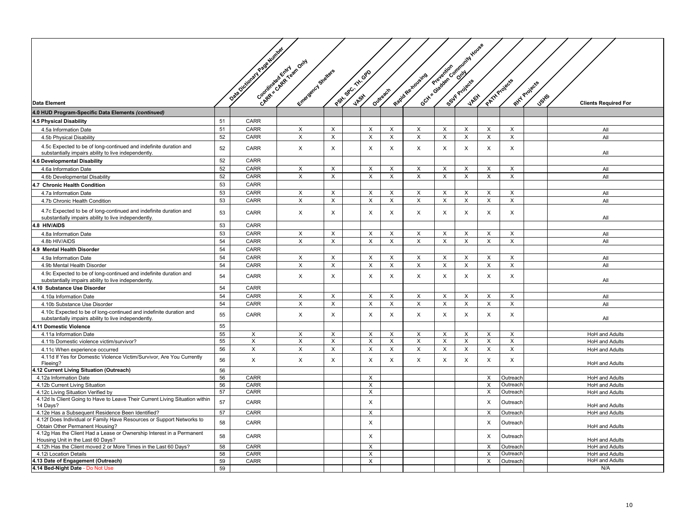|                                                                                                                            |          | <b>DRAFTONOMIA PROVIDENCE</b> |                           |                           |                    |                |                |                  |                | Octy of order critical development works |                         |                |               |                             |
|----------------------------------------------------------------------------------------------------------------------------|----------|-------------------------------|---------------------------|---------------------------|--------------------|----------------|----------------|------------------|----------------|------------------------------------------|-------------------------|----------------|---------------|-----------------------------|
|                                                                                                                            |          |                               | Chapter and Revision Only |                           |                    |                |                |                  |                |                                          |                         |                |               |                             |
|                                                                                                                            |          |                               |                           |                           |                    |                |                |                  |                |                                          |                         |                |               |                             |
|                                                                                                                            |          |                               | Entrepreneurs Stretters   |                           | Patty SPC, THI OPD |                |                | Registee koveire |                |                                          |                         | PATH Projects  |               |                             |
|                                                                                                                            |          |                               |                           |                           |                    |                |                |                  |                |                                          |                         |                | Rity Projects |                             |
| <b>Data Element</b>                                                                                                        |          |                               |                           |                           |                    |                | Outreach       |                  |                |                                          |                         |                | <b>Jsyls</b>  |                             |
|                                                                                                                            |          |                               |                           |                           |                    |                |                |                  |                |                                          |                         |                |               | <b>Clients Required For</b> |
| 4.0 HUD Program-Specific Data Elements (continued)                                                                         | 51       | <b>CARR</b>                   |                           |                           |                    |                |                |                  |                |                                          |                         |                |               |                             |
| 4.5 Physical Disability<br>4.5a Information Date                                                                           | 51       | CARR                          | X                         | $\times$                  |                    | X              | X              | X                | X              | X                                        | X                       | X              |               | All                         |
| 4.5b Physical Disability                                                                                                   | 52       | <b>CARR</b>                   | X                         | $\boldsymbol{\mathsf{X}}$ |                    | X              | X              | X                | X              | X                                        | X                       | X              |               | All                         |
| 4.5c Expected to be of long-continued and indefinite duration and                                                          |          |                               |                           |                           |                    |                |                |                  |                |                                          |                         |                |               |                             |
| substantially impairs ability to live independently.                                                                       | 52       | <b>CARR</b>                   | $\mathsf{X}$              | X                         |                    | X              | X              | X                | X              | $\mathsf{X}$                             | X                       | X              |               | All                         |
| 4.6 Developmental Disability                                                                                               | 52       | CARR                          |                           |                           |                    |                |                |                  |                |                                          |                         |                |               |                             |
| 4.6a Information Date                                                                                                      | 52       | CARR                          | X                         | $\times$                  |                    | X              | X              | X                | X              | X                                        | X                       | $\times$       |               | All                         |
| 4.6b Developmental Disability                                                                                              | 52       | CARR                          | X                         | $\times$                  |                    | $\times$       | $\mathsf X$    | X                | $\mathsf{X}$   | X                                        | $\mathsf X$             | X              |               | All                         |
| 4.7 Chronic Health Condition                                                                                               | 53       | CARR                          |                           |                           |                    |                |                |                  |                |                                          |                         |                |               |                             |
| 4.7a Information Date                                                                                                      | 53       | CARR                          | X                         | $\times$                  |                    | X              | X              | X                | X              | X                                        | X                       | X              |               | All                         |
| 4.7b Chronic Health Condition                                                                                              | 53       | CARR                          | X                         | $\pmb{\times}$            |                    | $\mathsf X$    | $\pmb{\times}$ | X                | X              | X                                        | X                       | $\mathsf{X}$   |               | All                         |
| 4.7c Expected to be of long-continued and indefinite duration and<br>substantially impairs ability to live independently.  | 53       | CARR                          | $\times$                  | $\mathsf{x}$              |                    | $\pmb{\times}$ | X              | X                | X              | $\times$                                 | $\times$                | X              |               | All                         |
| 4.8 HIV/AIDS                                                                                                               | 53       | CARR                          |                           |                           |                    |                |                |                  |                |                                          |                         |                |               |                             |
| 4.8a Information Date                                                                                                      | 53       | CARR                          | X                         | $\mathsf X$               |                    | X              | X              | X                | X              | X                                        | X                       | X              |               | All                         |
| 4.8b HIV/AIDS                                                                                                              | 54       | CARR                          | X                         | $\mathsf X$               |                    | X              | X              | X                | X              | X                                        | X                       | X              |               | All                         |
| 4.9 Mental Health Disorder                                                                                                 | 54       | CARR                          |                           |                           |                    |                |                |                  |                |                                          |                         |                |               |                             |
| 4.9a Information Date                                                                                                      | 54       | CARR                          | X                         | $\times$                  |                    | X              | X              | X                | X              | $\boldsymbol{\mathsf{x}}$                | X                       | X              |               | All                         |
| 4.9b Mental Health Disorder                                                                                                | 54       | CARR                          | X                         | $\pmb{\times}$            |                    | X              | X              | X                | X              | X                                        | X                       | $\mathsf{X}$   |               | All                         |
| 4.9c Expected to be of long-continued and indefinite duration and<br>substantially impairs ability to live independently.  | 54       | <b>CARR</b>                   | $\mathsf{X}$              | $\times$                  |                    | X              | X              | X                | X              | $\mathsf{X}$                             | X                       | X              |               | All                         |
| 4.10 Substance Use Disorder                                                                                                | 54       | CARR                          |                           |                           |                    |                |                |                  |                |                                          |                         |                |               |                             |
| 4.10a Information Date                                                                                                     | 54       | CARR                          | X                         | $\boldsymbol{\mathsf{X}}$ |                    | X              | X              | X                | X              | X                                        | X                       | X              |               | All                         |
| 4.10b Substance Use Disorder                                                                                               | 54       | CARR                          | $\overline{X}$            | $\pmb{\times}$            |                    | $\overline{X}$ | $\overline{X}$ | $\overline{X}$   | $\overline{X}$ | X                                        | $\overline{\mathsf{x}}$ | X              |               | All                         |
| 4.10c Expected to be of long-continued and indefinite duration and<br>substantially impairs ability to live independently. | 55       | CARR                          | X                         | $\pmb{\times}$            |                    | $\pmb{\times}$ | X              | X                | X              | X                                        | $\pmb{\times}$          | X              |               | All                         |
| 4.11 Domestic Violence                                                                                                     | 55       |                               |                           |                           |                    |                |                |                  |                |                                          |                         |                |               |                             |
| 4.11a Information Date                                                                                                     | 55       | X                             | X                         | $\pmb{\times}$            |                    | X              | $\pmb{\times}$ | $\pmb{\times}$   | X              | X                                        | X                       | $\overline{X}$ |               | <b>HoH</b> and Adults       |
| 4.11b Domestic violence victim/survivor?                                                                                   | 55       | X                             | X                         | $\boldsymbol{\mathsf{X}}$ |                    | X              | X              | X                | X              | X                                        | X                       | $\times$       |               | <b>HoH</b> and Adults       |
| 4.11c When experience occurred                                                                                             | 56       | X                             | $\mathsf{X}$              | $\mathsf{X}$              |                    | $\times$       | X              | X                | $\mathsf{X}$   | $\times$                                 | X                       | $\times$       |               | HoH and Adults              |
| 4.11d If Yes for Domestic Violence Victim/Survivor, Are You Currently<br>Fleeing?                                          | 56       | $\mathsf{X}$                  | X                         | $\boldsymbol{\mathsf{X}}$ |                    | $\mathsf X$    | X              | X                | X              | $\times$                                 | $\mathsf{x}$            | $\times$       |               | HoH and Adults              |
| 4.12 Current Living Situation (Outreach)                                                                                   | 56       |                               |                           |                           |                    |                |                |                  |                |                                          |                         |                |               |                             |
| 4.12a Information Date                                                                                                     | 56       | CARR                          |                           |                           |                    | X              |                |                  |                |                                          | X                       | Outreacl       |               | HoH and Adults              |
| 4.12b Current Living Situation                                                                                             | 56       | CARR                          |                           |                           |                    | X              |                |                  |                |                                          | X                       | Outreach       |               | <b>HoH</b> and Adults       |
| 4.12c Living Situation Verified by                                                                                         | 57       | CARR                          |                           |                           |                    | X              |                |                  |                |                                          | X                       | Outreach       |               | HoH and Adults              |
| 4.12d Is Client Going to Have to Leave Their Current Living Situation within<br>14 Days?                                   | 57<br>57 | CARR<br>CARR                  |                           |                           |                    | X              |                |                  |                |                                          | $\times$                | Outreach       |               | HoH and Adults              |
| 4.12e Has a Subsequent Residence Been Identified?<br>4.12f Does Individual or Family Have Resources or Support Networks to |          |                               |                           |                           |                    | X              |                |                  |                |                                          | X                       | Outreach       |               | <b>HoH</b> and Adults       |
| Obtain Other Permanent Housing?                                                                                            | 58       | CARR                          |                           |                           |                    | X              |                |                  |                |                                          | X                       | Outreach       |               | HoH and Adults              |
| 4.12g Has the Client Had a Lease or Ownership Interest in a Permanent<br>Housing Unit in the Last 60 Days?                 | 58       | CARR                          |                           |                           |                    | X              |                |                  |                |                                          | X                       | Outreacl       |               | <b>HoH</b> and Adults       |
| 4.12h Has the Client moved 2 or More Times in the Last 60 Days?                                                            | 58       | CARR                          |                           |                           |                    | X              |                |                  |                |                                          | X                       | Outreach       |               | <b>HoH</b> and Adults       |
| 4.12i Location Details                                                                                                     | 58       | CARR                          |                           |                           |                    | X              |                |                  |                |                                          | X                       | Outreach       |               | <b>HoH</b> and Adults       |
| 4.13 Date of Engagement (Outreach)                                                                                         | 59       | CARR                          |                           |                           |                    | X              |                |                  |                |                                          | X                       | Outreach       |               | HoH and Adults              |
| 4.14 Bed-Night Date - Do Not Use                                                                                           | 59       |                               |                           |                           |                    |                |                |                  |                |                                          |                         |                |               | N/A                         |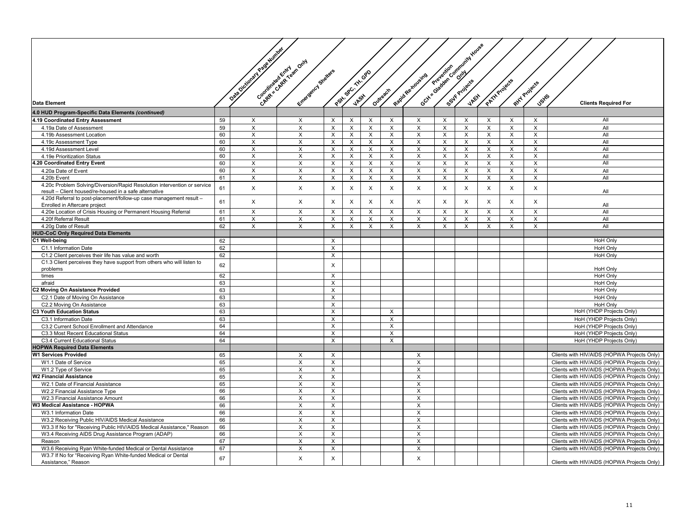|                                                                                                                                    |          | Data October 1949 River |                                                      |                                |                    |              |                           |                         |   | Goth Saladan Companing Haves |               |          |                           |                                                                                            |
|------------------------------------------------------------------------------------------------------------------------------------|----------|-------------------------|------------------------------------------------------|--------------------------------|--------------------|--------------|---------------------------|-------------------------|---|------------------------------|---------------|----------|---------------------------|--------------------------------------------------------------------------------------------|
|                                                                                                                                    |          |                         | Congression Creation Only<br>Entrancement Strategies |                                | Part of Cr TH- OPD |              |                           | Rapid Re-moveme         |   |                              |               |          |                           |                                                                                            |
|                                                                                                                                    |          |                         |                                                      |                                |                    |              | Outresch                  |                         |   |                              | PATH Projects |          | RHY Projects              |                                                                                            |
| <b>Data Element</b>                                                                                                                |          |                         |                                                      |                                |                    |              |                           |                         |   |                              |               |          | <b>J</b> stfs             | <b>Clients Required For</b>                                                                |
| 4.0 HUD Program-Specific Data Elements (continued)                                                                                 |          |                         |                                                      |                                |                    |              |                           |                         |   |                              |               |          |                           |                                                                                            |
| 4.19 Coordinated Entry Assessment                                                                                                  | 59       | X                       | Χ                                                    | $\times$                       | Χ                  | X            | Х                         | X                       | X | X                            | X             | X        | X                         | All                                                                                        |
| 4.19a Date of Assessment                                                                                                           | 59       | $\times$                | $\times$                                             | $\times$                       | X                  | $\mathsf{X}$ | X                         | X                       | X | $\mathsf{x}$                 | X             | $\times$ | $\times$                  | All                                                                                        |
| 4.19b Assessment Location                                                                                                          | 60       | X                       | X                                                    | $\times$                       | Х                  | X            | X                         | X                       | X | X                            | X             | X        | X                         | All                                                                                        |
| 4.19c Assessment Type                                                                                                              | 60       | X                       | X                                                    | $\times$                       | X                  | X            | $\boldsymbol{\mathsf{X}}$ | X                       | X | X                            | X             | X        | X                         | All                                                                                        |
| 4.19d Assessment Level                                                                                                             | 60       | X                       | X                                                    | $\times$                       | Χ                  | X            | X                         | X                       | X | X                            | X             | X        | X                         | All                                                                                        |
| 4.19e Prioritization Status                                                                                                        | 60       | $\times$                | X                                                    | X                              | X                  | X            | X                         | X                       | X | X                            | X             | X        | X                         | All                                                                                        |
| .20 Coordinated Entry Event                                                                                                        | 60       | X                       | X                                                    | X                              | X                  | X            | X                         | X                       | X | X                            | X             | X        | X                         | All                                                                                        |
| 4.20a Date of Event                                                                                                                | 60       | X                       | X                                                    | $\times$                       | X                  | X            | X                         | X                       | X | X                            | X             | X        | X                         | All                                                                                        |
| 4.20b Event                                                                                                                        | 61       | X                       | X                                                    | X                              | Χ                  | $\times$     | X                         | X                       | X | X                            | X             | X        | X                         | All                                                                                        |
| 4.20c Problem Solving/Diversion/Rapid Resolution intervention or service<br>result - Client housed/re-housed in a safe alternative | 61       | $\pmb{\times}$          | X                                                    | $\sf X$                        | X                  | X            | $\pmb{\times}$            | X                       | X | X                            | $\mathsf X$   | X        | $\boldsymbol{\mathsf{X}}$ | All                                                                                        |
| 4.20d Referral to post-placement/follow-up case management result -<br>Enrolled in Aftercare project                               | 61       | X                       | X                                                    | $\times$                       | X                  | X            | X                         | X                       | X | $\times$                     | X             | X        | X                         | All                                                                                        |
| 4.20e Location of Crisis Housing or Permanent Housing Referral                                                                     | 61       | X                       | $\times$                                             | $\times$                       | X                  | X            | X                         | X                       | X | $\times$                     | X             | X        | X                         | All                                                                                        |
| 4.20f Referral Result                                                                                                              | 61       | X                       | $\times$                                             | $\times$                       | X                  | X            | X                         | X                       | X | X                            | X             | X        | X                         | All                                                                                        |
| 4.20g Date of Result                                                                                                               | 62       | X                       | X                                                    | $\times$                       | X                  | $\times$     | X                         | X                       | X | X                            | X             | X        | X                         | All                                                                                        |
| <b>HUD-CoC Only Required Data Elements</b>                                                                                         |          |                         |                                                      |                                |                    |              |                           |                         |   |                              |               |          |                           |                                                                                            |
| C1 Well-being                                                                                                                      | 62       |                         |                                                      | $\times$                       |                    |              |                           |                         |   |                              |               |          |                           | HoH Only                                                                                   |
| C1.1 Information Date                                                                                                              | 62       |                         |                                                      | $\sf X$                        |                    |              |                           |                         |   |                              |               |          |                           | HoH Only                                                                                   |
| C1.2 Client perceives their life has value and worth                                                                               | 62       |                         |                                                      | $\times$                       |                    |              |                           |                         |   |                              |               |          |                           | <b>HoH Only</b>                                                                            |
| C1.3 Client perceives they have support from others who will listen to<br>problems                                                 | 62       |                         |                                                      | $\times$                       |                    |              |                           |                         |   |                              |               |          |                           | <b>HoH Only</b>                                                                            |
| times                                                                                                                              | 62       |                         |                                                      | $\times$                       |                    |              |                           |                         |   |                              |               |          |                           | <b>HoH Only</b>                                                                            |
| afraid                                                                                                                             | 63       |                         |                                                      | $\times$                       |                    |              |                           |                         |   |                              |               |          |                           | HoH Only                                                                                   |
| 22 Moving On Assistance Provided                                                                                                   | 63       |                         |                                                      | $\boldsymbol{\mathsf{X}}$      |                    |              |                           |                         |   |                              |               |          |                           | <b>HoH Only</b>                                                                            |
| C2.1 Date of Moving On Assistance                                                                                                  | 63       |                         |                                                      | $\times$                       |                    |              |                           |                         |   |                              |               |          |                           | <b>HoH Only</b>                                                                            |
| C2.2 Moving On Assistance                                                                                                          | 63       |                         |                                                      | $\boldsymbol{\mathsf{X}}$      |                    |              |                           |                         |   |                              |               |          |                           | <b>HoH Only</b>                                                                            |
| 3 Youth Education Status                                                                                                           | 63       |                         |                                                      | $\times$                       |                    |              | $\times$                  |                         |   |                              |               |          |                           | HoH (YHDP Projects Only)                                                                   |
| C3.1 Information Date                                                                                                              | 63       |                         |                                                      | $\pmb{\times}$                 |                    |              | X                         |                         |   |                              |               |          |                           | HoH (YHDP Projects Only)                                                                   |
| C3.2 Current School Enrollment and Attendance                                                                                      | 64       |                         |                                                      | X                              |                    |              | X                         |                         |   |                              |               |          |                           | HoH (YHDP Projects Only)                                                                   |
| C3.3 Most Recent Educational Status                                                                                                | 64       |                         |                                                      | $\times$                       |                    |              | X                         |                         |   |                              |               |          |                           | HoH (YHDP Projects Only)                                                                   |
| C3.4 Current Educational Status                                                                                                    | 64       |                         |                                                      | $\times$                       |                    |              | $\times$                  |                         |   |                              |               |          |                           | HoH (YHDP Projects Only)                                                                   |
| <b>IOPWA Required Data Elements</b>                                                                                                |          |                         |                                                      |                                |                    |              |                           |                         |   |                              |               |          |                           |                                                                                            |
| <b>W1 Services Provided</b>                                                                                                        | 65       |                         | X                                                    | X                              |                    |              |                           | X                       |   |                              |               |          |                           | Clients with HIV/AIDS (HOPWA Projects Only)                                                |
| W1.1 Date of Service                                                                                                               | 65       |                         | X                                                    | X                              |                    |              |                           | X                       |   |                              |               |          |                           | Clients with HIV/AIDS (HOPWA Projects Only)                                                |
| W1.2 Type of Service                                                                                                               | 65       |                         | X                                                    | $\times$                       |                    |              |                           | X                       |   |                              |               |          |                           | Clients with HIV/AIDS (HOPWA Projects Only)                                                |
| <b>W2 Financial Assistance</b>                                                                                                     | 65       |                         | X                                                    | X                              |                    |              |                           | $\times$                |   |                              |               |          |                           | Clients with HIV/AIDS (HOPWA Projects Only)                                                |
| W2.1 Date of Financial Assistance                                                                                                  | 65<br>66 |                         | X                                                    | X                              |                    |              |                           | X                       |   |                              |               |          |                           | Clients with HIV/AIDS (HOPWA Projects Only)                                                |
| W2.2 Financial Assistance Type                                                                                                     | 66       |                         | X<br>$\times$                                        | $\times$<br>$\times$           |                    |              |                           | X<br>X                  |   |                              |               |          |                           | Clients with HIV/AIDS (HOPWA Projects Only)<br>Clients with HIV/AIDS (HOPWA Projects Only) |
| W2.3 Financial Assistance Amount<br>W3 Medical Assistance - HOPWA                                                                  |          |                         | X                                                    |                                |                    |              |                           | X                       |   |                              |               |          |                           |                                                                                            |
| W3.1 Information Date                                                                                                              | 66<br>66 |                         | X                                                    | X<br>$\boldsymbol{\mathsf{X}}$ |                    |              |                           | X                       |   |                              |               |          |                           | Clients with HIV/AIDS (HOPWA Projects Only)<br>Clients with HIV/AIDS (HOPWA Projects Only) |
| W3.2 Receiving Public HIV/AIDS Medical Assistance                                                                                  | 66       |                         | X                                                    | X                              |                    |              |                           | $\overline{\mathsf{x}}$ |   |                              |               |          |                           | Clients with HIV/AIDS (HOPWA Projects Only)                                                |
| W3.3 If No for "Receiving Public HIV/AIDS Medical Assistance," Reason                                                              | 66       |                         | X                                                    | $\times$                       |                    |              |                           | X                       |   |                              |               |          |                           | Clients with HIV/AIDS (HOPWA Projects Only)                                                |
| W3.4 Receiving AIDS Drug Assistance Program (ADAP)                                                                                 | 66       |                         | X                                                    | $\times$                       |                    |              |                           | X                       |   |                              |               |          |                           | Clients with HIV/AIDS (HOPWA Projects Only)                                                |
| Reason                                                                                                                             | 67       |                         | X                                                    | X                              |                    |              |                           | X                       |   |                              |               |          |                           | Clients with HIV/AIDS (HOPWA Projects Only)                                                |
| W3.6 Receiving Ryan White-funded Medical or Dental Assistance                                                                      | 67       |                         | X                                                    | X                              |                    |              |                           | X                       |   |                              |               |          |                           | Clients with HIV/AIDS (HOPWA Projects Only)                                                |
| W3.7 If No for "Receiving Ryan White-funded Medical or Dental                                                                      |          |                         |                                                      |                                |                    |              |                           |                         |   |                              |               |          |                           |                                                                                            |
| Assistance," Reason                                                                                                                | 67       |                         | $\pmb{\times}$                                       | $\pmb{\times}$                 |                    |              |                           | X                       |   |                              |               |          |                           | Clients with HIV/AIDS (HOPWA Projects Only)                                                |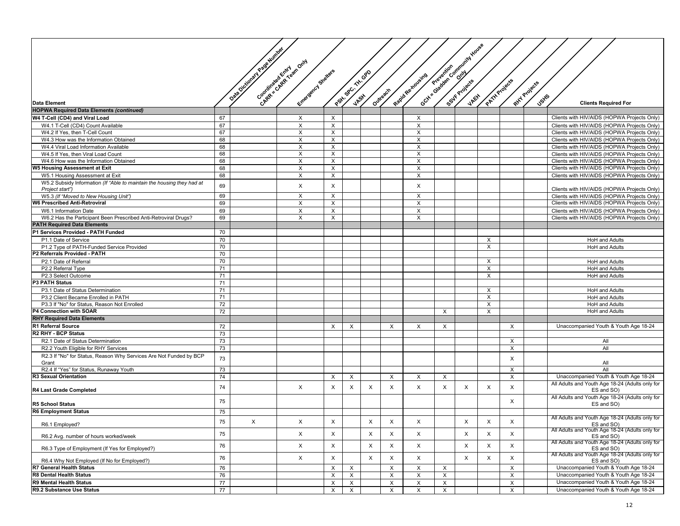|                                                                               |    |                               |                           |                         |          |                           |             |                           |                           |              | Octy of Gradewic Community House |                           |                           |              |                                                                                            |
|-------------------------------------------------------------------------------|----|-------------------------------|---------------------------|-------------------------|----------|---------------------------|-------------|---------------------------|---------------------------|--------------|----------------------------------|---------------------------|---------------------------|--------------|--------------------------------------------------------------------------------------------|
|                                                                               |    | Osta Oictos en Y Registrative |                           |                         |          |                           |             |                           |                           |              |                                  |                           |                           |              |                                                                                            |
|                                                                               |    |                               | Congressive de Reinforces |                         |          |                           |             |                           |                           |              |                                  |                           |                           |              |                                                                                            |
|                                                                               |    |                               |                           | Entrepreneurs Stretters |          |                           |             |                           |                           |              |                                  |                           |                           |              |                                                                                            |
|                                                                               |    |                               |                           |                         |          |                           | $G^{\circ}$ |                           |                           |              |                                  |                           |                           |              |                                                                                            |
|                                                                               |    |                               |                           |                         |          | Postin SPC, THIS          |             |                           | Rapid Re-Koyeing          |              |                                  |                           | PATH Projects             | RHY Projects |                                                                                            |
|                                                                               |    |                               |                           |                         |          |                           |             | Outreach                  |                           |              |                                  |                           |                           |              |                                                                                            |
| <b>Data Element</b>                                                           |    |                               |                           |                         |          | <u> VRS</u> K             |             |                           |                           |              |                                  |                           |                           | <b>Jstfs</b> | <b>Clients Required For</b>                                                                |
| <b>HOPWA Required Data Elements (continued)</b>                               |    |                               |                           |                         |          |                           |             |                           |                           |              |                                  |                           |                           |              |                                                                                            |
| W4 T-Cell (CD4) and Viral Load                                                | 67 |                               | $\boldsymbol{\mathsf{X}}$ |                         | X        |                           |             |                           | $\boldsymbol{\mathsf{x}}$ |              |                                  |                           |                           |              | Clients with HIV/AIDS (HOPWA Projects Only)                                                |
| W4.1 T-Cell (CD4) Count Available                                             | 67 |                               | X                         |                         | X        |                           |             |                           | X                         |              |                                  |                           |                           |              | Clients with HIV/AIDS (HOPWA Projects Only)                                                |
| W4.2 If Yes, then T-Cell Count                                                | 67 |                               | X                         |                         | X        |                           |             |                           | X                         |              |                                  |                           |                           |              | Clients with HIV/AIDS (HOPWA Projects Only)                                                |
| W4.3 How was the Information Obtained                                         | 68 |                               | $\times$                  |                         | X        |                           |             |                           | X                         |              |                                  |                           |                           |              | Clients with HIV/AIDS (HOPWA Projects Only)                                                |
| W4.4 Viral Load Information Available                                         | 68 |                               | X                         |                         | X        |                           |             |                           | $\times$                  |              |                                  |                           |                           |              | Clients with HIV/AIDS (HOPWA Projects Only)                                                |
| W4.5 If Yes, then Viral Load Count                                            | 68 |                               | X                         |                         | X        |                           |             |                           | $\times$                  |              |                                  |                           |                           |              | Clients with HIV/AIDS (HOPWA Projects Only)                                                |
| W4.6 How was the Information Obtained                                         | 68 |                               | X                         |                         | X        |                           |             |                           | $\times$                  |              |                                  |                           |                           |              | Clients with HIV/AIDS (HOPWA Projects Only)                                                |
| W5 Housing Assessment at Exit                                                 | 68 |                               | X                         |                         | X        |                           |             |                           | $\boldsymbol{\mathsf{X}}$ |              |                                  |                           |                           |              | Clients with HIV/AIDS (HOPWA Projects Only)                                                |
| W5.1 Housing Assessment at Exit                                               | 68 |                               | X                         |                         | X        |                           |             |                           | $\times$                  |              |                                  |                           |                           |              | Clients with HIV/AIDS (HOPWA Projects Only)                                                |
| W5.2 Subsidy Information (If "Able to maintain the housing they had at        | 69 |                               | X                         |                         | X        |                           |             |                           | $\times$                  |              |                                  |                           |                           |              |                                                                                            |
| Project start")                                                               | 69 |                               |                           |                         | X        |                           |             |                           | $\times$                  |              |                                  |                           |                           |              | Clients with HIV/AIDS (HOPWA Projects Only)                                                |
| W5.3 (If "Moved to New Housing Unit")<br><b>W6 Prescribed Anti-Retroviral</b> | 69 |                               | Х<br>$\times$             |                         | X        |                           |             |                           | X                         |              |                                  |                           |                           |              | Clients with HIV/AIDS (HOPWA Projects Only)<br>Clients with HIV/AIDS (HOPWA Projects Only) |
| W6.1 Information Date                                                         | 69 |                               | X                         |                         | X        |                           |             |                           | $\times$                  |              |                                  |                           |                           |              | Clients with HIV/AIDS (HOPWA Projects Only)                                                |
| W6.2 Has the Participant Been Prescribed Anti-Retroviral Drugs?               | 69 |                               | X                         |                         | X        |                           |             |                           | X                         |              |                                  |                           |                           |              | Clients with HIV/AIDS (HOPWA Projects Only)                                                |
| <b>PATH Required Data Elements</b>                                            |    |                               |                           |                         |          |                           |             |                           |                           |              |                                  |                           |                           |              |                                                                                            |
| P1 Services Provided - PATH Funded                                            | 70 |                               |                           |                         |          |                           |             |                           |                           |              |                                  |                           |                           |              |                                                                                            |
| P1.1 Date of Service                                                          | 70 |                               |                           |                         |          |                           |             |                           |                           |              |                                  | $\times$                  |                           |              | <b>HoH</b> and Adults                                                                      |
| P1.2 Type of PATH-Funded Service Provided                                     | 70 |                               |                           |                         |          |                           |             |                           |                           |              |                                  | X                         |                           |              | <b>HoH</b> and Adults                                                                      |
| P2 Referrals Provided - PATH                                                  | 70 |                               |                           |                         |          |                           |             |                           |                           |              |                                  |                           |                           |              |                                                                                            |
| P2.1 Date of Referral                                                         | 70 |                               |                           |                         |          |                           |             |                           |                           |              |                                  | X                         |                           |              | <b>HoH</b> and Adults                                                                      |
| P2.2 Referral Type                                                            | 71 |                               |                           |                         |          |                           |             |                           |                           |              |                                  | $\boldsymbol{\mathsf{x}}$ |                           |              | <b>HoH</b> and Adults                                                                      |
| P2.3 Select Outcome                                                           | 71 |                               |                           |                         |          |                           |             |                           |                           |              |                                  | X                         |                           |              | <b>HoH</b> and Adults                                                                      |
| <b>P3 PATH Status</b>                                                         | 71 |                               |                           |                         |          |                           |             |                           |                           |              |                                  |                           |                           |              |                                                                                            |
| P3.1 Date of Status Determination                                             | 71 |                               |                           |                         |          |                           |             |                           |                           |              |                                  | X                         |                           |              | <b>HoH</b> and Adults                                                                      |
| P3.2 Client Became Enrolled in PATH                                           | 71 |                               |                           |                         |          |                           |             |                           |                           |              |                                  | $\times$                  |                           |              | <b>HoH</b> and Adults                                                                      |
| P3.3 If "No" for Status, Reason Not Enrolled                                  | 72 |                               |                           |                         |          |                           |             |                           |                           |              |                                  | $\times$                  |                           |              | <b>HoH</b> and Adults                                                                      |
| P4 Connection with SOAR                                                       | 72 |                               |                           |                         |          |                           |             |                           |                           | $\times$     |                                  | $\times$                  |                           |              | <b>HoH</b> and Adults                                                                      |
| <b>RHY Required Data Elements</b>                                             |    |                               |                           |                         |          |                           |             |                           |                           |              |                                  |                           |                           |              |                                                                                            |
| <b>R1 Referral Source</b>                                                     | 72 |                               |                           |                         | X        | X                         |             | $\times$                  | X                         | X            |                                  |                           | X                         |              | Unaccompanied Youth & Youth Age 18-24                                                      |
| R2 RHY - BCP Status                                                           | 73 |                               |                           |                         |          |                           |             |                           |                           |              |                                  |                           |                           |              |                                                                                            |
| R2.1 Date of Status Determination                                             | 73 |                               |                           |                         |          |                           |             |                           |                           |              |                                  |                           | $\times$                  |              | All                                                                                        |
| R2.2 Youth Eligible for RHY Services                                          | 73 |                               |                           |                         |          |                           |             |                           |                           |              |                                  |                           | $\times$                  |              | All                                                                                        |
| R2.3 If "No" for Status, Reason Why Services Are Not Funded by BCP<br>Grant   | 73 |                               |                           |                         |          |                           |             |                           |                           |              |                                  |                           | $\times$                  |              | All                                                                                        |
| R2.4 If "Yes" for Status, Runaway Youth                                       | 73 |                               |                           |                         |          |                           |             |                           |                           |              |                                  |                           | $\times$                  |              | All                                                                                        |
| R3 Sexual Orientation                                                         | 74 |                               |                           |                         | X        | X                         |             | $\times$                  | X                         | X            |                                  |                           | $\boldsymbol{\mathsf{X}}$ |              | Unaccompanied Youth & Youth Age 18-24                                                      |
|                                                                               |    |                               |                           |                         |          |                           |             |                           |                           |              |                                  |                           |                           |              | All Adults and Youth Age 18-24 (Adults only for                                            |
| R4 Last Grade Completed                                                       | 74 |                               | $\times$                  |                         | X        | X                         | $\times$    | $\times$                  | X                         | X            | X                                | X                         | $\times$                  |              | ES and SO)                                                                                 |
|                                                                               |    |                               |                           |                         |          |                           |             |                           |                           |              |                                  |                           |                           |              | All Adults and Youth Age 18-24 (Adults only for                                            |
| <b>R5 School Status</b>                                                       | 75 |                               |                           |                         |          |                           |             |                           |                           |              |                                  |                           | X                         |              | ES and SO)                                                                                 |
| <b>R6 Employment Status</b>                                                   | 75 |                               |                           |                         |          |                           |             |                           |                           |              |                                  |                           |                           |              |                                                                                            |
|                                                                               | 75 | х                             | X                         |                         | $\times$ |                           | $\times$    | $\boldsymbol{\mathsf{X}}$ | X                         |              | $\times$                         | $\mathsf{X}$              | $\times$                  |              | All Adults and Youth Age 18-24 (Adults only for                                            |
| R6.1 Employed?                                                                |    |                               |                           |                         |          |                           |             |                           |                           |              |                                  |                           |                           |              | ES and SO)<br>All Adults and Youth Age 18-24 (Adults only for                              |
| R6.2 Avg. number of hours worked/week                                         | 75 |                               | X                         |                         | X        |                           | $\times$    | $\times$                  | $\boldsymbol{\mathsf{X}}$ |              | X                                | $\times$                  | $\times$                  |              |                                                                                            |
|                                                                               |    |                               |                           |                         |          |                           |             |                           |                           |              |                                  |                           |                           |              | ES and SO)<br>All Adults and Youth Age 18-24 (Adults only for                              |
| R6.3 Type of Employment (If Yes for Employed?)                                | 76 |                               | X                         |                         | X        |                           | X           | $\mathsf X$               | $\times$                  |              | X                                | X                         | $\boldsymbol{\mathsf{x}}$ |              | ES and SO)                                                                                 |
| R6.4 Why Not Employed (If No for Employed?)                                   | 76 |                               | X                         |                         | X        |                           | $\times$    | X                         | X                         |              | X                                | $\boldsymbol{\mathsf{x}}$ | $\times$                  |              | All Adults and Youth Age 18-24 (Adults only for<br>ES and SO)                              |
| R7 General Health Status                                                      | 76 |                               |                           |                         | X        | X                         |             | X                         | X                         | X            |                                  |                           | $\times$                  |              | Unaccompanied Youth & Youth Age 18-24                                                      |
| <b>R8 Dental Health Status</b>                                                | 76 |                               |                           |                         | X        | X                         |             | $\times$                  | X                         | X            |                                  |                           | $\boldsymbol{\mathsf{X}}$ |              | Unaccompanied Youth & Youth Age 18-24                                                      |
| R9 Mental Health Status                                                       | 77 |                               |                           |                         | Х        | $\boldsymbol{\mathsf{X}}$ |             | X                         | X                         | X            |                                  |                           | $\boldsymbol{\mathsf{x}}$ |              | Unaccompanied Youth & Youth Age 18-24                                                      |
| R9.2 Substance Use Status                                                     | 77 |                               |                           |                         | X        | $\times$                  |             | $\mathsf X$               | $\times$                  | $\mathsf{X}$ |                                  |                           | $\times$                  |              | Unaccompanied Youth & Youth Age 18-24                                                      |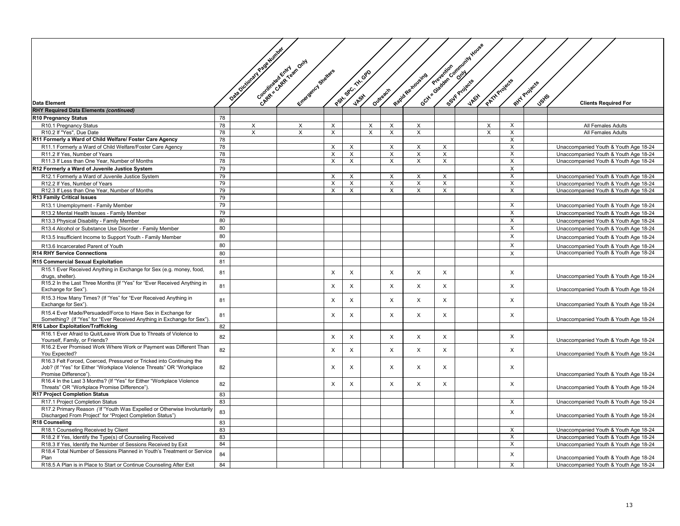|                                                                                                                                                                      |          | <b>Page Number</b><br>Chapter selection contractor |                        |               |                    |          |                |                   |                | Octri d'argent d'argent des la company de la company de la company de la company de la company de la company de la |               |                           |                |                                                                                |
|----------------------------------------------------------------------------------------------------------------------------------------------------------------------|----------|----------------------------------------------------|------------------------|---------------|--------------------|----------|----------------|-------------------|----------------|--------------------------------------------------------------------------------------------------------------------|---------------|---------------------------|----------------|--------------------------------------------------------------------------------|
|                                                                                                                                                                      |          | Data Dictionary &                                  | Entreprison Strategies |               | Path 98 C. THI OPD |          | Outreach       | Rapid Re xoveires |                |                                                                                                                    | PATH Projects |                           | Ritry Projects |                                                                                |
| <b>Data Element</b>                                                                                                                                                  |          |                                                    |                        |               |                    |          |                |                   |                |                                                                                                                    |               |                           | <b>JSHS</b>    | <b>Clients Required For</b>                                                    |
| <b>RHY Required Data Elements (continued)</b>                                                                                                                        |          |                                                    |                        |               |                    |          |                |                   |                |                                                                                                                    |               |                           |                |                                                                                |
| R10 Pregnancy Status                                                                                                                                                 | 78       |                                                    |                        |               |                    |          |                |                   |                |                                                                                                                    |               |                           |                |                                                                                |
| R10.1 Pregnancy Status                                                                                                                                               | 78       | X                                                  | X                      | Х             |                    | X        | X              | х                 |                |                                                                                                                    | X             | X                         |                | All Females Adults                                                             |
| R10.2 If "Yes", Due Date                                                                                                                                             | 78       | X                                                  | X                      | X             |                    | $\times$ | X              | $\times$          |                |                                                                                                                    | $\times$      | $\times$                  |                | All Females Adults                                                             |
| R11 Formerly a Ward of Child Welfare/ Foster Care Agency                                                                                                             | 78       |                                                    |                        |               |                    |          |                |                   |                |                                                                                                                    |               | X                         |                |                                                                                |
| R11.1 Formerly a Ward of Child Welfare/Foster Care Agency                                                                                                            | 78       |                                                    |                        | X             | $\times$           |          | X              | $\times$          | X              |                                                                                                                    |               | $\times$                  |                | Unaccompanied Youth & Youth Age 18-24                                          |
| R11.2 If Yes, Number of Years                                                                                                                                        | 78       |                                                    |                        | X             | X                  |          | X              | X                 | X              |                                                                                                                    |               | $\boldsymbol{\mathsf{X}}$ |                | Unaccompanied Youth & Youth Age 18-24                                          |
| R11.3 If Less than One Year. Number of Months                                                                                                                        | 78       |                                                    |                        | X             | X                  |          | X              | X                 | $\overline{X}$ |                                                                                                                    |               | $\times$                  |                | Unaccompanied Youth & Youth Age 18-24                                          |
| R12 Formerly a Ward of Juvenile Justice System                                                                                                                       | 79       |                                                    |                        |               |                    |          |                |                   |                |                                                                                                                    |               | $\sf X$                   |                |                                                                                |
| R12.1 Formerly a Ward of Juvenile Justice System                                                                                                                     | 79<br>79 |                                                    |                        | X             | X<br>$\times$      |          | X<br>X         | X                 | X<br>$\times$  |                                                                                                                    |               | X<br>$\times$             |                | Unaccompanied Youth & Youth Age 18-24                                          |
| R12.2 If Yes, Number of Years<br>R12.3 If Less than One Year, Number of Months                                                                                       | 79       |                                                    |                        | X<br>$\times$ | $\times$           |          | X              | X<br>$\times$     | $\times$       |                                                                                                                    |               | $\times$                  |                | Unaccompanied Youth & Youth Age 18-24<br>Unaccompanied Youth & Youth Age 18-24 |
| R13 Family Critical Issues                                                                                                                                           | 79       |                                                    |                        |               |                    |          |                |                   |                |                                                                                                                    |               |                           |                |                                                                                |
| R13.1 Unemployment - Family Member                                                                                                                                   | 79       |                                                    |                        |               |                    |          |                |                   |                |                                                                                                                    |               | $\times$                  |                | Unaccompanied Youth & Youth Age 18-24                                          |
| R13.2 Mental Health Issues - Family Member                                                                                                                           | 79       |                                                    |                        |               |                    |          |                |                   |                |                                                                                                                    |               | X                         |                | Unaccompanied Youth & Youth Age 18-24                                          |
| R13.3 Physical Disability - Family Member                                                                                                                            | 80       |                                                    |                        |               |                    |          |                |                   |                |                                                                                                                    |               | X                         |                | Unaccompanied Youth & Youth Age 18-24                                          |
| R13.4 Alcohol or Substance Use Disorder - Family Member                                                                                                              | 80       |                                                    |                        |               |                    |          |                |                   |                |                                                                                                                    |               | X                         |                | Unaccompanied Youth & Youth Age 18-24                                          |
|                                                                                                                                                                      | 80       |                                                    |                        |               |                    |          |                |                   |                |                                                                                                                    |               | $\times$                  |                |                                                                                |
| R13.5 Insufficient Income to Support Youth - Family Member                                                                                                           |          |                                                    |                        |               |                    |          |                |                   |                |                                                                                                                    |               |                           |                | Unaccompanied Youth & Youth Age 18-24                                          |
| R13.6 Incarcerated Parent of Youth                                                                                                                                   | 80       |                                                    |                        |               |                    |          |                |                   |                |                                                                                                                    |               | $\times$                  |                | Unaccompanied Youth & Youth Age 18-24                                          |
| R14 RHY Service Connections                                                                                                                                          | 80       |                                                    |                        |               |                    |          |                |                   |                |                                                                                                                    |               | $\sf X$                   |                | Unaccompanied Youth & Youth Age 18-24                                          |
| R15 Commercial Sexual Exploitation                                                                                                                                   | 81       |                                                    |                        |               |                    |          |                |                   |                |                                                                                                                    |               |                           |                |                                                                                |
| R15.1 Ever Received Anything in Exchange for Sex (e.g. money, food,<br>drugs, shelter)                                                                               | 81       |                                                    |                        | X             | X                  |          | $\times$       | $\times$          | X              |                                                                                                                    |               | X                         |                | Unaccompanied Youth & Youth Age 18-24                                          |
| R15.2 In the Last Three Months (If "Yes" for "Ever Received Anything in<br>Exchange for Sex")                                                                        | 81       |                                                    |                        | $\times$      | X                  |          | $\pmb{\times}$ | X                 | X              |                                                                                                                    |               | X                         |                | Unaccompanied Youth & Youth Age 18-24                                          |
| R15.3 How Many Times? (If "Yes" for "Ever Received Anything in<br>Exchange for Sex")                                                                                 | 81       |                                                    |                        | $\times$      | X                  |          | $\times$       | X                 | X              |                                                                                                                    |               | X                         |                | Unaccompanied Youth & Youth Age 18-24                                          |
| R15.4 Ever Made/Persuaded/Force to Have Sex in Exchange for<br>Something? (If "Yes" for "Ever Received Anything in Exchange for Sex").                               | 81       |                                                    |                        | X             | $\times$           |          | $\times$       | X                 | X              |                                                                                                                    |               | X                         |                | Unaccompanied Youth & Youth Age 18-24                                          |
| 16 Labor Exploitation/Trafficking                                                                                                                                    | 82       |                                                    |                        |               |                    |          |                |                   |                |                                                                                                                    |               |                           |                |                                                                                |
| R16.1 Ever Afraid to Quit/Leave Work Due to Threats of Violence to<br>Yourself, Family, or Friends?                                                                  | 82       |                                                    |                        | $\times$      | X                  |          | X              | X                 | X              |                                                                                                                    |               | X                         |                | Unaccompanied Youth & Youth Age 18-24                                          |
| R16.2 Ever Promised Work Where Work or Payment was Different Than<br>You Expected?                                                                                   | 82       |                                                    |                        | $\times$      | X                  |          | $\times$       | X                 | X              |                                                                                                                    |               | X                         |                | Unaccompanied Youth & Youth Age 18-24                                          |
| R16.3 Felt Forced, Coerced, Pressured or Tricked into Continuing the<br>Job? (If "Yes" for Either "Workplace Violence Threats" OR "Workplace<br>Promise Difference") | 82       |                                                    |                        | X             | X                  |          | $\times$       | X                 | X              |                                                                                                                    |               | $\times$                  |                |                                                                                |
| R16.4 In the Last 3 Months? (If "Yes" for Either "Workplace Violence<br>Threats" OR "Workplace Promise Difference")                                                  | 82       |                                                    |                        | $\times$      | X                  |          | $\times$       | X                 | X              |                                                                                                                    |               | $\times$                  |                | Unaccompanied Youth & Youth Age 18-24<br>Unaccompanied Youth & Youth Age 18-24 |
| R17 Project Completion Status                                                                                                                                        | 83       |                                                    |                        |               |                    |          |                |                   |                |                                                                                                                    |               |                           |                |                                                                                |
| R17.1 Project Completion Status                                                                                                                                      | 83       |                                                    |                        |               |                    |          |                |                   |                |                                                                                                                    |               | $\boldsymbol{\mathsf{X}}$ |                | Unaccompanied Youth & Youth Age 18-24                                          |
| R17.2 Primary Reason (If "Youth Was Expelled or Otherwise Involuntarily<br>Discharged From Project" for "Project Completion Status")                                 | 83       |                                                    |                        |               |                    |          |                |                   |                |                                                                                                                    |               | X                         |                | Unaccompanied Youth & Youth Age 18-24                                          |
| R18 Counseling                                                                                                                                                       | 83       |                                                    |                        |               |                    |          |                |                   |                |                                                                                                                    |               |                           |                |                                                                                |
| R18.1 Counseling Received by Client                                                                                                                                  | 83       |                                                    |                        |               |                    |          |                |                   |                |                                                                                                                    |               | $\times$                  |                | Unaccompanied Youth & Youth Age 18-24                                          |
| R18.2 If Yes, Identify the Type(s) of Counseling Received                                                                                                            | 83       |                                                    |                        |               |                    |          |                |                   |                |                                                                                                                    |               | $\boldsymbol{\mathsf{X}}$ |                | Unaccompanied Youth & Youth Age 18-24                                          |
| R18.3 If Yes, Identify the Number of Sessions Received by Exit                                                                                                       | 84       |                                                    |                        |               |                    |          |                |                   |                |                                                                                                                    |               | X                         |                | Unaccompanied Youth & Youth Age 18-24                                          |
| R18.4 Total Number of Sessions Planned in Youth's Treatment or Service<br>Plan                                                                                       | 84       |                                                    |                        |               |                    |          |                |                   |                |                                                                                                                    |               | X                         |                | Unaccompanied Youth & Youth Age 18-24                                          |
| R18.5 A Plan is in Place to Start or Continue Counseling After Exit                                                                                                  | 84       |                                                    |                        |               |                    |          |                |                   |                |                                                                                                                    |               | X                         |                | Unaccompanied Youth & Youth Age 18-24                                          |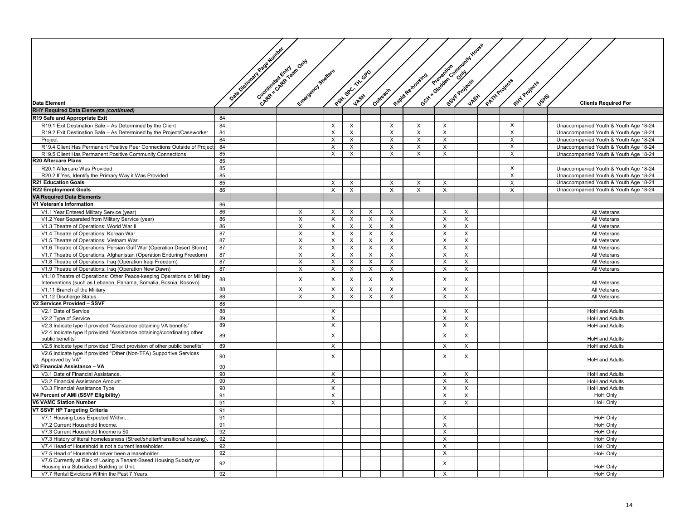|                                                                             |    |                                |                              |                |                  |                         |                         |                   |                         | Gott classified and content through |               |                           |                               |                                       |
|-----------------------------------------------------------------------------|----|--------------------------------|------------------------------|----------------|------------------|-------------------------|-------------------------|-------------------|-------------------------|-------------------------------------|---------------|---------------------------|-------------------------------|---------------------------------------|
|                                                                             |    | Data Octobration Page Minister |                              |                |                  |                         |                         |                   |                         |                                     |               |                           |                               |                                       |
|                                                                             |    |                                | Chapter and Ret Central Voor |                |                  |                         |                         |                   |                         |                                     |               |                           |                               |                                       |
|                                                                             |    |                                |                              |                |                  |                         |                         |                   |                         |                                     |               |                           |                               |                                       |
|                                                                             |    |                                |                              |                |                  |                         |                         |                   |                         |                                     |               |                           |                               |                                       |
|                                                                             |    |                                |                              |                |                  |                         |                         |                   |                         |                                     |               |                           |                               |                                       |
|                                                                             |    |                                |                              |                |                  |                         |                         |                   |                         |                                     |               |                           |                               |                                       |
|                                                                             |    |                                |                              |                |                  |                         |                         |                   |                         |                                     |               |                           |                               |                                       |
|                                                                             |    |                                |                              |                |                  |                         |                         |                   |                         |                                     |               |                           |                               |                                       |
| <b>Data Element</b>                                                         |    |                                | Entrancements developers     |                | Participation of |                         | Outreach                | Regid Re noveires |                         |                                     | PATH Projects |                           | Ritt Projects<br><b>Jsk</b> s | <b>Clients Required For</b>           |
| <b>RHY Required Data Elements (continued)</b>                               |    |                                |                              |                |                  |                         |                         |                   |                         |                                     |               |                           |                               |                                       |
| R19 Safe and Appropriate Exit                                               | 84 |                                |                              |                |                  |                         |                         |                   |                         |                                     |               |                           |                               |                                       |
| R19.1 Exit Destination Safe - As Determined by the Client                   | 84 |                                |                              | X              | X                |                         | X                       | X                 | X                       |                                     |               | X                         |                               | Unaccompanied Youth & Youth Age 18-24 |
| R19.2 Exit Destination Safe - As Determined by the Project/Caseworker       | 84 |                                |                              | X              | X                |                         | $\times$                | $\times$          | X                       |                                     |               | $\boldsymbol{\mathsf{X}}$ |                               | Unaccompanied Youth & Youth Age 18-24 |
| Project                                                                     | 84 |                                |                              | X              | $\overline{X}$   |                         | $\overline{\mathsf{x}}$ | X                 | $\overline{X}$          |                                     |               | $\overline{X}$            |                               | Unaccompanied Youth & Youth Age 18-24 |
| R19.4 Client Has Permanent Positive Peer Connections Outside of Project     | 84 |                                |                              | X              | $\times$         |                         | $\times$                | $\times$          | X                       |                                     |               | $\times$                  |                               | Unaccompanied Youth & Youth Age 18-24 |
| R19.5 Client Has Permanent Positive Community Connections                   | 85 |                                |                              | $\times$       | X                |                         | X                       | X                 | X                       |                                     |               | $\boldsymbol{\mathsf{X}}$ |                               | Unaccompanied Youth & Youth Age 18-24 |
| <b>320 Aftercare Plans</b>                                                  | 85 |                                |                              |                |                  |                         |                         |                   |                         |                                     |               |                           |                               |                                       |
|                                                                             |    |                                |                              |                |                  |                         |                         |                   |                         |                                     |               |                           |                               |                                       |
| R20.1 Aftercare Was Provided                                                | 85 |                                |                              |                |                  |                         |                         |                   |                         |                                     |               | $\boldsymbol{\mathsf{X}}$ |                               | Unaccompanied Youth & Youth Age 18-24 |
| R20.2 If Yes, Identify the Primary Way it Was Provided                      | 85 |                                |                              |                |                  |                         |                         |                   |                         |                                     |               | $\boldsymbol{\mathsf{X}}$ |                               | Unaccompanied Youth & Youth Age 18-24 |
| <b>R21 Education Goals</b>                                                  | 85 |                                |                              | X              | $\times$         |                         | $\times$                | $\times$          | X                       |                                     |               | $\times$                  |                               | Unaccompanied Youth & Youth Age 18-24 |
| <b>R22 Employment Goals</b>                                                 | 86 |                                |                              | $\times$       | $\mathsf{X}$     |                         | $\overline{X}$          | $\times$          | $\sf X$                 |                                     |               | $\overline{X}$            |                               | Unaccompanied Youth & Youth Age 18-24 |
| <b>VA Required Data Elements</b>                                            |    |                                |                              |                |                  |                         |                         |                   |                         |                                     |               |                           |                               |                                       |
| V1 Veteran's Information                                                    | 86 |                                |                              |                |                  |                         |                         |                   |                         |                                     |               |                           |                               |                                       |
| V1.1 Year Entered Military Service (year)                                   | 86 |                                | X                            | X              | X                | X                       | X                       |                   | X                       | X                                   |               |                           |                               | All Veterans                          |
| V1.2 Year Separated from Military Service (year)                            | 86 |                                | X                            | X              | X                | X                       | $\mathsf X$             |                   | X                       | X                                   |               |                           |                               | All Veterans                          |
| V1.3 Theatre of Operations: World War II                                    | 86 |                                | X                            | X              | X                | X                       | X                       |                   | X                       | X                                   |               |                           |                               | All Veterans                          |
| V1.4 Theatre of Operations: Korean War                                      | 87 |                                | $\times$                     | X              | $\times$         | $\times$                | $\times$                |                   | X                       | $\times$                            |               |                           |                               | All Veterans                          |
| V1.5 Theatre of Operations: Vietnam War                                     | 87 |                                | X                            | X              | X                | $\overline{\mathsf{x}}$ | $\overline{\mathsf{x}}$ |                   | $\overline{\mathsf{x}}$ | $\mathsf{X}$                        |               |                           |                               | All Veterans                          |
| V1.6 Theatre of Operations: Persian Gulf War (Operation Desert Storm)       | 87 |                                | X                            | X              | X                | X                       | X                       |                   | X                       | X                                   |               |                           |                               | All Veterans                          |
| V1.7 Theatre of Operations: Afghanistan (Operation Enduring Freedom)        | 87 |                                | X                            | X              | X                | $\times$                | $\times$                |                   | X                       | $\times$                            |               |                           |                               | All Veterans                          |
| V1.8 Theatre of Operations: Iraq (Operation Iraqi Freedom)                  | 87 |                                | X                            | X              | X                | X                       | X                       |                   | X                       | $\times$                            |               |                           |                               | All Veterans                          |
| V1.9 Theatre of Operations: Iraq (Operation New Dawn)                       | 87 |                                | X                            | X              | X                | $\times$                | $\times$                |                   | X                       | X                                   |               |                           |                               | All Veterans                          |
| V1.10 Theatre of Operations: Other Peace-keeping Operations or Military     |    |                                |                              |                |                  |                         |                         |                   |                         |                                     |               |                           |                               |                                       |
| Interventions (such as Lebanon, Panama, Somalia, Bosnia, Kosovo)            | 88 |                                | X                            | $\times$       | X                | $\pmb{\times}$          | $\mathsf X$             |                   | X                       | X                                   |               |                           |                               | All Veterans                          |
| V1.11 Branch of the Military                                                | 88 |                                | X                            | Х              | X                | X                       | $\times$                |                   | X                       | $\times$                            |               |                           |                               | All Veterans                          |
| V1.12 Discharge Status                                                      | 88 |                                | X                            | $\times$       | $\times$         | X                       | X                       |                   | X                       | X                                   |               |                           |                               | All Veterans                          |
| /2 Services Provided - SSVF                                                 | 88 |                                |                              |                |                  |                         |                         |                   |                         |                                     |               |                           |                               |                                       |
|                                                                             | 88 |                                |                              | X              |                  |                         |                         |                   | $\mathsf{X}$            | $\times$                            |               |                           |                               |                                       |
| V2.1 Date of Service                                                        | 89 |                                |                              | X              |                  |                         |                         |                   | X                       | $\times$                            |               |                           |                               | HoH and Adults                        |
| V2.2 Type of Service                                                        |    |                                |                              |                |                  |                         |                         |                   |                         |                                     |               |                           |                               | <b>HoH and Adults</b>                 |
| V2.3 Indicate type if provided "Assistance obtaining VA benefits"           | 89 |                                |                              | $\mathsf{x}$   |                  |                         |                         |                   | X                       | $\mathsf{x}$                        |               |                           |                               | <b>HoH</b> and Adults                 |
| V2.4 Indicate type if provided "Assistance obtaining/coordinating other     | 89 |                                |                              | $\pmb{\times}$ |                  |                         |                         |                   | X                       | X                                   |               |                           |                               |                                       |
| public benefits"                                                            |    |                                |                              |                |                  |                         |                         |                   |                         |                                     |               |                           |                               | HoH and Adults                        |
| V2.5 Indicate type if provided "Direct provision of other public benefits"  | 89 |                                |                              | X              |                  |                         |                         |                   | X                       | $\mathsf{X}$                        |               |                           |                               | HoH and Adults                        |
| V2.6 Indicate type if provided "Other (Non-TFA) Supportive Services         | 90 |                                |                              | X              |                  |                         |                         |                   | X                       | X                                   |               |                           |                               |                                       |
| Approved by VA"                                                             |    |                                |                              |                |                  |                         |                         |                   |                         |                                     |               |                           |                               | <b>HoH</b> and Adults                 |
| V3 Financial Assistance - VA                                                | 90 |                                |                              |                |                  |                         |                         |                   |                         |                                     |               |                           |                               |                                       |
| V3.1 Date of Financial Assistance.                                          | 90 |                                |                              | X              |                  |                         |                         |                   | $\times$                | $\mathsf{x}$                        |               |                           |                               | <b>HoH and Adults</b>                 |
| V3.2 Financial Assistance Amount.                                           | 90 |                                |                              | X              |                  |                         |                         |                   | X                       | X                                   |               |                           |                               | <b>HoH and Adults</b>                 |
| V3.3 Financial Assistance Type.                                             | 90 |                                |                              | X              |                  |                         |                         |                   | $\times$                | $\times$                            |               |                           |                               | <b>HoH</b> and Adults                 |
| V4 Percent of AMI (SSVF Eligibility)                                        | 91 |                                |                              | $\times$       |                  |                         |                         |                   | X                       | $\times$                            |               |                           |                               | <b>HoH Only</b>                       |
| <b>V6 VAMC Station Number</b>                                               | 91 |                                |                              | X              |                  |                         |                         |                   | X                       | $\times$                            |               |                           |                               | <b>HoH Only</b>                       |
| V7 SSVF HP Targeting Criteria                                               | 91 |                                |                              |                |                  |                         |                         |                   |                         |                                     |               |                           |                               |                                       |
| V7.1 Housing Loss Expected Within                                           | 91 |                                |                              |                |                  |                         |                         |                   | $\times$                |                                     |               |                           |                               | <b>HoH Only</b>                       |
| V7.2 Current Household Income.                                              | 91 |                                |                              |                |                  |                         |                         |                   | $\overline{X}$          |                                     |               |                           |                               | <b>HoH Only</b>                       |
| V7.3 Current Household Income is \$0                                        | 92 |                                |                              |                |                  |                         |                         |                   | X                       |                                     |               |                           |                               | <b>HoH Only</b>                       |
| V7.3 History of literal homelessness (Street/shelter/transitional housing). | 92 |                                |                              |                |                  |                         |                         |                   | X                       |                                     |               |                           |                               | <b>HoH Only</b>                       |
| V7.4 Head of Household is not a current leaseholder.                        | 92 |                                |                              |                |                  |                         |                         |                   | X                       |                                     |               |                           |                               | HoH Only                              |
| V7.5 Head of Household never been a leaseholder.                            | 92 |                                |                              |                |                  |                         |                         |                   | X                       |                                     |               |                           |                               | <b>HoH Only</b>                       |
| V7.6 Currently at Risk of Losing a Tenant-Based Housing Subsidy or          |    |                                |                              |                |                  |                         |                         |                   |                         |                                     |               |                           |                               |                                       |
| Housing in a Subsidized Building or Unit.                                   | 92 |                                |                              |                |                  |                         |                         |                   | X                       |                                     |               |                           |                               | <b>HoH Only</b>                       |
| V7.7 Rental Evictions Within the Past 7 Years.                              | 92 |                                |                              |                |                  |                         |                         |                   | X                       |                                     |               |                           |                               | HoH Only                              |
|                                                                             |    |                                |                              |                |                  |                         |                         |                   |                         |                                     |               |                           |                               |                                       |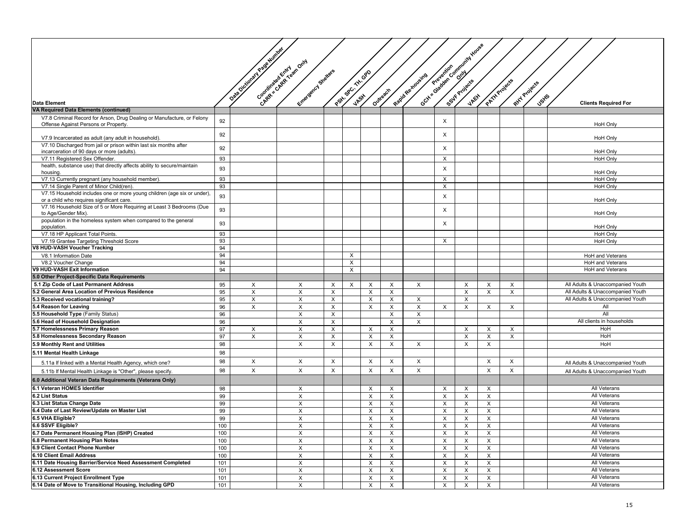|                                                                                                                |          |                            |                           |          |                      |                           |                           |                   |                           | Och Canadago Canadago Canadago |                           |          |                       |                                    |
|----------------------------------------------------------------------------------------------------------------|----------|----------------------------|---------------------------|----------|----------------------|---------------------------|---------------------------|-------------------|---------------------------|--------------------------------|---------------------------|----------|-----------------------|------------------------------------|
|                                                                                                                |          | Die Octobre 19 Page Winter |                           |          |                      |                           |                           |                   |                           |                                |                           |          |                       |                                    |
|                                                                                                                |          |                            | Canade as Existing to our |          |                      |                           |                           |                   |                           |                                |                           |          |                       |                                    |
|                                                                                                                |          |                            |                           |          |                      |                           |                           |                   |                           |                                |                           |          |                       |                                    |
|                                                                                                                |          |                            |                           |          |                      |                           |                           |                   |                           |                                |                           |          |                       |                                    |
|                                                                                                                |          |                            |                           |          |                      |                           |                           |                   |                           |                                |                           |          |                       |                                    |
|                                                                                                                |          |                            |                           |          |                      |                           |                           |                   |                           |                                |                           |          |                       |                                    |
|                                                                                                                |          |                            |                           |          |                      |                           | Outreach                  |                   |                           |                                |                           |          | RHY Projects<br>Jsyls |                                    |
| <b>Data Element</b>                                                                                            |          |                            | Entrancements restartes   |          | Particular referable |                           |                           | Registes traveirs |                           |                                | PATH Projects             |          |                       | <b>Clients Required For</b>        |
| <b>VA Required Data Elements (continued)</b>                                                                   |          |                            |                           |          |                      |                           |                           |                   |                           |                                |                           |          |                       |                                    |
| V7.8 Criminal Record for Arson, Drug Dealing or Manufacture, or Felony<br>Offense Against Persons or Property. | 92       |                            |                           |          |                      |                           |                           |                   | X                         |                                |                           |          |                       | <b>HoH Only</b>                    |
| V7.9 Incarcerated as adult (any adult in household).                                                           | 92       |                            |                           |          |                      |                           |                           |                   | X                         |                                |                           |          |                       | <b>HoH Only</b>                    |
| V7.10 Discharged from jail or prison within last six months after                                              | 92       |                            |                           |          |                      |                           |                           |                   | X                         |                                |                           |          |                       |                                    |
| incarceration of 90 days or more (adults).<br>V7.11 Registered Sex Offender                                    | 93       |                            |                           |          |                      |                           |                           |                   | X                         |                                |                           |          |                       | HoH Only<br><b>HoH Only</b>        |
| health, substance use) that directly affects ability to secure/maintain                                        |          |                            |                           |          |                      |                           |                           |                   |                           |                                |                           |          |                       |                                    |
| housing.                                                                                                       | 93       |                            |                           |          |                      |                           |                           |                   | X                         |                                |                           |          |                       | <b>HoH Only</b>                    |
| V7.13 Currently pregnant (any household member)                                                                | 93       |                            |                           |          |                      |                           |                           |                   | X                         |                                |                           |          |                       | <b>HoH Only</b>                    |
| V7.14 Single Parent of Minor Child(ren).                                                                       | 93       |                            |                           |          |                      |                           |                           |                   | X                         |                                |                           |          |                       | <b>HoH Only</b>                    |
| V7.15 Household includes one or more young children (age six or under).                                        | 93       |                            |                           |          |                      |                           |                           |                   | X                         |                                |                           |          |                       |                                    |
| or a child who requires significant care.                                                                      |          |                            |                           |          |                      |                           |                           |                   |                           |                                |                           |          |                       | <b>HoH Only</b>                    |
| V7.16 Household Size of 5 or More Requiring at Least 3 Bedrooms (Due<br>to Age/Gender Mix).                    | 93       |                            |                           |          |                      |                           |                           |                   | X                         |                                |                           |          |                       | HoH Only                           |
| population in the homeless system when compared to the general                                                 | 93       |                            |                           |          |                      |                           |                           |                   | X                         |                                |                           |          |                       |                                    |
| population.                                                                                                    |          |                            |                           |          |                      |                           |                           |                   |                           |                                |                           |          |                       | <b>HoH Only</b>                    |
| V7.18 HP Applicant Total Points.                                                                               | 93<br>93 |                            |                           |          |                      |                           |                           |                   | X                         |                                |                           |          |                       | <b>HoH Only</b><br><b>HoH Only</b> |
| V7.19 Grantee Targeting Threshold Score<br>V8 HUD-VASH Voucher Tracking                                        | 94       |                            |                           |          |                      |                           |                           |                   |                           |                                |                           |          |                       |                                    |
| V8.1 Information Date                                                                                          | 94       |                            |                           |          | X                    |                           |                           |                   |                           |                                |                           |          |                       | HoH and Veterans                   |
| V8.2 Voucher Change                                                                                            | 94       |                            |                           |          | X                    |                           |                           |                   |                           |                                |                           |          |                       | HoH and Veterans                   |
| V9 HUD-VASH Exit Information                                                                                   | 94       |                            |                           |          | X                    |                           |                           |                   |                           |                                |                           |          |                       | <b>HoH</b> and Veterans            |
| 5.0 Other Project-Specific Data Requirements                                                                   |          |                            |                           |          |                      |                           |                           |                   |                           |                                |                           |          |                       |                                    |
| 5.1 Zip Code of Last Permanent Address                                                                         | 95       | X                          | X                         | $\times$ | X                    | X                         | X                         | X                 |                           | X                              | X                         | $\times$ |                       | All Adults & Unaccompanied Youth   |
| 5.2 General Area Location of Previous Residence                                                                | 95       | X                          | X                         | X        |                      | X                         | X                         |                   |                           | X                              | X                         | X        |                       | All Adults & Unaccompanied Youth   |
| 5.3 Received vocational training?                                                                              | 95       | $\times$                   | $\times$                  | $\times$ |                      | X                         | X                         | $\times$          |                           | $\times$                       |                           |          |                       | All Adults & Unaccompanied Youth   |
| 5.4 Reason for Leaving                                                                                         | 96       | X                          | X                         | $\times$ |                      | X                         | X                         | X                 | X                         | X                              | Χ                         | X        |                       | All                                |
| 5.5 Household Type (Family Status)                                                                             | 96       |                            | X                         | $\times$ |                      |                           | X                         | X                 |                           |                                |                           |          |                       | All                                |
| 5.6 Head of Household Designation                                                                              | 96       |                            | X                         | $\times$ |                      |                           | X                         | X                 |                           |                                |                           |          |                       | All clients in households          |
| 5.7 Homelessness Primary Reason                                                                                | 97       | X                          | X                         | $\times$ |                      | Х                         | X                         |                   |                           | X                              | Х                         | X        |                       | HoH                                |
| 5.8 Homelessness Secondary Reason                                                                              | 97       | X                          | X                         | X        |                      | X                         | X                         |                   |                           | X                              | X                         | $\times$ |                       | HoH                                |
| 5.9 Monthly Rent and Utilities                                                                                 | 98       |                            | X                         | X        |                      | X                         | X                         | X                 |                           | X                              | X                         |          |                       | HoH                                |
| 5.11 Mental Health Linkage                                                                                     | 98       |                            |                           |          |                      |                           |                           |                   |                           |                                |                           |          |                       |                                    |
| 5.11a If linked with a Mental Health Agency, which one?                                                        | 98       | X                          | X                         | $\times$ |                      | X                         | X                         | $\times$          |                           |                                | X                         | $\times$ |                       | All Adults & Unaccompanied Youth   |
| 5.11b If Mental Health Linkage is "Other", please specify.                                                     | 98       | X                          | X                         | $\times$ |                      | X                         | X                         | X                 |                           |                                | X                         | $\times$ |                       | All Adults & Unaccompanied Youth   |
| 6.0 Additional Veteran Data Requirements (Veterans Only)                                                       |          |                            |                           |          |                      |                           |                           |                   |                           |                                |                           |          |                       |                                    |
| 6.1 Veteran HOMES Identifier                                                                                   | 98       |                            | X                         |          |                      | X                         | $\times$                  |                   | X                         | $\times$                       | $\times$                  |          |                       | <b>All Veterans</b>                |
| 6.2 List Status                                                                                                | 99       |                            | $\times$                  |          |                      | Х                         | $\boldsymbol{\mathsf{X}}$ |                   | X                         | $\times$                       | X                         |          |                       | All Veterans                       |
| 6.3 List Status Change Date                                                                                    | 99       |                            | X                         |          |                      | X                         | Х                         |                   | X                         | X                              | X                         |          |                       | All Veterans                       |
| 6.4 Date of Last Review/Update on Master List                                                                  | 99       |                            | X                         |          |                      | X                         | X                         |                   | X                         | X                              | X                         |          |                       | All Veterans                       |
| 6.5 VHA Eligible?                                                                                              | 99       |                            | X                         |          |                      | X                         | X                         |                   | X                         | X                              | X                         |          |                       | All Veterans                       |
| 6.6 SSVF Eligible?                                                                                             | 100      |                            | X                         |          |                      | X                         | $\boldsymbol{\mathsf{X}}$ |                   | X                         | X                              | X                         |          |                       | <b>All Veterans</b>                |
| 6.7 Date Permanent Housing Plan (ISHP) Created                                                                 | 100      |                            | $\pmb{\times}$            |          |                      | X                         | $\boldsymbol{\mathsf{X}}$ |                   | $\boldsymbol{\mathsf{X}}$ | X                              | $\boldsymbol{\mathsf{X}}$ |          |                       | <b>All Veterans</b>                |
| 6.8 Permanent Housing Plan Notes                                                                               | 100      |                            | X                         |          |                      | X                         | X                         |                   | X                         | $\times$                       | X                         |          |                       | All Veterans                       |
| 6.9 Client Contact Phone Number                                                                                | 100      |                            | $\pmb{\times}$            |          |                      | X                         | X                         |                   | X                         | $\times$                       | X                         |          |                       | All Veterans                       |
| 6.10 Client Email Address                                                                                      | 100      |                            | X                         |          |                      | X                         | X                         |                   | X                         | X                              | X                         |          |                       | All Veterans                       |
| 6.11 Date Housing Barrier/Service Need Assessment Completed                                                    | 101      |                            | X                         |          |                      | $\boldsymbol{\mathsf{x}}$ | $\mathsf X$               |                   | X                         | X                              | X                         |          |                       | All Veterans                       |
| 6.12 Assessment Score                                                                                          | 101      |                            | X                         |          |                      | X                         | $\mathsf X$               |                   | X                         | X                              | X                         |          |                       | All Veterans                       |
| 6.13 Current Project Enrollment Type                                                                           | 101      |                            | X                         |          |                      | X                         | $\boldsymbol{\mathsf{X}}$ |                   | X                         | X                              | X                         |          |                       | All Veterans                       |
| 6.14 Date of Move to Transitional Housing, Including GPD                                                       | 101      |                            | X                         |          |                      | X                         | $\times$                  |                   | X                         | $\mathsf{X}$                   | $\times$                  |          |                       | All Veterans                       |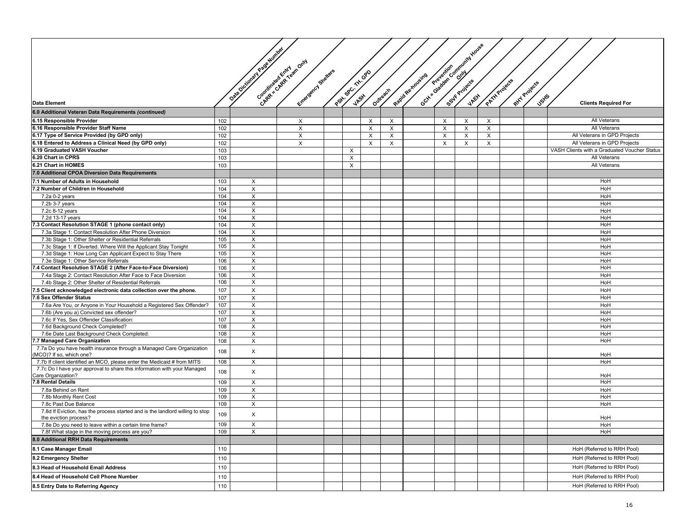|                                                                                                                |            |                            |                          |                  |            |                           |                   |          | Octy of Gradewic Computer House |          |               |              |                                              |
|----------------------------------------------------------------------------------------------------------------|------------|----------------------------|--------------------------|------------------|------------|---------------------------|-------------------|----------|---------------------------------|----------|---------------|--------------|----------------------------------------------|
|                                                                                                                |            | Data October 19 age dummer |                          |                  |            |                           |                   |          |                                 |          |               |              |                                              |
|                                                                                                                |            |                            | Constant of Requirements |                  |            |                           |                   |          |                                 |          |               |              |                                              |
|                                                                                                                |            |                            |                          |                  |            |                           |                   |          |                                 |          |               |              |                                              |
|                                                                                                                |            |                            |                          |                  | $68^\circ$ |                           |                   |          |                                 |          |               |              |                                              |
|                                                                                                                |            |                            |                          |                  |            |                           |                   |          |                                 |          |               |              |                                              |
|                                                                                                                |            |                            | Entrepreneurs Stretters  | Postin SPC, THIS |            | Outrestry                 | Regid Re noveires |          |                                 |          | PATH Projects | RHY Projects |                                              |
| <b>Data Element</b>                                                                                            |            |                            |                          | <b>JASH</b>      |            |                           |                   |          |                                 |          |               | <b>Jstfs</b> | <b>Clients Required For</b>                  |
| 6.0 Additional Veteran Data Requirements (continued)                                                           |            |                            |                          |                  |            |                           |                   |          |                                 |          |               |              |                                              |
| 6.15 Responsible Provider                                                                                      | 102        |                            | X                        |                  | X          | X                         |                   | $\times$ | X                               | X        |               |              | All Veterans                                 |
| 6.16 Responsible Provider Staff Name                                                                           | 102        |                            | X                        |                  | $\times$   | $\boldsymbol{\mathsf{X}}$ |                   | $\times$ | $\times$                        | $\times$ |               |              | All Veterans                                 |
| 6.17 Type of Service Provided (by GPD only)                                                                    | 102        |                            | X                        |                  | $\times$   | $\boldsymbol{\mathsf{X}}$ |                   | X        | X                               | $\times$ |               |              | All Veterans in GPD Projects                 |
| 6.18 Entered to Address a Clinical Need (by GPD only)                                                          | 102        |                            | X                        |                  | $\times$   | $\boldsymbol{\mathsf{X}}$ |                   | X        | X                               | $\times$ |               |              | All Veterans in GPD Projects                 |
| 6.19 Graduated VASH Voucher                                                                                    | 103        |                            |                          | $\times$         |            |                           |                   |          |                                 |          |               |              | VASH Clients with a Graduated Voucher Status |
| 6.20 Chart in CPRS                                                                                             | 103        |                            |                          | $\mathsf{X}$     |            |                           |                   |          |                                 |          |               |              | All Veterans                                 |
| 6.21 Chart in HOMES                                                                                            | 103        |                            |                          | $\times$         |            |                           |                   |          |                                 |          |               |              | All Veterans                                 |
| 7.0 Additional CPOA Diversion Data Requirements                                                                |            |                            |                          |                  |            |                           |                   |          |                                 |          |               |              |                                              |
| 7.1 Number of Adults in Household                                                                              | 103        | X                          |                          |                  |            |                           |                   |          |                                 |          |               |              | HoH                                          |
| 7.2 Number of Children in Household                                                                            | 104        | X                          |                          |                  |            |                           |                   |          |                                 |          |               |              | HoH                                          |
| 7.2a 0-2 years                                                                                                 | 104        | $\times$                   |                          |                  |            |                           |                   |          |                                 |          |               |              | HoH                                          |
| 7.2b 3-7 years                                                                                                 | 104        | X                          |                          |                  |            |                           |                   |          |                                 |          |               |              | HoH                                          |
| 7.2c 8-12 years                                                                                                | 104        | X                          |                          |                  |            |                           |                   |          |                                 |          |               |              | HoH                                          |
| 7.2d 13-17 years                                                                                               | 104        | X                          |                          |                  |            |                           |                   |          |                                 |          |               |              | HoH                                          |
| 7.3 Contact Resolution STAGE 1 (phone contact only)                                                            | 104<br>104 | X<br>X                     |                          |                  |            |                           |                   |          |                                 |          |               |              | HoH                                          |
| 7.3a Stage 1: Contact Resolution After Phone Diversion<br>7.3b Stage 1: Other Shelter or Residential Referrals | 105        | X                          |                          |                  |            |                           |                   |          |                                 |          |               |              | HoH<br>HoH                                   |
| 7.3c Stage 1: If Diverted. Where Will the Applicant Stay Tonight                                               | 105        | X                          |                          |                  |            |                           |                   |          |                                 |          |               |              | HoH                                          |
| 7.3d Stage 1: How Long Can Applicant Expect to Stay There                                                      | 105        | X                          |                          |                  |            |                           |                   |          |                                 |          |               |              | HoH                                          |
| 7.3e Stage 1: Other Service Referrals                                                                          | 106        | X                          |                          |                  |            |                           |                   |          |                                 |          |               |              | HoH                                          |
| 7.4 Contact Resolution STAGE 2 (After Face-to-Face Diversion)                                                  | 106        | X                          |                          |                  |            |                           |                   |          |                                 |          |               |              | HoH                                          |
| 7.4a Stage 2: Contact Resolution After Face to Face Diversion                                                  | 106        | X                          |                          |                  |            |                           |                   |          |                                 |          |               |              | HoH                                          |
| 7.4b Stage 2: Other Shelter of Residential Referrals                                                           | 106        | X                          |                          |                  |            |                           |                   |          |                                 |          |               |              | HoH                                          |
| 7.5 Client acknowledged electronic data collection over the phone.                                             | 107        | X                          |                          |                  |            |                           |                   |          |                                 |          |               |              | HoH                                          |
| 7.6 Sex Offender Status                                                                                        | 107        | X                          |                          |                  |            |                           |                   |          |                                 |          |               |              | HoH                                          |
| 7.6a Are You, or Anyone in Your Household a Registered Sex Offender?                                           | 107        | X                          |                          |                  |            |                           |                   |          |                                 |          |               |              | HoH                                          |
| 7.6b (Are you a) Convicted sex offender?                                                                       | 107        | X                          |                          |                  |            |                           |                   |          |                                 |          |               |              | HoH                                          |
| 7.6c If Yes, Sex Offender Classification:                                                                      | 107        | $\times$                   |                          |                  |            |                           |                   |          |                                 |          |               |              | HoH                                          |
| 7.6d Background Check Completed?<br>7.6e Date Last Background Check Completed:                                 | 108<br>108 | Χ<br>X                     |                          |                  |            |                           |                   |          |                                 |          |               |              | HoH<br>HoH                                   |
| 7.7 Managed Care Organization                                                                                  | 108        | X                          |                          |                  |            |                           |                   |          |                                 |          |               |              | HoH                                          |
| 7.7a Do you have health insurance through a Managed Care Organization                                          |            |                            |                          |                  |            |                           |                   |          |                                 |          |               |              |                                              |
| (MCO)? If so, which one?                                                                                       | 108        | X                          |                          |                  |            |                           |                   |          |                                 |          |               |              | HoH                                          |
| 7.7b If client identified an MCO, please enter the Medicaid # from MITS                                        | 108        | X                          |                          |                  |            |                           |                   |          |                                 |          |               |              | HoH                                          |
| 7.7c Do I have your approval to share this information with your Managed                                       | 108        | X                          |                          |                  |            |                           |                   |          |                                 |          |               |              |                                              |
| Care Organization?                                                                                             |            |                            |                          |                  |            |                           |                   |          |                                 |          |               |              | HoH                                          |
| 7.8 Rental Details                                                                                             | 109        | X                          |                          |                  |            |                           |                   |          |                                 |          |               |              | HoH                                          |
| 7.8a Behind on Rent<br>7.8b Monthly Rent Cost                                                                  | 109<br>109 | X<br>X                     |                          |                  |            |                           |                   |          |                                 |          |               |              | HoH<br>HoH                                   |
| 7.8c Past Due Balance                                                                                          | 109        | Χ                          |                          |                  |            |                           |                   |          |                                 |          |               |              | HoH                                          |
| 7.8d If Eviction, has the process started and is the landlord willing to stop                                  |            |                            |                          |                  |            |                           |                   |          |                                 |          |               |              |                                              |
| the eviction process?                                                                                          | 109        | X                          |                          |                  |            |                           |                   |          |                                 |          |               |              | HoH                                          |
| 7.8e Do you need to leave within a certain time frame?                                                         | 109        | X                          |                          |                  |            |                           |                   |          |                                 |          |               |              | HoH                                          |
| 7.8f What stage in the moving process are you?                                                                 | 109        | Χ                          |                          |                  |            |                           |                   |          |                                 |          |               |              | HoH                                          |
| 8.0 Additional RRH Data Requirements                                                                           |            |                            |                          |                  |            |                           |                   |          |                                 |          |               |              |                                              |
| 8.1 Case Manager Email                                                                                         | 110        |                            |                          |                  |            |                           |                   |          |                                 |          |               |              | HoH (Referred to RRH Pool)                   |
| 8.2 Emergency Shelter                                                                                          | 110        |                            |                          |                  |            |                           |                   |          |                                 |          |               |              | HoH (Referred to RRH Pool)                   |
| 8.3 Head of Household Email Address                                                                            | 110        |                            |                          |                  |            |                           |                   |          |                                 |          |               |              | HoH (Referred to RRH Pool)                   |
| 8.4 Head of Household Cell Phone Number                                                                        | 110        |                            |                          |                  |            |                           |                   |          |                                 |          |               |              | HoH (Referred to RRH Pool)                   |
| 8.5 Entry Date to Referring Agency                                                                             |            |                            |                          |                  |            |                           |                   |          |                                 |          |               |              | HoH (Referred to RRH Pool)                   |
|                                                                                                                | 110        |                            |                          |                  |            |                           |                   |          |                                 |          |               |              |                                              |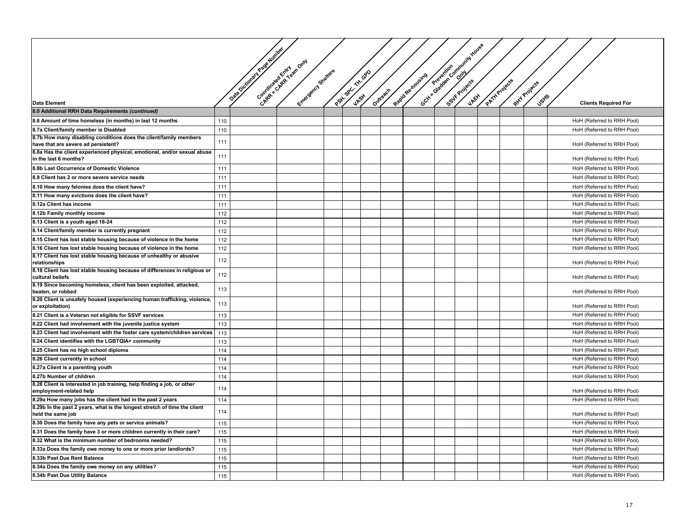|                                                                                                                 |     |                   |                                                       |                    |           |                   | Octy - Gladeschi, Community Haven |               |               |                             |
|-----------------------------------------------------------------------------------------------------------------|-----|-------------------|-------------------------------------------------------|--------------------|-----------|-------------------|-----------------------------------|---------------|---------------|-----------------------------|
|                                                                                                                 |     | Veale Number      |                                                       |                    |           |                   |                                   |               |               |                             |
|                                                                                                                 |     |                   |                                                       |                    |           |                   |                                   |               |               |                             |
|                                                                                                                 |     |                   |                                                       |                    |           |                   |                                   |               |               |                             |
|                                                                                                                 |     | Data Dictionary Y |                                                       |                    |           |                   |                                   |               |               |                             |
|                                                                                                                 |     |                   |                                                       |                    |           |                   |                                   |               |               |                             |
|                                                                                                                 |     |                   |                                                       |                    | Outrestry |                   |                                   |               | <b>Jstfs</b>  |                             |
| <b>Data Element</b>                                                                                             |     |                   | Chapter and Retained form<br>Entrancements Statesters | Part As Cr TH- GRD |           | Rapid Re-xoveires |                                   | PATTAProjects | Rixy Projects | <b>Clients Required For</b> |
| 8.0 Additional RRH Data Requirements (continued)                                                                |     |                   |                                                       |                    |           |                   |                                   |               |               |                             |
| 8.6 Amount of time homeless (in months) in last 12 months                                                       | 110 |                   |                                                       |                    |           |                   |                                   |               |               | HoH (Referred to RRH Pool)  |
| 8.7a Client/family member is Disabled                                                                           | 110 |                   |                                                       |                    |           |                   |                                   |               |               | HoH (Referred to RRH Pool)  |
| 8.7b How many disabling conditions does the client/family members                                               | 111 |                   |                                                       |                    |           |                   |                                   |               |               | HoH (Referred to RRH Pool)  |
| have that are severe ad persistent?<br>8.8a Has the client experienced physical, emotional, and/or sexual abuse |     |                   |                                                       |                    |           |                   |                                   |               |               |                             |
| in the last 6 months?                                                                                           | 111 |                   |                                                       |                    |           |                   |                                   |               |               | HoH (Referred to RRH Pool)  |
| 8.8b Last Occurrence of Domestic Violence                                                                       | 111 |                   |                                                       |                    |           |                   |                                   |               |               | HoH (Referred to RRH Pool)  |
| 8.9 Client has 2 or more severe service needs                                                                   | 111 |                   |                                                       |                    |           |                   |                                   |               |               | HoH (Referred to RRH Pool)  |
| 8.10 How many felonies does the client have?                                                                    | 111 |                   |                                                       |                    |           |                   |                                   |               |               | HoH (Referred to RRH Pool)  |
| 8.11 How many evictions does the client have?                                                                   | 111 |                   |                                                       |                    |           |                   |                                   |               |               | HoH (Referred to RRH Pool)  |
| 8.12a Client has income                                                                                         | 111 |                   |                                                       |                    |           |                   |                                   |               |               | HoH (Referred to RRH Pool)  |
| 8.12b Family monthly income                                                                                     | 112 |                   |                                                       |                    |           |                   |                                   |               |               | HoH (Referred to RRH Pool)  |
| 8.13 Client is a youth aged 18-24                                                                               | 112 |                   |                                                       |                    |           |                   |                                   |               |               | HoH (Referred to RRH Pool)  |
| 8.14 Client/family member is currently pregnant                                                                 | 112 |                   |                                                       |                    |           |                   |                                   |               |               | HoH (Referred to RRH Pool)  |
| 8.15 Client has lost stable housing because of violence in the home                                             | 112 |                   |                                                       |                    |           |                   |                                   |               |               | HoH (Referred to RRH Pool)  |
| 8.16 Client has lost stable housing because of violence in the home                                             | 112 |                   |                                                       |                    |           |                   |                                   |               |               | HoH (Referred to RRH Pool)  |
| 8.17 Client has lost stable housing because of unhealthy or abusive                                             | 112 |                   |                                                       |                    |           |                   |                                   |               |               |                             |
| relationships                                                                                                   |     |                   |                                                       |                    |           |                   |                                   |               |               | HoH (Referred to RRH Pool)  |
| 8.18 Client has lost stable housing because of differences in religious or<br>cultural beliefs                  | 112 |                   |                                                       |                    |           |                   |                                   |               |               | HoH (Referred to RRH Pool)  |
| 8.19 Since becoming homeless, client has been exploited, attacked,<br>beaten, or robbed                         | 113 |                   |                                                       |                    |           |                   |                                   |               |               | HoH (Referred to RRH Pool)  |
| 8.20 Client is unsafely housed (experiencing human trafficking, violence,                                       | 113 |                   |                                                       |                    |           |                   |                                   |               |               |                             |
| or exploitation)                                                                                                |     |                   |                                                       |                    |           |                   |                                   |               |               | HoH (Referred to RRH Pool)  |
| 8.21 Client is a Veteran not eligible for SSVF services                                                         | 113 |                   |                                                       |                    |           |                   |                                   |               |               | HoH (Referred to RRH Pool)  |
| 8.22 Client had involvement with the juvenile justice system                                                    | 113 |                   |                                                       |                    |           |                   |                                   |               |               | HoH (Referred to RRH Pool)  |
| 8.23 Client had involvement with the foster care system/children services                                       | 113 |                   |                                                       |                    |           |                   |                                   |               |               | HoH (Referred to RRH Pool)  |
| 8.24 Client identifies with the LGBTQIA+ community                                                              | 113 |                   |                                                       |                    |           |                   |                                   |               |               | HoH (Referred to RRH Pool)  |
| 8.25 Client has no high school diploma                                                                          | 114 |                   |                                                       |                    |           |                   |                                   |               |               | HoH (Referred to RRH Pool)  |
| 8.26 Client currently in school                                                                                 | 114 |                   |                                                       |                    |           |                   |                                   |               |               | HoH (Referred to RRH Pool)  |
| 8.27a Client is a parenting youth                                                                               | 114 |                   |                                                       |                    |           |                   |                                   |               |               | HoH (Referred to RRH Pool)  |
| 8.27b Number of children                                                                                        | 114 |                   |                                                       |                    |           |                   |                                   |               |               | HoH (Referred to RRH Pool)  |
| 8.28 Client is interested in job training, help finding a job, or other<br>employment-related help              | 114 |                   |                                                       |                    |           |                   |                                   |               |               | HoH (Referred to RRH Pool)  |
| 8.29a How many jobs has the client had in the past 2 years                                                      | 114 |                   |                                                       |                    |           |                   |                                   |               |               | HoH (Referred to RRH Pool)  |
| 8.29b In the past 2 years, what is the longest stretch of time the client                                       | 114 |                   |                                                       |                    |           |                   |                                   |               |               |                             |
| held the same job                                                                                               |     |                   |                                                       |                    |           |                   |                                   |               |               | HoH (Referred to RRH Pool)  |
| 8.30 Does the family have any pets or service animals?                                                          | 115 |                   |                                                       |                    |           |                   |                                   |               |               | HoH (Referred to RRH Pool)  |
| 8.31 Does the family have 3 or more children currently in their care?                                           | 115 |                   |                                                       |                    |           |                   |                                   |               |               | HoH (Referred to RRH Pool)  |
| 8.32 What is the minimum number of bedrooms needed?                                                             | 115 |                   |                                                       |                    |           |                   |                                   |               |               | HoH (Referred to RRH Pool)  |
| 8.33a Does the family owe money to one or more prior landlords?                                                 | 115 |                   |                                                       |                    |           |                   |                                   |               |               | HoH (Referred to RRH Pool)  |
| 8.33b Past Due Rent Balance                                                                                     | 115 |                   |                                                       |                    |           |                   |                                   |               |               | HoH (Referred to RRH Pool)  |
| 8.34a Does the family owe money on any utilities?                                                               | 115 |                   |                                                       |                    |           |                   |                                   |               |               | HoH (Referred to RRH Pool)  |
| 8.34b Past Due Utility Balance                                                                                  | 115 |                   |                                                       |                    |           |                   |                                   |               |               | HoH (Referred to RRH Pool)  |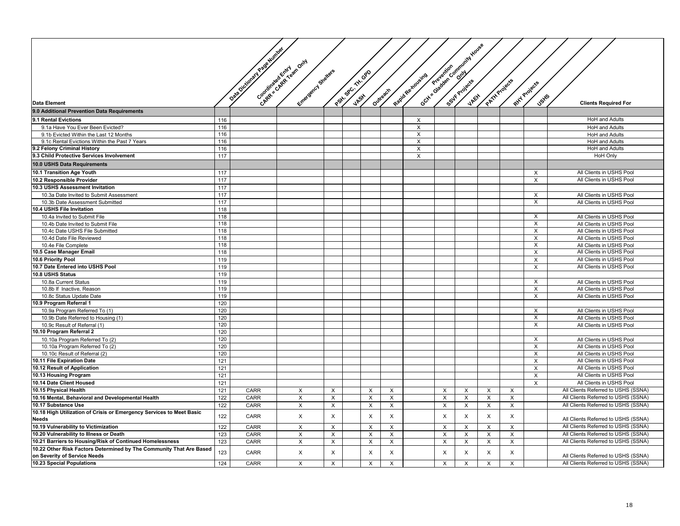|                                                                                      |     |                            |                           |                |                    |   |                           |                   |          | Gctx Satelland Community House |              |               |                |                                     |
|--------------------------------------------------------------------------------------|-----|----------------------------|---------------------------|----------------|--------------------|---|---------------------------|-------------------|----------|--------------------------------|--------------|---------------|----------------|-------------------------------------|
|                                                                                      |     | <b>Discounting Package</b> | Congression Creation Only |                |                    |   |                           |                   |          |                                |              |               |                |                                     |
|                                                                                      |     |                            |                           |                |                    |   |                           |                   |          |                                |              |               |                |                                     |
|                                                                                      |     |                            | Entrancement Stretters    |                | Path of Cr TH- OPD |   |                           |                   |          |                                |              |               |                |                                     |
|                                                                                      |     |                            |                           |                |                    |   |                           |                   |          |                                |              |               |                |                                     |
|                                                                                      |     |                            |                           |                |                    |   |                           | Rapid Re-tioueire |          |                                |              | PATH Projects | Ritry Projects |                                     |
|                                                                                      |     |                            |                           |                |                    |   |                           |                   |          |                                |              |               |                |                                     |
| <b>Data Element</b>                                                                  |     |                            |                           |                |                    |   | Outrestry                 |                   |          |                                |              |               | <b>J</b> stfs  | <b>Clients Required For</b>         |
| 9.0 Additional Prevention Data Requirements                                          |     |                            |                           |                |                    |   |                           |                   |          |                                |              |               |                |                                     |
| 9.1 Rental Evictions                                                                 | 116 |                            |                           |                |                    |   |                           | X                 |          |                                |              |               |                | <b>HoH</b> and Adults               |
| 9.1a Have You Ever Been Evicted?                                                     | 116 |                            |                           |                |                    |   |                           | X                 |          |                                |              |               |                | <b>HoH</b> and Adults               |
| 9.1b Evicted Within the Last 12 Months                                               | 116 |                            |                           |                |                    |   |                           | X                 |          |                                |              |               |                | <b>HoH</b> and Adults               |
| 9.1c Rental Evictions Within the Past 7 Years                                        | 116 |                            |                           |                |                    |   |                           | X                 |          |                                |              |               |                | <b>HoH</b> and Adults               |
| 9.2 Felony Criminal History                                                          | 116 |                            |                           |                |                    |   |                           | X                 |          |                                |              |               |                | <b>HoH</b> and Adults               |
| 9.3 Child Protective Services Involvement                                            | 117 |                            |                           |                |                    |   |                           | X                 |          |                                |              |               |                | <b>HoH Only</b>                     |
| 10.0 USHS Data Requirements                                                          |     |                            |                           |                |                    |   |                           |                   |          |                                |              |               |                |                                     |
| 10.1 Transition Age Youth                                                            | 117 |                            |                           |                |                    |   |                           |                   |          |                                |              |               | $\times$       | All Clients in USHS Pool            |
| 10.2 Responsible Provider                                                            | 117 |                            |                           |                |                    |   |                           |                   |          |                                |              |               | $\times$       | All Clients in USHS Pool            |
| 10.3 USHS Assessment Invitation                                                      | 117 |                            |                           |                |                    |   |                           |                   |          |                                |              |               |                |                                     |
| 10.3a Date Invited to Submit Assessment                                              | 117 |                            |                           |                |                    |   |                           |                   |          |                                |              |               | X              | All Clients in USHS Pool            |
| 10.3b Date Assessment Submitted                                                      | 117 |                            |                           |                |                    |   |                           |                   |          |                                |              |               | $\times$       | All Clients in USHS Pool            |
| 10.4 USHS File Invitation                                                            | 118 |                            |                           |                |                    |   |                           |                   |          |                                |              |               |                |                                     |
| 10.4a Invited to Submit File                                                         | 118 |                            |                           |                |                    |   |                           |                   |          |                                |              |               | Χ              | All Clients in USHS Pool            |
| 10.4b Date Invited to Submit File                                                    | 118 |                            |                           |                |                    |   |                           |                   |          |                                |              |               | $\times$       | All Clients in USHS Pool            |
| 10.4c Date USHS File Submitted                                                       | 118 |                            |                           |                |                    |   |                           |                   |          |                                |              |               | X              | All Clients in USHS Pool            |
| 10.4d Date File Reviewed                                                             | 118 |                            |                           |                |                    |   |                           |                   |          |                                |              |               | X              | All Clients in USHS Pool            |
| 10.4e File Complete                                                                  | 118 |                            |                           |                |                    |   |                           |                   |          |                                |              |               | $\times$       | All Clients in USHS Pool            |
| 10.5 Case Manager Email                                                              | 118 |                            |                           |                |                    |   |                           |                   |          |                                |              |               | X              | All Clients in USHS Pool            |
| 10.6 Priority Pool                                                                   | 119 |                            |                           |                |                    |   |                           |                   |          |                                |              |               | $\times$       | All Clients in USHS Pool            |
| 10.7 Date Entered into USHS Pool                                                     | 119 |                            |                           |                |                    |   |                           |                   |          |                                |              |               | $\times$       | All Clients in USHS Pool            |
| 10.8 USHS Status                                                                     | 119 |                            |                           |                |                    |   |                           |                   |          |                                |              |               |                |                                     |
| 10.8a Current Status                                                                 | 119 |                            |                           |                |                    |   |                           |                   |          |                                |              |               | $\times$       | All Clients in USHS Pool            |
| 10.8b If Inactive, Reason                                                            | 119 |                            |                           |                |                    |   |                           |                   |          |                                |              |               | X              | All Clients in USHS Pool            |
| 10.8c Status Update Date                                                             | 119 |                            |                           |                |                    |   |                           |                   |          |                                |              |               | X              | All Clients in USHS Pool            |
| 10.9 Program Referral 1                                                              | 120 |                            |                           |                |                    |   |                           |                   |          |                                |              |               |                |                                     |
| 10.9a Program Referred To (1)                                                        | 120 |                            |                           |                |                    |   |                           |                   |          |                                |              |               | $\times$       | All Clients in USHS Pool            |
| 10.9b Date Referred to Housing (1)                                                   | 120 |                            |                           |                |                    |   |                           |                   |          |                                |              |               | X              | All Clients in USHS Pool            |
| 10.9c Result of Referral (1)                                                         | 120 |                            |                           |                |                    |   |                           |                   |          |                                |              |               | X              | All Clients in USHS Pool            |
| 10.10 Program Referral 2                                                             | 120 |                            |                           |                |                    |   |                           |                   |          |                                |              |               |                |                                     |
| 10.10a Program Referred To (2)                                                       | 120 |                            |                           |                |                    |   |                           |                   |          |                                |              |               | $\times$       | All Clients in USHS Pool            |
| 10.10a Program Referred To (2)                                                       | 120 |                            |                           |                |                    |   |                           |                   |          |                                |              |               | X              | All Clients in USHS Pool            |
| 10.10c Result of Referral (2)                                                        | 120 |                            |                           |                |                    |   |                           |                   |          |                                |              |               | $\times$       | All Clients in USHS Pool            |
| 10.11 File Expiration Date                                                           | 121 |                            |                           |                |                    |   |                           |                   |          |                                |              |               | $\times$       | All Clients in USHS Pool            |
| 10.12 Result of Application                                                          | 121 |                            |                           |                |                    |   |                           |                   |          |                                |              |               | $\times$       | All Clients in USHS Pool            |
| 10.13 Housing Program                                                                | 121 |                            |                           |                |                    |   |                           |                   |          |                                |              |               | X              | All Clients in USHS Pool            |
| 10.14 Date Client Housed                                                             | 121 |                            |                           |                |                    |   |                           |                   |          |                                |              |               | X              | All Clients in USHS Pool            |
| 10.15 Physical Health                                                                | 121 | CARR                       | X                         | $\pmb{\times}$ |                    | X | X                         |                   | X        | X                              | X            | X             |                | All Clients Referred to USHS (SSNA) |
| 10.16 Mental, Behavioral and Developmental Health                                    | 122 | <b>CARR</b>                | X                         | $\times$       |                    | X | X                         |                   | X        | $\times$                       | X            | X             |                | All Clients Referred to USHS (SSNA) |
| 10.17 Substance Use                                                                  | 122 | CARR                       | X                         | $\mathsf X$    |                    | X | X                         |                   | X        | $\times$                       | X            | X             |                | All Clients Referred to USHS (SSNA) |
| 10.18 High Utilization of Crisis or Emergency Services to Meet Basic<br><b>Needs</b> | 122 | CARR                       | $\mathsf{X}$              | X              |                    | X | X                         |                   | X        | $\times$                       | X            | X             |                | All Clients Referred to USHS (SSNA) |
| 10.19 Vulnerability to Victimization                                                 | 122 | CARR                       | X                         | $\times$       |                    | X | $\times$                  |                   | X        | X                              | $\mathsf{X}$ | X             |                | All Clients Referred to USHS (SSNA) |
| 10.20 Vulnerability to Illness or Death                                              | 123 | CARR                       | X                         | $\times$       |                    | X | X                         |                   | $\times$ | $\times$                       | X            | X             |                | All Clients Referred to USHS (SSNA) |
| 10.21 Barriers to Housing/Risk of Continued Homelessness                             | 123 | CARR                       | X                         | X              |                    | X | X                         |                   | X        | X                              | X            | X             |                | All Clients Referred to USHS (SSNA) |
| 10.22 Other Risk Factors Determined by The Community That Are Based                  |     |                            |                           |                |                    |   |                           |                   |          |                                |              |               |                |                                     |
| on Severity of Service Needs                                                         | 123 | <b>CARR</b>                | X                         | X              |                    | X | $\boldsymbol{\mathsf{X}}$ |                   | X        | X                              | X            | X             |                | All Clients Referred to USHS (SSNA) |
| 10.23 Special Populations                                                            | 124 | CARR                       | X                         | $\times$       |                    | X | X                         |                   | X        | $\times$                       | X            | $\times$      |                | All Clients Referred to USHS (SSNA) |
|                                                                                      |     |                            |                           |                |                    |   |                           |                   |          |                                |              |               |                |                                     |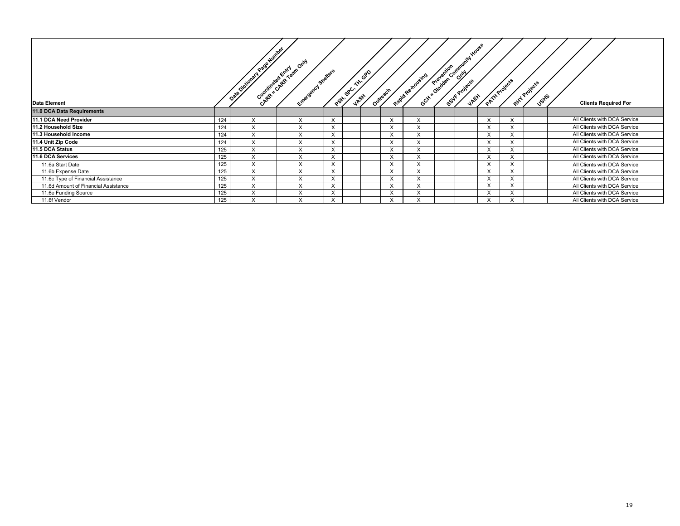| <b>Data Element</b>                  |     | DRESIGNEE VERE NOTES | Companional Revision Only<br>- Emergency Sheries | perti                   | べ<br>$ s^{g^{C}}$ | GPO<br>Outreach<br><b>JASH</b> |                   | Oct-12 ora detail of owner who see<br>Repidentaliste |  | PATHProjects |              | Rind Projects<br><b>JSH5</b> | <b>Clients Required For</b>  |
|--------------------------------------|-----|----------------------|--------------------------------------------------|-------------------------|-------------------|--------------------------------|-------------------|------------------------------------------------------|--|--------------|--------------|------------------------------|------------------------------|
| 11.0 DCA Data Requirements           |     |                      |                                                  |                         |                   |                                |                   |                                                      |  |              |              |                              |                              |
| 11.1 DCA Need Provider               | 124 | X                    | X                                                | $\sqrt{}$<br>ᄉ          |                   |                                | $\checkmark$<br>⋏ | X                                                    |  | X            |              |                              | All Clients with DCA Service |
| 11.2 Household Size                  | 124 | X                    | X                                                | $\times$                |                   |                                | $\times$          | X                                                    |  | X            | $\checkmark$ |                              | All Clients with DCA Service |
| 11.3 Household Income                | 124 | X                    | X                                                | $\checkmark$            |                   |                                | $\times$          | X                                                    |  | X            |              |                              | All Clients with DCA Service |
| 11.4 Unit Zip Code                   | 124 | X                    | X                                                | $\sqrt{ }$<br>⋏         |                   |                                | X                 | X                                                    |  | X            |              |                              | All Clients with DCA Service |
| 11.5 DCA Status                      | 125 | X                    | X                                                | $\times$                |                   |                                | X                 | X                                                    |  | X            | $\checkmark$ |                              | All Clients with DCA Service |
| 11.6 DCA Services                    | 125 | X                    | X                                                | $\sqrt{}$               |                   |                                | $\checkmark$<br>⋏ | X                                                    |  | X            | $\sqrt{ }$   |                              | All Clients with DCA Service |
| 11.6a Start Date                     | 125 | X                    | X                                                | $\sqrt{ }$<br>$\lambda$ |                   |                                | $\checkmark$<br>⋏ | $\checkmark$                                         |  | $\lambda$    |              |                              | All Clients with DCA Service |
| 11.6b Expense Date                   | 125 | X                    | X                                                | $\checkmark$            |                   |                                | X                 | $\checkmark$                                         |  | X            | $\sim$       |                              | All Clients with DCA Service |
| 11.6c Type of Financial Assistance   | 125 | X                    | $\sqrt{}$                                        | $\sqrt{}$<br>⋏          |                   |                                | $\sqrt{ }$<br>⋏   | $\lambda$                                            |  |              | $\sqrt{ }$   |                              | All Clients with DCA Service |
| 11.6d Amount of Financial Assistance | 125 | X                    | $\checkmark$<br>$\lambda$                        | $\sqrt{}$<br>⋏          |                   |                                | $\checkmark$<br>⋏ | $\checkmark$                                         |  | $\checkmark$ |              |                              | All Clients with DCA Service |
| 11.6e Funding Source                 | 125 | X                    | $\checkmark$                                     | $\sqrt{}$               |                   |                                | $\checkmark$<br>⋏ | $\checkmark$                                         |  | $\sqrt{ }$   |              |                              | All Clients with DCA Service |
| 11.6f Vendor                         | 125 | X                    | $\checkmark$<br>⋏                                | $\sqrt{}$<br>⋏          |                   |                                | $\sqrt{ }$        |                                                      |  |              |              |                              | All Clients with DCA Service |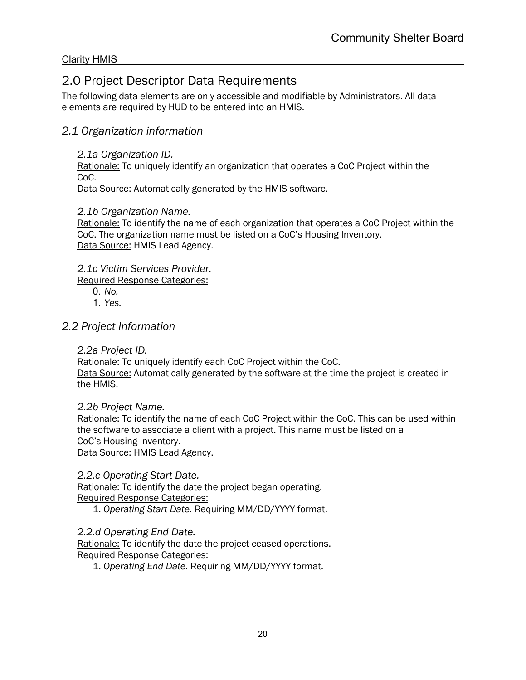# <span id="page-19-0"></span>2.0 Project Descriptor Data Requirements

The following data elements are only accessible and modifiable by Administrators. All data elements are required by HUD to be entered into an HMIS.

# *2.1 Organization information*

*2.1a Organization ID.*

Rationale: To uniquely identify an organization that operates a CoC Project within the CoC.

Data Source: Automatically generated by the HMIS software.

# *2.1b Organization Name.*

Rationale: To identify the name of each organization that operates a CoC Project within the CoC. The organization name must be listed on a CoC's Housing Inventory. Data Source: HMIS Lead Agency.

*2.1c Victim Services Provider.*

Required Response Categories:

- 0. *No.*
- 1. *Yes.*

# *2.2 Project Information*

*2.2a Project ID.*

Rationale: To uniquely identify each CoC Project within the CoC. Data Source: Automatically generated by the software at the time the project is created in the HMIS.

*2.2b Project Name.*

Rationale: To identify the name of each CoC Project within the CoC. This can be used within the software to associate a client with a project. This name must be listed on a CoC's Housing Inventory. Data Source: HMIS Lead Agency.

*2.2.c Operating Start Date.*

Rationale: To identify the date the project began operating. Required Response Categories:

1. *Operating Start Date.* Requiring MM/DD/YYYY format.

*2.2.d Operating End Date.*

Rationale: To identify the date the project ceased operations. Required Response Categories:

1. *Operating End Date.* Requiring MM/DD/YYYY format.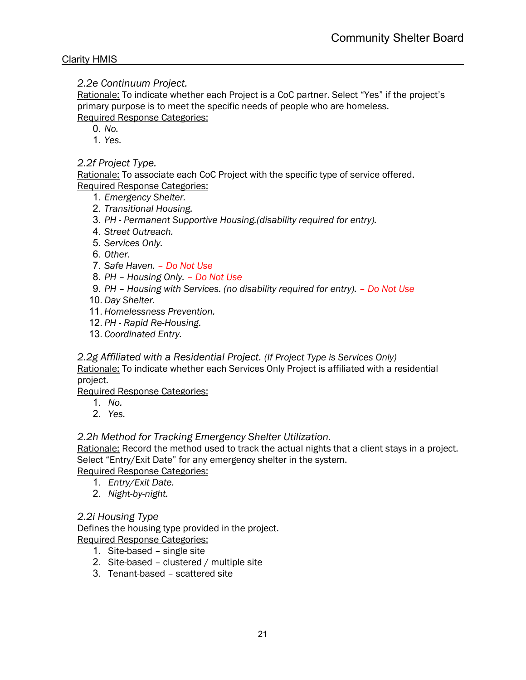### *2.2e Continuum Project.*

Rationale: To indicate whether each Project is a CoC partner. Select "Yes" if the project's primary purpose is to meet the specific needs of people who are homeless. Required Response Categories:

- 0. *No.*
- 1. *Yes.*

# *2.2f Project Type.*

Rationale: To associate each CoC Project with the specific type of service offered. Required Response Categories:

- 1. *Emergency Shelter.*
- 2. *Transitional Housing.*
- 3. *PH - Permanent Supportive Housing.(disability required for entry).*
- 4. *Street Outreach.*
- 5. *Services Only.*
- 6. *Other.*
- 7. *Safe Haven. – Do Not Use*
- 8. *PH – Housing Only. – Do Not Use*
- 9. *PH – Housing with Services. (no disability required for entry). – Do Not Use*
- 10. *Day Shelter.*
- 11. *Homelessness Prevention.*
- 12. *PH - Rapid Re-Housing.*
- 13. *Coordinated Entry.*

#### *2.2g Affiliated with a Residential Project. (If Project Type is Services Only)*

Rationale: To indicate whether each Services Only Project is affiliated with a residential project.

Required Response Categories:

- 1. *No.*
- 2. *Yes.*

# *2.2h Method for Tracking Emergency Shelter Utilization.*

Rationale: Record the method used to track the actual nights that a client stays in a project. Select "Entry/Exit Date" for any emergency shelter in the system.

Required Response Categories:

- 1. *Entry/Exit Date.*
- 2. *Night-by-night.*

# *2.2i Housing Type*

Defines the housing type provided in the project. Required Response Categories:

- 1. Site-based single site
- 2. Site-based clustered / multiple site
- 3. Tenant-based scattered site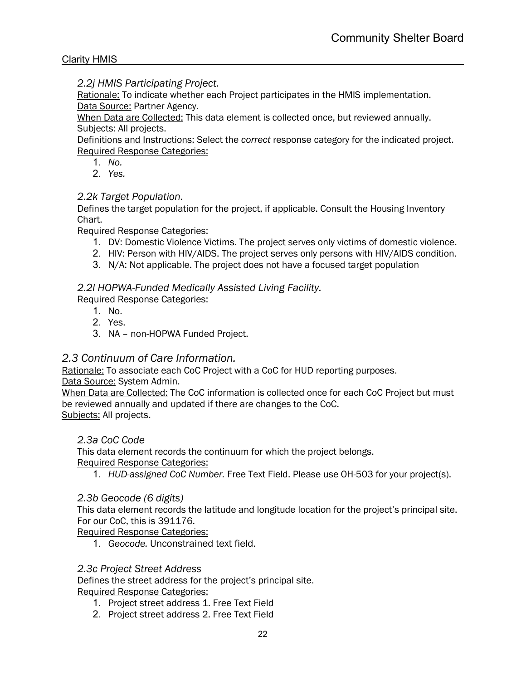*2.2j HMIS Participating Project.*

Rationale: To indicate whether each Project participates in the HMIS implementation. Data Source: Partner Agency.

When Data are Collected: This data element is collected once, but reviewed annually. Subjects: All projects.

Definitions and Instructions: Select the *correct* response category for the indicated project. Required Response Categories:

- 1. *No.*
- 2. *Yes.*

# *2.2k Target Population.*

Defines the target population for the project, if applicable. Consult the Housing Inventory Chart.

Required Response Categories:

- 1. DV: Domestic Violence Victims. The project serves only victims of domestic violence.
- 2. HIV: Person with HIV/AIDS. The project serves only persons with HIV/AIDS condition.
- 3. N/A: Not applicable. The project does not have a focused target population

# *2.2l HOPWA-Funded Medically Assisted Living Facility.*

Required Response Categories:

- 1. No.
- 2. Yes.
- 3. NA non-HOPWA Funded Project.

# *2.3 Continuum of Care Information.*

Rationale: To associate each CoC Project with a CoC for HUD reporting purposes. Data Source: System Admin.

When Data are Collected: The CoC information is collected once for each CoC Project but must be reviewed annually and updated if there are changes to the CoC. Subjects: All projects.

# *2.3a CoC Code*

This data element records the continuum for which the project belongs. Required Response Categories:

1. *HUD-assigned CoC Number.* Free Text Field. Please use OH-503 for your project(s).

# *2.3b Geocode (6 digits)*

This data element records the latitude and longitude location for the project's principal site. For our CoC, this is 391176.

Required Response Categories:

1. *Geocode.* Unconstrained text field.

#### *2.3c Project Street Address*

Defines the street address for the project's principal site.

- 1. Project street address 1. Free Text Field
- 2. Project street address 2. Free Text Field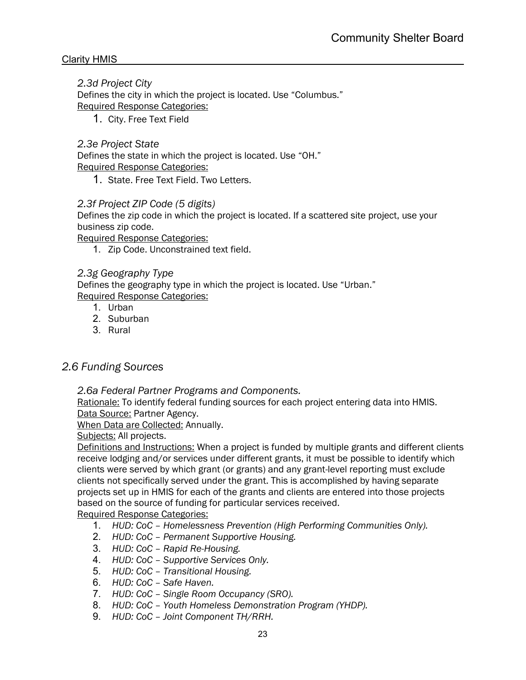# *2.3d Project City*

Defines the city in which the project is located. Use "Columbus." Required Response Categories:

1. City. Free Text Field

# *2.3e Project State*

Defines the state in which the project is located. Use "OH." Required Response Categories:

1. State. Free Text Field. Two Letters.

### *2.3f Project ZIP Code (5 digits)*

Defines the zip code in which the project is located. If a scattered site project, use your business zip code.

Required Response Categories:

1. Zip Code. Unconstrained text field.

# *2.3g Geography Type*

Defines the geography type in which the project is located. Use "Urban." Required Response Categories:

- 1. Urban
- 2. Suburban
- 3. Rural

# *2.6 Funding Sources*

*2.6a Federal Partner Programs and Components.*

Rationale: To identify federal funding sources for each project entering data into HMIS. Data Source: Partner Agency.

When Data are Collected: Annually.

Subjects: All projects.

Definitions and Instructions: When a project is funded by multiple grants and different clients receive lodging and/or services under different grants, it must be possible to identify which clients were served by which grant (or grants) and any grant-level reporting must exclude clients not specifically served under the grant. This is accomplished by having separate projects set up in HMIS for each of the grants and clients are entered into those projects based on the source of funding for particular services received.

- 1. *HUD: CoC – Homelessness Prevention (High Performing Communities Only).*
- 2. *HUD: CoC – Permanent Supportive Housing.*
- 3. *HUD: CoC – Rapid Re-Housing.*
- 4. *HUD: CoC – Supportive Services Only.*
- 5. *HUD: CoC – Transitional Housing.*
- 6. *HUD: CoC – Safe Haven.*
- 7. *HUD: CoC – Single Room Occupancy (SRO).*
- 8. *HUD: CoC – Youth Homeless Demonstration Program (YHDP).*
- 9. *HUD: CoC – Joint Component TH/RRH.*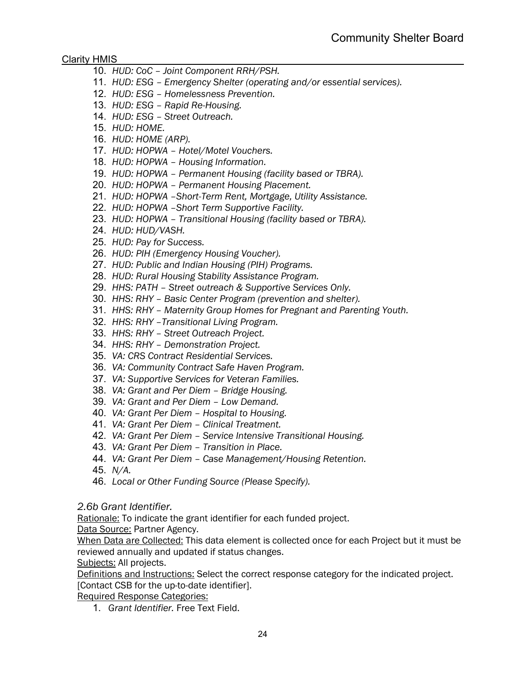- 10. *HUD: CoC – Joint Component RRH/PSH.*
- 11. *HUD: ESG – Emergency Shelter (operating and/or essential services).*
- 12. *HUD: ESG – Homelessness Prevention.*
- 13. *HUD: ESG – Rapid Re-Housing.*
- 14. *HUD: ESG – Street Outreach.*
- 15. *HUD: HOME.*
- 16. *HUD: HOME (ARP).*
- 17. *HUD: HOPWA – Hotel/Motel Vouchers.*
- 18. *HUD: HOPWA – Housing Information.*
- 19. *HUD: HOPWA – Permanent Housing (facility based or TBRA).*
- 20. *HUD: HOPWA – Permanent Housing Placement.*
- 21. *HUD: HOPWA –Short-Term Rent, Mortgage, Utility Assistance.*
- 22. *HUD: HOPWA –Short Term Supportive Facility.*
- 23. *HUD: HOPWA – Transitional Housing (facility based or TBRA).*
- 24. *HUD: HUD/VASH.*
- 25. *HUD: Pay for Success.*
- 26. *HUD: PIH (Emergency Housing Voucher).*
- 27. *HUD: Public and Indian Housing (PIH) Programs.*
- 28. *HUD: Rural Housing Stability Assistance Program.*
- 29. *HHS: PATH – Street outreach & Supportive Services Only.*
- 30. *HHS: RHY – Basic Center Program (prevention and shelter).*
- 31. *HHS: RHY – Maternity Group Homes for Pregnant and Parenting Youth.*
- 32. *HHS: RHY –Transitional Living Program.*
- 33. *HHS: RHY – Street Outreach Project.*
- 34. *HHS: RHY – Demonstration Project.*
- 35. *VA: CRS Contract Residential Services.*
- 36. *VA: Community Contract Safe Haven Program.*
- 37. *VA: Supportive Services for Veteran Families.*
- 38. *VA: Grant and Per Diem – Bridge Housing.*
- 39. *VA: Grant and Per Diem – Low Demand.*
- 40. *VA: Grant Per Diem – Hospital to Housing.*
- 41. *VA: Grant Per Diem – Clinical Treatment.*
- 42. *VA: Grant Per Diem – Service Intensive Transitional Housing.*
- 43. *VA: Grant Per Diem – Transition in Place.*
- 44. *VA: Grant Per Diem – Case Management/Housing Retention.*
- 45. *N/A.*
- 46. *Local or Other Funding Source (Please Specify).*

#### *2.6b Grant Identifier.*

Rationale: To indicate the grant identifier for each funded project.

Data Source: Partner Agency.

When Data are Collected: This data element is collected once for each Project but it must be reviewed annually and updated if status changes.

Subjects: All projects.

Definitions and Instructions: Select the correct response category for the indicated project. [Contact CSB for the up-to-date identifier].

Required Response Categories:

1. *Grant Identifier.* Free Text Field.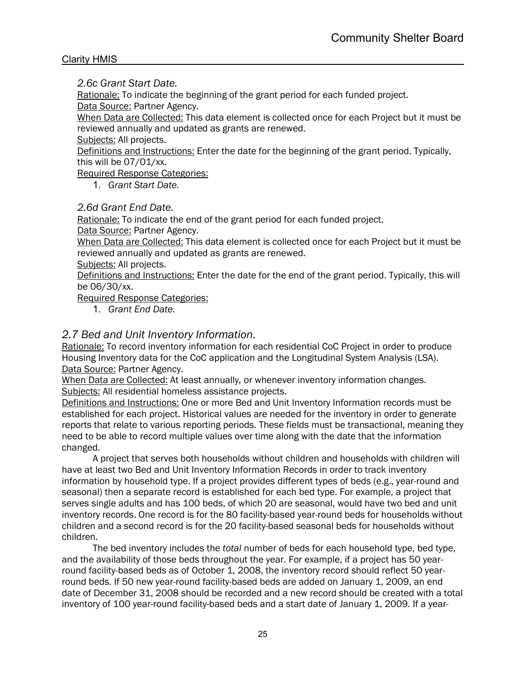### *2.6c Grant Start Date.*

Rationale: To indicate the beginning of the grant period for each funded project. Data Source: Partner Agency.

When Data are Collected: This data element is collected once for each Project but it must be reviewed annually and updated as grants are renewed.

Subjects: All projects.

Definitions and Instructions: Enter the date for the beginning of the grant period. Typically, this will be 07/01/xx.

Required Response Categories:

1. *Grant Start Date.*

# *2.6d Grant End Date.*

Rationale: To indicate the end of the grant period for each funded project. Data Source: Partner Agency.

When Data are Collected: This data element is collected once for each Project but it must be reviewed annually and updated as grants are renewed.

Subjects: All projects.

Definitions and Instructions: Enter the date for the end of the grant period. Typically, this will be 06/30/xx.

Required Response Categories:

1. *Grant End Date.*

# *2.7 Bed and Unit Inventory Information.*

Rationale: To record inventory information for each residential CoC Project in order to produce Housing Inventory data for the CoC application and the Longitudinal System Analysis (LSA). Data Source: Partner Agency.

When Data are Collected: At least annually*,* or whenever inventory information changes. Subjects: All residential homeless assistance projects.

Definitions and Instructions: One or more Bed and Unit Inventory Information records must be established for each project. Historical values are needed for the inventory in order to generate reports that relate to various reporting periods. These fields must be transactional, meaning they need to be able to record multiple values over time along with the date that the information changed.

A project that serves both households without children and households with children will have at least two Bed and Unit Inventory Information Records in order to track inventory information by household type. If a project provides different types of beds (e.g., year-round and seasonal) then a separate record is established for each bed type. For example, a project that serves single adults and has 100 beds, of which 20 are seasonal, would have two bed and unit inventory records. One record is for the 80 facility-based year-round beds for households without children and a second record is for the 20 facility-based seasonal beds for households without children.

The bed inventory includes the *total* number of beds for each household type, bed type, and the availability of those beds throughout the year. For example, if a project has 50 yearround facility-based beds as of October 1, 2008, the inventory record should reflect 50 yearround beds. If 50 new year-round facility-based beds are added on January 1, 2009, an end date of December 31, 2008 should be recorded and a new record should be created with a total inventory of 100 year-round facility-based beds and a start date of January 1, 2009. If a year-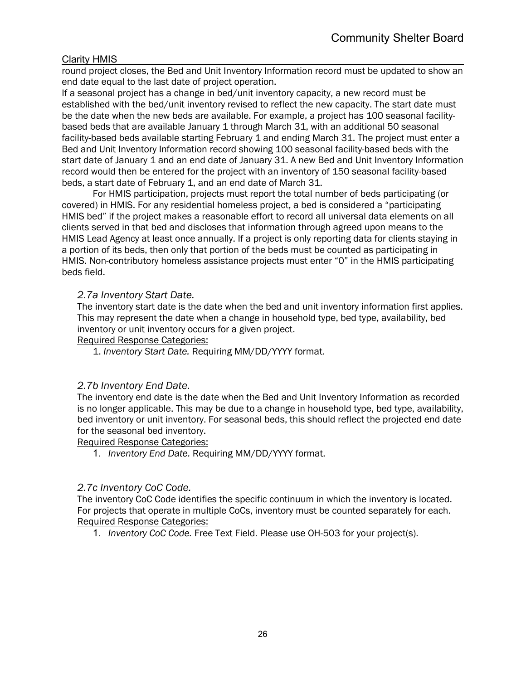round project closes, the Bed and Unit Inventory Information record must be updated to show an end date equal to the last date of project operation.

If a seasonal project has a change in bed/unit inventory capacity, a new record must be established with the bed/unit inventory revised to reflect the new capacity. The start date must be the date when the new beds are available. For example, a project has 100 seasonal facilitybased beds that are available January 1 through March 31, with an additional 50 seasonal facility-based beds available starting February 1 and ending March 31. The project must enter a Bed and Unit Inventory Information record showing 100 seasonal facility-based beds with the start date of January 1 and an end date of January 31. A new Bed and Unit Inventory Information record would then be entered for the project with an inventory of 150 seasonal facility-based beds, a start date of February 1, and an end date of March 31.

For HMIS participation, projects must report the total number of beds participating (or covered) in HMIS. For any residential homeless project, a bed is considered a "participating HMIS bed" if the project makes a reasonable effort to record all universal data elements on all clients served in that bed and discloses that information through agreed upon means to the HMIS Lead Agency at least once annually. If a project is only reporting data for clients staying in a portion of its beds, then only that portion of the beds must be counted as participating in HMIS. Non-contributory homeless assistance projects must enter "0" in the HMIS participating beds field.

### *2.7a Inventory Start Date.*

The inventory start date is the date when the bed and unit inventory information first applies. This may represent the date when a change in household type, bed type, availability, bed inventory or unit inventory occurs for a given project.

Required Response Categories:

1. *Inventory Start Date.* Requiring MM/DD/YYYY format.

#### *2.7b Inventory End Date.*

The inventory end date is the date when the Bed and Unit Inventory Information as recorded is no longer applicable. This may be due to a change in household type, bed type, availability, bed inventory or unit inventory. For seasonal beds, this should reflect the projected end date for the seasonal bed inventory.

Required Response Categories:

1. *Inventory End Date.* Requiring MM/DD/YYYY format.

#### *2.7c Inventory CoC Code.*

The inventory CoC Code identifies the specific continuum in which the inventory is located. For projects that operate in multiple CoCs, inventory must be counted separately for each. Required Response Categories:

1. *Inventory CoC Code.* Free Text Field. Please use OH-503 for your project(s).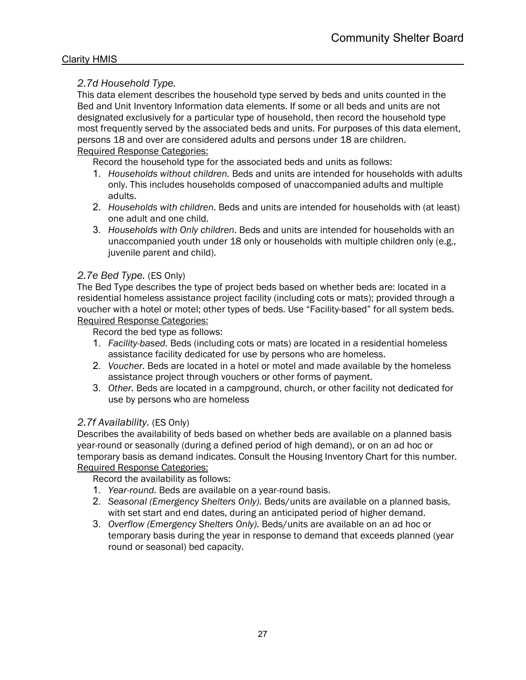# *2.7d Household Type.*

This data element describes the household type served by beds and units counted in the Bed and Unit Inventory Information data elements. If some or all beds and units are not designated exclusively for a particular type of household, then record the household type most frequently served by the associated beds and units. For purposes of this data element, persons 18 and over are considered adults and persons under 18 are children. Required Response Categories:

Record the household type for the associated beds and units as follows:

- 1. *Households without children.* Beds and units are intended for households with adults only. This includes households composed of unaccompanied adults and multiple adults.
- 2. *Households with children*. Beds and units are intended for households with (at least) one adult and one child.
- 3. *Households with Only children*. Beds and units are intended for households with an unaccompanied youth under 18 only or households with multiple children only (e.g., juvenile parent and child).

# *2.7e Bed Type.* (ES Only)

The Bed Type describes the type of project beds based on whether beds are: located in a residential homeless assistance project facility (including cots or mats); provided through a voucher with a hotel or motel; other types of beds. Use "Facility-based" for all system beds. Required Response Categories:

Record the bed type as follows:

- 1. *Facility-based.* Beds (including cots or mats) are located in a residential homeless assistance facility dedicated for use by persons who are homeless.
- 2. *Voucher.* Beds are located in a hotel or motel and made available by the homeless assistance project through vouchers or other forms of payment.
- 3. *Other.* Beds are located in a campground, church, or other facility not dedicated for use by persons who are homeless

# *2.7f Availability.* (ES Only)

Describes the availability of beds based on whether beds are available on a planned basis year-round or seasonally (during a defined period of high demand), or on an ad hoc or temporary basis as demand indicates. Consult the Housing Inventory Chart for this number. Required Response Categories:

Record the availability as follows:

- 1. *Year-round.* Beds are available on a year-round basis.
- 2. *Seasonal (Emergency Shelters Only).* Beds/units are available on a planned basis, with set start and end dates, during an anticipated period of higher demand.
- 3. *Overflow (Emergency Shelters Only).* Beds/units are available on an ad hoc or temporary basis during the year in response to demand that exceeds planned (year round or seasonal) bed capacity.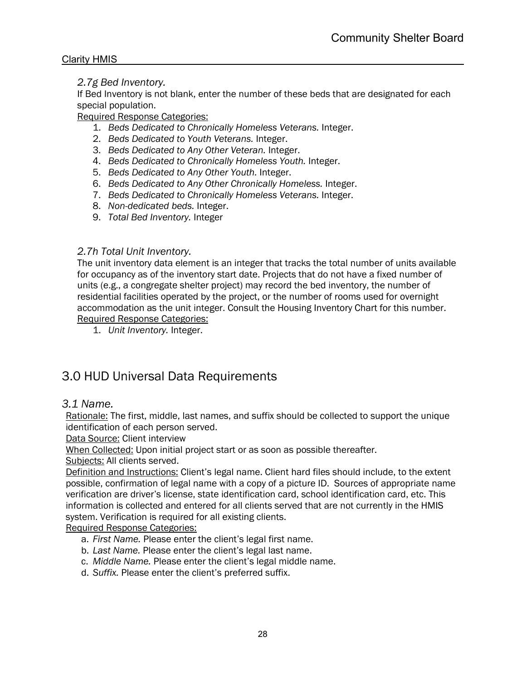# *2.7g Bed Inventory.*

If Bed Inventory is not blank, enter the number of these beds that are designated for each special population.

Required Response Categories:

- 1. *Beds Dedicated to Chronically Homeless Veterans.* Integer.
- 2. *Beds Dedicated to Youth Veterans.* Integer.
- 3. *Beds Dedicated to Any Other Veteran.* Integer.
- 4. *Beds Dedicated to Chronically Homeless Youth.* Integer.
- 5. *Beds Dedicated to Any Other Youth.* Integer.
- 6. *Beds Dedicated to Any Other Chronically Homeless.* Integer.
- 7. *Beds Dedicated to Chronically Homeless Veterans.* Integer.
- 8. *Non-dedicated beds.* Integer.
- 9. *Total Bed Inventory.* Integer

# *2.7h Total Unit Inventory.*

The unit inventory data element is an integer that tracks the total number of units available for occupancy as of the inventory start date. Projects that do not have a fixed number of units (e.g., a congregate shelter project) may record the bed inventory, the number of residential facilities operated by the project, or the number of rooms used for overnight accommodation as the unit integer. Consult the Housing Inventory Chart for this number. Required Response Categories:

1. *Unit Inventory.* Integer.

# <span id="page-27-0"></span>3.0 HUD Universal Data Requirements

# *3.1 Name.*

Rationale: The first, middle, last names, and suffix should be collected to support the unique identification of each person served.

Data Source: Client interview

When Collected: Upon initial project start or as soon as possible thereafter.

Subjects: All clients served.

Definition and Instructions: Client's legal name. Client hard files should include, to the extent possible, confirmation of legal name with a copy of a picture ID. Sources of appropriate name verification are driver's license, state identification card, school identification card, etc. This information is collected and entered for all clients served that are not currently in the HMIS system. Verification is required for all existing clients.

- a. *First Name.* Please enter the client's legal first name.
- b. *Last Name.* Please enter the client's legal last name.
- c. *Middle Name.* Please enter the client's legal middle name.
- d. *Suffix.* Please enter the client's preferred suffix.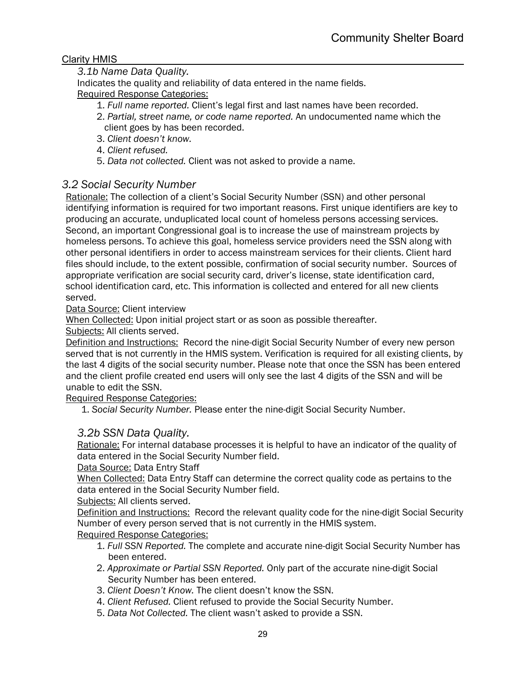# *3.1b Name Data Quality.*

Indicates the quality and reliability of data entered in the name fields. Required Response Categories:

- 1. *Full name reported.* Client's legal first and last names have been recorded.
- 2. *Partial, street name, or code name reported.* An undocumented name which the client goes by has been recorded.
- 3. *Client doesn't know.*
- 4. *Client refused.*
- 5. *Data not collected.* Client was not asked to provide a name.

# *3.2 Social Security Number*

Rationale: The collection of a client's Social Security Number (SSN) and other personal identifying information is required for two important reasons. First unique identifiers are key to producing an accurate, unduplicated local count of homeless persons accessing services. Second, an important Congressional goal is to increase the use of mainstream projects by homeless persons. To achieve this goal, homeless service providers need the SSN along with other personal identifiers in order to access mainstream services for their clients. Client hard files should include, to the extent possible, confirmation of social security number. Sources of appropriate verification are social security card, driver's license, state identification card, school identification card, etc. This information is collected and entered for all new clients served.

### Data Source: Client interview

When Collected: Upon initial project start or as soon as possible thereafter.

Subjects: All clients served.

Definition and Instructions: Record the nine-digit Social Security Number of every new person served that is not currently in the HMIS system. Verification is required for all existing clients, by the last 4 digits of the social security number. Please note that once the SSN has been entered and the client profile created end users will only see the last 4 digits of the SSN and will be unable to edit the SSN.

Required Response Categories:

1. *Social Security Number.* Please enter the nine-digit Social Security Number.

# *3.2b SSN Data Quality.*

Rationale: For internal database processes it is helpful to have an indicator of the quality of data entered in the Social Security Number field.

Data Source: Data Entry Staff

When Collected: Data Entry Staff can determine the correct quality code as pertains to the data entered in the Social Security Number field.

Subjects: All clients served.

Definition and Instructions: Record the relevant quality code for the nine-digit Social Security Number of every person served that is not currently in the HMIS system.

- 1. *Full SSN Reported.* The complete and accurate nine-digit Social Security Number has been entered.
- 2. *Approximate or Partial SSN Reported.* Only part of the accurate nine-digit Social Security Number has been entered.
- 3. *Client Doesn't Know.* The client doesn't know the SSN.
- 4. *Client Refused.* Client refused to provide the Social Security Number.
- 5. *Data Not Collected.* The client wasn't asked to provide a SSN.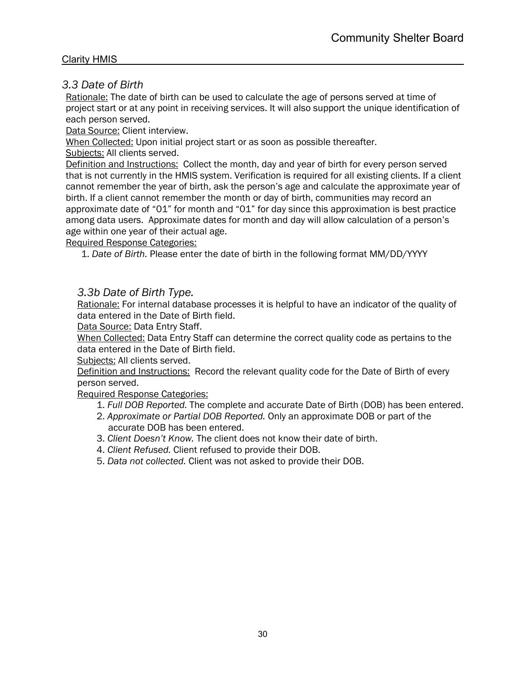# *3.3 Date of Birth*

Rationale: The date of birth can be used to calculate the age of persons served at time of project start or at any point in receiving services. It will also support the unique identification of each person served.

Data Source: Client interview.

When Collected: Upon initial project start or as soon as possible thereafter.

Subjects: All clients served.

Definition and Instructions: Collect the month, day and year of birth for every person served that is not currently in the HMIS system. Verification is required for all existing clients. If a client cannot remember the year of birth, ask the person's age and calculate the approximate year of birth. If a client cannot remember the month or day of birth, communities may record an approximate date of "01" for month and "01" for day since this approximation is best practice among data users. Approximate dates for month and day will allow calculation of a person's age within one year of their actual age.

Required Response Categories:

1. *Date of Birth.* Please enter the date of birth in the following format MM/DD/YYYY

# *3.3b Date of Birth Type.*

Rationale: For internal database processes it is helpful to have an indicator of the quality of data entered in the Date of Birth field.

Data Source: Data Entry Staff.

When Collected: Data Entry Staff can determine the correct quality code as pertains to the data entered in the Date of Birth field.

Subjects: All clients served.

Definition and Instructions: Record the relevant quality code for the Date of Birth of every person served.

- 1. *Full DOB Reported.* The complete and accurate Date of Birth (DOB) has been entered.
- 2. *Approximate or Partial DOB Reported.* Only an approximate DOB or part of the accurate DOB has been entered.
- 3. *Client Doesn't Know.* The client does not know their date of birth.
- 4. *Client Refused.* Client refused to provide their DOB.
- 5. *Data not collected.* Client was not asked to provide their DOB.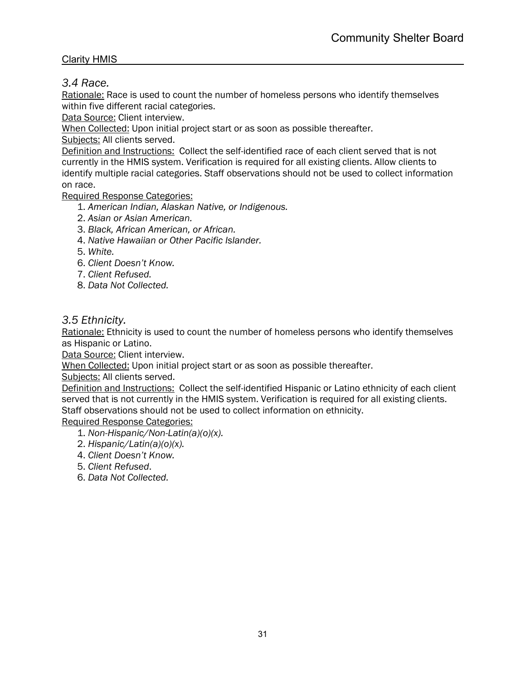# *3.4 Race.*

Rationale: Race is used to count the number of homeless persons who identify themselves within five different racial categories.

Data Source: Client interview.

When Collected: Upon initial project start or as soon as possible thereafter.

Subjects: All clients served.

Definition and Instructions: Collect the self-identified race of each client served that is not currently in the HMIS system. Verification is required for all existing clients. Allow clients to identify multiple racial categories. Staff observations should not be used to collect information on race.

Required Response Categories:

- 1. *American Indian, Alaskan Native, or Indigenous.*
- 2. *Asian or Asian American.*
- 3. *Black, African American, or African.*
- 4. *Native Hawaiian or Other Pacific Islander.*
- 5. *White.*
- 6. *Client Doesn't Know.*
- 7. *Client Refused.*
- 8. *Data Not Collected.*

# *3.5 Ethnicity.*

Rationale: Ethnicity is used to count the number of homeless persons who identify themselves as Hispanic or Latino.

Data Source: Client interview.

When Collected: Upon initial project start or as soon as possible thereafter.

Subjects: All clients served.

Definition and Instructions: Collect the self-identified Hispanic or Latino ethnicity of each client served that is not currently in the HMIS system. Verification is required for all existing clients. Staff observations should not be used to collect information on ethnicity.

- 1. *Non-Hispanic/Non-Latin(a)(o)(x).*
- 2. *Hispanic/Latin(a)(o)(x).*
- 4. *Client Doesn't Know.*
- 5. *Client Refused*.
- 6. *Data Not Collected.*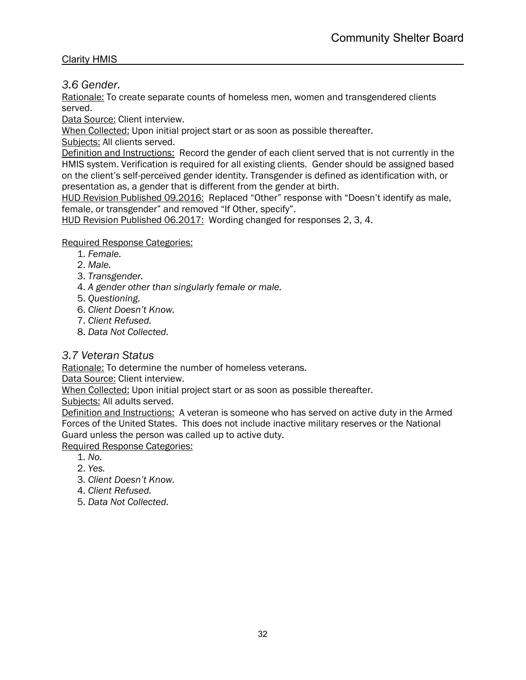*3.6 Gender.*

Rationale: To create separate counts of homeless men, women and transgendered clients served.

Data Source: Client interview.

When Collected: Upon initial project start or as soon as possible thereafter.

Subjects: All clients served.

Definition and Instructions: Record the gender of each client served that is not currently in the HMIS system. Verification is required for all existing clients. Gender should be assigned based on the client's self-perceived gender identity. Transgender is defined as identification with, or presentation as, a gender that is different from the gender at birth.

HUD Revision Published 09.2016: Replaced "Other" response with "Doesn't identify as male, female, or transgender" and removed "If Other, specify".

HUD Revision Published 06.2017: Wording changed for responses 2, 3, 4.

#### Required Response Categories:

- 1. *Female.*
- 2. *Male.*
- 3. *Transgender.*
- 4. *A gender other than singularly female or male.*
- 5. *Questioning.*
- 6. *Client Doesn't Know.*
- 7. *Client Refused.*
- 8. *Data Not Collected.*

# *3.7 Veteran Status*

Rationale: To determine the number of homeless veterans.

Data Source: Client interview.

When Collected: Upon initial project start or as soon as possible thereafter.

Subjects: All adults served.

Definition and Instructions: A veteran is someone who has served on active duty in the Armed Forces of the United States. This does not include inactive military reserves or the National Guard unless the person was called up to active duty.

- 1. *No.*
- 2. *Yes.*
- 3. *Client Doesn't Know.*
- 4. *Client Refused.*
- 5. *Data Not Collected.*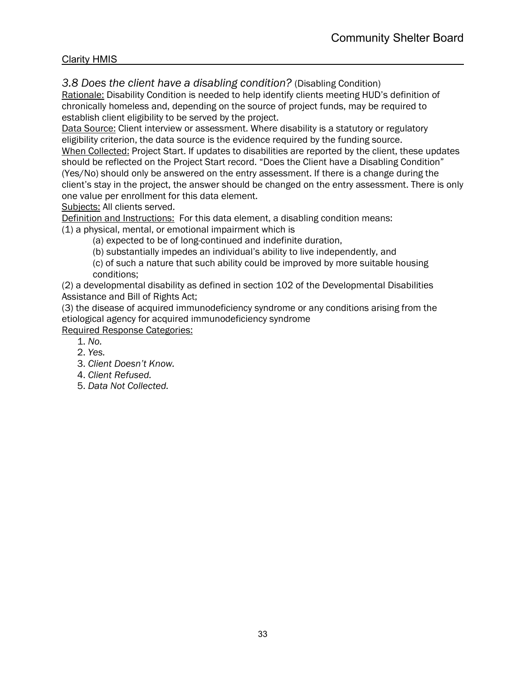*3.8 Does the client have a disabling condition?* (Disabling Condition)

Rationale: Disability Condition is needed to help identify clients meeting HUD's definition of chronically homeless and, depending on the source of project funds, may be required to establish client eligibility to be served by the project.

Data Source: Client interview or assessment. Where disability is a statutory or regulatory eligibility criterion, the data source is the evidence required by the funding source. When Collected: Project Start. If updates to disabilities are reported by the client, these updates should be reflected on the Project Start record. "Does the Client have a Disabling Condition"

(Yes/No) should only be answered on the entry assessment. If there is a change during the client's stay in the project, the answer should be changed on the entry assessment. There is only one value per enrollment for this data element.

Subjects: All clients served.

Definition and Instructions: For this data element, a disabling condition means: (1) a physical, mental, or emotional impairment which is

(a) expected to be of long-continued and indefinite duration,

(b) substantially impedes an individual's ability to live independently, and

(c) of such a nature that such ability could be improved by more suitable housing conditions;

(2) a developmental disability as defined in section 102 of the Developmental Disabilities Assistance and Bill of Rights Act;

(3) the disease of acquired immunodeficiency syndrome or any conditions arising from the etiological agency for acquired immunodeficiency syndrome

- 1. *No.*
- 2. *Yes.*
- 3. *Client Doesn't Know.*
- 4. *Client Refused.*
- 5. *Data Not Collected.*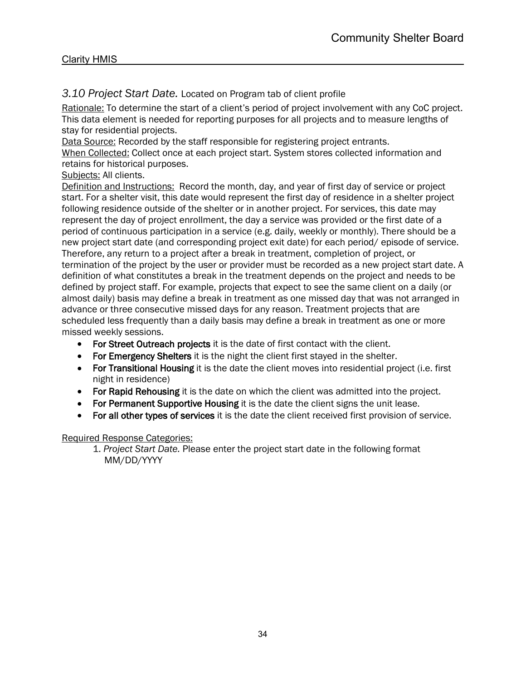# *3.10 Project Start Date.* Located on Program tab of client profile

Rationale: To determine the start of a client's period of project involvement with any CoC project. This data element is needed for reporting purposes for all projects and to measure lengths of stay for residential projects.

Data Source: Recorded by the staff responsible for registering project entrants.

When Collected: Collect once at each project start. System stores collected information and retains for historical purposes.

# Subjects: All clients.

Definition and Instructions: Record the month, day, and year of first day of service or project start. For a shelter visit, this date would represent the first day of residence in a shelter project following residence outside of the shelter or in another project. For services, this date may represent the day of project enrollment, the day a service was provided or the first date of a period of continuous participation in a service (e.g. daily, weekly or monthly). There should be a new project start date (and corresponding project exit date) for each period/ episode of service. Therefore, any return to a project after a break in treatment, completion of project, or termination of the project by the user or provider must be recorded as a new project start date. A definition of what constitutes a break in the treatment depends on the project and needs to be defined by project staff. For example, projects that expect to see the same client on a daily (or almost daily) basis may define a break in treatment as one missed day that was not arranged in advance or three consecutive missed days for any reason. Treatment projects that are scheduled less frequently than a daily basis may define a break in treatment as one or more missed weekly sessions.

- For Street Outreach projects it is the date of first contact with the client.
- For Emergency Shelters it is the night the client first stayed in the shelter.
- For Transitional Housing it is the date the client moves into residential project (i.e. first night in residence)
- For Rapid Rehousing it is the date on which the client was admitted into the project.
- For Permanent Supportive Housing it is the date the client signs the unit lease.
- For all other types of services it is the date the client received first provision of service.

# Required Response Categories:

1. *Project Start Date.* Please enter the project start date in the following format MM/DD/YYYY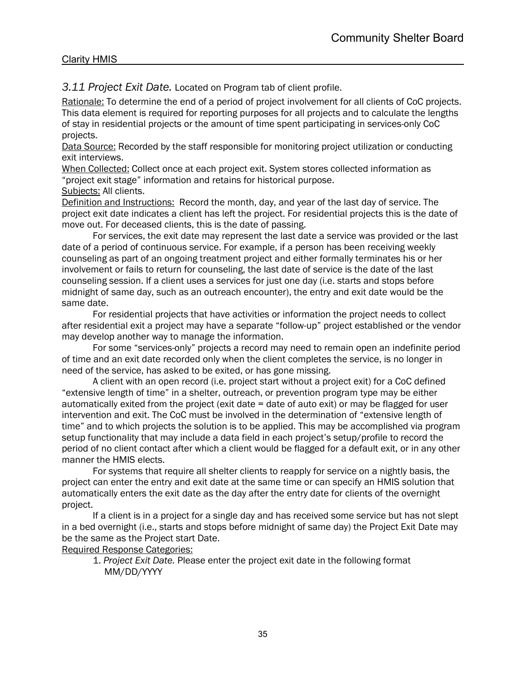*3.11 Project Exit Date.* Located on Program tab of client profile.

Rationale: To determine the end of a period of project involvement for all clients of CoC projects. This data element is required for reporting purposes for all projects and to calculate the lengths of stay in residential projects or the amount of time spent participating in services-only CoC projects.

Data Source: Recorded by the staff responsible for monitoring project utilization or conducting exit interviews.

When Collected: Collect once at each project exit. System stores collected information as "project exit stage" information and retains for historical purpose.

Subjects: All clients.

Definition and Instructions: Record the month, day, and year of the last day of service. The project exit date indicates a client has left the project. For residential projects this is the date of move out. For deceased clients, this is the date of passing.

For services, the exit date may represent the last date a service was provided or the last date of a period of continuous service. For example, if a person has been receiving weekly counseling as part of an ongoing treatment project and either formally terminates his or her involvement or fails to return for counseling, the last date of service is the date of the last counseling session. If a client uses a services for just one day (i.e. starts and stops before midnight of same day, such as an outreach encounter), the entry and exit date would be the same date.

For residential projects that have activities or information the project needs to collect after residential exit a project may have a separate "follow-up" project established or the vendor may develop another way to manage the information.

For some "services-only" projects a record may need to remain open an indefinite period of time and an exit date recorded only when the client completes the service, is no longer in need of the service, has asked to be exited, or has gone missing.

A client with an open record (i.e. project start without a project exit) for a CoC defined "extensive length of time" in a shelter, outreach, or prevention program type may be either automatically exited from the project (exit date = date of auto exit) or may be flagged for user intervention and exit. The CoC must be involved in the determination of "extensive length of time" and to which projects the solution is to be applied. This may be accomplished via program setup functionality that may include a data field in each project's setup/profile to record the period of no client contact after which a client would be flagged for a default exit, or in any other manner the HMIS elects.

For systems that require all shelter clients to reapply for service on a nightly basis, the project can enter the entry and exit date at the same time or can specify an HMIS solution that automatically enters the exit date as the day after the entry date for clients of the overnight project.

If a client is in a project for a single day and has received some service but has not slept in a bed overnight (i.e., starts and stops before midnight of same day) the Project Exit Date may be the same as the Project start Date.

Required Response Categories:

1. *Project Exit Date.* Please enter the project exit date in the following format MM/DD/YYYY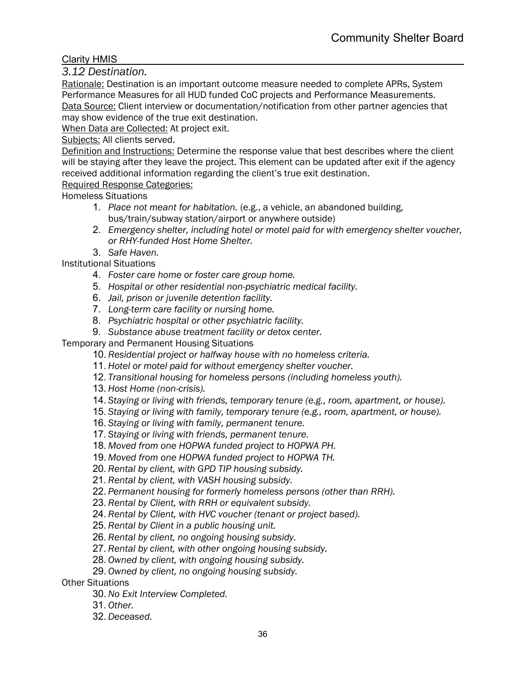*3.12 Destination.*

Rationale: Destination is an important outcome measure needed to complete APRs, System Performance Measures for all HUD funded CoC projects and Performance Measurements. Data Source: Client interview or documentation/notification from other partner agencies that may show evidence of the true exit destination.

When Data are Collected: At project exit.

#### Subjects: All clients served.

Definition and Instructions: Determine the response value that best describes where the client will be staying after they leave the project. This element can be updated after exit if the agency received additional information regarding the client's true exit destination.

#### Required Response Categories:

Homeless Situations

- 1. *Place not meant for habitation.* (e.g., a vehicle, an abandoned building, bus/train/subway station/airport or anywhere outside)
- 2. *Emergency shelter, including hotel or motel paid for with emergency shelter voucher, or RHY-funded Host Home Shelter.*
- 3. *Safe Haven.*

Institutional Situations

- 4. *Foster care home or foster care group home.*
- 5. *Hospital or other residential non-psychiatric medical facility.*
- 6. *Jail, prison or juvenile detention facility.*
- 7. *Long-term care facility or nursing home.*
- 8. *Psychiatric hospital or other psychiatric facility.*
- 9. *Substance abuse treatment facility or detox center.*

Temporary and Permanent Housing Situations

- 10. *Residential project or halfway house with no homeless criteria.*
- 11. *Hotel or motel paid for without emergency shelter voucher.*
- 12. *Transitional housing for homeless persons (including homeless youth).*
- 13. *Host Home (non-crisis).*
- 14. *Staying or living with friends, temporary tenure (e.g., room, apartment, or house).*
- 15. *Staying or living with family, temporary tenure (e.g., room, apartment, or house).*
- 16. *Staying or living with family, permanent tenure.*
- 17. *Staying or living with friends, permanent tenure.*
- 18. *Moved from one HOPWA funded project to HOPWA PH.*
- 19. *Moved from one HOPWA funded project to HOPWA TH.*
- 20. *Rental by client, with GPD TIP housing subsidy.*
- 21. *Rental by client, with VASH housing subsidy.*
- 22. *Permanent housing for formerly homeless persons (other than RRH).*
- 23. *Rental by Client, with RRH or equivalent subsidy.*
- 24. *Rental by Client, with HVC voucher (tenant or project based).*
- 25. *Rental by Client in a public housing unit.*
- 26. *Rental by client, no ongoing housing subsidy.*
- 27. *Rental by client, with other ongoing housing subsidy.*
- 28. *Owned by client, with ongoing housing subsidy.*
- 29. *Owned by client, no ongoing housing subsidy.*

Other Situations

- 30. *No Exit Interview Completed.*
- 31. *Other.*
- 32. *Deceased.*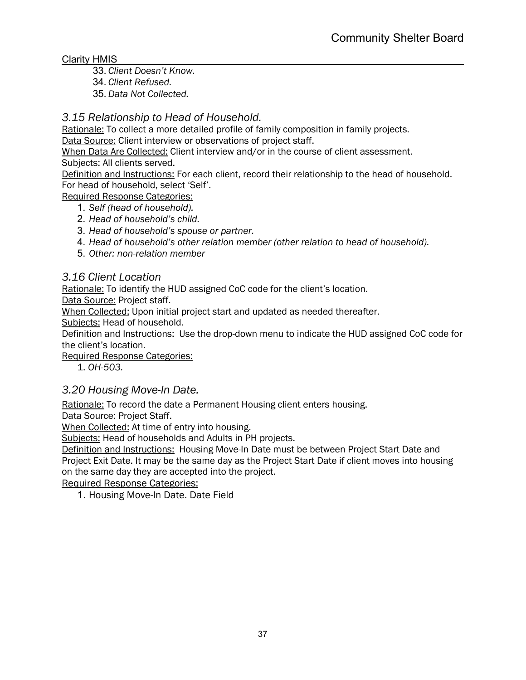- 33. *Client Doesn't Know.*
- 34. *Client Refused.*
- 35. *Data Not Collected.*

## *3.15 Relationship to Head of Household.*

Rationale: To collect a more detailed profile of family composition in family projects. Data Source: Client interview or observations of project staff.

When Data Are Collected: Client interview and/or in the course of client assessment. Subjects: All clients served.

Definition and Instructions: For each client, record their relationship to the head of household. For head of household, select 'Self'.

Required Response Categories:

1. *Self (head of household).*

- 2. *Head of household's child.*
- 3. *Head of household's spouse or partner.*
- 4. *Head of household's other relation member (other relation to head of household).*
- 5. *Other: non-relation member*

## *3.16 Client Location*

Rationale: To identify the HUD assigned CoC code for the client's location.

Data Source: Project staff.

When Collected: Upon initial project start and updated as needed thereafter.

Subjects: Head of household.

Definition and Instructions: Use the drop-down menu to indicate the HUD assigned CoC code for the client's location.

Required Response Categories:

1. *OH-503.*

## *3.20 Housing Move-In Date.*

Rationale: To record the date a Permanent Housing client enters housing.

Data Source: Project Staff.

When Collected: At time of entry into housing.

Subjects: Head of households and Adults in PH projects.

Definition and Instructions: Housing Move-In Date must be between Project Start Date and Project Exit Date. It may be the same day as the Project Start Date if client moves into housing on the same day they are accepted into the project.

Required Response Categories:

1. Housing Move-In Date. Date Field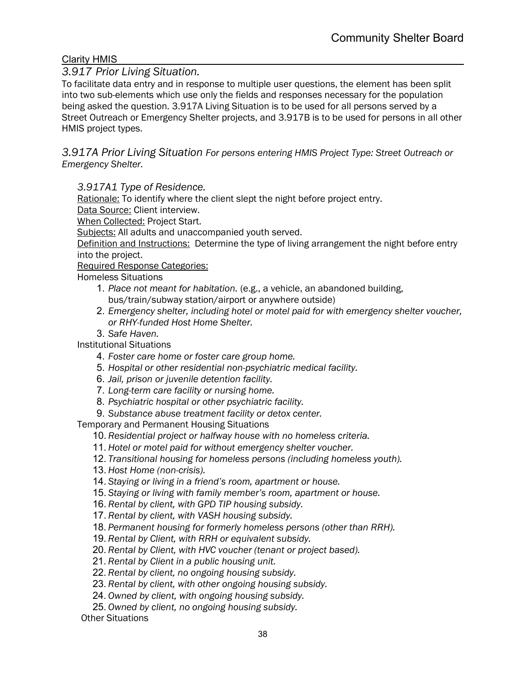## *3.917 Prior Living Situation.*

To facilitate data entry and in response to multiple user questions, the element has been split into two sub-elements which use only the fields and responses necessary for the population being asked the question. 3.917A Living Situation is to be used for all persons served by a Street Outreach or Emergency Shelter projects, and 3.917B is to be used for persons in all other HMIS project types.

*3.917A Prior Living Situation For persons entering HMIS Project Type: Street Outreach or Emergency Shelter.*

*3.917A1 Type of Residence.*

Rationale: To identify where the client slept the night before project entry.

Data Source: Client interview.

When Collected: Project Start.

Subjects: All adults and unaccompanied youth served.

Definition and Instructions: Determine the type of living arrangement the night before entry into the project.

Required Response Categories:

Homeless Situations

- 1. *Place not meant for habitation.* (e.g., a vehicle, an abandoned building, bus/train/subway station/airport or anywhere outside)
- 2. *Emergency shelter, including hotel or motel paid for with emergency shelter voucher, or RHY-funded Host Home Shelter.*
- 3. *Safe Haven.*

Institutional Situations

- 4. *Foster care home or foster care group home.*
- 5. *Hospital or other residential non-psychiatric medical facility.*
- 6. *Jail, prison or juvenile detention facility.*
- 7. *Long-term care facility or nursing home.*
- 8. *Psychiatric hospital or other psychiatric facility.*
- 9. *Substance abuse treatment facility or detox center.*

Temporary and Permanent Housing Situations

10. *Residential project or halfway house with no homeless criteria.*

11. *Hotel or motel paid for without emergency shelter voucher.*

- 12. *Transitional housing for homeless persons (including homeless youth).*
- 13. *Host Home (non-crisis).*
- 14. *Staying or living in a friend's room, apartment or house.*
- 15. *Staying or living with family member's room, apartment or house.*
- 16. *Rental by client, with GPD TIP housing subsidy.*
- 17. *Rental by client, with VASH housing subsidy.*
- 18. *Permanent housing for formerly homeless persons (other than RRH).*
- 19. *Rental by Client, with RRH or equivalent subsidy.*
- 20. *Rental by Client, with HVC voucher (tenant or project based).*
- 21. *Rental by Client in a public housing unit.*
- 22. *Rental by client, no ongoing housing subsidy.*
- 23. *Rental by client, with other ongoing housing subsidy.*
- 24. *Owned by client, with ongoing housing subsidy.*
- 25. *Owned by client, no ongoing housing subsidy.*

Other Situations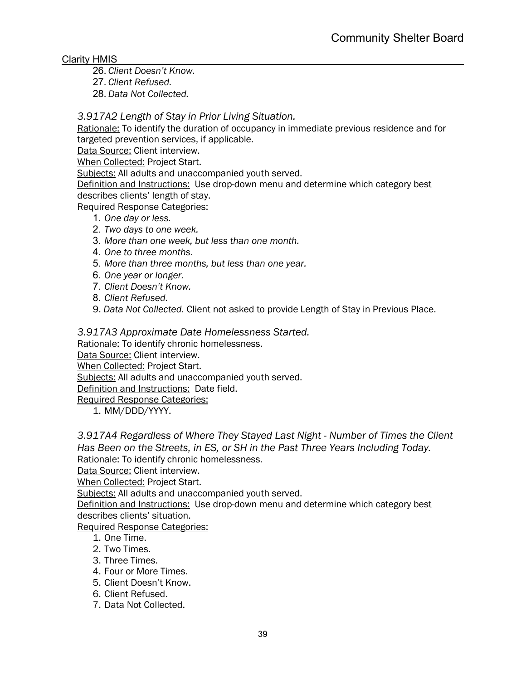26. *Client Doesn't Know.*

27. *Client Refused.*

28. *Data Not Collected.*

## *3.917A2 Length of Stay in Prior Living Situation.*

Rationale: To identify the duration of occupancy in immediate previous residence and for targeted prevention services, if applicable.

Data Source: Client interview.

When Collected: Project Start.

Subjects: All adults and unaccompanied youth served.

Definition and Instructions: Use drop-down menu and determine which category best describes clients' length of stay.

Required Response Categories:

- 1. *One day or less.*
- 2. *Two days to one week.*
- 3. *More than one week, but less than one month.*
- 4. *One to three months*.
- 5. *More than three months, but less than one year.*
- 6. *One year or longer.*
- 7. *Client Doesn't Know.*
- 8. *Client Refused.*
- 9. *Data Not Collected.* Client not asked to provide Length of Stay in Previous Place.

#### *3.917A3 Approximate Date Homelessness Started.*

Rationale: To identify chronic homelessness.

Data Source: Client interview.

When Collected: Project Start.

Subjects: All adults and unaccompanied youth served.

Definition and Instructions: Date field.

Required Response Categories:

1. MM/DDD/YYYY.

*3.917A4 Regardless of Where They Stayed Last Night - Number of Times the Client Has Been on the Streets, in ES, or SH in the Past Three Years Including Today.* Rationale: To identify chronic homelessness.

Data Source: Client interview.

When Collected: Project Start.

Subjects: All adults and unaccompanied youth served.

Definition and Instructions: Use drop-down menu and determine which category best describes clients' situation.

Required Response Categories:

- 1. One Time.
- 2. Two Times.
- 3. Three Times.
- 4. Four or More Times.
- 5. Client Doesn't Know.
- 6. Client Refused.
- 7. Data Not Collected.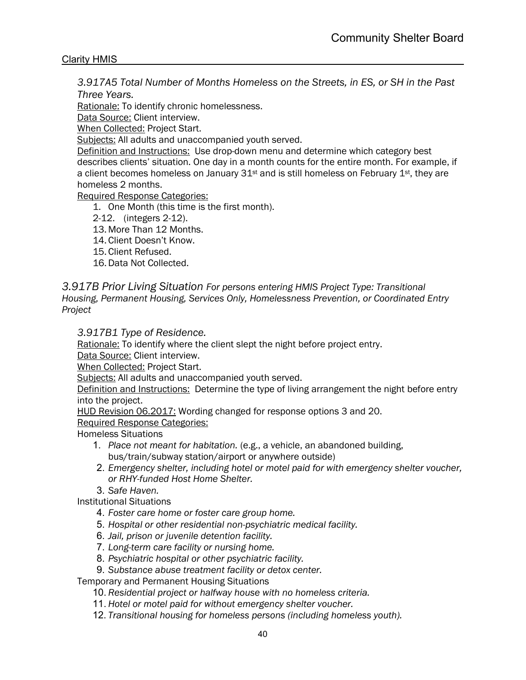*3.917A5 Total Number of Months Homeless on the Streets, in ES, or SH in the Past Three Years.*

Rationale: To identify chronic homelessness.

Data Source: Client interview.

When Collected: Project Start.

Subjects: All adults and unaccompanied youth served.

Definition and Instructions: Use drop-down menu and determine which category best describes clients' situation. One day in a month counts for the entire month. For example, if a client becomes homeless on January  $31<sup>st</sup>$  and is still homeless on February  $1<sup>st</sup>$ , they are homeless 2 months.

Required Response Categories:

1. One Month (this time is the first month).

2-12. (integers 2-12).

13. More Than 12 Months.

14. Client Doesn't Know.

15. Client Refused.

16.Data Not Collected.

#### *3.917B Prior Living Situation For persons entering HMIS Project Type: Transitional Housing, Permanent Housing, Services Only, Homelessness Prevention, or Coordinated Entry Project*

#### *3.917B1 Type of Residence.*

Rationale: To identify where the client slept the night before project entry.

Data Source: Client interview.

When Collected: Project Start.

Subjects: All adults and unaccompanied youth served.

Definition and Instructions: Determine the type of living arrangement the night before entry into the project.

HUD Revision 06.2017: Wording changed for response options 3 and 20.

Required Response Categories:

Homeless Situations

- 1. *Place not meant for habitation.* (e.g., a vehicle, an abandoned building, bus/train/subway station/airport or anywhere outside)
- 2. *Emergency shelter, including hotel or motel paid for with emergency shelter voucher, or RHY-funded Host Home Shelter.*
- 3. *Safe Haven.*

Institutional Situations

4. *Foster care home or foster care group home.*

- 5. *Hospital or other residential non-psychiatric medical facility.*
- 6. *Jail, prison or juvenile detention facility.*
- 7. *Long-term care facility or nursing home.*
- 8. *Psychiatric hospital or other psychiatric facility.*
- 9. *Substance abuse treatment facility or detox center.*

Temporary and Permanent Housing Situations

- 10. *Residential project or halfway house with no homeless criteria.*
- 11. *Hotel or motel paid for without emergency shelter voucher.*
- 12. *Transitional housing for homeless persons (including homeless youth).*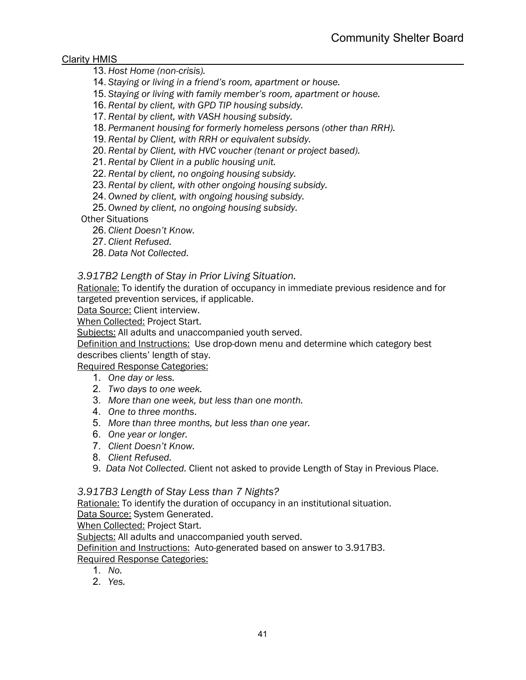13. *Host Home (non-crisis).*

- 14. *Staying or living in a friend's room, apartment or house.*
- 15. *Staying or living with family member's room, apartment or house.*
- 16. *Rental by client, with GPD TIP housing subsidy.*
- 17. *Rental by client, with VASH housing subsidy.*
- 18. *Permanent housing for formerly homeless persons (other than RRH).*
- 19. *Rental by Client, with RRH or equivalent subsidy.*
- 20. *Rental by Client, with HVC voucher (tenant or project based).*
- 21. *Rental by Client in a public housing unit.*
- 22. *Rental by client, no ongoing housing subsidy.*
- 23. *Rental by client, with other ongoing housing subsidy.*
- 24. *Owned by client, with ongoing housing subsidy.*
- 25. *Owned by client, no ongoing housing subsidy.*

Other Situations

- 26. *Client Doesn't Know.*
- 27. *Client Refused.*
- 28. *Data Not Collected.*

#### *3.917B2 Length of Stay in Prior Living Situation.*

Rationale: To identify the duration of occupancy in immediate previous residence and for targeted prevention services, if applicable.

Data Source: Client interview.

When Collected: Project Start.

Subjects: All adults and unaccompanied youth served.

Definition and Instructions: Use drop-down menu and determine which category best describes clients' length of stay.

Required Response Categories:

- 1. *One day or less.*
- 2. *Two days to one week.*
- 3. *More than one week, but less than one month.*
- 4. *One to three months*.
- 5. *More than three months, but less than one year.*
- 6. *One year or longer.*
- 7. *Client Doesn't Know.*
- 8. *Client Refused.*
- 9. *Data Not Collected.* Client not asked to provide Length of Stay in Previous Place.

#### *3.917B3 Length of Stay Less than 7 Nights?*

Rationale: To identify the duration of occupancy in an institutional situation.

Data Source: System Generated.

When Collected: Project Start.

Subjects: All adults and unaccompanied youth served.

Definition and Instructions: Auto-generated based on answer to 3.917B3. Required Response Categories:

- 1. *No.*
- 2. *Yes.*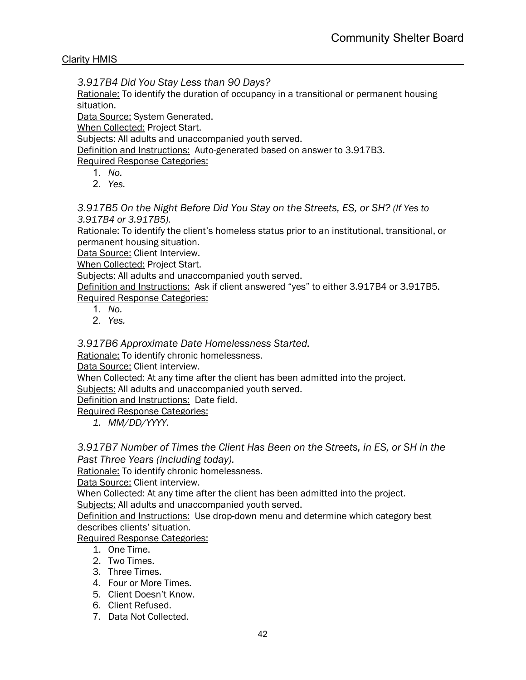*3.917B4 Did You Stay Less than 90 Days?* 

Rationale: To identify the duration of occupancy in a transitional or permanent housing situation.

Data Source: System Generated.

When Collected: Project Start.

Subjects: All adults and unaccompanied youth served.

Definition and Instructions: Auto-generated based on answer to 3.917B3.

Required Response Categories:

- 1. *No.*
- 2. *Yes.*

*3.917B5 On the Night Before Did You Stay on the Streets, ES, or SH? (If Yes to 3.917B4 or 3.917B5).*

Rationale: To identify the client's homeless status prior to an institutional, transitional, or permanent housing situation.

Data Source: Client Interview.

When Collected: Project Start.

Subjects: All adults and unaccompanied youth served.

Definition and Instructions: Ask if client answered "yes" to either 3.917B4 or 3.917B5. Required Response Categories:

- 1. *No.*
- 2. *Yes.*

*3.917B6 Approximate Date Homelessness Started.*

Rationale: To identify chronic homelessness.

Data Source: Client interview.

When Collected: At any time after the client has been admitted into the project.

Subjects: All adults and unaccompanied youth served.

Definition and Instructions: Date field.

Required Response Categories:

*1. MM/DD/YYYY.*

*3.917B7 Number of Times the Client Has Been on the Streets, in ES, or SH in the Past Three Years (including today).*

Rationale: To identify chronic homelessness.

Data Source: Client interview.

When Collected: At any time after the client has been admitted into the project. Subjects: All adults and unaccompanied youth served.

Definition and Instructions: Use drop-down menu and determine which category best describes clients' situation.

Required Response Categories:

- 1. One Time.
- 2. Two Times.
- 3. Three Times.
- 4. Four or More Times.
- 5. Client Doesn't Know.
- 6. Client Refused.
- 7. Data Not Collected.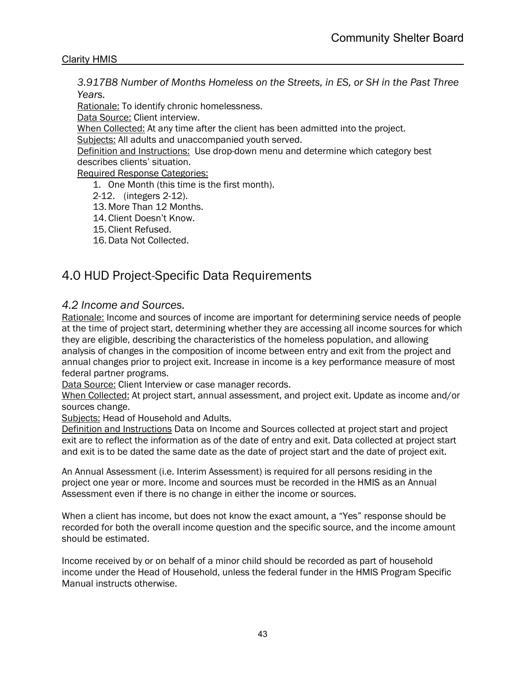*3.917B8 Number of Months Homeless on the Streets, in ES, or SH in the Past Three Years.*

Rationale: To identify chronic homelessness.

Data Source: Client interview.

When Collected: At any time after the client has been admitted into the project.

Subjects: All adults and unaccompanied youth served.

Definition and Instructions: Use drop-down menu and determine which category best describes clients' situation.

Required Response Categories:

1. One Month (this time is the first month).

2-12. (integers 2-12).

13. More Than 12 Months.

- 14. Client Doesn't Know.
- 15. Client Refused.

16.Data Not Collected.

## 4.0 HUD Project-Specific Data Requirements

## *4.2 Income and Sources.*

Rationale: Income and sources of income are important for determining service needs of people at the time of project start, determining whether they are accessing all income sources for which they are eligible, describing the characteristics of the homeless population, and allowing analysis of changes in the composition of income between entry and exit from the project and annual changes prior to project exit. Increase in income is a key performance measure of most federal partner programs.

Data Source: Client Interview or case manager records.

When Collected: At project start, annual assessment, and project exit. Update as income and/or sources change.

Subjects: Head of Household and Adults.

Definition and Instructions Data on Income and Sources collected at project start and project exit are to reflect the information as of the date of entry and exit. Data collected at project start and exit is to be dated the same date as the date of project start and the date of project exit.

An Annual Assessment (i.e. Interim Assessment) is required for all persons residing in the project one year or more. Income and sources must be recorded in the HMIS as an Annual Assessment even if there is no change in either the income or sources.

When a client has income, but does not know the exact amount, a "Yes" response should be recorded for both the overall income question and the specific source, and the income amount should be estimated.

Income received by or on behalf of a minor child should be recorded as part of household income under the Head of Household, unless the federal funder in the HMIS Program Specific Manual instructs otherwise.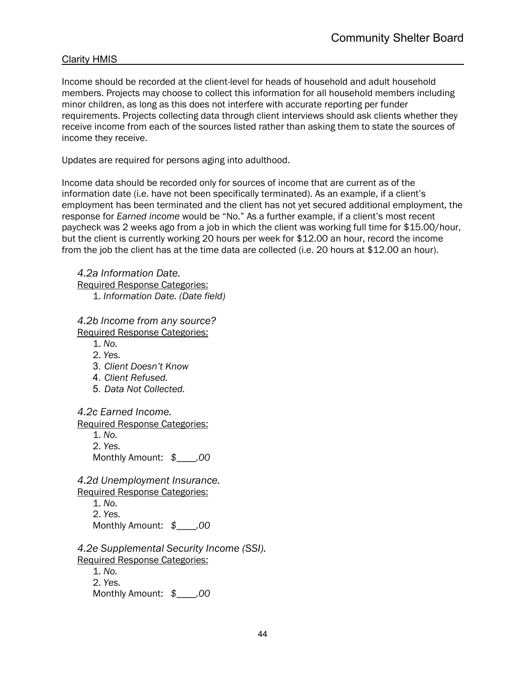Income should be recorded at the client-level for heads of household and adult household members. Projects may choose to collect this information for all household members including minor children, as long as this does not interfere with accurate reporting per funder requirements. Projects collecting data through client interviews should ask clients whether they receive income from each of the sources listed rather than asking them to state the sources of income they receive.

Updates are required for persons aging into adulthood.

Income data should be recorded only for sources of income that are current as of the information date (i.e. have not been specifically terminated). As an example, if a client's employment has been terminated and the client has not yet secured additional employment, the response for *Earned income* would be "No." As a further example, if a client's most recent paycheck was 2 weeks ago from a job in which the client was working full time for \$15.00/hour, but the client is currently working 20 hours per week for \$12.00 an hour, record the income from the job the client has at the time data are collected (i.e. 20 hours at \$12.00 an hour).

*4.2a Information Date.*  Required Response Categories: 1. *Information Date. (Date field)*

*4.2b Income from any source?*  Required Response Categories: 1. *No.*

- 2. *Yes.*
- 3. *Client Doesn't Know*
- 4. *Client Refused.*
- 5. *Data Not Collected.*

*4.2c Earned Income.* 

Required Response Categories:

1. *No.* 2. *Yes.* Monthly Amount: *\$\_\_\_\_.00*

*4.2d Unemployment Insurance.* 

Required Response Categories: 1. *No.* 2. *Yes.* Monthly Amount: *\$\_\_\_\_.00*

*4.2e Supplemental Security Income (SSI).*  Required Response Categories:

1. *No.* 2. *Yes.* Monthly Amount: *\$\_\_\_\_.00*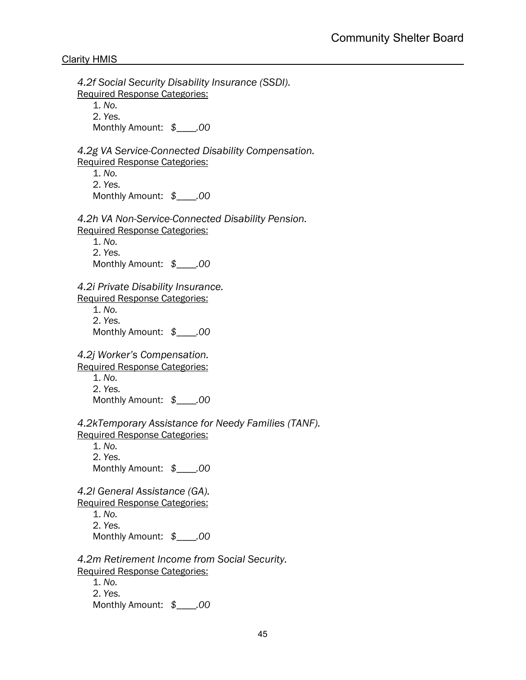*4.2f Social Security Disability Insurance (SSDI).*  Required Response Categories: 1. *No.* 2. *Yes.* Monthly Amount: *\$\_\_\_\_.00 4.2g VA Service-Connected Disability Compensation.*  Required Response Categories: 1. *No.* 2. *Yes.* Monthly Amount: *\$\_\_\_\_.00 4.2h VA Non-Service-Connected Disability Pension.*  Required Response Categories: 1. *No.* 2. *Yes.* Monthly Amount: *\$\_\_\_\_.00 4.2i Private Disability Insurance.*  Required Response Categories: 1. *No.* 2. *Yes.* Monthly Amount: *\$\_\_\_\_.00 4.2j Worker's Compensation.*  Required Response Categories: 1. *No.* 2. *Yes.* Monthly Amount: *\$\_\_\_\_.00 4.2kTemporary Assistance for Needy Families (TANF).* Required Response Categories: 1. *No.* 2. *Yes.* Monthly Amount: *\$\_\_\_\_.00 4.2l General Assistance (GA).*  Required Response Categories: 1. *No.* 2. *Yes.* Monthly Amount: *\$\_\_\_\_.00 4.2m Retirement Income from Social Security.*  Required Response Categories: 1. *No.* 2. *Yes.* Monthly Amount: *\$\_\_\_\_.00*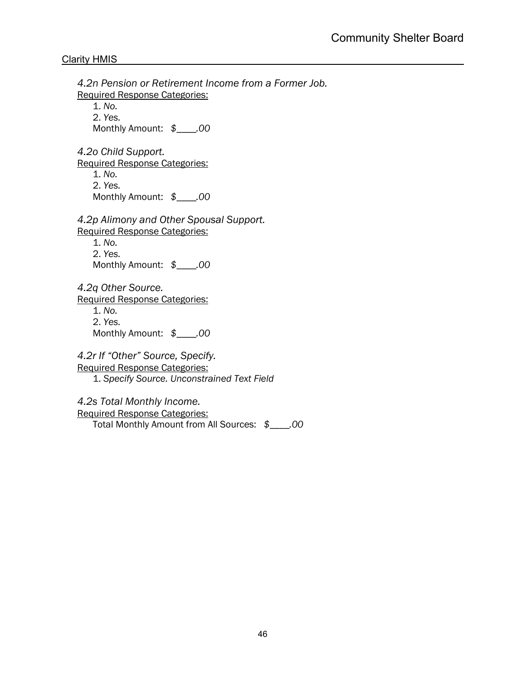*4.2n Pension or Retirement Income from a Former Job.*  Required Response Categories: 1. *No.* 2. *Yes.* Monthly Amount: *\$\_\_\_\_.00 4.2o Child Support.*  Required Response Categories: 1. *No.* 2. *Yes.* Monthly Amount: *\$\_\_\_\_.00 4.2p Alimony and Other Spousal Support.*  Required Response Categories: 1. *No.* 2. *Yes.* Monthly Amount: *\$\_\_\_\_.00 4.2q Other Source.*  Required Response Categories: 1. *No.* 2. *Yes.* Monthly Amount: *\$\_\_\_\_.00 4.2r If "Other" Source, Specify.*  Required Response Categories: 1. *Specify Source. Unconstrained Text Field 4.2s Total Monthly Income.* Required Response Categories: Total Monthly Amount from All Sources: *\$\_\_\_\_.00*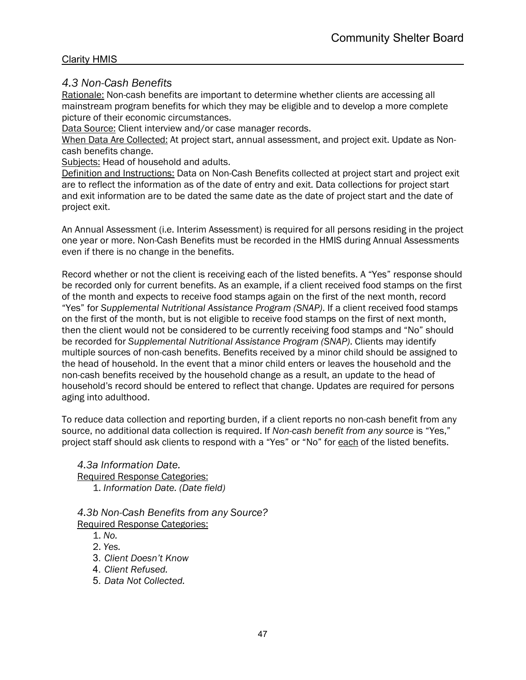## *4.3 Non-Cash Benefits*

Rationale: Non-cash benefits are important to determine whether clients are accessing all mainstream program benefits for which they may be eligible and to develop a more complete picture of their economic circumstances.

Data Source: Client interview and/or case manager records.

When Data Are Collected: At project start, annual assessment, and project exit. Update as Noncash benefits change.

Subjects: Head of household and adults.

Definition and Instructions: Data on Non-Cash Benefits collected at project start and project exit are to reflect the information as of the date of entry and exit. Data collections for project start and exit information are to be dated the same date as the date of project start and the date of project exit.

An Annual Assessment (i.e. Interim Assessment) is required for all persons residing in the project one year or more. Non-Cash Benefits must be recorded in the HMIS during Annual Assessments even if there is no change in the benefits.

Record whether or not the client is receiving each of the listed benefits. A "Yes" response should be recorded only for current benefits. As an example, if a client received food stamps on the first of the month and expects to receive food stamps again on the first of the next month, record "Yes" for *Supplemental Nutritional Assistance Program (SNAP)*. If a client received food stamps on the first of the month, but is not eligible to receive food stamps on the first of next month, then the client would not be considered to be currently receiving food stamps and "No" should be recorded for *Supplemental Nutritional Assistance Program (SNAP)*. Clients may identify multiple sources of non-cash benefits. Benefits received by a minor child should be assigned to the head of household. In the event that a minor child enters or leaves the household and the non-cash benefits received by the household change as a result, an update to the head of household's record should be entered to reflect that change. Updates are required for persons aging into adulthood.

To reduce data collection and reporting burden, if a client reports no non-cash benefit from any source, no additional data collection is required. If *Non-cash benefit from any source* is "Yes," project staff should ask clients to respond with a "Yes" or "No" for each of the listed benefits.

*4.3a Information Date.*  Required Response Categories: 1. *Information Date. (Date field)*

*4.3b Non-Cash Benefits from any Source?*  Required Response Categories:

- 1. *No.*
- 2. *Yes.*
- 3. *Client Doesn't Know*
- 4. *Client Refused.*
- 5. *Data Not Collected.*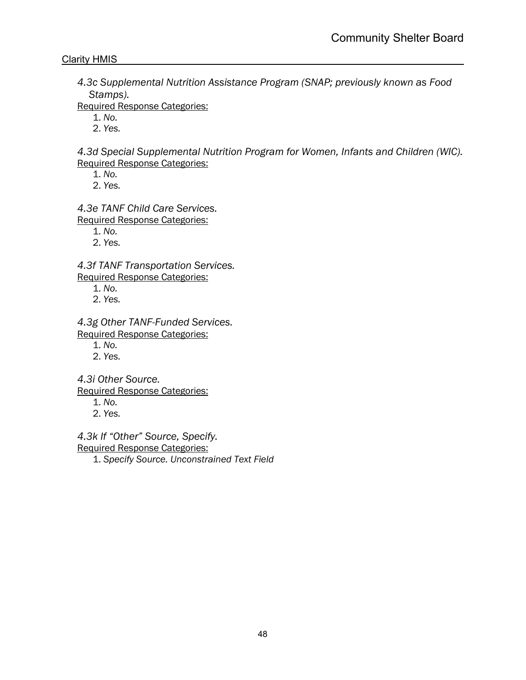*4.3c Supplemental Nutrition Assistance Program (SNAP; previously known as Food Stamps).* 

Required Response Categories:

1. *No.*

2. *Yes.*

*4.3d Special Supplemental Nutrition Program for Women, Infants and Children (WIC).*  Required Response Categories:

1. *No.*

2. *Yes.*

*4.3e TANF Child Care Services.* 

Required Response Categories:

1. *No.*

2. *Yes.*

*4.3f TANF Transportation Services.*  Required Response Categories:

- 1. *No.*
- 2. *Yes.*

*4.3g Other TANF-Funded Services.*  Required Response Categories:

1. *No.*

2. *Yes.*

*4.3i Other Source.* 

Required Response Categories:

- 1. *No.*
- 2. *Yes.*

*4.3k If "Other" Source, Specify.* 

Required Response Categories:

1. *Specify Source. Unconstrained Text Field*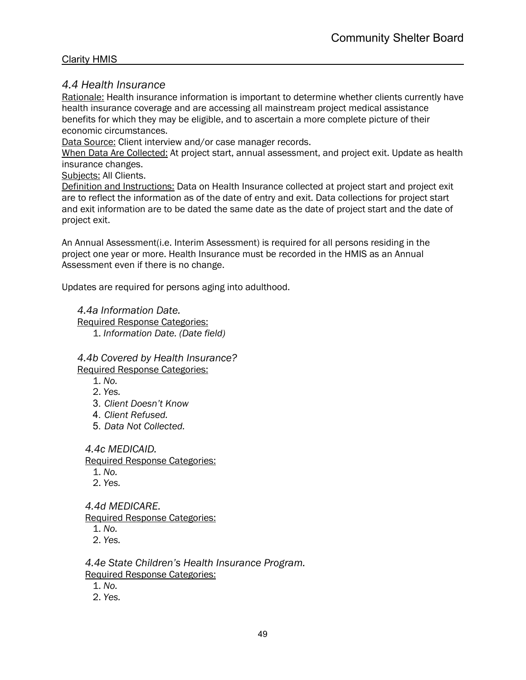## *4.4 Health Insurance*

Rationale: Health insurance information is important to determine whether clients currently have health insurance coverage and are accessing all mainstream project medical assistance benefits for which they may be eligible, and to ascertain a more complete picture of their economic circumstances.

Data Source: Client interview and/or case manager records.

When Data Are Collected: At project start, annual assessment, and project exit. Update as health insurance changes.

Subjects: All Clients.

Definition and Instructions: Data on Health Insurance collected at project start and project exit are to reflect the information as of the date of entry and exit. Data collections for project start and exit information are to be dated the same date as the date of project start and the date of project exit.

An Annual Assessment(i.e. Interim Assessment) is required for all persons residing in the project one year or more. Health Insurance must be recorded in the HMIS as an Annual Assessment even if there is no change.

Updates are required for persons aging into adulthood.

*4.4a Information Date.* Required Response Categories: 1. *Information Date. (Date field)*

*4.4b Covered by Health Insurance?*  Required Response Categories:

- 1. *No.*
- 2. *Yes.*
- 3. *Client Doesn't Know*
- 4. *Client Refused.*
- 5. *Data Not Collected.*

#### *4.4c MEDICAID.*

Required Response Categories:

- 1. *No.*
- 2. *Yes.*

*4.4d MEDICARE.* 

Required Response Categories:

- 1. *No.*
- 2. *Yes.*

*4.4e State Children's Health Insurance Program.*  Required Response Categories:

1. *No.*

2. *Yes.*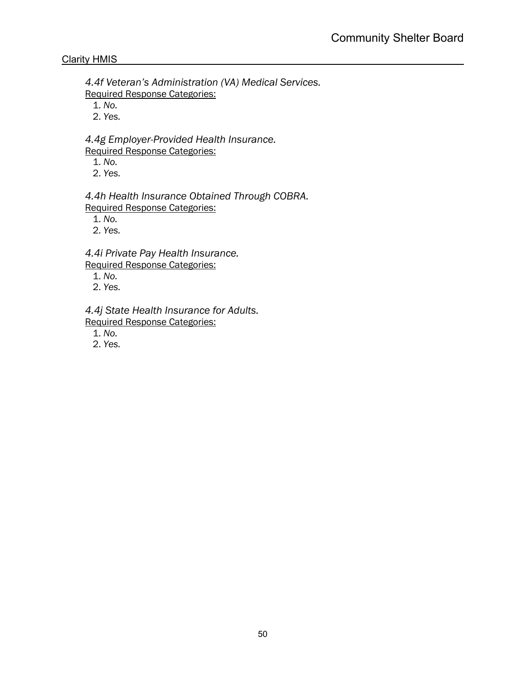*4.4f Veteran's Administration (VA) Medical Services.*  Required Response Categories:

1. *No.*

2. *Yes.*

*4.4g Employer-Provided Health Insurance.*  Required Response Categories:

1. *No.*

2. *Yes.*

*4.4h Health Insurance Obtained Through COBRA.*  Required Response Categories:

1. *No.*

2. *Yes.*

*4.4i Private Pay Health Insurance.* Required Response Categories:

1. *No.*

2. *Yes.*

*4.4j State Health Insurance for Adults.* 

Required Response Categories:

1. *No.*

2. *Yes.*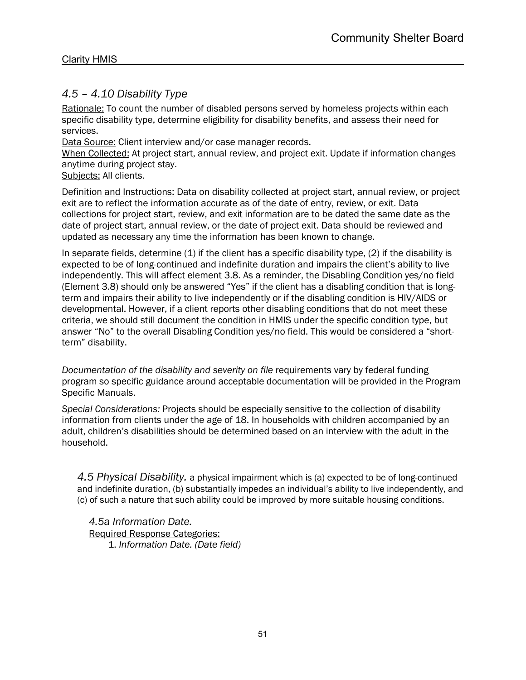## *4.5 – 4.10 Disability Type*

Rationale: To count the number of disabled persons served by homeless projects within each specific disability type, determine eligibility for disability benefits, and assess their need for services.

Data Source: Client interview and/or case manager records.

When Collected: At project start, annual review, and project exit. Update if information changes anytime during project stay.

Subjects: All clients.

Definition and Instructions: Data on disability collected at project start, annual review, or project exit are to reflect the information accurate as of the date of entry, review, or exit. Data collections for project start, review, and exit information are to be dated the same date as the date of project start, annual review, or the date of project exit. Data should be reviewed and updated as necessary any time the information has been known to change.

In separate fields, determine  $(1)$  if the client has a specific disability type,  $(2)$  if the disability is expected to be of long-continued and indefinite duration and impairs the client's ability to live independently. This will affect element 3.8. As a reminder, the Disabling Condition yes/no field (Element 3.8) should only be answered "Yes" if the client has a disabling condition that is longterm and impairs their ability to live independently or if the disabling condition is HIV/AIDS or developmental. However, if a client reports other disabling conditions that do not meet these criteria, we should still document the condition in HMIS under the specific condition type, but answer "No" to the overall Disabling Condition yes/no field. This would be considered a "shortterm" disability.

*Documentation of the disability and severity on file* requirements vary by federal funding program so specific guidance around acceptable documentation will be provided in the Program Specific Manuals.

*Special Considerations:* Projects should be especially sensitive to the collection of disability information from clients under the age of 18. In households with children accompanied by an adult, children's disabilities should be determined based on an interview with the adult in the household.

*4.5 Physical Disability.* a physical impairment which is (a) expected to be of long-continued and indefinite duration, (b) substantially impedes an individual's ability to live independently, and (c) of such a nature that such ability could be improved by more suitable housing conditions.

*4.5a Information Date.*  Required Response Categories: 1. *Information Date. (Date field)*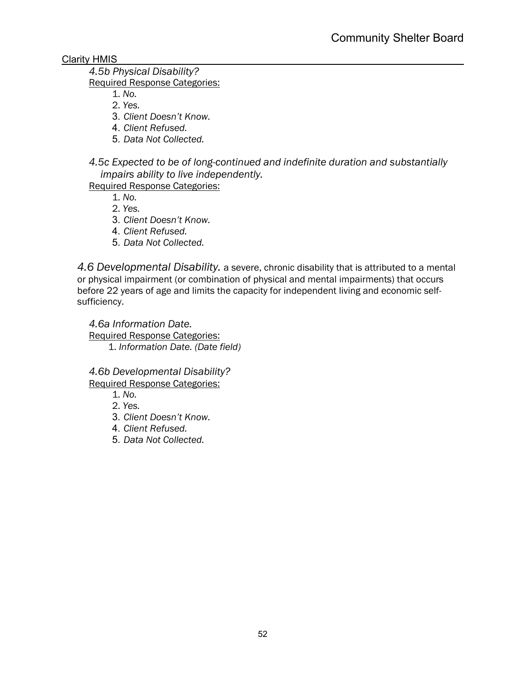## *4.5b Physical Disability?*

Required Response Categories:

- 1. *No.*
- 2. *Yes.*
- 3. *Client Doesn't Know.*
- 4. *Client Refused.*
- 5. *Data Not Collected.*

*4.5c Expected to be of long-continued and indefinite duration and substantially impairs ability to live independently.* 

Required Response Categories:

1. *No.*

2. *Yes.*

- 3. *Client Doesn't Know.*
- 4. *Client Refused.*
- 5. *Data Not Collected.*

*4.6 Developmental Disability.* a severe, chronic disability that is attributed to a mental or physical impairment (or combination of physical and mental impairments) that occurs before 22 years of age and limits the capacity for independent living and economic selfsufficiency.

*4.6a Information Date.*  Required Response Categories: 1. *Information Date. (Date field)*

*4.6b Developmental Disability?*  Required Response Categories:

- 1. *No.*
- 2. *Yes.*
- 3. *Client Doesn't Know.*
- 4. *Client Refused.*
- 5. *Data Not Collected.*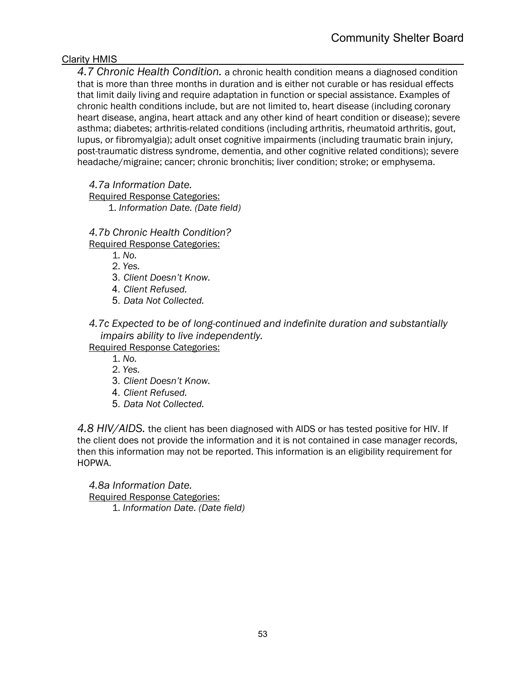*4.7 Chronic Health Condition.* a chronic health condition means a diagnosed condition that is more than three months in duration and is either not curable or has residual effects that limit daily living and require adaptation in function or special assistance. Examples of chronic health conditions include, but are not limited to, heart disease (including coronary heart disease, angina, heart attack and any other kind of heart condition or disease); severe asthma; diabetes; arthritis-related conditions (including arthritis, rheumatoid arthritis, gout, lupus, or fibromyalgia); adult onset cognitive impairments (including traumatic brain injury, post-traumatic distress syndrome, dementia, and other cognitive related conditions); severe headache/migraine; cancer; chronic bronchitis; liver condition; stroke; or emphysema.

*4.7a Information Date.* 

Required Response Categories: 1. *Information Date. (Date field)*

*4.7b Chronic Health Condition?* 

Required Response Categories:

1. *No.*

2. *Yes.*

- 3. *Client Doesn't Know.*
- 4. *Client Refused.*
- 5. *Data Not Collected.*

*4.7c Expected to be of long-continued and indefinite duration and substantially impairs ability to live independently.* 

Required Response Categories:

1. *No.*

2. *Yes.*

- 3. *Client Doesn't Know.*
- 4. *Client Refused.*
- 5. *Data Not Collected.*

*4.8 HIV/AIDS.* the client has been diagnosed with AIDS or has tested positive for HIV. If the client does not provide the information and it is not contained in case manager records, then this information may not be reported. This information is an eligibility requirement for HOPWA.

*4.8a Information Date.*  Required Response Categories: 1. *Information Date. (Date field)*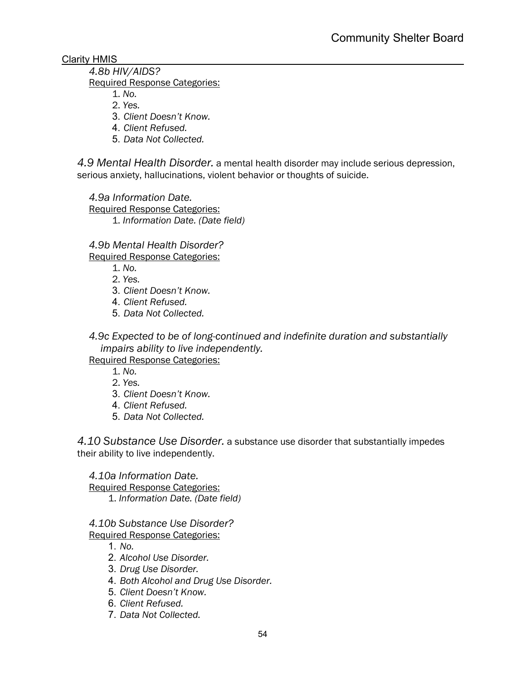## *4.8b HIV/AIDS?*

Required Response Categories:

- 1. *No.*
- 2. *Yes.*
- 3. *Client Doesn't Know.*
- 4. *Client Refused.*
- 5. *Data Not Collected.*

*4.9 Mental Health Disorder.* a mental health disorder may include serious depression, serious anxiety, hallucinations, violent behavior or thoughts of suicide.

*4.9a Information Date.* 

Required Response Categories: 1. *Information Date. (Date field)*

*4.9b Mental Health Disorder?* 

Required Response Categories:

- 1. *No.*
- 2. *Yes.*
- 3. *Client Doesn't Know.*
- 4. *Client Refused.*
- 5. *Data Not Collected.*

*4.9c Expected to be of long-continued and indefinite duration and substantially impairs ability to live independently.* 

Required Response Categories:

1. *No.*

- 2. *Yes.*
- 3. *Client Doesn't Know.*
- 4. *Client Refused.*
- 5. *Data Not Collected.*

*4.10 Substance Use Disorder.* a substance use disorder that substantially impedes their ability to live independently.

*4.10a Information Date.* 

Required Response Categories: 1. *Information Date. (Date field)*

*4.10b Substance Use Disorder?* 

Required Response Categories:

- 1. *No.*
- 2. *Alcohol Use Disorder.*
- 3. *Drug Use Disorder.*
- 4. *Both Alcohol and Drug Use Disorder.*
- 5. *Client Doesn't Know.*
- 6. *Client Refused.*
- 7. *Data Not Collected.*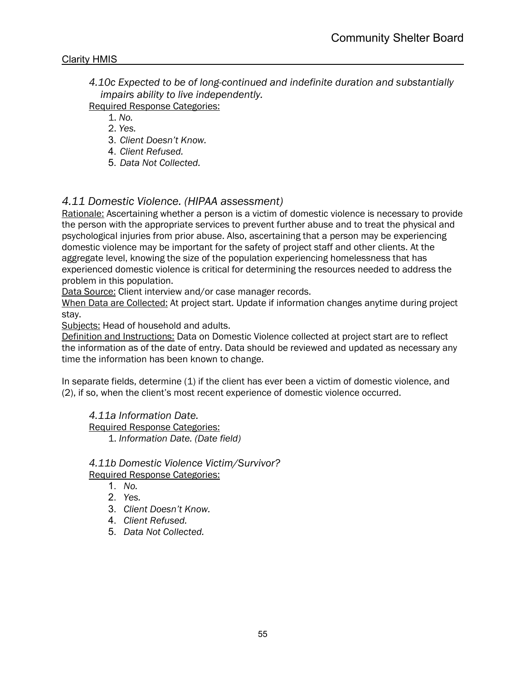*4.10c Expected to be of long-continued and indefinite duration and substantially impairs ability to live independently.* 

Required Response Categories:

1. *No.*

2. *Yes.*

- 3. *Client Doesn't Know.*
- 4. *Client Refused.*
- 5. *Data Not Collected.*

## *4.11 Domestic Violence. (HIPAA assessment)*

Rationale: Ascertaining whether a person is a victim of domestic violence is necessary to provide the person with the appropriate services to prevent further abuse and to treat the physical and psychological injuries from prior abuse. Also, ascertaining that a person may be experiencing domestic violence may be important for the safety of project staff and other clients. At the aggregate level, knowing the size of the population experiencing homelessness that has experienced domestic violence is critical for determining the resources needed to address the problem in this population.

Data Source: Client interview and/or case manager records.

When Data are Collected: At project start. Update if information changes anytime during project stay.

Subjects: Head of household and adults.

Definition and Instructions: Data on Domestic Violence collected at project start are to reflect the information as of the date of entry. Data should be reviewed and updated as necessary any time the information has been known to change.

In separate fields, determine (1) if the client has ever been a victim of domestic violence, and (2), if so, when the client's most recent experience of domestic violence occurred.

*4.11a Information Date.*  Required Response Categories: 1. *Information Date. (Date field)*

#### *4.11b Domestic Violence Victim/Survivor?*  Required Response Categories:

- 1. *No.*
- 2. *Yes.*
- 3. *Client Doesn't Know.*
- 4. *Client Refused.*
- 5. *Data Not Collected.*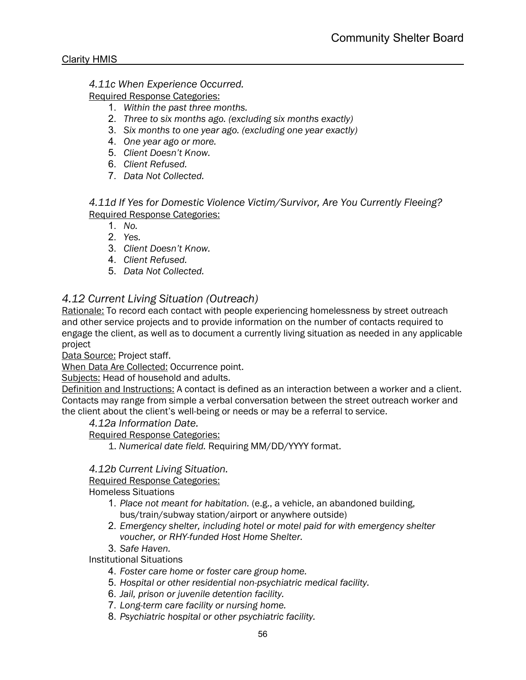#### *4.11c When Experience Occurred.*

Required Response Categories:

- 1. *Within the past three months.*
- 2. *Three to six months ago. (excluding six months exactly)*
- 3. *Six months to one year ago. (excluding one year exactly)*
- 4. *One year ago or more.*
- 5. *Client Doesn't Know.*
- 6. *Client Refused.*
- 7. *Data Not Collected.*

*4.11d If Yes for Domestic Violence Victim/Survivor, Are You Currently Fleeing?*  Required Response Categories:

- 1. *No.*
- 2. *Yes.*
- 3. *Client Doesn't Know.*
- 4. *Client Refused.*
- 5. *Data Not Collected.*

## *4.12 Current Living Situation (Outreach)*

Rationale: To record each contact with people experiencing homelessness by street outreach and other service projects and to provide information on the number of contacts required to engage the client, as well as to document a currently living situation as needed in any applicable project

Data Source: Project staff.

When Data Are Collected: Occurrence point.

Subjects: Head of household and adults.

Definition and Instructions: A contact is defined as an interaction between a worker and a client. Contacts may range from simple a verbal conversation between the street outreach worker and the client about the client's well-being or needs or may be a referral to service.

*4.12a Information Date.*

Required Response Categories:

1. *Numerical date field.* Requiring MM/DD/YYYY format.

#### *4.12b Current Living Situation.*

Required Response Categories:

Homeless Situations

- 1. *Place not meant for habitation.* (e.g., a vehicle, an abandoned building, bus/train/subway station/airport or anywhere outside)
- 2. *Emergency shelter, including hotel or motel paid for with emergency shelter voucher, or RHY-funded Host Home Shelter.*
- 3. *Safe Haven.*

Institutional Situations

- 4. *Foster care home or foster care group home.*
- 5. *Hospital or other residential non-psychiatric medical facility.*
- 6. *Jail, prison or juvenile detention facility.*
- 7. *Long-term care facility or nursing home.*
- 8. *Psychiatric hospital or other psychiatric facility.*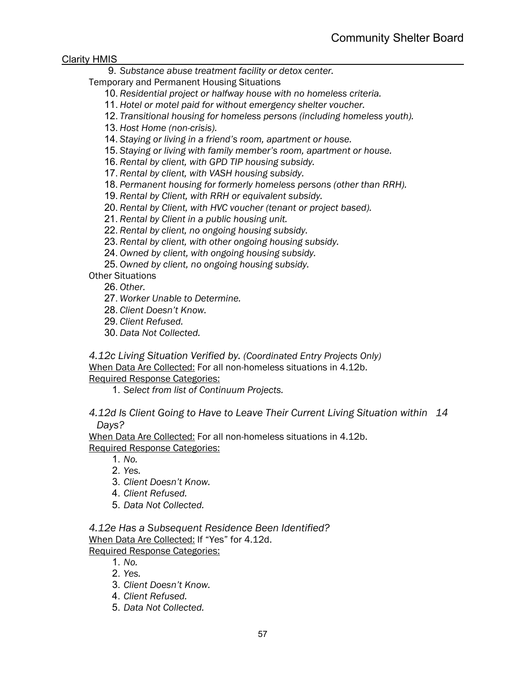9. *Substance abuse treatment facility or detox center.*

Temporary and Permanent Housing Situations

- 10. *Residential project or halfway house with no homeless criteria.*
- 11. *Hotel or motel paid for without emergency shelter voucher.*
- 12. *Transitional housing for homeless persons (including homeless youth).*
- 13. *Host Home (non-crisis).*
- 14. *Staying or living in a friend's room, apartment or house.*
- 15. *Staying or living with family member's room, apartment or house.*
- 16. *Rental by client, with GPD TIP housing subsidy.*
- 17. *Rental by client, with VASH housing subsidy.*
- 18. *Permanent housing for formerly homeless persons (other than RRH).*
- 19. *Rental by Client, with RRH or equivalent subsidy.*
- 20. *Rental by Client, with HVC voucher (tenant or project based).*
- 21. *Rental by Client in a public housing unit.*
- 22. *Rental by client, no ongoing housing subsidy.*
- 23. *Rental by client, with other ongoing housing subsidy.*
- 24. *Owned by client, with ongoing housing subsidy.*
- 25. *Owned by client, no ongoing housing subsidy.*

Other Situations

26. *Other.*

27. *Worker Unable to Determine.*

- 28. *Client Doesn't Know.*
- 29. *Client Refused.*
- 30. *Data Not Collected.*

*4.12c Living Situation Verified by. (Coordinated Entry Projects Only)* When Data Are Collected: For all non-homeless situations in 4.12b. Required Response Categories:

1. *Select from list of Continuum Projects.*

*4.12d Is Client Going to Have to Leave Their Current Living Situation within 14 Days?*

When Data Are Collected: For all non-homeless situations in 4.12b. Required Response Categories:

- 1. *No.*
- 2. *Yes.*
- 3. *Client Doesn't Know.*
- 4. *Client Refused.*
- 5. *Data Not Collected.*

*4.12e Has a Subsequent Residence Been Identified?* When Data Are Collected: If "Yes" for 4.12d. Required Response Categories:

1. *No.*

- 2. *Yes.*
- 3. *Client Doesn't Know.*
- 4. *Client Refused.*
- 5. *Data Not Collected.*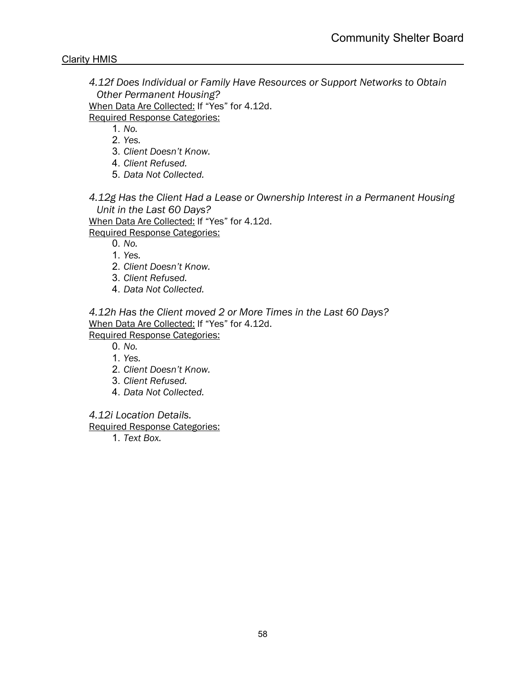*4.12f Does Individual or Family Have Resources or Support Networks to Obtain Other Permanent Housing?*

When Data Are Collected: If "Yes" for 4.12d.

Required Response Categories:

1. *No.*

2. *Yes.*

- 3. *Client Doesn't Know.*
- 4. *Client Refused.*
- 5. *Data Not Collected.*

*4.12g Has the Client Had a Lease or Ownership Interest in a Permanent Housing Unit in the Last 60 Days?*

When Data Are Collected: If "Yes" for 4.12d. Required Response Categories:

0. *No.*

1. *Yes.*

- 2. *Client Doesn't Know.*
- 3. *Client Refused.*
- 4. *Data Not Collected.*

*4.12h Has the Client moved 2 or More Times in the Last 60 Days?* When Data Are Collected: If "Yes" for 4.12d.

Required Response Categories:

0. *No.*

- 1. *Yes.*
- 2. *Client Doesn't Know.*
- 3. *Client Refused.*
- 4. *Data Not Collected.*

*4.12i Location Details.*

Required Response Categories:

1. *Text Box.*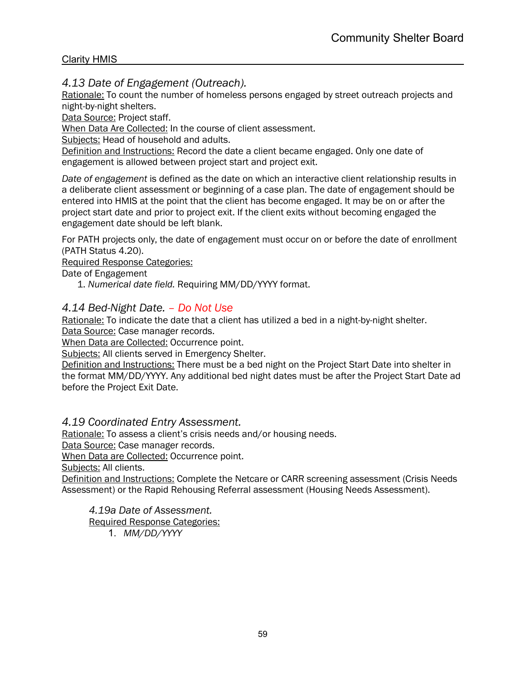## *4.13 Date of Engagement (Outreach).*

Rationale: To count the number of homeless persons engaged by street outreach projects and night-by-night shelters.

Data Source: Project staff.

When Data Are Collected: In the course of client assessment.

Subjects: Head of household and adults.

Definition and Instructions: Record the date a client became engaged. Only one date of engagement is allowed between project start and project exit.

*Date of engagement* is defined as the date on which an interactive client relationship results in a deliberate client assessment or beginning of a case plan. The date of engagement should be entered into HMIS at the point that the client has become engaged. It may be on or after the project start date and prior to project exit. If the client exits without becoming engaged the engagement date should be left blank.

For PATH projects only, the date of engagement must occur on or before the date of enrollment (PATH Status 4.20).

Required Response Categories:

Date of Engagement

1. *Numerical date field.* Requiring MM/DD/YYYY format.

## *4.14 Bed-Night Date. – Do Not Use*

Rationale: To indicate the date that a client has utilized a bed in a night-by-night shelter. Data Source: Case manager records.

When Data are Collected: Occurrence point.

Subjects: All clients served in Emergency Shelter.

Definition and Instructions: There must be a bed night on the Project Start Date into shelter in the format MM/DD/YYYY. Any additional bed night dates must be after the Project Start Date ad before the Project Exit Date.

#### *4.19 Coordinated Entry Assessment.*

Rationale: To assess a client's crisis needs and/or housing needs.

Data Source: Case manager records.

When Data are Collected: Occurrence point.

Subjects: All clients.

Definition and Instructions: Complete the Netcare or CARR screening assessment (Crisis Needs Assessment) or the Rapid Rehousing Referral assessment (Housing Needs Assessment).

*4.19a Date of Assessment.*

Required Response Categories:

1. *MM/DD/YYYY*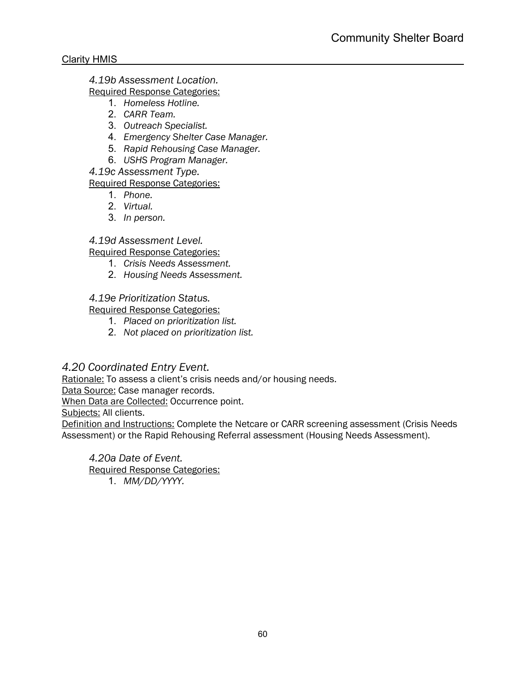*4.19b Assessment Location.*

Required Response Categories:

- 1. *Homeless Hotline.*
- 2. *CARR Team.*
- 3. *Outreach Specialist.*
- 4. *Emergency Shelter Case Manager.*
- 5. *Rapid Rehousing Case Manager.*
- 6. *USHS Program Manager.*

*4.19c Assessment Type.*

Required Response Categories:

- 1. *Phone.*
- 2. *Virtual.*
- 3. *In person.*

## *4.19d Assessment Level.*

Required Response Categories:

- 1. *Crisis Needs Assessment.*
- 2. *Housing Needs Assessment.*

## *4.19e Prioritization Status.*

Required Response Categories:

- 1. *Placed on prioritization list.*
- 2. *Not placed on prioritization list.*

## *4.20 Coordinated Entry Event.*

Rationale: To assess a client's crisis needs and/or housing needs.

Data Source: Case manager records.

When Data are Collected: Occurrence point.

Subjects: All clients.

Definition and Instructions: Complete the Netcare or CARR screening assessment (Crisis Needs Assessment) or the Rapid Rehousing Referral assessment (Housing Needs Assessment).

*4.20a Date of Event.* Required Response Categories: 1. *MM/DD/YYYY.*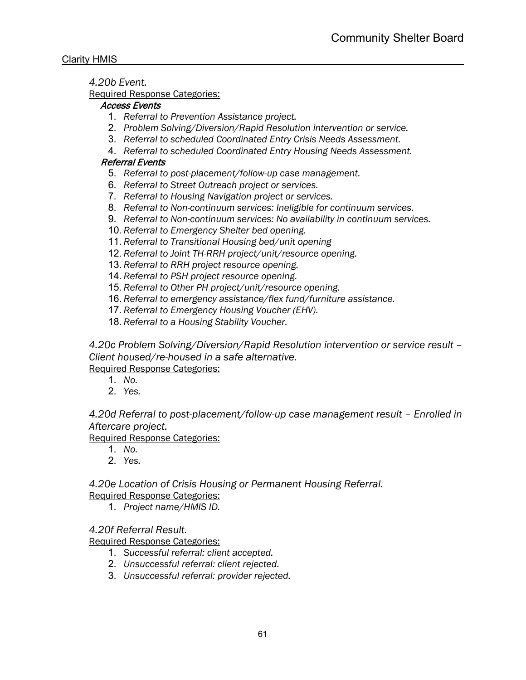*4.20b Event.*

Required Response Categories:

#### Access Events

- 1. *Referral to Prevention Assistance project.*
- 2. *Problem Solving/Diversion/Rapid Resolution intervention or service.*
- 3. *Referral to scheduled Coordinated Entry Crisis Needs Assessment.*
- 4. *Referral to scheduled Coordinated Entry Housing Needs Assessment.*

#### Referral Events

- 5. *Referral to post-placement/follow-up case management.*
- 6. *Referral to Street Outreach project or services.*
- 7. *Referral to Housing Navigation project or services.*
- 8. *Referral to Non-continuum services: Ineligible for continuum services.*
- 9. *Referral to Non-continuum services: No availability in continuum services.*
- 10. *Referral to Emergency Shelter bed opening.*
- 11. *Referral to Transitional Housing bed/unit opening*
- 12. *Referral to Joint TH-RRH project/unit/resource opening.*
- 13. *Referral to RRH project resource opening.*
- 14. *Referral to PSH project resource opening.*
- 15. *Referral to Other PH project/unit/resource opening.*
- 16. *Referral to emergency assistance/flex fund/furniture assistance.*
- 17. *Referral to Emergency Housing Voucher (EHV).*
- 18. *Referral to a Housing Stability Voucher.*

*4.20c Problem Solving/Diversion/Rapid Resolution intervention or service result – Client housed/re-housed in a safe alternative.*

Required Response Categories:

- 1. *No.*
- 2. *Yes.*

*4.20d Referral to post-placement/follow-up case management result – Enrolled in Aftercare project.*

Required Response Categories:

- 1. *No.*
- 2. *Yes.*

*4.20e Location of Crisis Housing or Permanent Housing Referral.* Required Response Categories:

1. *Project name/HMIS ID.*

*4.20f Referral Result.*

Required Response Categories:

- 1. *Successful referral: client accepted.*
- 2. *Unsuccessful referral: client rejected.*
- 3. *Unsuccessful referral: provider rejected.*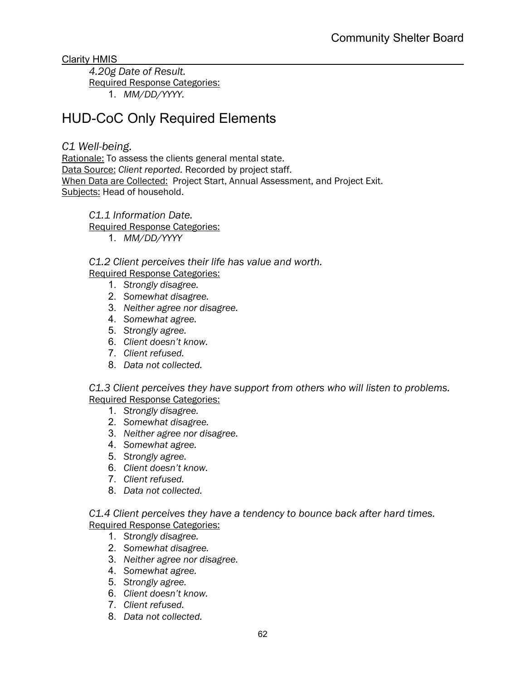*4.20g Date of Result.* Required Response Categories: 1. *MM/DD/YYYY.*

# HUD-CoC Only Required Elements

## *C1 Well-being.*

Rationale: To assess the clients general mental state. Data Source: *Client reported.* Recorded by project staff. When Data are Collected:Project Start, Annual Assessment, and Project Exit. Subjects: Head of household.

*C1.1 Information Date.* Required Response Categories:

1. *MM/DD/YYYY*

*C1.2 Client perceives their life has value and worth.*

Required Response Categories:

- 1. *Strongly disagree.*
- 2. *Somewhat disagree.*
- 3. *Neither agree nor disagree.*
- 4. *Somewhat agree.*
- 5. *Strongly agree.*
- 6. *Client doesn't know.*
- 7. *Client refused.*
- 8. *Data not collected.*

*C1.3 Client perceives they have support from others who will listen to problems.* Required Response Categories:

- 1. *Strongly disagree.*
- 2. *Somewhat disagree.*
- 3. *Neither agree nor disagree.*
- 4. *Somewhat agree.*
- 5. *Strongly agree.*
- 6. *Client doesn't know.*
- 7. *Client refused.*
- 8. *Data not collected.*

*C1.4 Client perceives they have a tendency to bounce back after hard times.* Required Response Categories:

- 1. *Strongly disagree.*
- 2. *Somewhat disagree.*
- 3. *Neither agree nor disagree.*
- 4. *Somewhat agree.*
- 5. *Strongly agree.*
- 6. *Client doesn't know.*
- 7. *Client refused.*
- 8. *Data not collected.*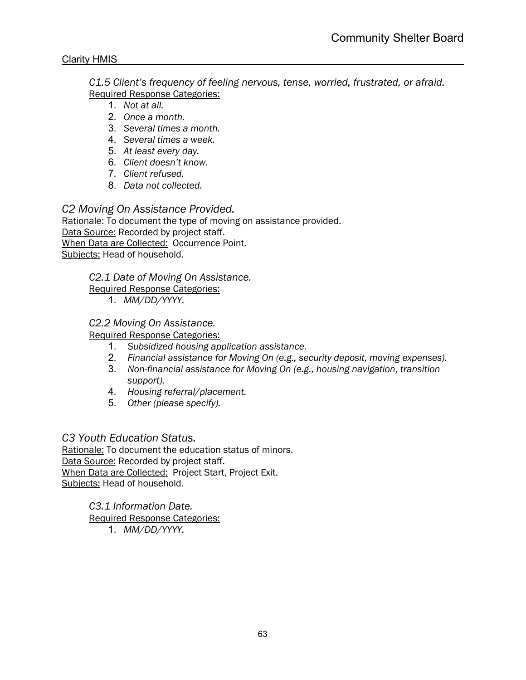*C1.5 Client's frequency of feeling nervous, tense, worried, frustrated, or afraid.* Required Response Categories:

- 1. *Not at all.*
- 2. *Once a month.*
- 3. *Several times a month.*
- 4. *Several times a week.*
- 5. *At least every day.*
- 6. *Client doesn't know.*
- 7. *Client refused.*
- 8. *Data not collected.*

*C2 Moving On Assistance Provided.* Rationale: To document the type of moving on assistance provided. Data Source: Recorded by project staff. When Data are Collected:Occurrence Point. Subjects: Head of household.

*C2.1 Date of Moving On Assistance.*

Required Response Categories:

1. *MM/DD/YYYY.*

## *C2.2 Moving On Assistance.*

Required Response Categories:

- 1. *Subsidized housing application assistance.*
- 2. *Financial assistance for Moving On (e.g., security deposit, moving expenses).*
- 3. *Non-financial assistance for Moving On (e.g., housing navigation, transition support).*
- 4. *Housing referral/placement.*
- 5. *Other (please specify).*

## *C3 Youth Education Status.*

Rationale: To document the education status of minors. Data Source: Recorded by project staff. When Data are Collected:Project Start, Project Exit. Subjects: Head of household.

> *C3.1 Information Date.* Required Response Categories: 1. *MM/DD/YYYY.*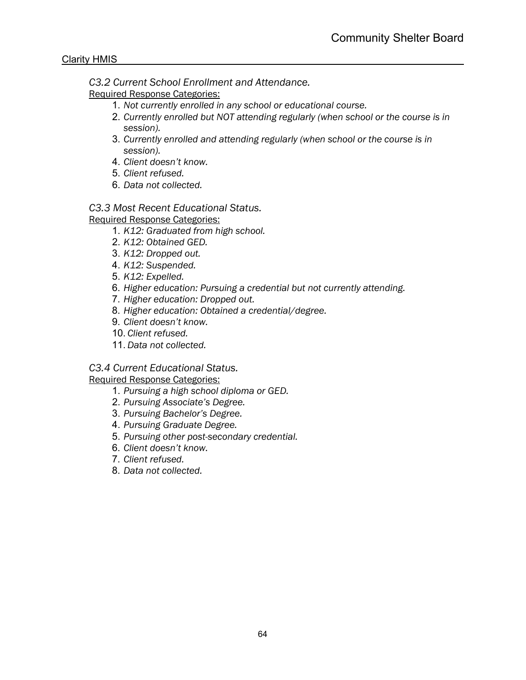*C3.2 Current School Enrollment and Attendance.*

Required Response Categories:

- 1. *Not currently enrolled in any school or educational course.*
- 2. *Currently enrolled but NOT attending regularly (when school or the course is in session).*
- 3. *Currently enrolled and attending regularly (when school or the course is in session).*
- 4. *Client doesn't know.*
- 5. *Client refused.*
- 6. *Data not collected.*

*C3.3 Most Recent Educational Status.*

Required Response Categories:

- 1. *K12: Graduated from high school.*
- 2. *K12: Obtained GED.*
- 3. *K12: Dropped out.*
- 4. *K12: Suspended.*
- 5. *K12: Expelled.*
- 6. *Higher education: Pursuing a credential but not currently attending.*
- 7. *Higher education: Dropped out.*
- 8. *Higher education: Obtained a credential/degree.*
- 9. *Client doesn't know.*
- 10. *Client refused.*
- 11. *Data not collected.*

*C3.4 Current Educational Status.*

Required Response Categories:

- 1. *Pursuing a high school diploma or GED.*
- 2. *Pursuing Associate's Degree.*
- 3. *Pursuing Bachelor's Degree.*
- 4. *Pursuing Graduate Degree.*
- 5. *Pursuing other post-secondary credential.*
- 6. *Client doesn't know.*
- 7. *Client refused.*
- 8. *Data not collected.*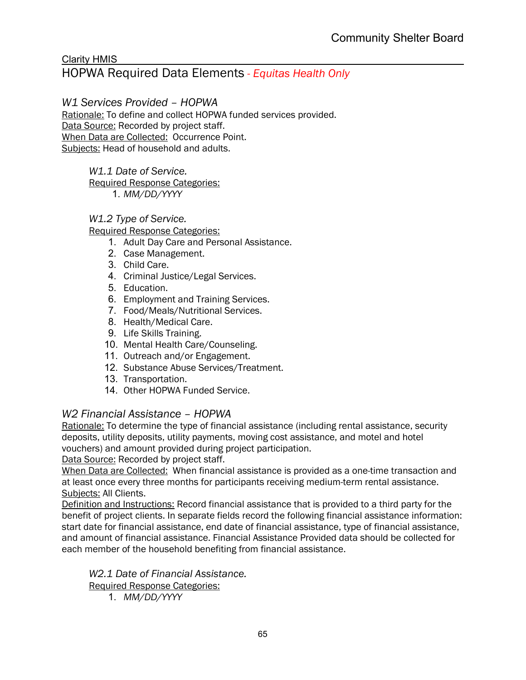## HOPWA Required Data Elements *- Equitas Health Only*

## *W1 Services Provided – HOPWA*

Rationale: To define and collect HOPWA funded services provided. Data Source: Recorded by project staff. When Data are Collected:Occurrence Point. Subjects: Head of household and adults.

*W1.1 Date of Service.*

Required Response Categories:

1. *MM/DD/YYYY*

#### *W1.2 Type of Service.*

Required Response Categories:

- 1. Adult Day Care and Personal Assistance.
- 2. Case Management.
- 3. Child Care.
- 4. Criminal Justice/Legal Services.
- 5. Education.
- 6. Employment and Training Services.
- 7. Food/Meals/Nutritional Services.
- 8. Health/Medical Care.
- 9. Life Skills Training.
- 10. Mental Health Care/Counseling.
- 11. Outreach and/or Engagement.
- 12. Substance Abuse Services/Treatment.
- 13. Transportation.
- 14. Other HOPWA Funded Service.

## *W2 Financial Assistance – HOPWA*

Rationale: To determine the type of financial assistance (including rental assistance, security deposits, utility deposits, utility payments, moving cost assistance, and motel and hotel vouchers) and amount provided during project participation.

Data Source: Recorded by project staff.

When Data are Collected:When financial assistance is provided as a one-time transaction and at least once every three months for participants receiving medium-term rental assistance. Subjects: All Clients.

Definition and Instructions: Record financial assistance that is provided to a third party for the benefit of project clients. In separate fields record the following financial assistance information: start date for financial assistance, end date of financial assistance, type of financial assistance, and amount of financial assistance. Financial Assistance Provided data should be collected for each member of the household benefiting from financial assistance.

*W2.1 Date of Financial Assistance.* Required Response Categories:

1. *MM/DD/YYYY*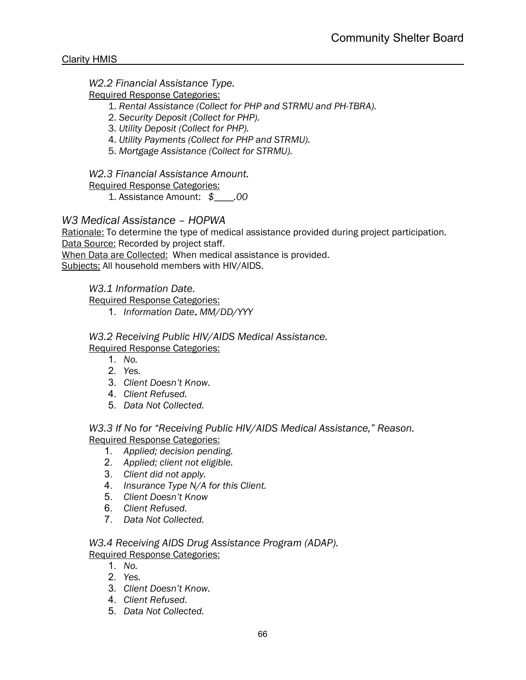## *W2.2 Financial Assistance Type.*

Required Response Categories:

- 1. *Rental Assistance (Collect for PHP and STRMU and PH-TBRA).*
- 2. *Security Deposit (Collect for PHP).*
- 3. *Utility Deposit (Collect for PHP).*
- 4. *Utility Payments (Collect for PHP and STRMU).*
- 5. *Mortgage Assistance (Collect for STRMU).*

*W2.3 Financial Assistance Amount.*

Required Response Categories:

1. Assistance Amount: *\$\_\_\_\_.00*

## *W3 Medical Assistance – HOPWA*

Rationale: To determine the type of medical assistance provided during project participation. Data Source: Recorded by project staff.

When Data are Collected:When medical assistance is provided.

Subjects: All household members with HIV/AIDS.

#### *W3.1 Information Date.*

Required Response Categories:

1. *Information Date*. *MM/DD/YYY*

#### *W3.2 Receiving Public HIV/AIDS Medical Assistance.* Required Response Categories:

- 1. *No.*
- 2. *Yes.*
- 3. *Client Doesn't Know.*
- 4. *Client Refused.*
- 5. *Data Not Collected.*

*W3.3 If No for "Receiving Public HIV/AIDS Medical Assistance," Reason.* Required Response Categories:

- 1. *Applied; decision pending.*
- 2. *Applied; client not eligible.*
- 3. *Client did not apply.*
- 4. *Insurance Type N/A for this Client.*
- 5. *Client Doesn't Know*
- 6. *Client Refused.*
- 7. *Data Not Collected.*

*W3.4 Receiving AIDS Drug Assistance Program (ADAP).* Required Response Categories:

- 1. *No.*
- 2. *Yes.*
- 3. *Client Doesn't Know.*
- 4. *Client Refused.*
- 5. *Data Not Collected.*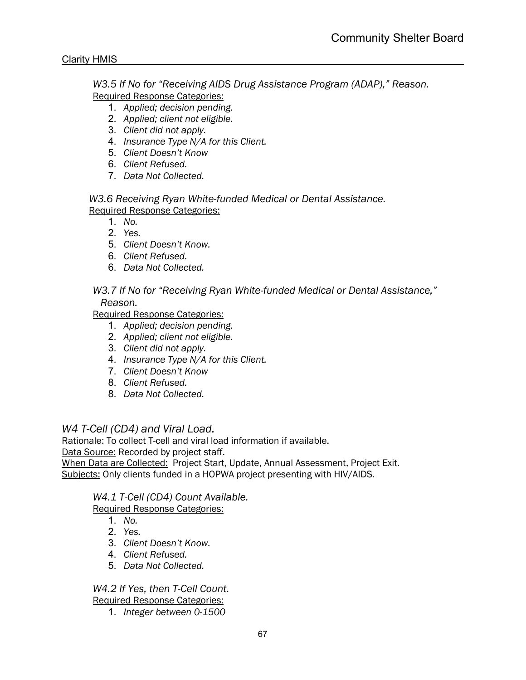*W3.5 If No for "Receiving AIDS Drug Assistance Program (ADAP)," Reason.* Required Response Categories:

- 1. *Applied; decision pending.*
- 2. *Applied; client not eligible.*
- 3. *Client did not apply.*
- 4. *Insurance Type N/A for this Client.*
- 5. *Client Doesn't Know*
- 6. *Client Refused.*
- 7. *Data Not Collected.*

*W3.6 Receiving Ryan White-funded Medical or Dental Assistance.*

Required Response Categories:

- 1. *No.*
- 2. *Yes.*
- 5. *Client Doesn't Know.*
- 6. *Client Refused.*
- 6. *Data Not Collected.*

*W3.7 If No for "Receiving Ryan White-funded Medical or Dental Assistance," Reason.*

Required Response Categories:

- 1. *Applied; decision pending.*
- 2. *Applied; client not eligible.*
- 3. *Client did not apply.*
- 4. *Insurance Type N/A for this Client.*
- 7. *Client Doesn't Know*
- 8. *Client Refused.*
- 8. *Data Not Collected.*

## *W4 T-Cell (CD4) and Viral Load.*

Rationale: To collect T-cell and viral load information if available.

Data Source: Recorded by project staff.

When Data are Collected:Project Start, Update, Annual Assessment, Project Exit. Subjects: Only clients funded in a HOPWA project presenting with HIV/AIDS.

## *W4.1 T-Cell (CD4) Count Available.*

Required Response Categories:

- 1. *No.*
- 2. *Yes.*
- 3. *Client Doesn't Know.*
- 4. *Client Refused.*
- 5. *Data Not Collected.*

*W4.2 If Yes, then T-Cell Count.* Required Response Categories:

1. *Integer between 0-1500*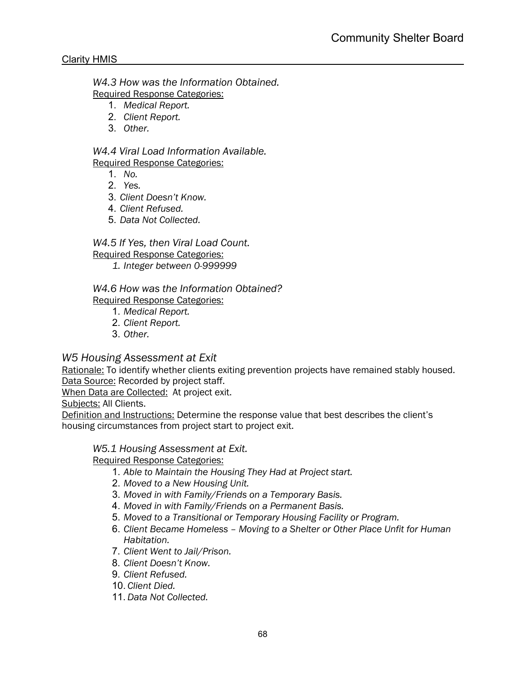*W4.3 How was the Information Obtained.* Required Response Categories:

- 1. *Medical Report.*
- 2. *Client Report.*
- 3. *Other.*

 *W4.4 Viral Load Information Available.* Required Response Categories:

- 1. *No.*
- 2. *Yes.*
- 3. *Client Doesn't Know.*
- 4. *Client Refused.*
- 5. *Data Not Collected.*

*W4.5 If Yes, then Viral Load Count.* Required Response Categories:

*1. Integer between 0-999999*

 *W4.6 How was the Information Obtained?* Required Response Categories:

- 1. *Medical Report.*
- 2. *Client Report.*
- 3. *Other.*

## *W5 Housing Assessment at Exit*

Rationale: To identify whether clients exiting prevention projects have remained stably housed. Data Source: Recorded by project staff.

When Data are Collected:At project exit.

Subjects: All Clients.

Definition and Instructions: Determine the response value that best describes the client's housing circumstances from project start to project exit.

## *W5.1 Housing Assessment at Exit.*

Required Response Categories:

- 1. *Able to Maintain the Housing They Had at Project start.*
- 2. *Moved to a New Housing Unit.*
- 3. *Moved in with Family/Friends on a Temporary Basis.*
- 4. *Moved in with Family/Friends on a Permanent Basis.*
- 5. *Moved to a Transitional or Temporary Housing Facility or Program.*
- 6. *Client Became Homeless – Moving to a Shelter or Other Place Unfit for Human Habitation.*
- 7. *Client Went to Jail/Prison.*
- 8. *Client Doesn't Know.*
- 9. *Client Refused.*
- 10. *Client Died.*
- 11. *Data Not Collected.*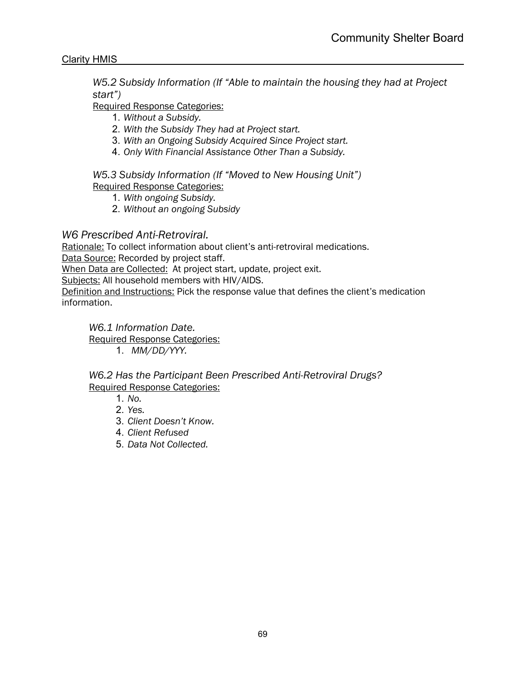*W5.2 Subsidy Information (If "Able to maintain the housing they had at Project start")*

Required Response Categories:

- 1. *Without a Subsidy.*
- 2. *With the Subsidy They had at Project start.*
- 3. *With an Ongoing Subsidy Acquired Since Project start.*
- 4. *Only With Financial Assistance Other Than a Subsidy.*

*W5.3 Subsidy Information (If "Moved to New Housing Unit")* Required Response Categories:

- 1. *With ongoing Subsidy.*
- 2. *Without an ongoing Subsidy*

## *W6 Prescribed Anti-Retroviral.*

Rationale: To collect information about client's anti-retroviral medications.

Data Source: Recorded by project staff.

When Data are Collected:At project start, update, project exit.

Subjects: All household members with HIV/AIDS.

Definition and Instructions: Pick the response value that defines the client's medication information.

*W6.1 Information Date.* Required Response Categories: 1. *MM/DD/YYY.*

*W6.2 Has the Participant Been Prescribed Anti-Retroviral Drugs?* Required Response Categories:

- 1. *No.*
- 2. *Yes.*
- 3. *Client Doesn't Know.*
- 4. *Client Refused*
- 5. *Data Not Collected.*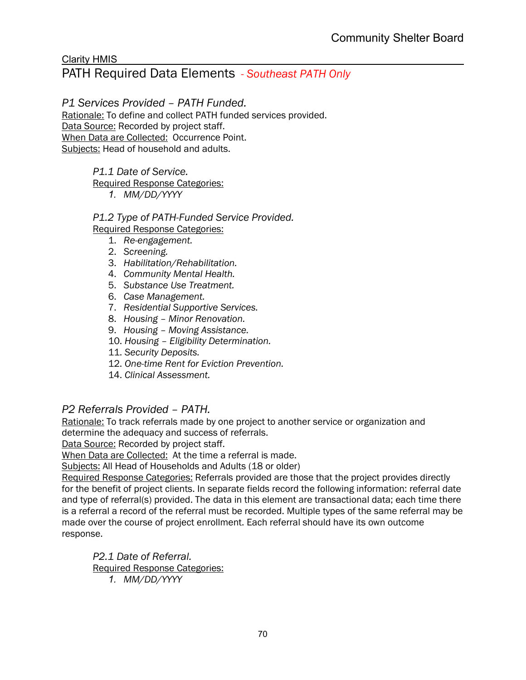#### Clarity HMIS PATH Required Data Elements *- Southeast PATH Only*

# *P1 Services Provided – PATH Funded.*

Rationale: To define and collect PATH funded services provided. Data Source: Recorded by project staff. When Data are Collected:Occurrence Point. Subjects: Head of household and adults.

*P1.1 Date of Service.*

Required Response Categories:

*1. MM/DD/YYYY*

*P1.2 Type of PATH-Funded Service Provided.* Required Response Categories:

- 1. *Re-engagement.*
- 2. *Screening.*
- 3. *Habilitation/Rehabilitation.*
- 4. *Community Mental Health.*
- 5. *Substance Use Treatment.*
- 6. *Case Management.*
- 7. *Residential Supportive Services.*
- 8. *Housing – Minor Renovation.*
- 9. *Housing – Moving Assistance.*
- 10. *Housing – Eligibility Determination.*
- 11. *Security Deposits.*
- 12. *One-time Rent for Eviction Prevention.*
- 14. *Clinical Assessment.*

## *P2 Referrals Provided – PATH.*

Rationale: To track referrals made by one project to another service or organization and determine the adequacy and success of referrals.

Data Source: Recorded by project staff.

When Data are Collected:At the time a referral is made.

Subjects: All Head of Households and Adults (18 or older)

Required Response Categories: Referrals provided are those that the project provides directly for the benefit of project clients. In separate fields record the following information: referral date and type of referral(s) provided. The data in this element are transactional data; each time there is a referral a record of the referral must be recorded. Multiple types of the same referral may be made over the course of project enrollment. Each referral should have its own outcome response.

*P2.1 Date of Referral.* Required Response Categories: *1. MM/DD/YYYY*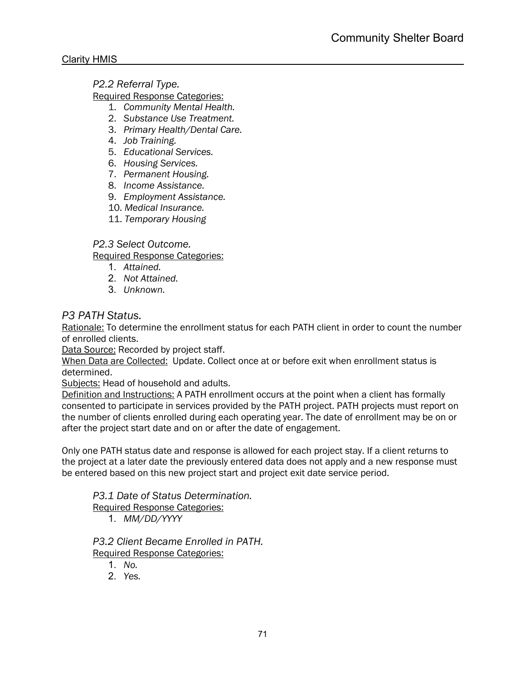*P2.2 Referral Type.*

Required Response Categories:

- 1. *Community Mental Health.*
- 2. *Substance Use Treatment.*
- 3. *Primary Health/Dental Care.*
- 4. *Job Training.*
- 5. *Educational Services.*
- 6. *Housing Services.*
- 7. *Permanent Housing.*
- 8. *Income Assistance.*
- 9. *Employment Assistance.*
- 10. *Medical Insurance.*
- 11. *Temporary Housing*

## *P2.3 Select Outcome.*

Required Response Categories:

- 1. *Attained.*
- 2. *Not Attained.*
- 3. *Unknown.*

## *P3 PATH Status.*

Rationale: To determine the enrollment status for each PATH client in order to count the number of enrolled clients.

Data Source: Recorded by project staff.

When Data are Collected:Update. Collect once at or before exit when enrollment status is determined.

Subjects: Head of household and adults.

Definition and Instructions: A PATH enrollment occurs at the point when a client has formally consented to participate in services provided by the PATH project. PATH projects must report on the number of clients enrolled during each operating year. The date of enrollment may be on or after the project start date and on or after the date of engagement.

Only one PATH status date and response is allowed for each project stay. If a client returns to the project at a later date the previously entered data does not apply and a new response must be entered based on this new project start and project exit date service period.

*P3.1 Date of Status Determination.*

Required Response Categories:

1. *MM/DD/YYYY*

*P3.2 Client Became Enrolled in PATH.* Required Response Categories:

1. *No.*

2. *Yes.*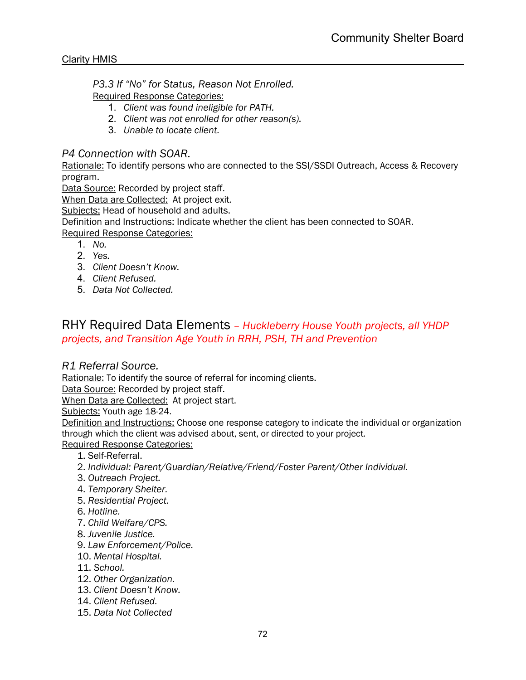*P3.3 If "No" for Status, Reason Not Enrolled.* Required Response Categories:

- 1. *Client was found ineligible for PATH.*
- 2. *Client was not enrolled for other reason(s).*
- 3. *Unable to locate client.*

## *P4 Connection with SOAR.*

Rationale: To identify persons who are connected to the SSI/SSDI Outreach, Access & Recovery program.

Data Source: Recorded by project staff.

When Data are Collected:At project exit.

Subjects: Head of household and adults.

Definition and Instructions: Indicate whether the client has been connected to SOAR.

Required Response Categories:

- 1. *No.*
- 2. *Yes.*
- 3. *Client Doesn't Know.*
- 4. *Client Refused.*
- 5. *Data Not Collected.*

## RHY Required Data Elements *– Huckleberry House Youth projects, all YHDP projects, and Transition Age Youth in RRH, PSH, TH and Prevention*

## *R1 Referral Source.*

Rationale: To identify the source of referral for incoming clients.

Data Source: Recorded by project staff.

When Data are Collected:At project start.

Subjects: Youth age 18-24.

Definition and Instructions: Choose one response category to indicate the individual or organization through which the client was advised about, sent, or directed to your project.

Required Response Categories:

- 1. Self-Referral.
- 2. *Individual: Parent/Guardian/Relative/Friend/Foster Parent/Other Individual.*
- 3. *Outreach Project.*
- 4. *Temporary Shelter.*
- 5. *Residential Project.*
- 6. *Hotline.*
- 7. *Child Welfare/CPS.*
- 8. *Juvenile Justice.*
- 9. *Law Enforcement/Police.*
- 10. *Mental Hospital.*
- 11. *School.*
- 12. *Other Organization.*
- 13. *Client Doesn't Know.*
- 14. *Client Refused.*
- 15. *Data Not Collected*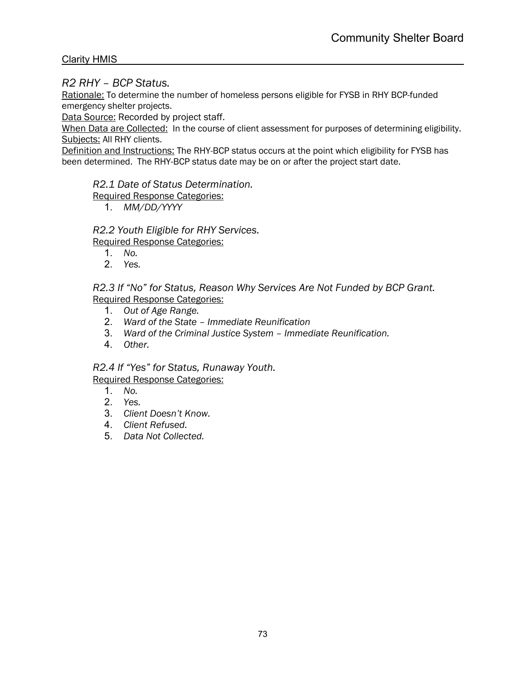### *R2 RHY – BCP Status.*

Rationale: To determine the number of homeless persons eligible for FYSB in RHY BCP-funded emergency shelter projects.

Data Source: Recorded by project staff.

When Data are Collected:In the course of client assessment for purposes of determining eligibility. Subjects: All RHY clients.

Definition and Instructions: The RHY-BCP status occurs at the point which eligibility for FYSB has been determined. The RHY-BCP status date may be on or after the project start date.

*R2.1 Date of Status Determination.*

Required Response Categories:

1. *MM/DD/YYYY*

*R2.2 Youth Eligible for RHY Services.* Required Response Categories:

- 1. *No.*
- 2. *Yes.*

*R2.3 If "No" for Status, Reason Why Services Are Not Funded by BCP Grant.* Required Response Categories:

- 1. *Out of Age Range.*
- 2. *Ward of the State – Immediate Reunification*
- 3. *Ward of the Criminal Justice System – Immediate Reunification.*
- 4. *Other.*

*R2.4 If "Yes" for Status, Runaway Youth.*

- 1. *No.*
- 2. *Yes.*
- 3. *Client Doesn't Know.*
- 4. *Client Refused.*
- 5. *Data Not Collected.*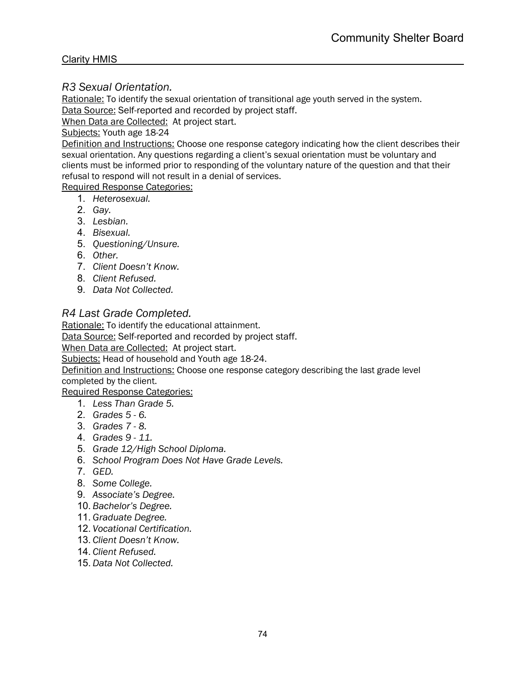# *R3 Sexual Orientation.*

Rationale: To identify the sexual orientation of transitional age youth served in the system. Data Source: Self-reported and recorded by project staff.

When Data are Collected:At project start.

# Subjects: Youth age 18-24

Definition and Instructions: Choose one response category indicating how the client describes their sexual orientation. Any questions regarding a client's sexual orientation must be voluntary and clients must be informed prior to responding of the voluntary nature of the question and that their refusal to respond will not result in a denial of services.

#### Required Response Categories:

- 1. *Heterosexual.*
- 2. *Gay.*
- 3. *Lesbian.*
- 4. *Bisexual.*
- 5. *Questioning/Unsure.*
- 6. *Other.*
- 7. *Client Doesn't Know.*
- 8. *Client Refused.*
- 9. *Data Not Collected.*

# *R4 Last Grade Completed.*

Rationale: To identify the educational attainment.

Data Source: Self-reported and recorded by project staff.

When Data are Collected:At project start.

Subjects: Head of household and Youth age 18-24.

Definition and Instructions: Choose one response category describing the last grade level completed by the client.

- 1. *Less Than Grade 5.*
- 2. *Grades 5 - 6.*
- 3. *Grades 7 - 8.*
- 4. *Grades 9 - 11.*
- 5. *Grade 12/High School Diploma.*
- 6. *School Program Does Not Have Grade Levels.*
- 7. *GED.*
- 8. *Some College.*
- 9. *Associate's Degree.*
- 10. *Bachelor's Degree.*
- 11. *Graduate Degree.*
- 12. *Vocational Certification.*
- 13. *Client Doesn't Know.*
- 14. *Client Refused.*
- 15. *Data Not Collected.*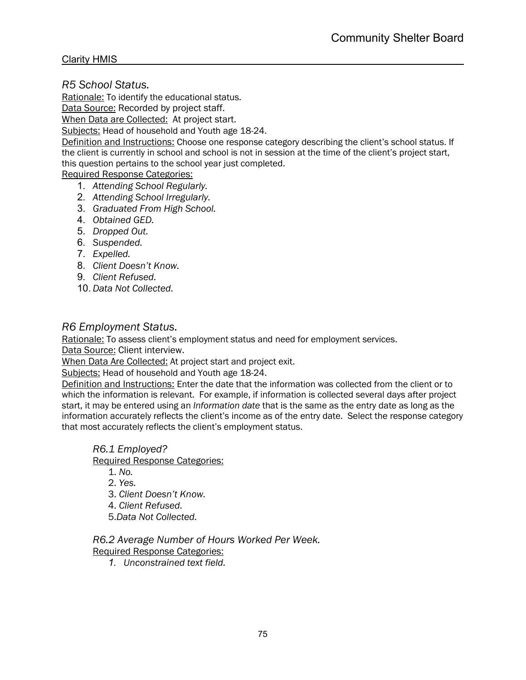*R5 School Status.* 

Rationale: To identify the educational status.

Data Source: Recorded by project staff.

When Data are Collected:At project start.

Subjects: Head of household and Youth age 18-24.

Definition and Instructions: Choose one response category describing the client's school status. If the client is currently in school and school is not in session at the time of the client's project start, this question pertains to the school year just completed.

Required Response Categories:

- 1. *Attending School Regularly.*
- 2. *Attending School Irregularly.*
- 3. *Graduated From High School.*
- 4. *Obtained GED.*
- 5. *Dropped Out.*
- 6. *Suspended.*
- 7. *Expelled.*
- 8. *Client Doesn't Know.*
- 9. *Client Refused.*
- 10. *Data Not Collected.*

#### *R6 Employment Status.*

Rationale: To assess client's employment status and need for employment services.

Data Source: Client interview.

When Data Are Collected: At project start and project exit.

Subjects: Head of household and Youth age 18-24.

Definition and Instructions: Enter the date that the information was collected from the client or to which the information is relevant. For example, if information is collected several days after project start, it may be entered using an *Information date* that is the same as the entry date as long as the information accurately reflects the client's income as of the entry date. Select the response category that most accurately reflects the client's employment status.

#### *R6.1 Employed?*

Required Response Categories:

1. *No.*

2. *Yes.*

3. *Client Doesn't Know.*

- 4. *Client Refused.*
- 5.*Data Not Collected.*

*R6.2 Average Number of Hours Worked Per Week.*

Required Response Categories:

*1. Unconstrained text field.*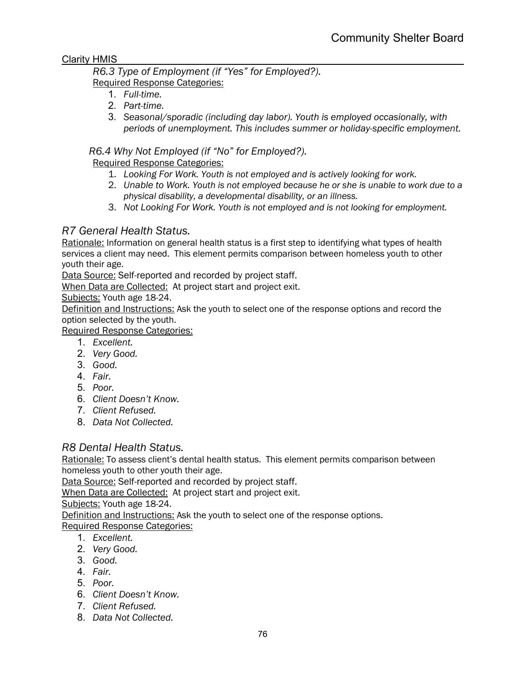#### *R6.3 Type of Employment (if "Yes" for Employed?).* Required Response Categories:

- 1. *Full-time.*
- 2. *Part-time.*
- 3. *Seasonal/sporadic (including day labor). Youth is employed occasionally, with periods of unemployment. This includes summer or holiday-specific employment.*

# *R6.4 Why Not Employed (if "No" for Employed?).*

# Required Response Categories:

- 1. *Looking For Work. Youth is not employed and is actively looking for work.*
- 2. *Unable to Work. Youth is not employed because he or she is unable to work due to a physical disability, a developmental disability, or an illness.*
- 3. *Not Looking For Work. Youth is not employed and is not looking for employment.*

# *R7 General Health Status.*

Rationale: Information on general health status is a first step to identifying what types of health services a client may need. This element permits comparison between homeless youth to other youth their age.

Data Source: Self-reported and recorded by project staff.

When Data are Collected:At project start and project exit.

Subjects: Youth age 18-24.

Definition and Instructions: Ask the youth to select one of the response options and record the option selected by the youth.

Required Response Categories:

- 1. *Excellent.*
- 2. *Very Good.*
- 3. *Good.*
- 4. *Fair.*
- 5. *Poor.*
- 6. *Client Doesn't Know.*
- 7. *Client Refused.*
- 8. *Data Not Collected.*

# *R8 Dental Health Status.*

Rationale: To assess client's dental health status. This element permits comparison between homeless youth to other youth their age.

Data Source: Self-reported and recorded by project staff.

When Data are Collected:At project start and project exit.

Subjects: Youth age 18-24.

Definition and Instructions: Ask the youth to select one of the response options. Required Response Categories:

- 1. *Excellent.*
- 2. *Very Good.*
- 3. *Good.*
- 4. *Fair.*
- 5. *Poor.*
- 6. *Client Doesn't Know.*
- 7. *Client Refused.*
- 8. *Data Not Collected.*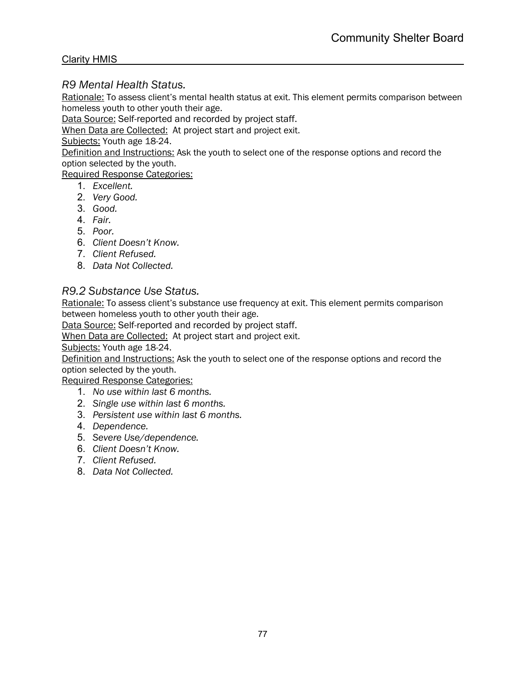# *R9 Mental Health Status.*

Rationale: To assess client's mental health status at exit. This element permits comparison between homeless youth to other youth their age.

Data Source: Self-reported and recorded by project staff.

When Data are Collected:At project start and project exit.

Subjects: Youth age 18-24.

Definition and Instructions: Ask the youth to select one of the response options and record the option selected by the youth.

Required Response Categories:

- 1. *Excellent.*
- 2. *Very Good.*
- 3. *Good.*
- 4. *Fair.*
- 5. *Poor.*
- 6. *Client Doesn't Know.*
- 7. *Client Refused.*
- 8. *Data Not Collected.*

# *R9.2 Substance Use Status.*

Rationale: To assess client's substance use frequency at exit. This element permits comparison between homeless youth to other youth their age.

Data Source: Self-reported and recorded by project staff.

When Data are Collected:At project start and project exit.

Subjects: Youth age 18-24.

Definition and Instructions: Ask the youth to select one of the response options and record the option selected by the youth.

- 1. *No use within last 6 months.*
- 2. *Single use within last 6 months.*
- 3. *Persistent use within last 6 months.*
- 4. *Dependence.*
- 5. *Severe Use/dependence.*
- 6. *Client Doesn't Know.*
- 7. *Client Refused.*
- 8. *Data Not Collected.*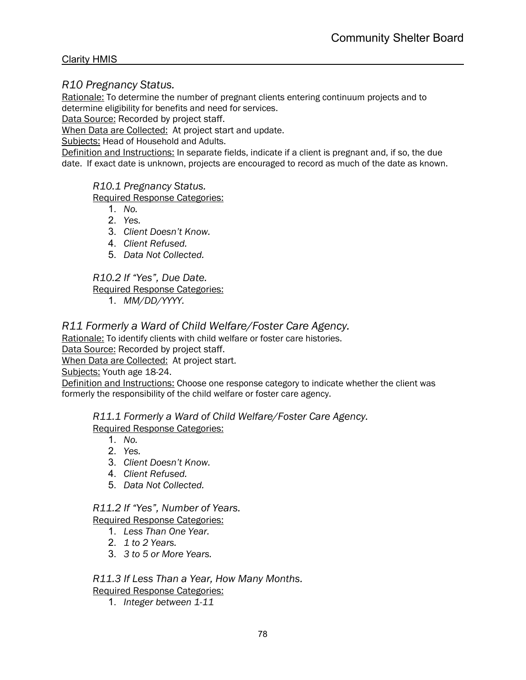#### *R10 Pregnancy Status.*

Rationale: To determine the number of pregnant clients entering continuum projects and to determine eligibility for benefits and need for services.

Data Source: Recorded by project staff.

When Data are Collected:At project start and update.

Subjects: Head of Household and Adults.

Definition and Instructions: In separate fields, indicate if a client is pregnant and, if so, the due date. If exact date is unknown, projects are encouraged to record as much of the date as known.

*R10.1 Pregnancy Status.*

Required Response Categories:

- 1. *No.*
- 2. *Yes.*
- 3. *Client Doesn't Know.*
- 4. *Client Refused.*
- 5. *Data Not Collected.*

*R10.2 If "Yes", Due Date.*

Required Response Categories:

1. *MM/DD/YYYY.*

# *R11 Formerly a Ward of Child Welfare/Foster Care Agency.*

Rationale: To identify clients with child welfare or foster care histories.

Data Source: Recorded by project staff.

When Data are Collected:At project start.

Subjects: Youth age 18-24.

Definition and Instructions: Choose one response category to indicate whether the client was formerly the responsibility of the child welfare or foster care agency.

*R11.1 Formerly a Ward of Child Welfare/Foster Care Agency.* Required Response Categories:

- 1. *No.*
- 2. *Yes.*
- 3. *Client Doesn't Know.*
- 4. *Client Refused.*
- 5. *Data Not Collected.*

# *R11.2 If "Yes", Number of Years.*

Required Response Categories:

- 1. *Less Than One Year.*
- 2. *1 to 2 Years.*
- 3. *3 to 5 or More Years.*

# *R11.3 If Less Than a Year, How Many Months.*

Required Response Categories:

1. *Integer between 1-11*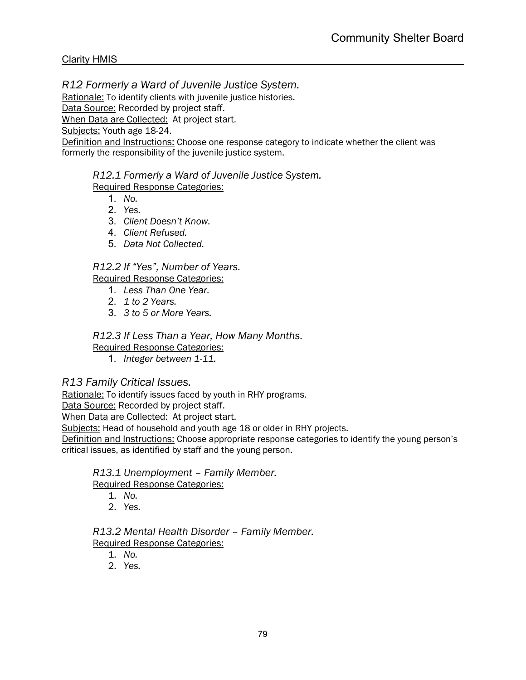*R12 Formerly a Ward of Juvenile Justice System.* 

Rationale: To identify clients with juvenile justice histories.

Data Source: Recorded by project staff.

When Data are Collected:At project start.

Subjects: Youth age 18-24.

Definition and Instructions: Choose one response category to indicate whether the client was formerly the responsibility of the juvenile justice system.

*R12.1 Formerly a Ward of Juvenile Justice System.* Required Response Categories:

- 1. *No.*
- 2. *Yes.*
- 3. *Client Doesn't Know.*
- 4. *Client Refused.*
- 5. *Data Not Collected.*

# *R12.2 If "Yes", Number of Years.*

Required Response Categories:

- 1. *Less Than One Year.*
- 2. *1 to 2 Years.*
- 3. *3 to 5 or More Years.*

# *R12.3 If Less Than a Year, How Many Months.*

Required Response Categories:

1. *Integer between 1-11.*

# *R13 Family Critical Issues.*

Rationale: To identify issues faced by youth in RHY programs.

Data Source: Recorded by project staff.

When Data are Collected:At project start.

Subjects: Head of household and youth age 18 or older in RHY projects.

Definition and Instructions: Choose appropriate response categories to identify the young person's critical issues, as identified by staff and the young person.

*R13.1 Unemployment – Family Member.* Required Response Categories:

- 1. *No.*
- 2. *Yes.*

*R13.2 Mental Health Disorder – Family Member.* Required Response Categories:

- 1. *No.*
- 2. *Yes.*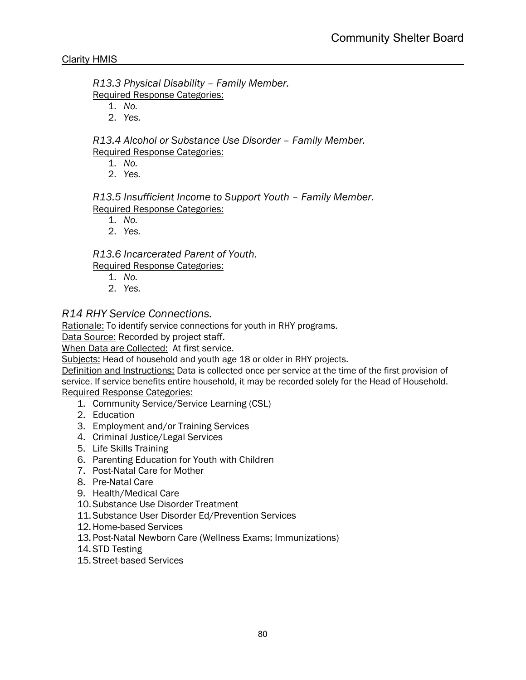*R13.3 Physical Disability – Family Member.*

Required Response Categories:

- 1. *No.*
- 2. *Yes.*

*R13.4 Alcohol or Substance Use Disorder – Family Member.* Required Response Categories:

- 1. *No.*
- 2. *Yes.*

*R13.5 Insufficient Income to Support Youth – Family Member.* Required Response Categories:

- 1. *No.*
- 2. *Yes.*

*R13.6 Incarcerated Parent of Youth.*

Required Response Categories:

- 1. *No.*
- 2. *Yes.*

# *R14 RHY Service Connections.*

Rationale: To identify service connections for youth in RHY programs.

Data Source: Recorded by project staff.

When Data are Collected:At first service.

Subjects: Head of household and youth age 18 or older in RHY projects.

Definition and Instructions: Data is collected once per service at the time of the first provision of service. If service benefits entire household, it may be recorded solely for the Head of Household. Required Response Categories:

- 1. Community Service/Service Learning (CSL)
- 2. Education
- 3. Employment and/or Training Services
- 4. Criminal Justice/Legal Services
- 5. Life Skills Training
- 6. Parenting Education for Youth with Children
- 7. Post-Natal Care for Mother
- 8. Pre-Natal Care
- 9. Health/Medical Care
- 10. Substance Use Disorder Treatment
- 11. Substance User Disorder Ed/Prevention Services
- 12.Home-based Services
- 13. Post-Natal Newborn Care (Wellness Exams; Immunizations)
- 14. STD Testing
- 15. Street-based Services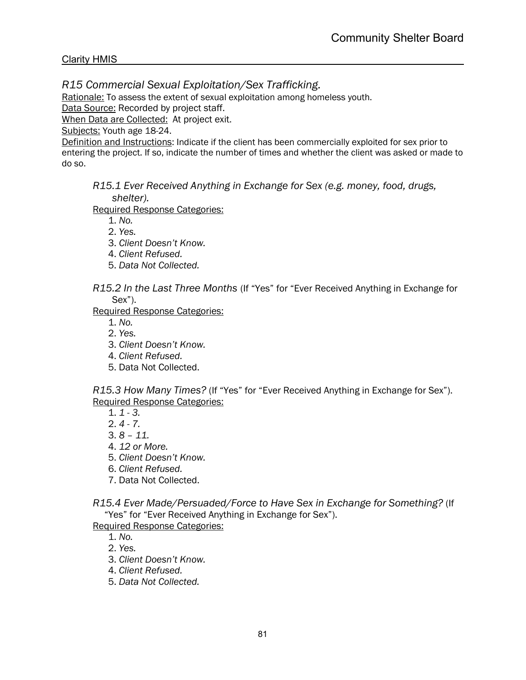# *R15 Commercial Sexual Exploitation/Sex Trafficking.*

Rationale: To assess the extent of sexual exploitation among homeless youth.

Data Source: Recorded by project staff.

When Data are Collected:At project exit.

Subjects: Youth age 18-24.

Definition and Instructions: Indicate if the client has been commercially exploited for sex prior to entering the project. If so, indicate the number of times and whether the client was asked or made to do so.

*R15.1 Ever Received Anything in Exchange for Sex (e.g. money, food, drugs, shelter).*

Required Response Categories:

1. *No.*

2. *Yes.*

- 3. *Client Doesn't Know.*
- 4. *Client Refused.*
- 5. *Data Not Collected.*

*R15.2 In the Last Three Months* (If "Yes" for "Ever Received Anything in Exchange for Sex").

Required Response Categories:

1. *No.*

2. *Yes.*

- 3. *Client Doesn't Know.*
- 4. *Client Refused.*
- 5. Data Not Collected.

*R15.3 How Many Times?* (If "Yes" for "Ever Received Anything in Exchange for Sex"). Required Response Categories:

1. *1 - 3.*

2. *4 - 7.*

3. *8 – 11.*

- 4. *12 or More.*
- 5. *Client Doesn't Know.*
- 6. *Client Refused.*
- 7. Data Not Collected.

*R15.4 Ever Made/Persuaded/Force to Have Sex in Exchange for Something?* (If "Yes" for "Ever Received Anything in Exchange for Sex").

Required Response Categories:

1. *No.*

2. *Yes.*

- 3. *Client Doesn't Know.*
- 4. *Client Refused.*

5. *Data Not Collected.*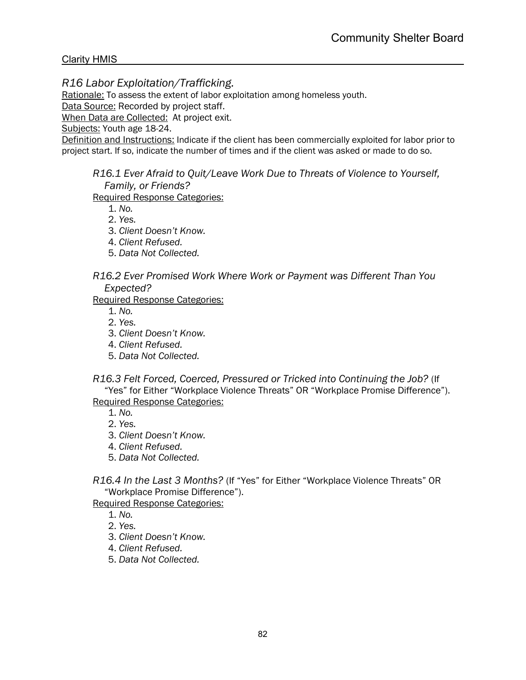# *R16 Labor Exploitation/Trafficking.*

Rationale: To assess the extent of labor exploitation among homeless youth.

Data Source: Recorded by project staff.

When Data are Collected:At project exit.

Subjects: Youth age 18-24.

Definition and Instructions: Indicate if the client has been commercially exploited for labor prior to project start. If so, indicate the number of times and if the client was asked or made to do so.

*R16.1 Ever Afraid to Quit/Leave Work Due to Threats of Violence to Yourself, Family, or Friends?*

Required Response Categories:

1. *No.*

2. *Yes.*

3. *Client Doesn't Know.*

4. *Client Refused.*

5. *Data Not Collected.*

#### *R16.2 Ever Promised Work Where Work or Payment was Different Than You Expected?*

Required Response Categories:

1. *No.*

2. *Yes.*

3. *Client Doesn't Know.*

4. *Client Refused.*

5. *Data Not Collected.*

*R16.3 Felt Forced, Coerced, Pressured or Tricked into Continuing the Job?* (If "Yes" for Either "Workplace Violence Threats" OR "Workplace Promise Difference"). Required Response Categories:

1. *No.*

2. *Yes.*

3. *Client Doesn't Know.*

4. *Client Refused.*

5. *Data Not Collected.*

*R16.4 In the Last 3 Months?* (If "Yes" for Either "Workplace Violence Threats" OR "Workplace Promise Difference").

Required Response Categories:

1. *No.*

2. *Yes.*

3. *Client Doesn't Know.*

4. *Client Refused.*

5. *Data Not Collected.*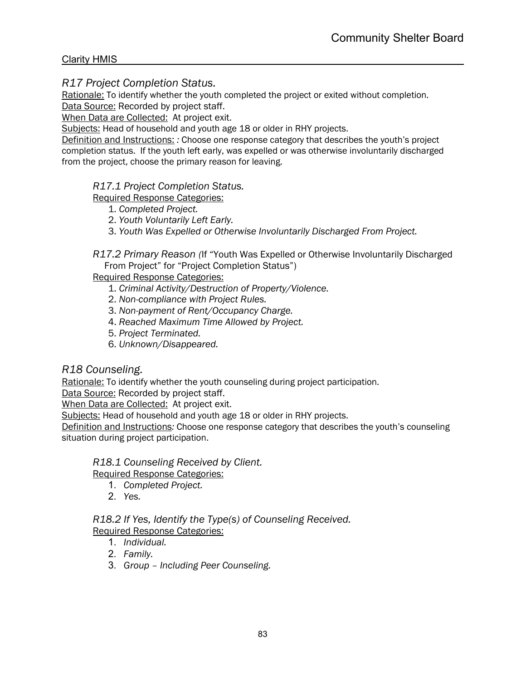# *R17 Project Completion Status.*

Rationale: To identify whether the youth completed the project or exited without completion. Data Source: Recorded by project staff.

When Data are Collected:At project exit.

Subjects: Head of household and youth age 18 or older in RHY projects.

Definition and Instructions: *:* Choose one response category that describes the youth's project completion status. If the youth left early, was expelled or was otherwise involuntarily discharged from the project, choose the primary reason for leaving.

#### *R17.1 Project Completion Status.*

Required Response Categories:

- 1. *Completed Project.*
- 2. *Youth Voluntarily Left Early.*
- 3. *Youth Was Expelled or Otherwise Involuntarily Discharged From Project.*

*R17.2 Primary Reason (*If "Youth Was Expelled or Otherwise Involuntarily Discharged From Project" for "Project Completion Status")

#### Required Response Categories:

- 1. *Criminal Activity/Destruction of Property/Violence.*
- 2. *Non-compliance with Project Rules.*
- 3. *Non-payment of Rent/Occupancy Charge.*
- 4. *Reached Maximum Time Allowed by Project.*
- 5. *Project Terminated.*
- 6. *Unknown/Disappeared.*

# *R18 Counseling.*

Rationale: To identify whether the youth counseling during project participation.

Data Source: Recorded by project staff.

When Data are Collected:At project exit.

Subjects: Head of household and youth age 18 or older in RHY projects.

Definition and Instructions*:* Choose one response category that describes the youth's counseling situation during project participation.

# *R18.1 Counseling Received by Client.*

Required Response Categories:

- 1. *Completed Project.*
- 2. *Yes.*

#### *R18.2 If Yes, Identify the Type(s) of Counseling Received.* Required Response Categories:

- 1. *Individual.*
- 2. *Family.*
- 3. *Group – Including Peer Counseling.*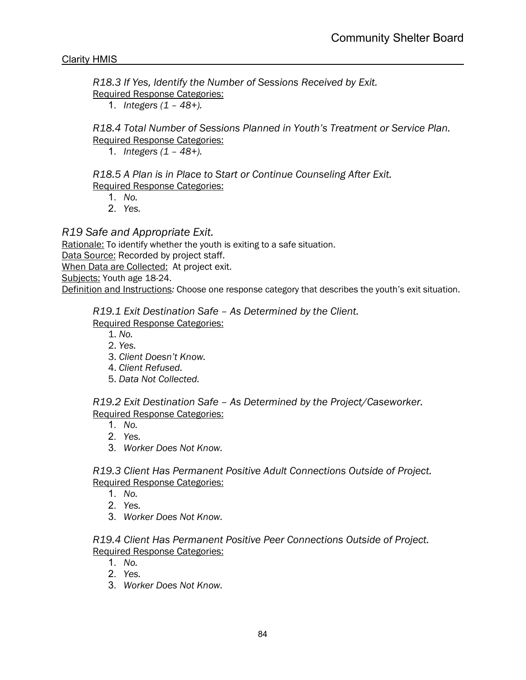*R18.3 If Yes, Identify the Number of Sessions Received by Exit.* Required Response Categories:

1. *Integers (1 – 48+).*

*R18.4 Total Number of Sessions Planned in Youth's Treatment or Service Plan.* Required Response Categories:

1. *Integers (1 – 48+).*

*R18.5 A Plan is in Place to Start or Continue Counseling After Exit.* Required Response Categories:

- 1. *No.*
- 2. *Yes.*

# *R19 Safe and Appropriate Exit.*

Rationale: To identify whether the youth is exiting to a safe situation.

Data Source: Recorded by project staff.

When Data are Collected:At project exit.

Subjects: Youth age 18-24.

Definition and Instructions*:* Choose one response category that describes the youth's exit situation.

#### *R19.1 Exit Destination Safe – As Determined by the Client.*

# Required Response Categories:

1. *No.*

- 2. *Yes.*
- 3. *Client Doesn't Know.*
- 4. *Client Refused.*
- 5. *Data Not Collected.*

*R19.2 Exit Destination Safe – As Determined by the Project/Caseworker.* Required Response Categories:

- 1. *No.*
- 2. *Yes.*
- 3. *Worker Does Not Know.*

*R19.3 Client Has Permanent Positive Adult Connections Outside of Project.* Required Response Categories:

- 1. *No.*
- 2. *Yes.*
- 3. *Worker Does Not Know.*

*R19.4 Client Has Permanent Positive Peer Connections Outside of Project.* Required Response Categories:

- 1. *No.*
- 2. *Yes.*
- 3. *Worker Does Not Know.*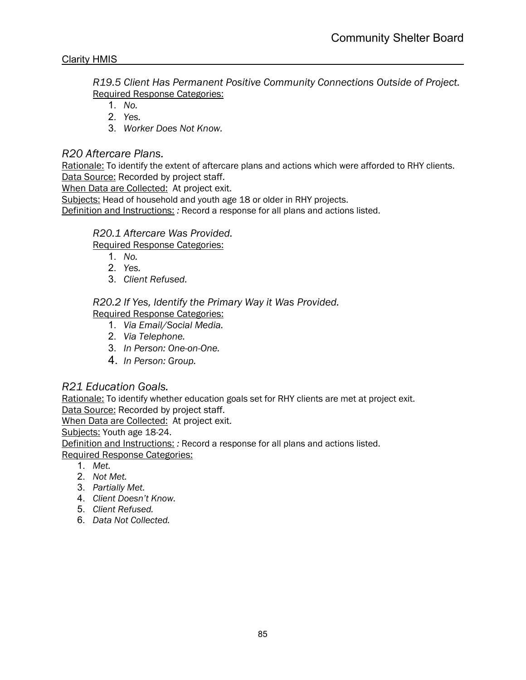*R19.5 Client Has Permanent Positive Community Connections Outside of Project.* Required Response Categories:

- 1. *No.*
- 2. *Yes.*
- 3. *Worker Does Not Know.*

# *R20 Aftercare Plans.*

Rationale: To identify the extent of aftercare plans and actions which were afforded to RHY clients. Data Source: Recorded by project staff.

When Data are Collected:At project exit.

Subjects: Head of household and youth age 18 or older in RHY projects.

Definition and Instructions: *:* Record a response for all plans and actions listed.

# *R20.1 Aftercare Was Provided.*

Required Response Categories:

- 1. *No.*
- 2. *Yes.*
- 3. *Client Refused.*

# *R20.2 If Yes, Identify the Primary Way it Was Provided.*

Required Response Categories:

- 1. *Via Email/Social Media.*
- 2. *Via Telephone.*
- 3. *In Person: One-on-One.*
- 4. *In Person: Group.*

# *R21 Education Goals.*

Rationale: To identify whether education goals set for RHY clients are met at project exit. Data Source: Recorded by project staff.

When Data are Collected:At project exit.

Subjects: Youth age 18-24.

Definition and Instructions: *:* Record a response for all plans and actions listed.

- 1. *Met.*
- 2. *Not Met.*
- 3. *Partially Met.*
- 4. *Client Doesn't Know.*
- 5. *Client Refused.*
- 6. *Data Not Collected.*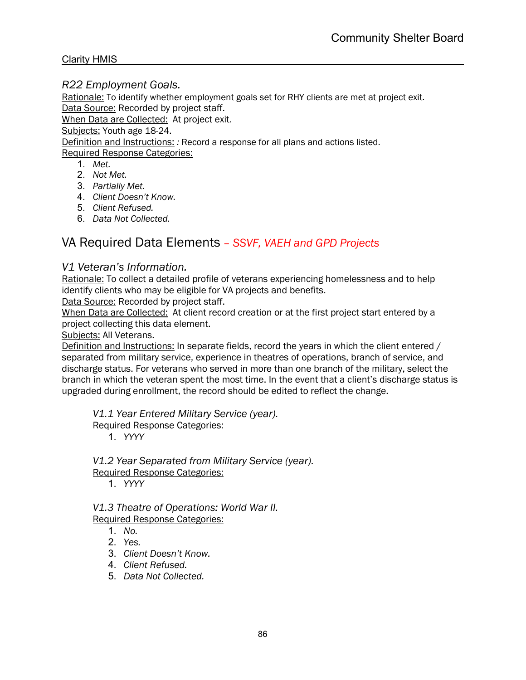### *R22 Employment Goals.*

Rationale: To identify whether employment goals set for RHY clients are met at project exit. Data Source: Recorded by project staff.

When Data are Collected:At project exit.

Subjects: Youth age 18-24.

Definition and Instructions: *:* Record a response for all plans and actions listed.

#### Required Response Categories:

- 1. *Met.*
- 2. *Not Met.*
- 3. *Partially Met.*
- 4. *Client Doesn't Know.*
- 5. *Client Refused.*
- 6. *Data Not Collected.*

# VA Required Data Elements *– SSVF, VAEH and GPD Projects*

#### *V1 Veteran's Information.*

Rationale: To collect a detailed profile of veterans experiencing homelessness and to help identify clients who may be eligible for VA projects and benefits.

Data Source: Recorded by project staff.

When Data are Collected:At client record creation or at the first project start entered by a project collecting this data element.

Subjects: All Veterans.

Definition and Instructions: In separate fields, record the years in which the client entered / separated from military service, experience in theatres of operations, branch of service, and discharge status. For veterans who served in more than one branch of the military, select the branch in which the veteran spent the most time. In the event that a client's discharge status is upgraded during enrollment, the record should be edited to reflect the change.

*V1.1 Year Entered Military Service (year).*

Required Response Categories:

1. *YYYY*

*V1.2 Year Separated from Military Service (year).* Required Response Categories:

1. *YYYY*

*V1.3 Theatre of Operations: World War II.* Required Response Categories:

- 1. *No.*
- 2. *Yes.*
- 3. *Client Doesn't Know.*
- 4. *Client Refused.*
- 5. *Data Not Collected.*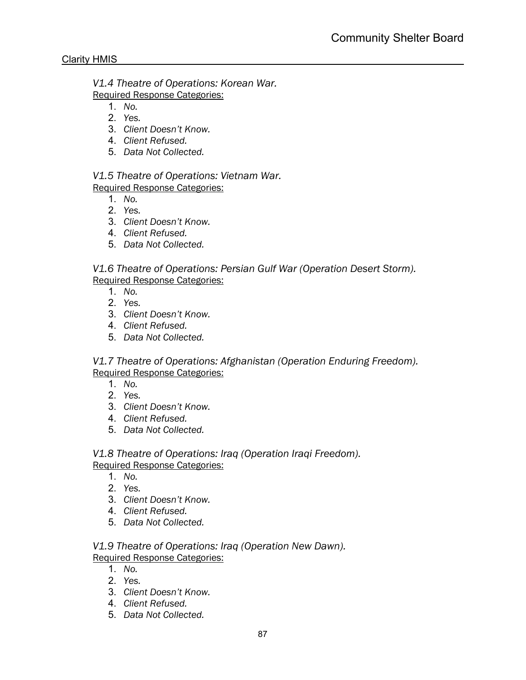*V1.4 Theatre of Operations: Korean War.*

Required Response Categories:

- 1. *No.*
- 2. *Yes.*
- 3. *Client Doesn't Know.*
- 4. *Client Refused.*
- 5. *Data Not Collected.*

*V1.5 Theatre of Operations: Vietnam War.* Required Response Categories:

- 1. *No.*
- 2. *Yes.*
- 3. *Client Doesn't Know.*
- 4. *Client Refused.*
- 5. *Data Not Collected.*

*V1.6 Theatre of Operations: Persian Gulf War (Operation Desert Storm).* Required Response Categories:

- 1. *No.*
- 2. *Yes.*
- 3. *Client Doesn't Know.*
- 4. *Client Refused.*
- 5. *Data Not Collected.*

*V1.7 Theatre of Operations: Afghanistan (Operation Enduring Freedom).* Required Response Categories:

- 1. *No.*
- 2. *Yes.*
- 3. *Client Doesn't Know.*
- 4. *Client Refused.*
- 5. *Data Not Collected.*

# *V1.8 Theatre of Operations: Iraq (Operation Iraqi Freedom).*

# Required Response Categories:

- 1. *No.*
- 2. *Yes.*
- 3. *Client Doesn't Know.*
- 4. *Client Refused.*
- 5. *Data Not Collected.*

# *V1.9 Theatre of Operations: Iraq (Operation New Dawn).* Required Response Categories:

- 1. *No.*
- 2. *Yes.*
- 3. *Client Doesn't Know.*
- 4. *Client Refused.*
- 5. *Data Not Collected.*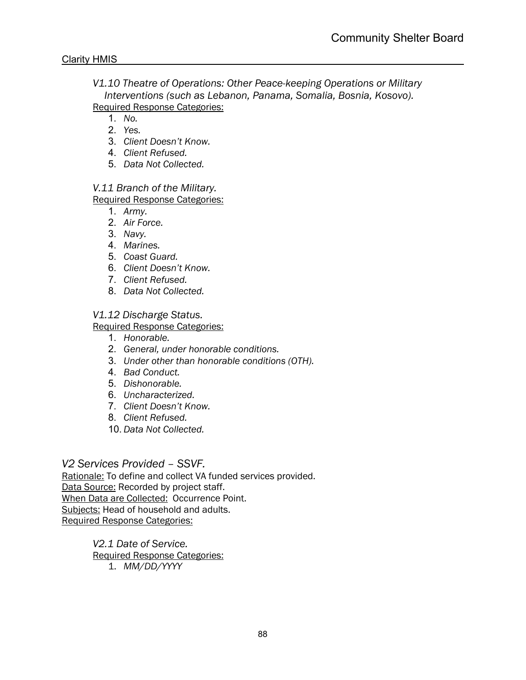*V1.10 Theatre of Operations: Other Peace-keeping Operations or Military Interventions (such as Lebanon, Panama, Somalia, Bosnia, Kosovo).* Required Response Categories:

1. *No.*

- 2. *Yes.*
- 3. *Client Doesn't Know.*
- 4. *Client Refused.*
- 5. *Data Not Collected.*

#### *V.11 Branch of the Military.* Required Response Categories:

- 1. *Army.*
- 2. *Air Force.*
- 3. *Navy.*
- 4. *Marines.*
- 5. *Coast Guard.*
- 6. *Client Doesn't Know.*
- 7. *Client Refused.*
- 8. *Data Not Collected.*

# *V1.12 Discharge Status.*

Required Response Categories:

- 1. *Honorable.*
- 2. *General, under honorable conditions.*
- 3. *Under other than honorable conditions (OTH).*
- 4. *Bad Conduct.*
- 5. *Dishonorable.*
- 6. *Uncharacterized.*
- 7. *Client Doesn't Know.*
- 8. *Client Refused.*
- 10. *Data Not Collected.*

# *V2 Services Provided – SSVF.*

Rationale: To define and collect VA funded services provided. Data Source: Recorded by project staff. When Data are Collected:Occurrence Point. Subjects: Head of household and adults. Required Response Categories:

> *V2.1 Date of Service.* Required Response Categories: 1. *MM/DD/YYYY*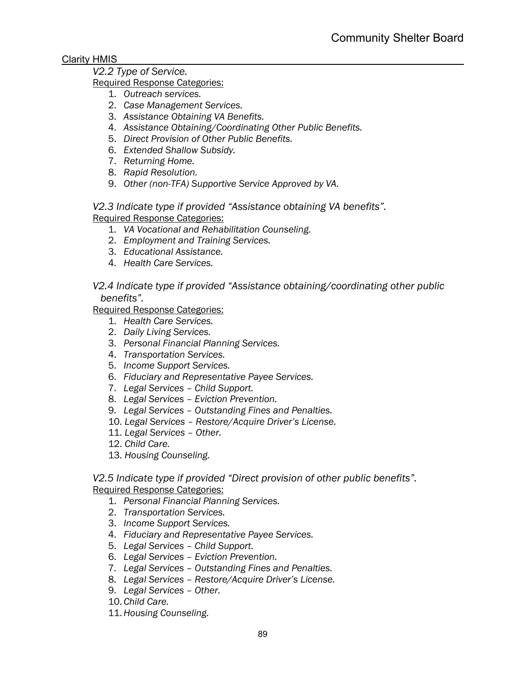# *V2.2 Type of Service.*

- Required Response Categories:
	- 1. *Outreach services.*
	- 2. *Case Management Services.*
	- 3. *Assistance Obtaining VA Benefits.*
	- 4. *Assistance Obtaining/Coordinating Other Public Benefits.*
	- 5. *Direct Provision of Other Public Benefits.*
	- 6. *Extended Shallow Subsidy.*
	- 7. *Returning Home.*
	- 8. *Rapid Resolution.*
	- 9. *Other (non-TFA) Supportive Service Approved by VA.*

*V2.3 Indicate type if provided "Assistance obtaining VA benefits".* Required Response Categories:

- 1. *VA Vocational and Rehabilitation Counseling.*
- 2. *Employment and Training Services.*
- 3. *Educational Assistance.*
- 4. *Health Care Services.*

*V2.4 Indicate type if provided "Assistance obtaining/coordinating other public benefits".*

Required Response Categories:

- 1. *Health Care Services.*
- 2. *Daily Living Services.*
- 3. *Personal Financial Planning Services.*
- 4. *Transportation Services.*
- 5. *Income Support Services.*
- 6. *Fiduciary and Representative Payee Services.*
- 7. *Legal Services – Child Support.*
- 8. *Legal Services – Eviction Prevention.*
- 9. *Legal Services – Outstanding Fines and Penalties.*
- 10. *Legal Services – Restore/Acquire Driver's License.*
- 11. *Legal Services – Other.*
- 12. *Child Care.*
- 13. *Housing Counseling.*

*V2.5 Indicate type if provided "Direct provision of other public benefits".* Required Response Categories:

- 1. *Personal Financial Planning Services.*
- 2. *Transportation Services.*
- 3. *Income Support Services.*
- 4. *Fiduciary and Representative Payee Services.*
- 5. *Legal Services – Child Support.*
- 6. *Legal Services – Eviction Prevention.*
- 7. *Legal Services – Outstanding Fines and Penalties.*
- 8. *Legal Services – Restore/Acquire Driver's License.*
- 9. *Legal Services – Other.*
- 10. *Child Care.*
- 11.*Housing Counseling.*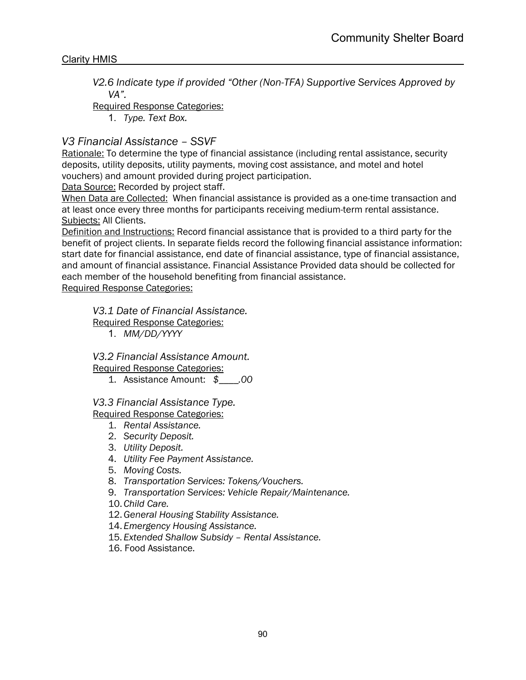*V2.6 Indicate type if provided "Other (Non-TFA) Supportive Services Approved by VA".*

Required Response Categories:

1. *Type. Text Box.*

# *V3 Financial Assistance – SSVF*

Rationale: To determine the type of financial assistance (including rental assistance, security deposits, utility deposits, utility payments, moving cost assistance, and motel and hotel vouchers) and amount provided during project participation.

Data Source: Recorded by project staff.

When Data are Collected:When financial assistance is provided as a one-time transaction and at least once every three months for participants receiving medium-term rental assistance. Subjects: All Clients.

Definition and Instructions: Record financial assistance that is provided to a third party for the benefit of project clients. In separate fields record the following financial assistance information: start date for financial assistance, end date of financial assistance, type of financial assistance, and amount of financial assistance. Financial Assistance Provided data should be collected for each member of the household benefiting from financial assistance.

Required Response Categories:

*V3.1 Date of Financial Assistance.*

Required Response Categories:

1. *MM/DD/YYYY*

*V3.2 Financial Assistance Amount.*

Required Response Categories:

1. Assistance Amount: *\$\_\_\_\_.00*

*V3.3 Financial Assistance Type.* Required Response Categories:

- 1. *Rental Assistance.*
- 2. *Security Deposit.*
- 3. *Utility Deposit.*
- 4. *Utility Fee Payment Assistance.*
- 5. *Moving Costs.*
- 8. *Transportation Services: Tokens/Vouchers.*
- 9. *Transportation Services: Vehicle Repair/Maintenance.*
- 10. *Child Care.*
- 12.*General Housing Stability Assistance.*
- 14. *Emergency Housing Assistance.*
- 15. *Extended Shallow Subsidy – Rental Assistance.*
- 16. Food Assistance.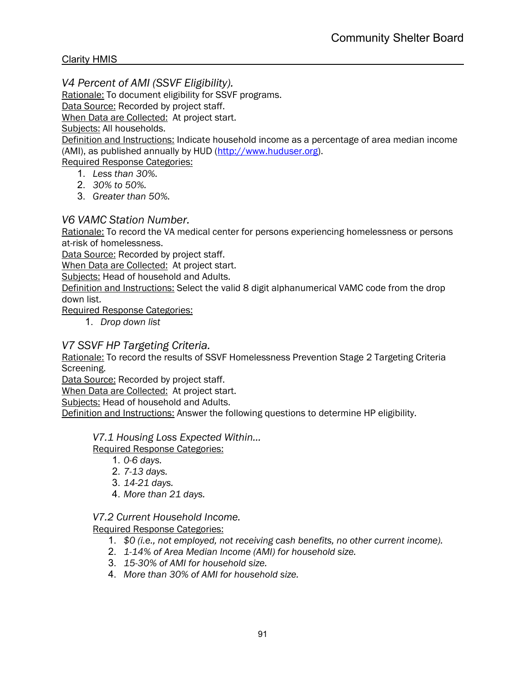*V4 Percent of AMI (SSVF Eligibility).*

Rationale: To document eligibility for SSVF programs.

Data Source: Recorded by project staff.

When Data are Collected:At project start.

Subjects: All households.

Definition and Instructions: Indicate household income as a percentage of area median income (AMI), as published annually by HUD (http://www.huduser.org).

Required Response Categories:

- 1. *Less than 30%.*
- 2. *30% to 50%.*
- 3. *Greater than 50%.*

*V6 VAMC Station Number.*

Rationale: To record the VA medical center for persons experiencing homelessness or persons at-risk of homelessness.

Data Source: Recorded by project staff.

When Data are Collected:At project start.

Subjects: Head of household and Adults.

Definition and Instructions: Select the valid 8 digit alphanumerical VAMC code from the drop down list.

Required Response Categories:

1. *Drop down list*

# *V7 SSVF HP Targeting Criteria.*

Rationale: To record the results of SSVF Homelessness Prevention Stage 2 Targeting Criteria Screening.

Data Source: Recorded by project staff.

When Data are Collected:At project start.

Subjects: Head of household and Adults.

Definition and Instructions: Answer the following questions to determine HP eligibility.

#### *V7.1 Housing Loss Expected Within…*

Required Response Categories:

- 1. *0-6 days.*
- 2. *7-13 days.*
- 3. *14-21 days.*
- 4. *More than 21 days.*

#### *V7.2 Current Household Income.*

- 1. *\$0 (i.e., not employed, not receiving cash benefits, no other current income).*
- 2. *1-14% of Area Median Income (AMI) for household size.*
- 3. *15-30% of AMI for household size.*
- 4. *More than 30% of AMI for household size.*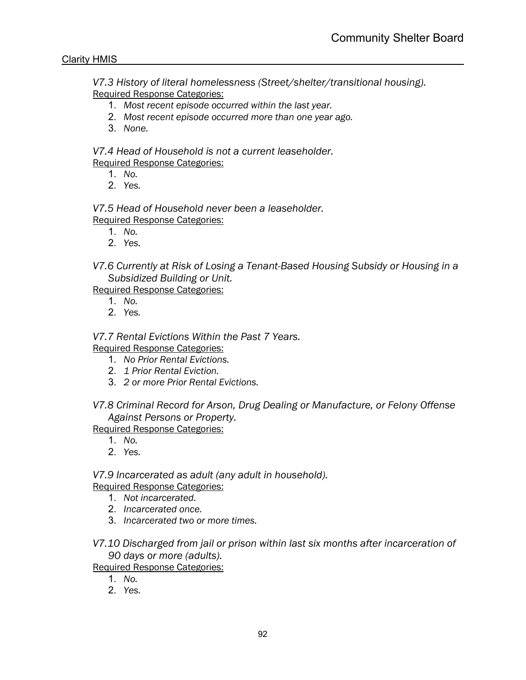*V7.3 History of literal homelessness (Street/shelter/transitional housing).* Required Response Categories:

- 1. *Most recent episode occurred within the last year.*
- 2. *Most recent episode occurred more than one year ago.*
- 3. *None.*

*V7.4 Head of Household is not a current leaseholder.* Required Response Categories:

- 1. *No.*
- 2. *Yes.*

*V7.5 Head of Household never been a leaseholder.* Required Response Categories:

- 1. *No.*
- 2. *Yes.*

*V7.6 Currently at Risk of Losing a Tenant-Based Housing Subsidy or Housing in a Subsidized Building or Unit.*

Required Response Categories:

- 1. *No.*
- 2. *Yes.*

*V7.7 Rental Evictions Within the Past 7 Years.*

Required Response Categories:

- 1. *No Prior Rental Evictions.*
- 2. *1 Prior Rental Eviction.*
- 3. *2 or more Prior Rental Evictions.*

*V7.8 Criminal Record for Arson, Drug Dealing or Manufacture, or Felony Offense Against Persons or Property.*

Required Response Categories:

- 1. *No.*
- 2. *Yes.*

*V7.9 Incarcerated as adult (any adult in household).* Required Response Categories:

- 1. *Not incarcerated.*
- 2. *Incarcerated once.*
- 3. *Incarcerated two or more times.*
- *V7.10 Discharged from jail or prison within last six months after incarceration of 90 days or more (adults).*

- 1. *No.*
- 2. *Yes.*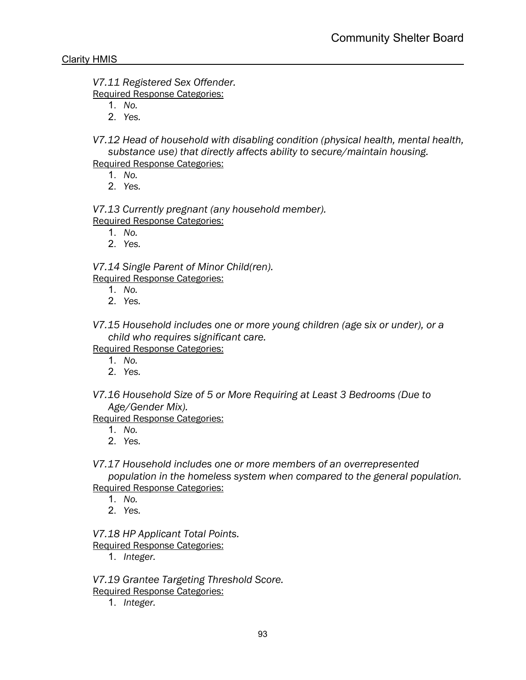*V7.11 Registered Sex Offender.* Required Response Categories:

1. *No.*

2. *Yes.*

*V7.12 Head of household with disabling condition (physical health, mental health, substance use) that directly affects ability to secure/maintain housing.* Required Response Categories:

- 1. *No.*
- 2. *Yes.*

*V7.13 Currently pregnant (any household member).* Required Response Categories:

- 1. *No.*
- 2. *Yes.*

*V7.14 Single Parent of Minor Child(ren).* Required Response Categories:

- 1. *No.*
- 2. *Yes.*

*V7.15 Household includes one or more young children (age six or under), or a child who requires significant care.*

Required Response Categories:

- 1. *No.*
- 2. *Yes.*
- *V7.16 Household Size of 5 or More Requiring at Least 3 Bedrooms (Due to Age/Gender Mix).*

Required Response Categories:

- 1. *No.*
- 2. *Yes.*

*V7.17 Household includes one or more members of an overrepresented* 

*population in the homeless system when compared to the general population.* Required Response Categories:

- 1. *No.*
- 2. *Yes.*

*V7.18 HP Applicant Total Points.*

Required Response Categories:

1. *Integer.*

*V7.19 Grantee Targeting Threshold Score.* Required Response Categories:

1. *Integer.*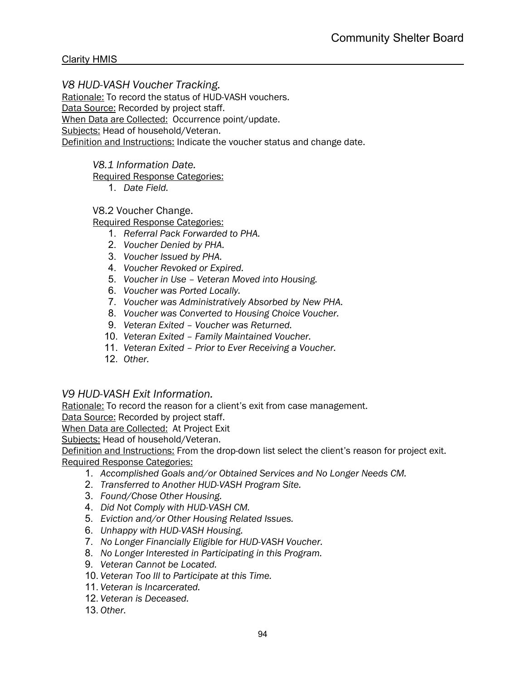*V8 HUD-VASH Voucher Tracking.*

Rationale: To record the status of HUD-VASH vouchers.

Data Source: Recorded by project staff.

When Data are Collected:Occurrence point/update.

Subjects: Head of household/Veteran.

Definition and Instructions: Indicate the voucher status and change date.

*V8.1 Information Date.*

Required Response Categories:

1. *Date Field.*

# V8.2 Voucher Change.

Required Response Categories:

- 1. *Referral Pack Forwarded to PHA.*
- 2. *Voucher Denied by PHA.*
- 3. *Voucher Issued by PHA.*
- 4. *Voucher Revoked or Expired.*
- 5. *Voucher in Use – Veteran Moved into Housing.*
- 6. *Voucher was Ported Locally.*
- 7. *Voucher was Administratively Absorbed by New PHA.*
- 8. *Voucher was Converted to Housing Choice Voucher.*
- 9. *Veteran Exited – Voucher was Returned.*
- 10. *Veteran Exited – Family Maintained Voucher.*
- 11. *Veteran Exited – Prior to Ever Receiving a Voucher.*
- 12. *Other.*

# *V9 HUD-VASH Exit Information.*

Rationale: To record the reason for a client's exit from case management.

Data Source: Recorded by project staff.

When Data are Collected:At Project Exit

Subjects: Head of household/Veteran.

Definition and Instructions: From the drop-down list select the client's reason for project exit. Required Response Categories:

- 1. *Accomplished Goals and/or Obtained Services and No Longer Needs CM.*
- 2. *Transferred to Another HUD-VASH Program Site.*
- 3. *Found/Chose Other Housing.*
- 4. *Did Not Comply with HUD-VASH CM.*
- 5. *Eviction and/or Other Housing Related Issues.*
- 6. *Unhappy with HUD-VASH Housing.*
- 7. *No Longer Financially Eligible for HUD-VASH Voucher.*
- 8. *No Longer Interested in Participating in this Program.*
- 9. *Veteran Cannot be Located.*
- 10. *Veteran Too Ill to Participate at this Time.*
- 11. *Veteran is Incarcerated.*
- 12. *Veteran is Deceased.*
- 13. *Other.*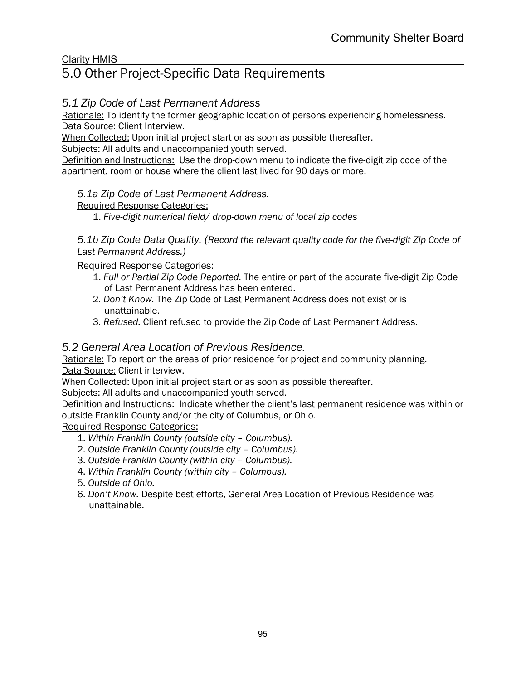# 5.0 Other Project-Specific Data Requirements

# *5.1 Zip Code of Last Permanent Address*

Rationale: To identify the former geographic location of persons experiencing homelessness. Data Source: Client Interview.

When Collected: Upon initial project start or as soon as possible thereafter.

Subjects: All adults and unaccompanied youth served.

Definition and Instructions: Use the drop-down menu to indicate the five-digit zip code of the apartment, room or house where the client last lived for 90 days or more.

# *5.1a Zip Code of Last Permanent Address.*

Required Response Categories:

1. *Five-digit numerical field/ drop-down menu of local zip codes*

*5.1b Zip Code Data Quality. (Record the relevant quality code for the five-digit Zip Code of Last Permanent Address.)*

Required Response Categories:

- 1. *Full or Partial Zip Code Reported.* The entire or part of the accurate five-digit Zip Code of Last Permanent Address has been entered.
- 2. *Don't Know.* The Zip Code of Last Permanent Address does not exist or is unattainable.
- 3. *Refused.* Client refused to provide the Zip Code of Last Permanent Address.

# *5.2 General Area Location of Previous Residence.*

Rationale: To report on the areas of prior residence for project and community planning. Data Source: Client interview.

When Collected: Upon initial project start or as soon as possible thereafter.

Subjects: All adults and unaccompanied youth served.

Definition and Instructions: Indicate whether the client's last permanent residence was within or outside Franklin County and/or the city of Columbus, or Ohio.

- 1. *Within Franklin County (outside city – Columbus).*
- 2. *Outside Franklin County (outside city – Columbus).*
- 3. *Outside Franklin County (within city – Columbus).*
- 4. *Within Franklin County (within city – Columbus).*
- 5. *Outside of Ohio.*
- 6. *Don't Know.* Despite best efforts, General Area Location of Previous Residence was unattainable.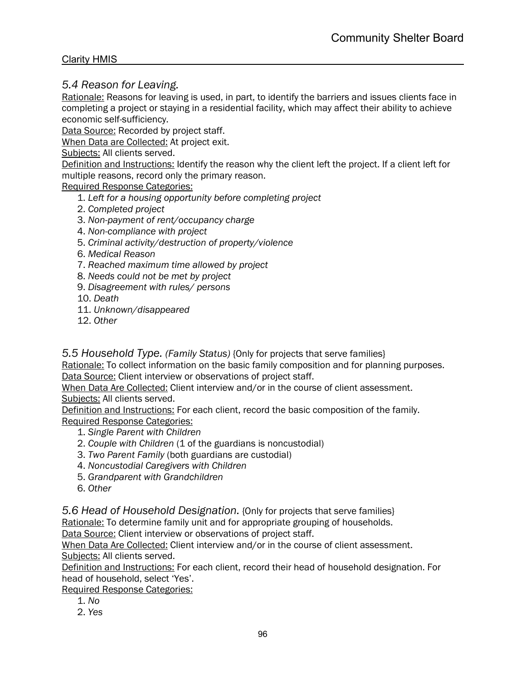# *5.4 Reason for Leaving.*

Rationale: Reasons for leaving is used, in part, to identify the barriers and issues clients face in completing a project or staying in a residential facility, which may affect their ability to achieve economic self-sufficiency.

Data Source: Recorded by project staff.

When Data are Collected: At project exit.

Subjects: All clients served.

Definition and Instructions: Identify the reason why the client left the project. If a client left for multiple reasons, record only the primary reason.

Required Response Categories:

- 1. *Left for a housing opportunity before completing project*
- 2. *Completed project*
- 3. *Non-payment of rent/occupancy charge*
- 4. *Non-compliance with project*
- 5. *Criminal activity/destruction of property/violence*
- 6. *Medical Reason*
- 7. *Reached maximum time allowed by project*
- 8. *Needs could not be met by project*
- 9. *Disagreement with rules/ persons*
- 10. *Death*
- 11. *Unknown/disappeared*
- 12. *Other*

*5.5 Household Type. (Family Status)* {Only for projects that serve families}

Rationale: To collect information on the basic family composition and for planning purposes. Data Source: Client interview or observations of project staff.

When Data Are Collected: Client interview and/or in the course of client assessment. Subjects: All clients served.

Definition and Instructions: For each client, record the basic composition of the family. Required Response Categories:

- 1. *Single Parent with Children*
- 2. *Couple with Children* (1 of the guardians is noncustodial)
- 3. *Two Parent Family* (both guardians are custodial)
- 4. *Noncustodial Caregivers with Children*
- 5. *Grandparent with Grandchildren*
- 6. *Other*

*5.6 Head of Household Designation.* {Only for projects that serve families}

Rationale: To determine family unit and for appropriate grouping of households.

Data Source: Client interview or observations of project staff.

When Data Are Collected: Client interview and/or in the course of client assessment. Subjects: All clients served.

Definition and Instructions: For each client, record their head of household designation. For head of household, select 'Yes'.

- 1. *No*
- 2. *Yes*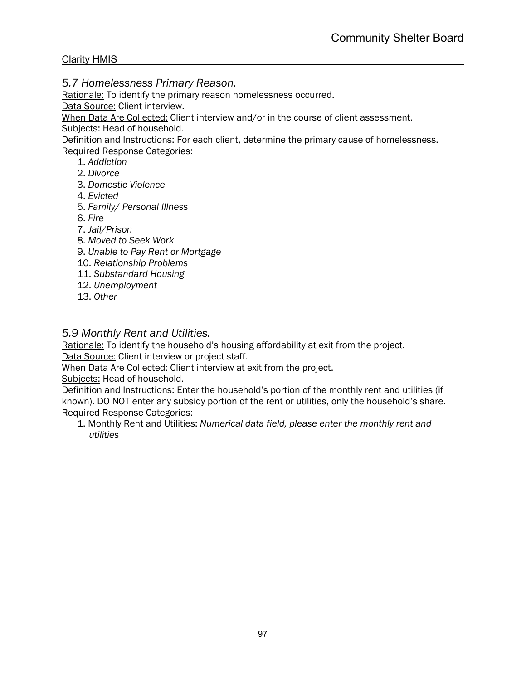*5.7 Homelessness Primary Reason.*

Rationale: To identify the primary reason homelessness occurred.

Data Source: Client interview.

When Data Are Collected: Client interview and/or in the course of client assessment.

Subjects: Head of household.

Definition and Instructions: For each client, determine the primary cause of homelessness. Required Response Categories:

- 1. *Addiction*
- 2. *Divorce*
- 3. *Domestic Violence*
- 4. *Evicted*
- 5. *Family/ Personal Illness*
- 6. *Fire*
- 7. *Jail/Prison*
- 8. *Moved to Seek Work*
- 9. *Unable to Pay Rent or Mortgage*
- 10. *Relationship Problems*
- 11. *Substandard Housing*
- 12. *Unemployment*
- 13. *Other*

*5.9 Monthly Rent and Utilities.* 

Rationale: To identify the household's housing affordability at exit from the project. Data Source: Client interview or project staff.

When Data Are Collected: Client interview at exit from the project.

Subjects: Head of household.

Definition and Instructions: Enter the household's portion of the monthly rent and utilities (if known). DO NOT enter any subsidy portion of the rent or utilities, only the household's share. Required Response Categories:

1. Monthly Rent and Utilities: *Numerical data field, please enter the monthly rent and utilities*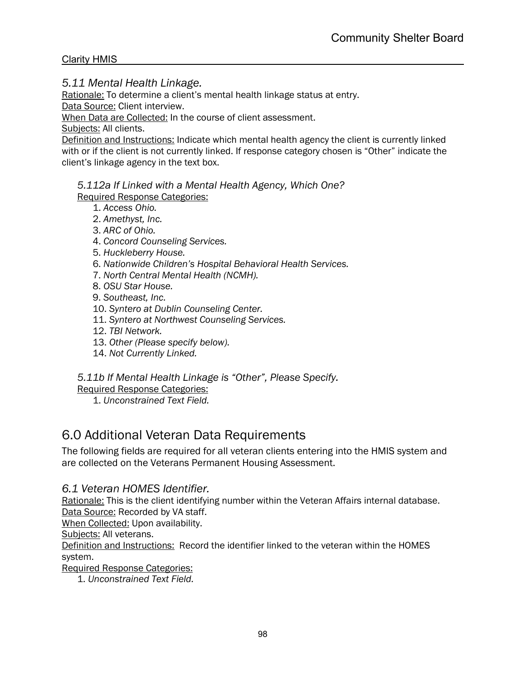*5.11 Mental Health Linkage.* 

Rationale: To determine a client's mental health linkage status at entry.

Data Source: Client interview.

When Data are Collected: In the course of client assessment.

Subjects: All clients.

Definition and Instructions: Indicate which mental health agency the client is currently linked with or if the client is not currently linked. If response category chosen is "Other" indicate the client's linkage agency in the text box.

*5.112a If Linked with a Mental Health Agency, Which One?* Required Response Categories:

- 1. *Access Ohio.*
- 2. *Amethyst, Inc.*
- 3. *ARC of Ohio.*
- 4. *Concord Counseling Services.*
- 5. *Huckleberry House.*
- 6. *Nationwide Children's Hospital Behavioral Health Services.*
- 7. *North Central Mental Health (NCMH).*
- 8. *OSU Star House.*
- 9. *Southeast, Inc.*
- 10. *Syntero at Dublin Counseling Center.*
- 11. *Syntero at Northwest Counseling Services.*
- 12. *TBI Network.*
- 13. *Other (Please specify below).*
- 14. *Not Currently Linked.*
- *5.11b If Mental Health Linkage is "Other", Please Specify.*

Required Response Categories:

1. *Unconstrained Text Field.*

# 6.0 Additional Veteran Data Requirements

The following fields are required for all veteran clients entering into the HMIS system and are collected on the Veterans Permanent Housing Assessment.

# *6.1 Veteran HOMES Identifier.*

Rationale: This is the client identifying number within the Veteran Affairs internal database. Data Source: Recorded by VA staff.

When Collected: Upon availability.

Subjects: All veterans.

Definition and Instructions: Record the identifier linked to the veteran within the HOMES system.

Required Response Categories:

1. *Unconstrained Text Field.*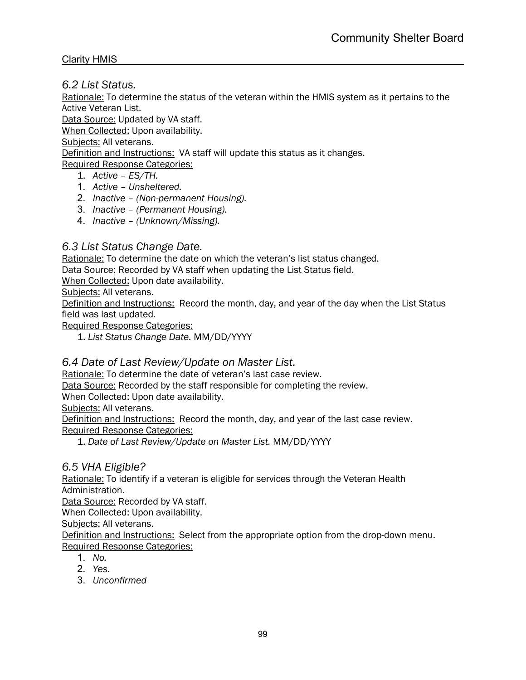*6.2 List Status.* 

Rationale: To determine the status of the veteran within the HMIS system as it pertains to the Active Veteran List.

Data Source: Updated by VA staff.

When Collected: Upon availability.

Subjects: All veterans.

Definition and Instructions: VA staff will update this status as it changes.

Required Response Categories:

- 1. *Active – ES/TH.*
- 1. *Active – Unsheltered.*
- 2. *Inactive – (Non-permanent Housing).*
- 3. *Inactive – (Permanent Housing).*
- 4. *Inactive – (Unknown/Missing).*

# *6.3 List Status Change Date.*

Rationale: To determine the date on which the veteran's list status changed.

Data Source: Recorded by VA staff when updating the List Status field.

When Collected: Upon date availability.

Subjects: All veterans.

Definition and Instructions: Record the month, day, and year of the day when the List Status field was last updated.

Required Response Categories:

1. *List Status Change Date.* MM/DD/YYYY

# *6.4 Date of Last Review/Update on Master List.*

Rationale: To determine the date of veteran's last case review.

Data Source: Recorded by the staff responsible for completing the review.

When Collected: Upon date availability.

Subjects: All veterans.

Definition and Instructions: Record the month, day, and year of the last case review. Required Response Categories:

1. *Date of Last Review/Update on Master List.* MM/DD/YYYY

# *6.5 VHA Eligible?*

Rationale: To identify if a veteran is eligible for services through the Veteran Health Administration.

Data Source: Recorded by VA staff.

When Collected: Upon availability.

Subjects: All veterans.

Definition and Instructions: Select from the appropriate option from the drop-down menu. Required Response Categories:

- 1. *No.*
- 2. *Yes.*
- 3. *Unconfirmed*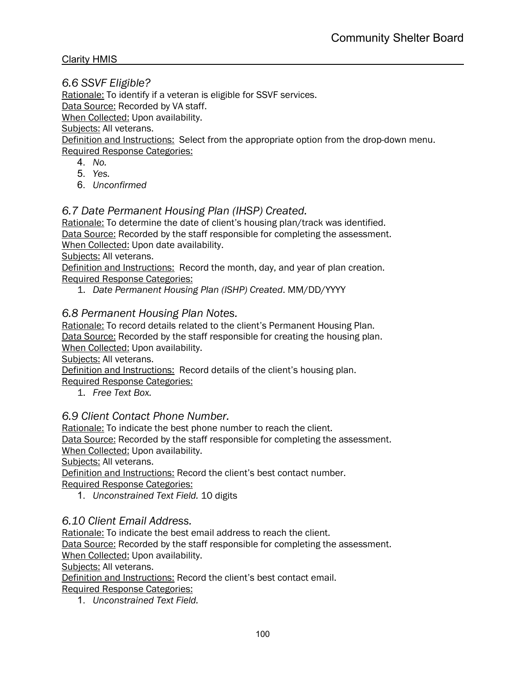*6.6 SSVF Eligible?*

Rationale: To identify if a veteran is eligible for SSVF services. Data Source: Recorded by VA staff. When Collected: Upon availability. Subjects: All veterans. Definition and Instructions: Select from the appropriate option from the drop-down menu.

Required Response Categories:

- 4. *No.*
- 5. *Yes.*
- 6. *Unconfirmed*

# *6.7 Date Permanent Housing Plan (IHSP) Created.*

Rationale: To determine the date of client's housing plan/track was identified. Data Source: Recorded by the staff responsible for completing the assessment. When Collected: Upon date availability.

Subjects: All veterans.

Definition and Instructions: Record the month, day, and year of plan creation. Required Response Categories:

1. *Date Permanent Housing Plan (ISHP) Created*. MM/DD/YYYY

#### *6.8 Permanent Housing Plan Notes.*

Rationale: To record details related to the client's Permanent Housing Plan. Data Source: Recorded by the staff responsible for creating the housing plan. When Collected: Upon availability.

Subjects: All veterans.

Definition and Instructions: Record details of the client's housing plan.

Required Response Categories:

1. *Free Text Box.*

# *6.9 Client Contact Phone Number.*

Rationale: To indicate the best phone number to reach the client.

Data Source: Recorded by the staff responsible for completing the assessment. When Collected: Upon availability.

Subjects: All veterans.

Definition and Instructions: Record the client's best contact number. Required Response Categories:

1. *Unconstrained Text Field.* 10 digits

#### *6.10 Client Email Address.*

Rationale: To indicate the best email address to reach the client.

Data Source: Recorded by the staff responsible for completing the assessment. When Collected: Upon availability.

Subjects: All veterans.

Definition and Instructions: Record the client's best contact email.

Required Response Categories:

1. *Unconstrained Text Field.*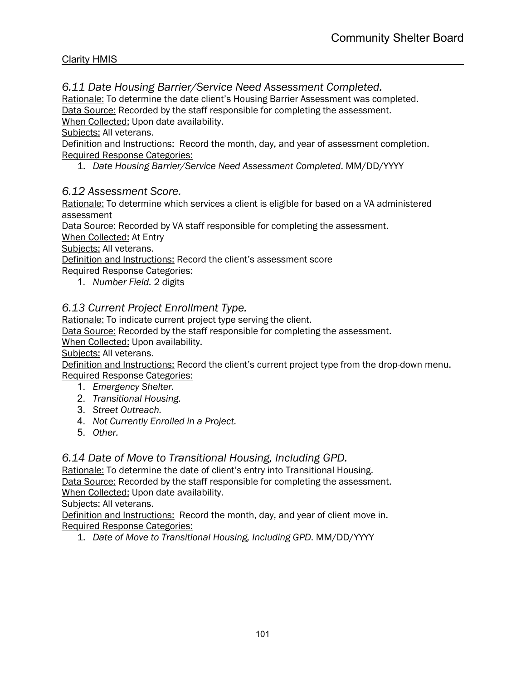# *6.11 Date Housing Barrier/Service Need Assessment Completed.*

Rationale: To determine the date client's Housing Barrier Assessment was completed. Data Source: Recorded by the staff responsible for completing the assessment.

When Collected: Upon date availability.

Subjects: All veterans.

Definition and Instructions: Record the month, day, and year of assessment completion. Required Response Categories:

1. *Date Housing Barrier/Service Need Assessment Completed*. MM/DD/YYYY

# *6.12 Assessment Score.*

Rationale: To determine which services a client is eligible for based on a VA administered assessment

Data Source: Recorded by VA staff responsible for completing the assessment.

When Collected: At Entry

Subjects: All veterans.

Definition and Instructions: Record the client's assessment score

Required Response Categories:

1. *Number Field.* 2 digits

# *6.13 Current Project Enrollment Type.*

Rationale: To indicate current project type serving the client.

Data Source: Recorded by the staff responsible for completing the assessment.

When Collected: Upon availability.

Subjects: All veterans.

Definition and Instructions: Record the client's current project type from the drop-down menu. Required Response Categories:

- 1. *Emergency Shelter.*
- 2. *Transitional Housing.*
- 3. *Street Outreach.*
- 4. *Not Currently Enrolled in a Project.*
- 5. *Other.*

# *6.14 Date of Move to Transitional Housing, Including GPD.*

Rationale: To determine the date of client's entry into Transitional Housing. Data Source: Recorded by the staff responsible for completing the assessment. When Collected: Upon date availability.

Subjects: All veterans.

Definition and Instructions: Record the month, day, and year of client move in. Required Response Categories:

1. *Date of Move to Transitional Housing, Including GPD*. MM/DD/YYYY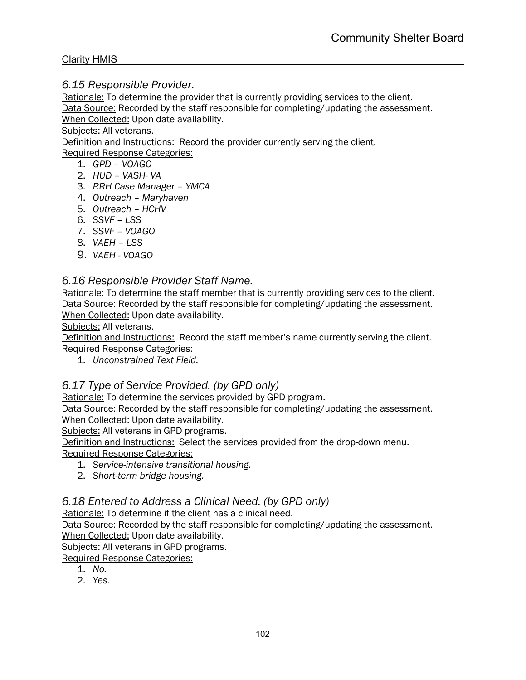# *6.15 Responsible Provider.*

Rationale: To determine the provider that is currently providing services to the client. Data Source: Recorded by the staff responsible for completing/updating the assessment. When Collected: Upon date availability.

Subjects: All veterans.

Definition and Instructions: Record the provider currently serving the client.

Required Response Categories:

- 1. *GPD – VOAGO*
- 2. *HUD – VASH- VA*
- 3. *RRH Case Manager – YMCA*
- 4. *Outreach – Maryhaven*
- 5. *Outreach – HCHV*
- 6. *SSVF – LSS*
- 7. *SSVF – VOAGO*
- 8. *VAEH – LSS*
- 9. *VAEH - VOAGO*

# *6.16 Responsible Provider Staff Name.*

Rationale: To determine the staff member that is currently providing services to the client. Data Source: Recorded by the staff responsible for completing/updating the assessment. When Collected: Upon date availability.

Subjects: All veterans.

Definition and Instructions: Record the staff member's name currently serving the client. Required Response Categories:

1. *Unconstrained Text Field.*

# *6.17 Type of Service Provided. (by GPD only)*

Rationale: To determine the services provided by GPD program.

Data Source: Recorded by the staff responsible for completing/updating the assessment. When Collected: Upon date availability.

Subjects: All veterans in GPD programs.

Definition and Instructions: Select the services provided from the drop-down menu. Required Response Categories:

- 1. *Service-intensive transitional housing.*
- 2. *Short-term bridge housing.*

# *6.18 Entered to Address a Clinical Need. (by GPD only)*

Rationale: To determine if the client has a clinical need.

Data Source: Recorded by the staff responsible for completing/updating the assessment. When Collected: Upon date availability.

Subjects: All veterans in GPD programs.

- 1. *No.*
- 2. *Yes.*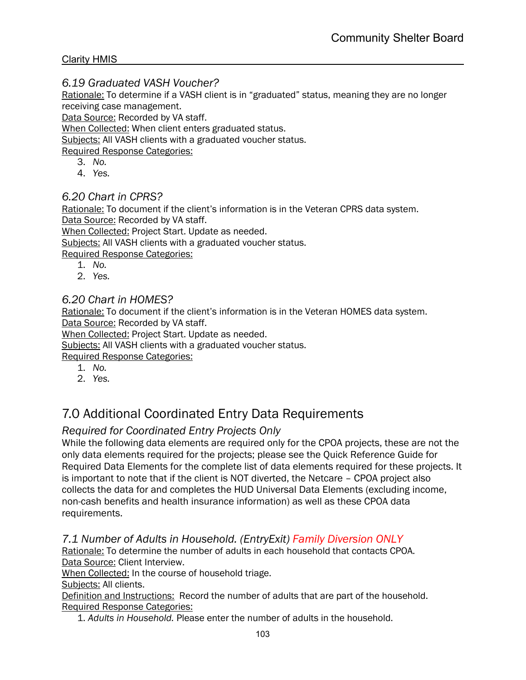# *6.19 Graduated VASH Voucher?*

Rationale: To determine if a VASH client is in "graduated" status, meaning they are no longer receiving case management.

Data Source: Recorded by VA staff.

When Collected: When client enters graduated status.

Subjects: All VASH clients with a graduated voucher status.

Required Response Categories:

- 3. *No.*
- 4. *Yes.*

# *6.20 Chart in CPRS?*

Rationale: To document if the client's information is in the Veteran CPRS data system. Data Source: Recorded by VA staff.

When Collected: Project Start. Update as needed.

Subjects: All VASH clients with a graduated voucher status.

Required Response Categories:

- 1. *No.*
- 2. *Yes.*

# *6.20 Chart in HOMES?*

Rationale: To document if the client's information is in the Veteran HOMES data system. Data Source: Recorded by VA staff.

When Collected: Project Start. Update as needed.

Subjects: All VASH clients with a graduated voucher status.

Required Response Categories:

- 1. *No.*
- 2. *Yes.*

# 7.0 Additional Coordinated Entry Data Requirements

# *Required for Coordinated Entry Projects Only*

While the following data elements are required only for the CPOA projects, these are not the only data elements required for the projects; please see the Quick Reference Guide for Required Data Elements for the complete list of data elements required for these projects. It is important to note that if the client is NOT diverted, the Netcare – CPOA project also collects the data for and completes the HUD Universal Data Elements (excluding income, non-cash benefits and health insurance information) as well as these CPOA data requirements.

# *7.1 Number of Adults in Household. (EntryExit) Family Diversion ONLY*

Rationale: To determine the number of adults in each household that contacts CPOA. Data Source: Client Interview.

When Collected: In the course of household triage.

Subjects: All clients.

Definition and Instructions: Record the number of adults that are part of the household. Required Response Categories:

1. *Adults in Household.* Please enter the number of adults in the household.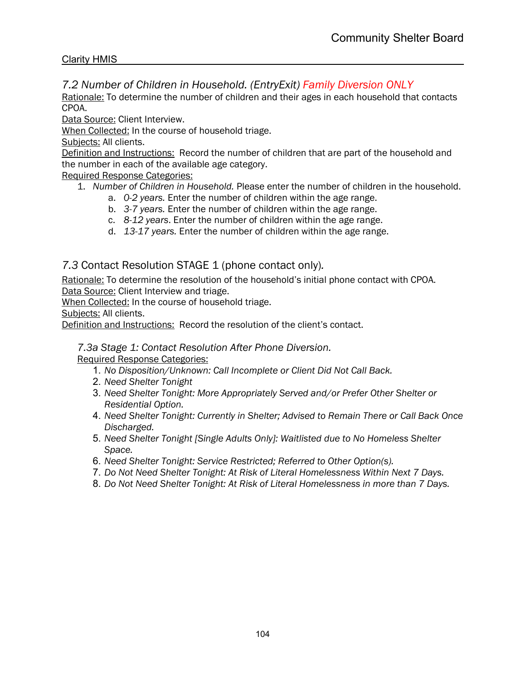# *7.2 Number of Children in Household. (EntryExit) Family Diversion ONLY*

Rationale: To determine the number of children and their ages in each household that contacts CPOA.

Data Source: Client Interview.

When Collected: In the course of household triage.

Subjects: All clients.

Definition and Instructions: Record the number of children that are part of the household and the number in each of the available age category.

Required Response Categories:

- 1. *Number of Children in Household.* Please enter the number of children in the household.
	- a. *0-2 years.* Enter the number of children within the age range.
	- b. *3-7 years.* Enter the number of children within the age range.
	- c. *8-12 years*. Enter the number of children within the age range.
	- d. *13-17 years.* Enter the number of children within the age range.

# *7.3* Contact Resolution STAGE 1 (phone contact only)*.*

Rationale: To determine the resolution of the household's initial phone contact with CPOA. Data Source: Client Interview and triage.

When Collected: In the course of household triage.

Subjects: All clients.

Definition and Instructions: Record the resolution of the client's contact.

#### *7.3a Stage 1: Contact Resolution After Phone Diversion.*

- 1. *No Disposition/Unknown: Call Incomplete or Client Did Not Call Back.*
- 2. *Need Shelter Tonight*
- 3. *Need Shelter Tonight: More Appropriately Served and/or Prefer Other Shelter or Residential Option.*
- 4. *Need Shelter Tonight: Currently in Shelter; Advised to Remain There or Call Back Once Discharged.*
- 5. *Need Shelter Tonight [Single Adults Only]: Waitlisted due to No Homeless Shelter Space.*
- 6. *Need Shelter Tonight: Service Restricted; Referred to Other Option(s).*
- 7. *Do Not Need Shelter Tonight: At Risk of Literal Homelessness Within Next 7 Days.*
- 8. *Do Not Need Shelter Tonight: At Risk of Literal Homelessness in more than 7 Days.*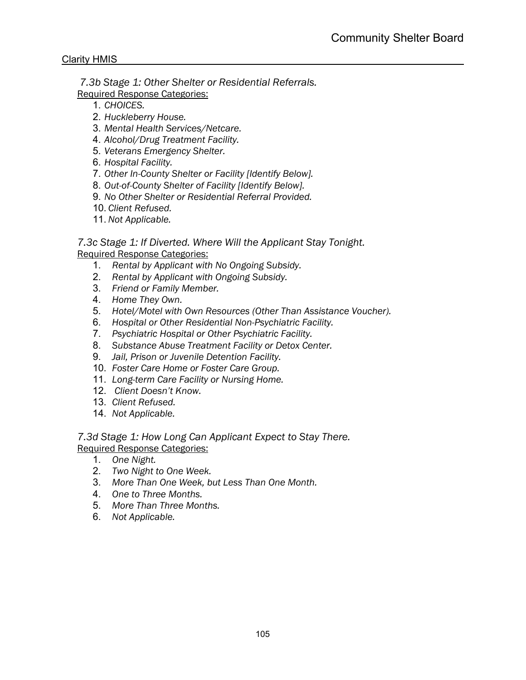*7.3b Stage 1: Other Shelter or Residential Referrals.* Required Response Categories:

- 1. *CHOICES.*
- 2. *Huckleberry House.*
- 3. *Mental Health Services/Netcare.*
- 4. *Alcohol/Drug Treatment Facility.*
- 5. *Veterans Emergency Shelter.*
- 6. *Hospital Facility.*
- 7. *Other In-County Shelter or Facility [Identify Below].*
- 8. *Out-of-County Shelter of Facility [Identify Below].*
- 9. *No Other Shelter or Residential Referral Provided.*
- 10. *Client Refused.*
- 11. *Not Applicable.*

*7.3c Stage 1: If Diverted. Where Will the Applicant Stay Tonight.* Required Response Categories:

- 1. *Rental by Applicant with No Ongoing Subsidy.*
- 2. *Rental by Applicant with Ongoing Subsidy.*
- 3. *Friend or Family Member.*
- 4. *Home They Own.*
- 5. *Hotel/Motel with Own Resources (Other Than Assistance Voucher).*
- 6. *Hospital or Other Residential Non-Psychiatric Facility.*
- 7. *Psychiatric Hospital or Other Psychiatric Facility.*
- 8. *Substance Abuse Treatment Facility or Detox Center.*
- 9. *Jail, Prison or Juvenile Detention Facility.*
- 10. *Foster Care Home or Foster Care Group.*
- 11. *Long-term Care Facility or Nursing Home.*
- 12. *Client Doesn't Know.*
- 13. *Client Refused.*
- 14. *Not Applicable.*

*7.3d Stage 1: How Long Can Applicant Expect to Stay There.* Required Response Categories:

- 1. *One Night.*
- 2. *Two Night to One Week.*
- 3. *More Than One Week, but Less Than One Month.*
- 4. *One to Three Months.*
- 5. *More Than Three Months.*
- 6. *Not Applicable.*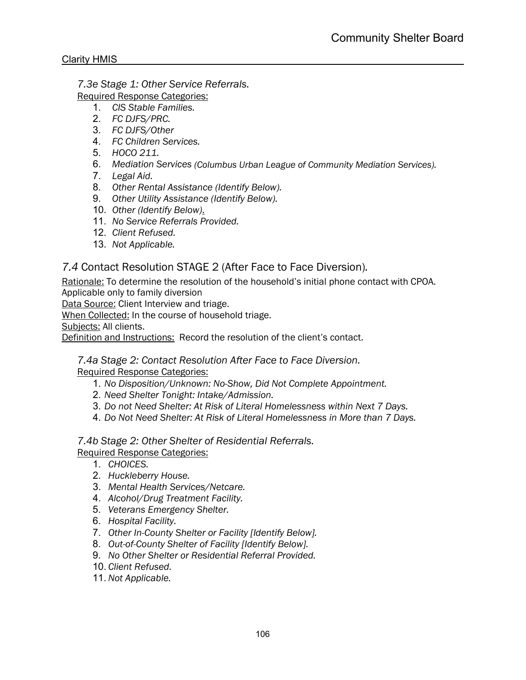*7.3e Stage 1: Other Service Referrals.*

- Required Response Categories:
	- 1. *CIS Stable Families.*
	- 2. *FC DJFS/PRC.*
	- 3. *FC DJFS/Other*
	- 4. *FC Children Services.*
	- 5. *HOCO 211.*
	- 6. *Mediation Services (Columbus Urban League of Community Mediation Services).*
	- 7. *Legal Aid.*
	- 8. *Other Rental Assistance (Identify Below).*
	- 9. *Other Utility Assistance (Identify Below).*
	- 10. *Other (Identify Below)*.
	- 11. *No Service Referrals Provided.*
	- 12. *Client Refused.*
	- 13. *Not Applicable.*

# *7.4* Contact Resolution STAGE 2 (After Face to Face Diversion)*.*

Rationale: To determine the resolution of the household's initial phone contact with CPOA. Applicable only to family diversion

Data Source: Client Interview and triage.

When Collected: In the course of household triage.

Subjects: All clients.

Definition and Instructions: Record the resolution of the client's contact.

# *7.4a Stage 2: Contact Resolution After Face to Face Diversion.*

Required Response Categories:

- 1. *No Disposition/Unknown: No-Show, Did Not Complete Appointment.*
- 2. *Need Shelter Tonight: Intake/Admission.*
- 3. *Do not Need Shelter: At Risk of Literal Homelessness within Next 7 Days.*
- 4. *Do Not Need Shelter: At Risk of Literal Homelessness in More than 7 Days.*

*7.4b Stage 2: Other Shelter of Residential Referrals.* Required Response Categories:

- 1. *CHOICES.*
- 2. *Huckleberry House.*
- 3. *Mental Health Services/Netcare.*
- 4. *Alcohol/Drug Treatment Facility.*
- 5. *Veterans Emergency Shelter.*
- 6. *Hospital Facility.*
- 7. *Other In-County Shelter or Facility [Identify Below].*
- 8. *Out-of-County Shelter of Facility [Identify Below].*
- 9. *No Other Shelter or Residential Referral Provided.*
- 10. *Client Refused.*
- 11. *Not Applicable.*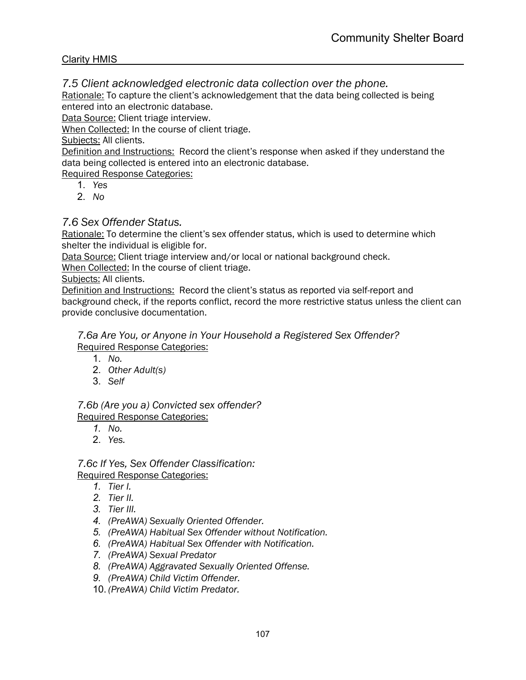*7.5 Client acknowledged electronic data collection over the phone.*

Rationale: To capture the client's acknowledgement that the data being collected is being entered into an electronic database.

Data Source: Client triage interview.

When Collected: In the course of client triage.

Subjects: All clients.

Definition and Instructions: Record the client's response when asked if they understand the data being collected is entered into an electronic database.

Required Response Categories:

- 1. *Yes*
- 2. *No*

# *7.6 Sex Offender Status.*

Rationale: To determine the client's sex offender status, which is used to determine which shelter the individual is eligible for.

Data Source: Client triage interview and/or local or national background check.

When Collected: In the course of client triage.

Subjects: All clients.

Definition and Instructions: Record the client's status as reported via self-report and background check, if the reports conflict, record the more restrictive status unless the client can provide conclusive documentation.

#### *7.6a Are You, or Anyone in Your Household a Registered Sex Offender?*  Required Response Categories:

- 1. *No.*
- 2. *Other Adult(s)*
- 3. *Self*

*7.6b (Are you a) Convicted sex offender?*  Required Response Categories:

- *1. No.*
- 2. *Yes.*

*7.6c If Yes, Sex Offender Classification:*  Required Response Categories:

- *1. Tier I.*
- *2. Tier II.*
- *3. Tier III.*
- *4. (PreAWA) Sexually Oriented Offender.*
- *5. (PreAWA) Habitual Sex Offender without Notification.*
- *6. (PreAWA) Habitual Sex Offender with Notification.*
- *7. (PreAWA) Sexual Predator*
- *8. (PreAWA) Aggravated Sexually Oriented Offense.*
- *9. (PreAWA) Child Victim Offender.*
- 10. *(PreAWA) Child Victim Predator.*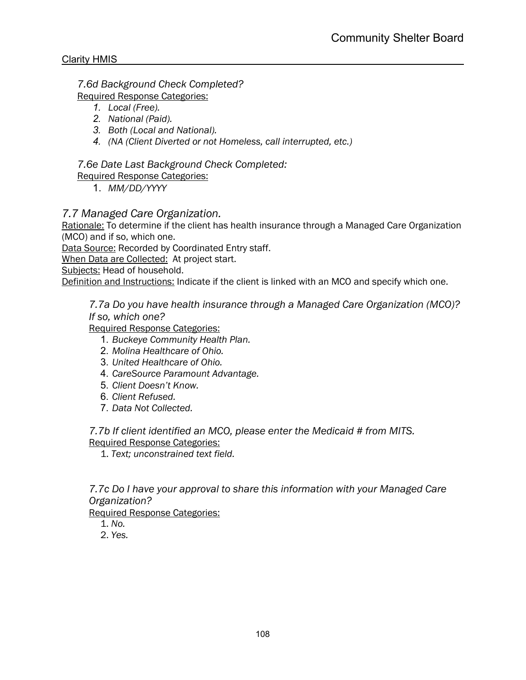*7.6d Background Check Completed?* 

Required Response Categories:

- *1. Local (Free).*
- *2. National (Paid).*
- *3. Both (Local and National).*
- *4. (NA (Client Diverted or not Homeless, call interrupted, etc.)*

*7.6e Date Last Background Check Completed:*

Required Response Categories:

1. *MM/DD/YYYY*

# *7.7 Managed Care Organization.*

Rationale: To determine if the client has health insurance through a Managed Care Organization (MCO) and if so, which one.

Data Source: Recorded by Coordinated Entry staff.

When Data are Collected:At project start.

Subjects: Head of household.

Definition and Instructions: Indicate if the client is linked with an MCO and specify which one.

# *7.7a Do you have health insurance through a Managed Care Organization (MCO)? If so, which one?*

Required Response Categories:

- 1. *Buckeye Community Health Plan.*
- 2. *Molina Healthcare of Ohio.*
- 3. *United Healthcare of Ohio.*
- 4. *CareSource Paramount Advantage.*
- 5. *Client Doesn't Know.*
- 6. *Client Refused.*
- 7. *Data Not Collected.*

#### *7.7b If client identified an MCO, please enter the Medicaid # from MITS.* Required Response Categories:

1. *Text; unconstrained text field.*

# *7.7c Do I have your approval to share this information with your Managed Care Organization?*

- 1. *No.*
- 2. *Yes.*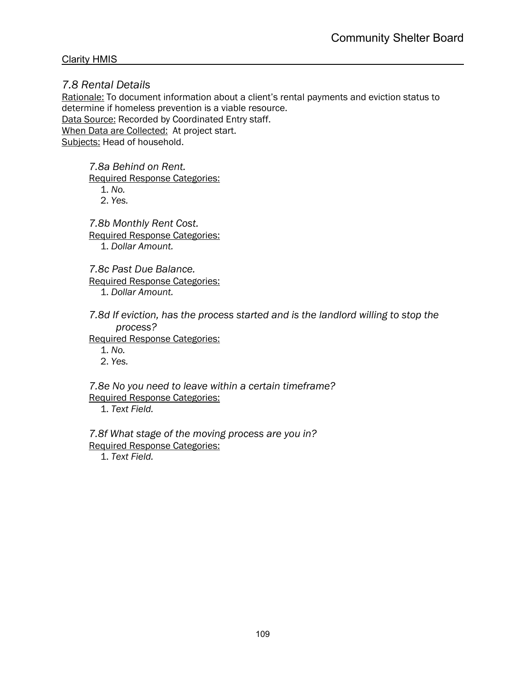*7.8 Rental Details* 

Rationale: To document information about a client's rental payments and eviction status to determine if homeless prevention is a viable resource. Data Source: Recorded by Coordinated Entry staff. When Data are Collected:At project start.

Subjects: Head of household.

*7.8a Behind on Rent.*

Required Response Categories:

1. *No.* 2. *Yes.*

*7.8b Monthly Rent Cost.* Required Response Categories: 1. *Dollar Amount.*

*7.8c Past Due Balance.* Required Response Categories: 1. *Dollar Amount.*

*7.8d If eviction, has the process started and is the landlord willing to stop the process?*

Required Response Categories:

1. *No.*

2. *Yes.*

*7.8e No you need to leave within a certain timeframe?* Required Response Categories:

1. *Text Field.*

*7.8f What stage of the moving process are you in?* Required Response Categories:

1. *Text Field.*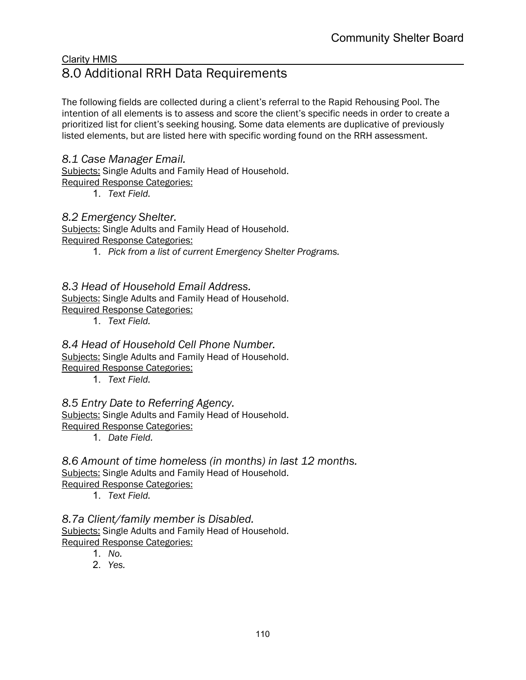# Clarity HMIS 8.0 Additional RRH Data Requirements

The following fields are collected during a client's referral to the Rapid Rehousing Pool. The intention of all elements is to assess and score the client's specific needs in order to create a prioritized list for client's seeking housing. Some data elements are duplicative of previously listed elements, but are listed here with specific wording found on the RRH assessment.

# *8.1 Case Manager Email.*

Subjects: Single Adults and Family Head of Household. Required Response Categories:

1. *Text Field.*

# *8.2 Emergency Shelter.*

Subjects: Single Adults and Family Head of Household.

Required Response Categories:

1. *Pick from a list of current Emergency Shelter Programs.*

# *8.3 Head of Household Email Address.*

Subjects: Single Adults and Family Head of Household.

Required Response Categories:

1. *Text Field.*

# *8.4 Head of Household Cell Phone Number.*

Subjects: Single Adults and Family Head of Household.

Required Response Categories:

1. *Text Field.*

# *8.5 Entry Date to Referring Agency.*

Subjects: Single Adults and Family Head of Household.

Required Response Categories:

1. *Date Field.*

*8.6 Amount of time homeless (in months) in last 12 months.* Subjects: Single Adults and Family Head of Household. Required Response Categories:

1. *Text Field.*

*8.7a Client/family member is Disabled.* Subjects: Single Adults and Family Head of Household. Required Response Categories:

- 1. *No.*
- 2. *Yes.*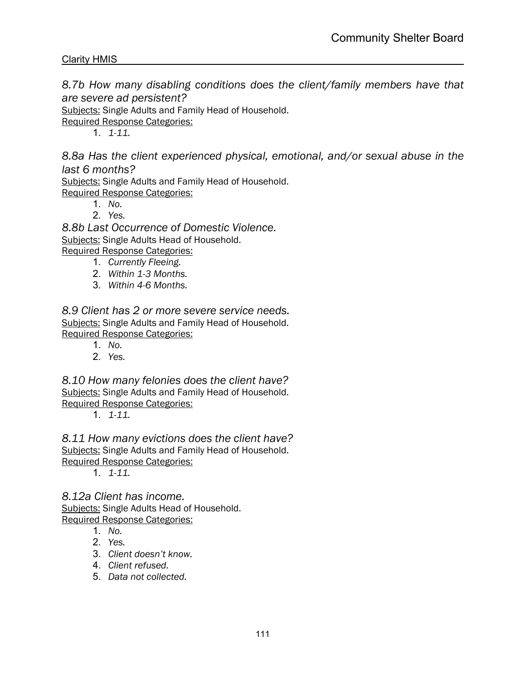*8.7b How many disabling conditions does the client/family members have that are severe ad persistent?*

Subjects: Single Adults and Family Head of Household.

Required Response Categories:

1. *1-11.*

*8.8a Has the client experienced physical, emotional, and/or sexual abuse in the last 6 months?*

Subjects: Single Adults and Family Head of Household. Required Response Categories:

- 1. *No.*
- 2. *Yes.*

*8.8b Last Occurrence of Domestic Violence.* Subjects: Single Adults Head of Household. Required Response Categories:

- 1. *Currently Fleeing.*
- 2. *Within 1-3 Months.*
- 3. *Within 4-6 Months.*

*8.9 Client has 2 or more severe service needs.* Subjects: Single Adults and Family Head of Household. Required Response Categories:

- 1. *No.*
- 2. *Yes.*

*8.10 How many felonies does the client have?* Subjects: Single Adults and Family Head of Household. Required Response Categories:

1. *1-11.*

*8.11 How many evictions does the client have?* Subjects: Single Adults and Family Head of Household. Required Response Categories:

1. *1-11.*

*8.12a Client has income.* Subjects: Single Adults Head of Household. Required Response Categories:

- 1. *No.*
- 2. *Yes.*
- 3. *Client doesn't know.*
- 4. *Client refused.*
- 5. *Data not collected.*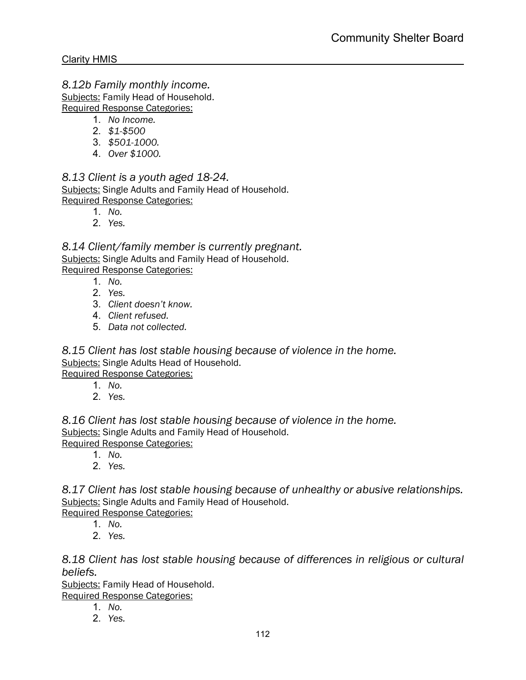*8.12b Family monthly income.*

Subjects: Family Head of Household. Required Response Categories:

1. *No Income.*

- 2. *\$1-\$500*
- 
- 3. *\$501-1000.*
- 4. *Over \$1000.*

*8.13 Client is a youth aged 18-24.* Subjects: Single Adults and Family Head of Household. Required Response Categories:

- 1. *No.*
- 2. *Yes.*

*8.14 Client/family member is currently pregnant.* Subjects: Single Adults and Family Head of Household. Required Response Categories:

- 1. *No.*
- 2. *Yes.*
- 3. *Client doesn't know.*
- 4. *Client refused.*
- 5. *Data not collected.*

*8.15 Client has lost stable housing because of violence in the home.* Subjects: Single Adults Head of Household. Required Response Categories:

1. *No.*

- 
- 2. *Yes.*

*8.16 Client has lost stable housing because of violence in the home.* Subjects: Single Adults and Family Head of Household. Required Response Categories:

- 1. *No.*
- 2. *Yes.*

*8.17 Client has lost stable housing because of unhealthy or abusive relationships.* Subjects: Single Adults and Family Head of Household.

Required Response Categories:

- 1. *No.*
- 2. *Yes.*

*8.18 Client has lost stable housing because of differences in religious or cultural beliefs.*

Subjects: Family Head of Household.

- 1. *No.*
- 2. *Yes.*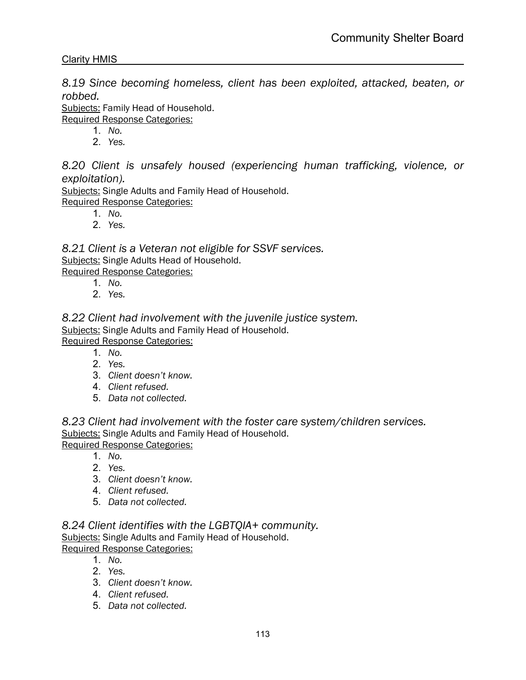*8.19 Since becoming homeless, client has been exploited, attacked, beaten, or robbed.*

Subjects: Family Head of Household.

Required Response Categories:

- 1. *No.*
- 2. *Yes.*

*8.20 Client is unsafely housed (experiencing human trafficking, violence, or exploitation).*

Subjects: Single Adults and Family Head of Household. Required Response Categories:

- 1. *No.*
- 2. *Yes.*

*8.21 Client is a Veteran not eligible for SSVF services.* Subjects: Single Adults Head of Household. Required Response Categories:

- 1. *No.*
- 2. *Yes.*

*8.22 Client had involvement with the juvenile justice system.* Subjects: Single Adults and Family Head of Household. Required Response Categories:

- 1. *No.*
- 2. *Yes.*
- 3. *Client doesn't know.*
- 4. *Client refused.*
- 5. *Data not collected.*

*8.23 Client had involvement with the foster care system/children services.* Subjects: Single Adults and Family Head of Household. Required Response Categories:

- 1. *No.*
- 2. *Yes.*
- 3. *Client doesn't know.*
- 4. *Client refused.*
- 5. *Data not collected.*

*8.24 Client identifies with the LGBTQIA+ community.* Subjects: Single Adults and Family Head of Household. Required Response Categories:

- 1. *No.*
- 2. *Yes.*
- 3. *Client doesn't know.*
- 4. *Client refused.*
- 5. *Data not collected.*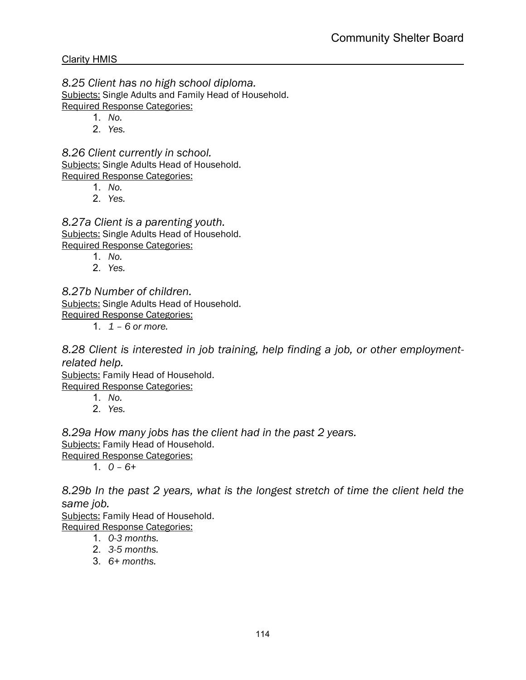*8.25 Client has no high school diploma.* Subjects: Single Adults and Family Head of Household. Required Response Categories:

- 1. *No.*
- 2. *Yes.*

*8.26 Client currently in school.* Subjects: Single Adults Head of Household. Required Response Categories:

- 1. *No.*
- 2. *Yes.*

*8.27a Client is a parenting youth.* Subjects: Single Adults Head of Household. Required Response Categories:

- 1. *No.*
- 2. *Yes.*

# *8.27b Number of children.*

Subjects: Single Adults Head of Household. Required Response Categories:

1. *1 – 6 or more.*

*8.28 Client is interested in job training, help finding a job, or other employmentrelated help.*

Subjects: Family Head of Household.

Required Response Categories:

- 1. *No.*
- 2. *Yes.*

*8.29a How many jobs has the client had in the past 2 years.*

Subjects: Family Head of Household.

Required Response Categories:

1. *0 – 6+*

*8.29b In the past 2 years, what is the longest stretch of time the client held the same job.*

Subjects: Family Head of Household. Required Response Categories:

- 1. *0-3 months.*
- 2. *3-5 months.*
- 3. *6+ months.*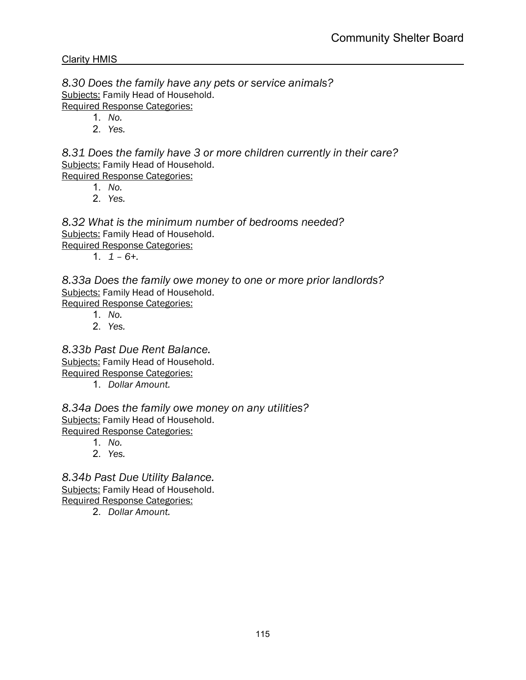*8.30 Does the family have any pets or service animals?* Subjects: Family Head of Household. Required Response Categories:

1. *No.*

2. *Yes.*

*8.31 Does the family have 3 or more children currently in their care?* Subjects: Family Head of Household. Required Response Categories:

- 1. *No.*
- 2. *Yes.*

*8.32 What is the minimum number of bedrooms needed?* Subjects: Family Head of Household. Required Response Categories:

1. *1 – 6+.*

*8.33a Does the family owe money to one or more prior landlords?* Subjects: Family Head of Household. Required Response Categories:

- 1. *No.*
- 2. *Yes.*

*8.33b Past Due Rent Balance.* Subjects: Family Head of Household. Required Response Categories:

1. *Dollar Amount.*

*8.34a Does the family owe money on any utilities?* Subjects: Family Head of Household. Required Response Categories:

- 1. *No.*
- 2. *Yes.*

*8.34b Past Due Utility Balance.* Subjects: Family Head of Household. Required Response Categories:

2. *Dollar Amount.*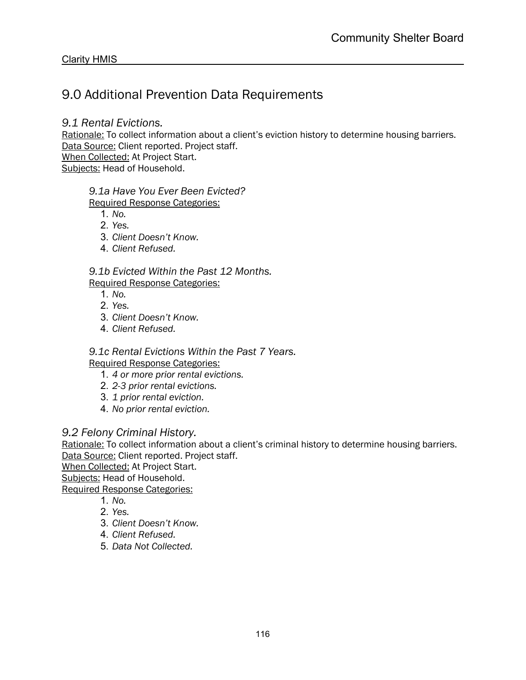# 9.0 Additional Prevention Data Requirements

### *9.1 Rental Evictions.*

Rationale: To collect information about a client's eviction history to determine housing barriers. Data Source: Client reported. Project staff.

When Collected: At Project Start.

Subjects: Head of Household.

## *9.1a Have You Ever Been Evicted?*

Required Response Categories:

- 1. *No.*
- 2. *Yes.*
- 3. *Client Doesn't Know.*
- 4. *Client Refused.*

#### *9.1b Evicted Within the Past 12 Months.*

#### Required Response Categories:

- 1. *No.*
- 2. *Yes.*
- 3. *Client Doesn't Know.*
- 4. *Client Refused.*

#### *9.1c Rental Evictions Within the Past 7 Years.*

Required Response Categories:

- 1. *4 or more prior rental evictions.*
- 2. *2-3 prior rental evictions.*
- 3. *1 prior rental eviction.*
- 4. *No prior rental eviction.*

# *9.2 Felony Criminal History.*

Rationale: To collect information about a client's criminal history to determine housing barriers. Data Source: Client reported. Project staff.

When Collected: At Project Start. Subjects: Head of Household.

- 1. *No.*
- 2. *Yes.*
- 3. *Client Doesn't Know.*
- 4. *Client Refused.*
- 5. *Data Not Collected.*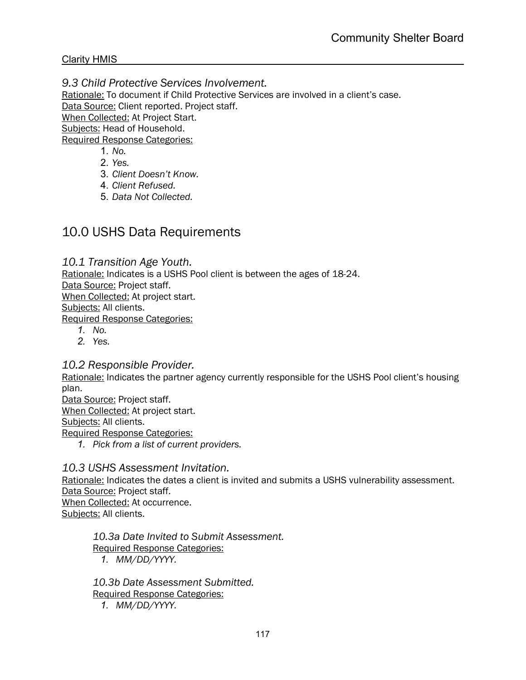### *9.3 Child Protective Services Involvement.*

Rationale: To document if Child Protective Services are involved in a client's case. Data Source: Client reported. Project staff. When Collected: At Project Start. Subjects: Head of Household.

Required Response Categories:

- 1. *No.*
- 2. *Yes.*
- 3. *Client Doesn't Know.*
- 4. *Client Refused.*
- 5. *Data Not Collected.*

# 10.0 USHS Data Requirements

#### *10.1 Transition Age Youth.*

Rationale: Indicates is a USHS Pool client is between the ages of 18-24. Data Source: Project staff. When Collected: At project start. Subjects: All clients. Required Response Categories:

- *1. No.*
- *2. Yes.*

#### *10.2 Responsible Provider.*

Rationale: Indicates the partner agency currently responsible for the USHS Pool client's housing plan.

Data Source: Project staff. When Collected: At project start.

Subjects: All clients.

- Required Response Categories:
	- *1. Pick from a list of current providers.*

### *10.3 USHS Assessment Invitation.*

Rationale: Indicates the dates a client is invited and submits a USHS vulnerability assessment. Data Source: Project staff. When Collected: At occurrence. Subjects: All clients.

*10.3a Date Invited to Submit Assessment.* Required Response Categories: *1. MM/DD/YYYY.*

*10.3b Date Assessment Submitted.* Required Response Categories: *1. MM/DD/YYYY.*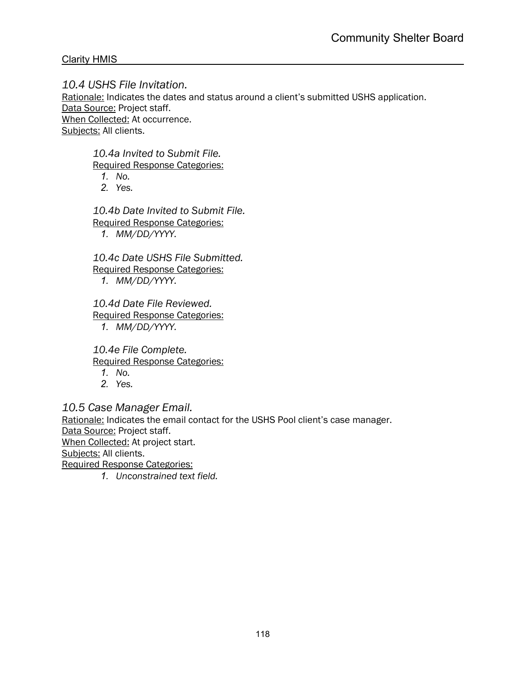*10.4 USHS File Invitation.* Rationale: Indicates the dates and status around a client's submitted USHS application. Data Source: Project staff. When Collected: At occurrence. Subjects: All clients.

*10.4a Invited to Submit File.*

Required Response Categories:

- *1. No.*
- *2. Yes.*

*10.4b Date Invited to Submit File.* Required Response Categories: *1. MM/DD/YYYY.*

*10.4c Date USHS File Submitted.* Required Response Categories:

*1. MM/DD/YYYY.*

*10.4d Date File Reviewed.* Required Response Categories:

*1. MM/DD/YYYY.*

*10.4e File Complete.*

Required Response Categories:

- *1. No.*
- *2. Yes.*

*10.5 Case Manager Email.*

Rationale: Indicates the email contact for the USHS Pool client's case manager.

Data Source: Project staff.

When Collected: At project start.

Subjects: All clients.

Required Response Categories:

*1. Unconstrained text field.*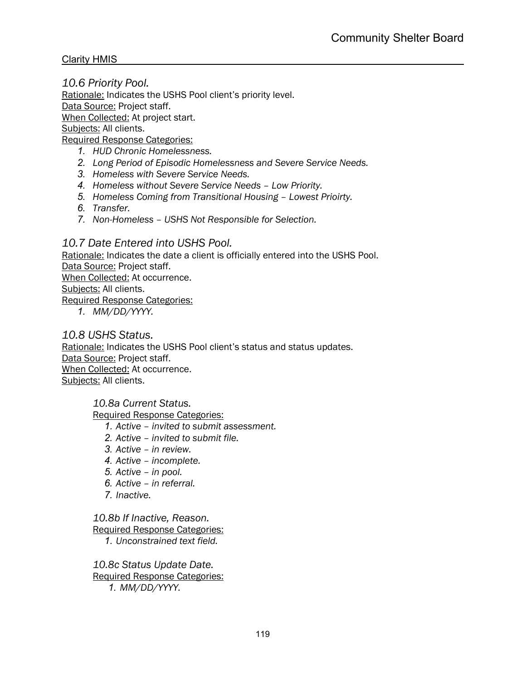*10.6 Priority Pool.* Rationale: Indicates the USHS Pool client's priority level. Data Source: Project staff. When Collected: At project start. Subjects: All clients. Required Response Categories:

- *1. HUD Chronic Homelessness.*
- *2. Long Period of Episodic Homelessness and Severe Service Needs.*
- *3. Homeless with Severe Service Needs.*
- *4. Homeless without Severe Service Needs – Low Priority.*
- *5. Homeless Coming from Transitional Housing – Lowest Prioirty.*
- *6. Transfer.*
- *7. Non-Homeless – USHS Not Responsible for Selection.*

#### *10.7 Date Entered into USHS Pool.*

Rationale: Indicates the date a client is officially entered into the USHS Pool. Data Source: Project staff. When Collected: At occurrence.

Subjects: All clients.

Required Response Categories:

*1. MM/DD/YYYY.*

#### *10.8 USHS Status.*

Rationale: Indicates the USHS Pool client's status and status updates. Data Source: Project staff. When Collected: At occurrence. Subjects: All clients.

*10.8a Current Status.*

Required Response Categories:

- *1. Active – invited to submit assessment.*
- *2. Active – invited to submit file.*
- *3. Active – in review.*
- *4. Active – incomplete.*
- *5. Active – in pool.*
- *6. Active – in referral.*
- *7. Inactive.*

*10.8b If Inactive, Reason.*

Required Response Categories:

*1. Unconstrained text field.*

*10.8c Status Update Date.* Required Response Categories: *1. MM/DD/YYYY.*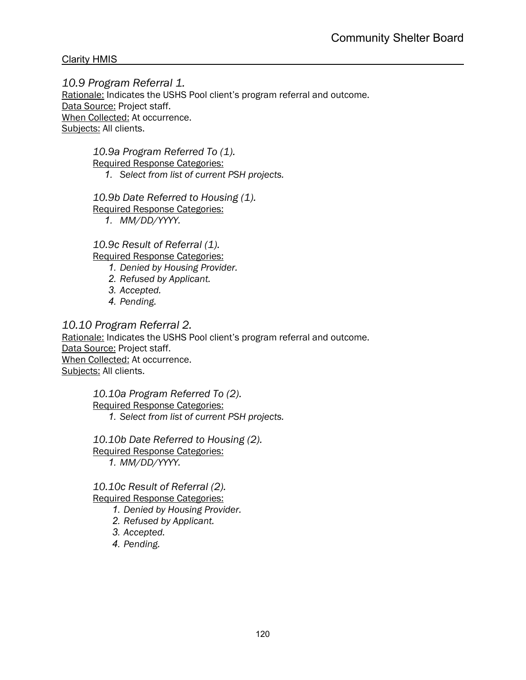*10.9 Program Referral 1.* Rationale: Indicates the USHS Pool client's program referral and outcome. Data Source: Project staff. When Collected: At occurrence. Subjects: All clients.

> *10.9a Program Referred To (1).* Required Response Categories:

*1. Select from list of current PSH projects.*

*10.9b Date Referred to Housing (1).*

Required Response Categories:

*1. MM/DD/YYYY.*

*10.9c Result of Referral (1).* Required Response Categories:

*1. Denied by Housing Provider.*

- *2. Refused by Applicant.*
- *3. Accepted.*
- *4. Pending.*

*10.10 Program Referral 2.*

Rationale: Indicates the USHS Pool client's program referral and outcome. Data Source: Project staff. When Collected: At occurrence. Subjects: All clients.

> *10.10a Program Referred To (2).* Required Response Categories: *1. Select from list of current PSH projects.*

*10.10b Date Referred to Housing (2).* Required Response Categories: *1. MM/DD/YYYY.*

*10.10c Result of Referral (2).* Required Response Categories:

*1. Denied by Housing Provider.*

- *2. Refused by Applicant.*
- *3. Accepted.*

*4. Pending.*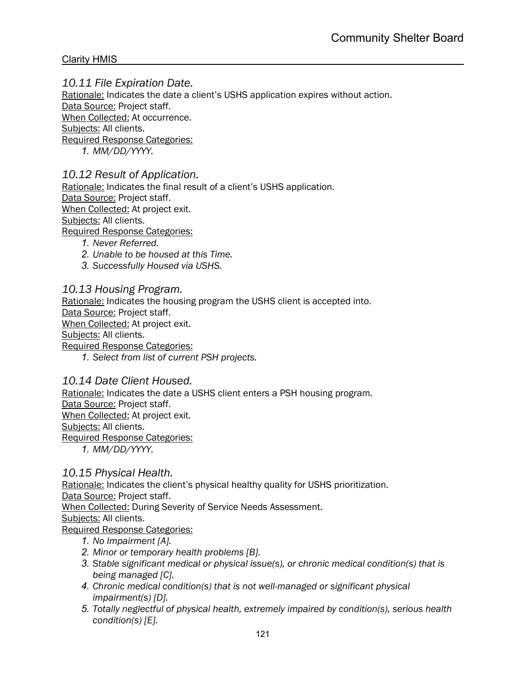# *10.11 File Expiration Date.*

Rationale: Indicates the date a client's USHS application expires without action. Data Source: Project staff. When Collected: At occurrence. Subjects: All clients. Required Response Categories:

*1. MM/DD/YYYY.*

#### *10.12 Result of Application.*

Rationale: Indicates the final result of a client's USHS application. Data Source: Project staff. When Collected: At project exit. Subjects: All clients. Required Response Categories:

- *1. Never Referred.*
- *2. Unable to be housed at this Time.*
- *3. Successfully Housed via USHS.*

*10.13 Housing Program.*

Rationale: Indicates the housing program the USHS client is accepted into.

Data Source: Project staff.

When Collected: At project exit.

Subjects: All clients.

Required Response Categories:

*1. Select from list of current PSH projects.*

#### *10.14 Date Client Housed.*

Rationale: Indicates the date a USHS client enters a PSH housing program. Data Source: Project staff. When Collected: At project exit. Subjects: All clients.

Required Response Categories:

*1. MM/DD/YYYY.*

#### *10.15 Physical Health.*

Rationale: Indicates the client's physical healthy quality for USHS prioritization.

Data Source: Project staff.

When Collected: During Severity of Service Needs Assessment.

#### Subjects: All clients.

- *1. No Impairment [A].*
- *2. Minor or temporary health problems [B].*
- *3. Stable significant medical or physical issue(s), or chronic medical condition(s) that is being managed [C].*
- *4. Chronic medical condition(s) that is not well-managed or significant physical impairment(s) [D].*
- *5. Totally neglectful of physical health, extremely impaired by condition(s), serious health condition(s) [E].*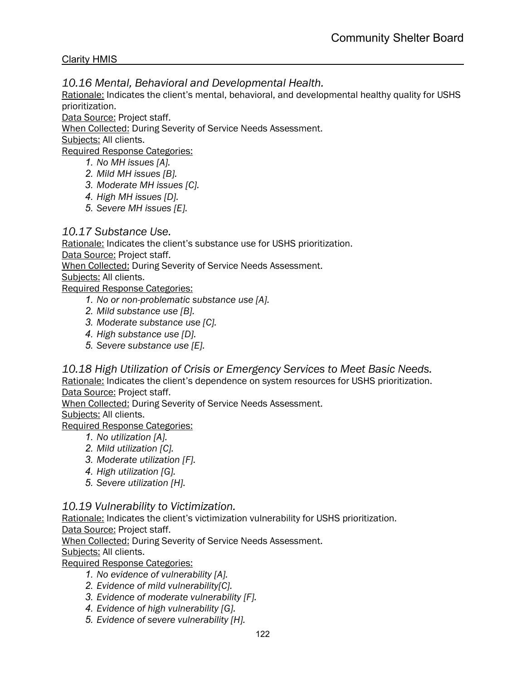*10.16 Mental, Behavioral and Developmental Health.*

Rationale: Indicates the client's mental, behavioral, and developmental healthy quality for USHS prioritization.

Data Source: Project staff.

When Collected: During Severity of Service Needs Assessment.

Subjects: All clients.

Required Response Categories:

- *1. No MH issues [A].*
- *2. Mild MH issues [B].*
- *3. Moderate MH issues [C].*
- *4. High MH issues [D].*
- *5. Severe MH issues [E].*

## *10.17 Substance Use.*

Rationale: Indicates the client's substance use for USHS prioritization.

Data Source: Project staff.

When Collected: During Severity of Service Needs Assessment.

Subjects: All clients.

Required Response Categories:

- *1. No or non-problematic substance use [A].*
- *2. Mild substance use [B].*
- *3. Moderate substance use [C].*
- *4. High substance use [D].*
- *5. Severe substance use [E].*

*10.18 High Utilization of Crisis or Emergency Services to Meet Basic Needs.*

Rationale: Indicates the client's dependence on system resources for USHS prioritization. Data Source: Project staff.

When Collected: During Severity of Service Needs Assessment.

Subjects: All clients.

Required Response Categories:

- *1. No utilization [A].*
- *2. Mild utilization [C].*
- *3. Moderate utilization [F].*
- *4. High utilization [G].*
- *5. Severe utilization [H].*

# *10.19 Vulnerability to Victimization.*

Rationale: Indicates the client's victimization vulnerability for USHS prioritization.

Data Source: Project staff.

When Collected: During Severity of Service Needs Assessment.

Subjects: All clients.

- *1. No evidence of vulnerability [A].*
- *2. Evidence of mild vulnerability[C].*
- *3. Evidence of moderate vulnerability [F].*
- *4. Evidence of high vulnerability [G].*
- *5. Evidence of severe vulnerability [H].*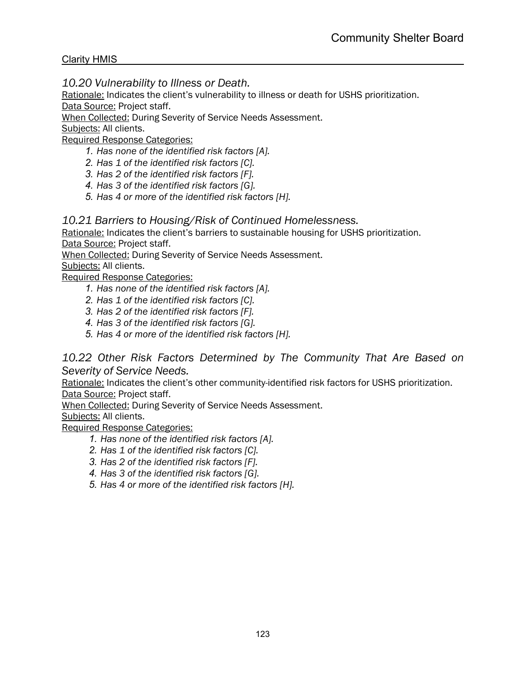*10.20 Vulnerability to Illness or Death.*

Rationale: Indicates the client's vulnerability to illness or death for USHS prioritization. Data Source: Project staff.

When Collected: During Severity of Service Needs Assessment.

Subjects: All clients.

Required Response Categories:

- *1. Has none of the identified risk factors [A].*
- *2. Has 1 of the identified risk factors [C].*
- *3. Has 2 of the identified risk factors [F].*
- *4. Has 3 of the identified risk factors [G].*
- *5. Has 4 or more of the identified risk factors [H].*

#### *10.21 Barriers to Housing/Risk of Continued Homelessness.*

Rationale: Indicates the client's barriers to sustainable housing for USHS prioritization. Data Source: Project staff.

When Collected: During Severity of Service Needs Assessment.

Subjects: All clients.

Required Response Categories:

- *1. Has none of the identified risk factors [A].*
- *2. Has 1 of the identified risk factors [C].*
- *3. Has 2 of the identified risk factors [F].*
- *4. Has 3 of the identified risk factors [G].*
- *5. Has 4 or more of the identified risk factors [H].*

## *10.22 Other Risk Factors Determined by The Community That Are Based on Severity of Service Needs.*

Rationale: Indicates the client's other community-identified risk factors for USHS prioritization. Data Source: Project staff.

When Collected: During Severity of Service Needs Assessment.

Subjects: All clients.

- *1. Has none of the identified risk factors [A].*
- *2. Has 1 of the identified risk factors [C].*
- *3. Has 2 of the identified risk factors [F].*
- *4. Has 3 of the identified risk factors [G].*
- *5. Has 4 or more of the identified risk factors [H].*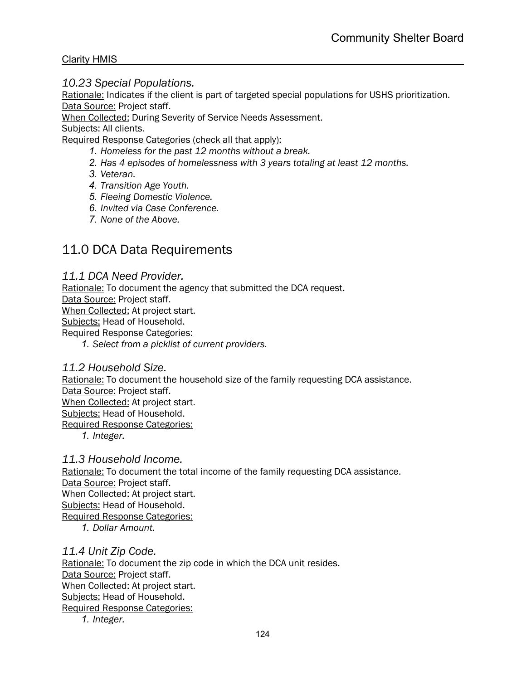#### *10.23 Special Populations.*

Rationale: Indicates if the client is part of targeted special populations for USHS prioritization. Data Source: Project staff.

When Collected: During Severity of Service Needs Assessment.

Subjects: All clients.

Required Response Categories (check all that apply):

- *1. Homeless for the past 12 months without a break.*
- *2. Has 4 episodes of homelessness with 3 years totaling at least 12 months.*
- *3. Veteran.*
- *4. Transition Age Youth.*
- *5. Fleeing Domestic Violence.*
- *6. Invited via Case Conference.*
- *7. None of the Above.*

# 11.0 DCA Data Requirements

#### *11.1 DCA Need Provider.*

Rationale: To document the agency that submitted the DCA request.

Data Source: Project staff.

When Collected: At project start.

Subjects: Head of Household.

Required Response Categories:

*1. Select from a picklist of current providers.*

#### *11.2 Household Size.*

Rationale: To document the household size of the family requesting DCA assistance. Data Source: Project staff.

When Collected: At project start.

Subjects: Head of Household.

Required Response Categories:

*1. Integer.*

#### *11.3 Household Income.*

Rationale: To document the total income of the family requesting DCA assistance. Data Source: Project staff. When Collected: At project start. Subjects: Head of Household. Required Response Categories: *1. Dollar Amount.*

*11.4 Unit Zip Code.*

Rationale: To document the zip code in which the DCA unit resides. Data Source: Project staff. When Collected: At project start. Subjects: Head of Household. Required Response Categories:

*1. Integer.*